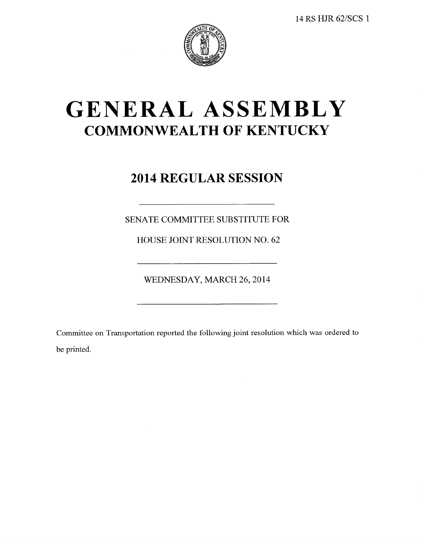

# GENERAL ASSEMBLY **COMMONWEALTH OF KENTUCKY**

## **2014 REGULAR SESSION**

SENATE COMMITTEE SUBSTITUTE FOR

HOUSE JOINT RESOLUTION NO. 62

WEDNESDAY, MARCH 26, 2014

Committee on Transportation reported the following joint resolution which was ordered to be printed.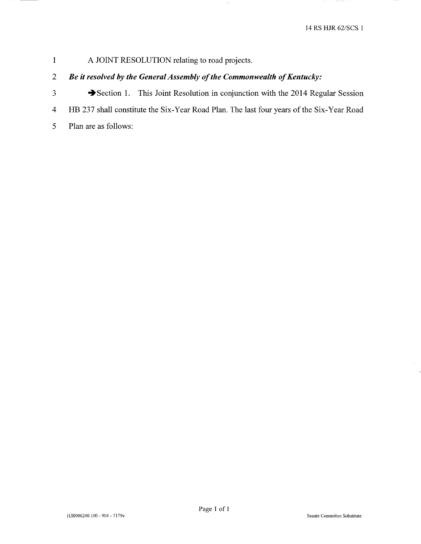#### $\mathbf{1}$ A JOINT RESOLUTION relating to road projects.

#### $\overline{2}$ Be it resolved by the General Assembly of the Commonwealth of Kentucky:

- $\overline{3}$ Section 1. This Joint Resolution in conjunction with the 2014 Regular Session
- HB 237 shall constitute the Six-Year Road Plan. The last four years of the Six-Year Road  $\overline{4}$
- 5 Plan are as follows: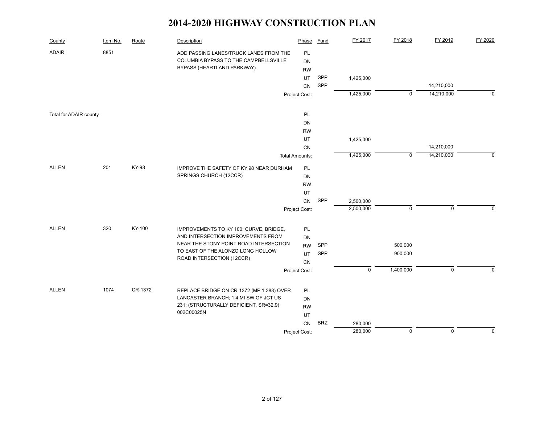| County                 | Item No. | Route   | Description                               | Phase                 | <b>Fund</b> | FY 2017     | FY 2018     | FY 2019     | FY 2020     |
|------------------------|----------|---------|-------------------------------------------|-----------------------|-------------|-------------|-------------|-------------|-------------|
| <b>ADAIR</b>           | 8851     |         | ADD PASSING LANES/TRUCK LANES FROM THE    | PL                    |             |             |             |             |             |
|                        |          |         | COLUMBIA BYPASS TO THE CAMPBELLSVILLE     | DN                    |             |             |             |             |             |
|                        |          |         | BYPASS (HEARTLAND PARKWAY).               | <b>RW</b>             |             |             |             |             |             |
|                        |          |         |                                           | UT                    | SPP         | 1,425,000   |             |             |             |
|                        |          |         |                                           | CN                    | SPP         |             |             | 14,210,000  |             |
|                        |          |         |                                           | Project Cost:         |             | 1,425,000   | $\mathsf 0$ | 14,210,000  | $\mathbf 0$ |
| Total for ADAIR county |          |         |                                           | PL                    |             |             |             |             |             |
|                        |          |         |                                           | DN                    |             |             |             |             |             |
|                        |          |         |                                           | <b>RW</b>             |             |             |             |             |             |
|                        |          |         |                                           | UT                    |             | 1,425,000   |             |             |             |
|                        |          |         |                                           | CN                    |             |             |             | 14,210,000  |             |
|                        |          |         |                                           | <b>Total Amounts:</b> |             | 1,425,000   | $\mathbf 0$ | 14,210,000  | $\mathbf 0$ |
| <b>ALLEN</b>           | 201      | KY-98   | IMPROVE THE SAFETY OF KY 98 NEAR DURHAM   | PL                    |             |             |             |             |             |
|                        |          |         | SPRINGS CHURCH (12CCR)                    | DN                    |             |             |             |             |             |
|                        |          |         |                                           | <b>RW</b>             |             |             |             |             |             |
|                        |          |         |                                           | UT                    |             |             |             |             |             |
|                        |          |         |                                           | CN                    | SPP         | 2,500,000   |             |             |             |
|                        |          |         |                                           | Project Cost:         |             | 2,500,000   | $\mathsf 0$ | $\mathbf 0$ | $\Omega$    |
| <b>ALLEN</b>           | 320      | KY-100  | IMPROVEMENTS TO KY 100: CURVE, BRIDGE,    | PL                    |             |             |             |             |             |
|                        |          |         | AND INTERSECTION IMPROVEMENTS FROM        | DN                    |             |             |             |             |             |
|                        |          |         | NEAR THE STONY POINT ROAD INTERSECTION    | <b>RW</b>             | SPP         |             | 500,000     |             |             |
|                        |          |         | TO EAST OF THE ALONZO LONG HOLLOW         | <b>UT</b>             | SPP         |             | 900,000     |             |             |
|                        |          |         | ROAD INTERSECTION (12CCR)                 | CN                    |             |             |             |             |             |
|                        |          |         |                                           | Project Cost:         |             | $\mathbf 0$ | 1,400,000   | $\mathbf 0$ | $\Omega$    |
| <b>ALLEN</b>           | 1074     | CR-1372 | REPLACE BRIDGE ON CR-1372 (MP 1.388) OVER | <b>PL</b>             |             |             |             |             |             |
|                        |          |         | LANCASTER BRANCH; 1.4 MI SW OF JCT US     | DN                    |             |             |             |             |             |
|                        |          |         | 231; (STRUCTURALLY DEFICIENT, SR=32.9)    | <b>RW</b>             |             |             |             |             |             |
|                        |          |         | 002C00025N                                | UT                    |             |             |             |             |             |
|                        |          |         |                                           | CN                    | <b>BRZ</b>  | 280,000     |             |             |             |
|                        |          |         |                                           | Project Cost:         |             | 280,000     | $\mathbf 0$ | $\mathbf 0$ | $\mathbf 0$ |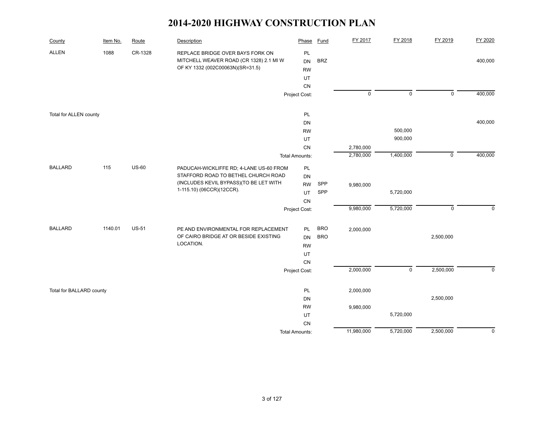| County                   | Item No. | Route        | Description                                                                 | Phase                  | <b>Fund</b> | FY 2017             | FY 2018     | FY 2019        | FY 2020     |
|--------------------------|----------|--------------|-----------------------------------------------------------------------------|------------------------|-------------|---------------------|-------------|----------------|-------------|
| <b>ALLEN</b>             | 1088     | CR-1328      | REPLACE BRIDGE OVER BAYS FORK ON<br>MITCHELL WEAVER ROAD (CR 1328) 2.1 MI W | <b>PL</b><br><b>DN</b> | <b>BRZ</b>  |                     |             |                | 400,000     |
|                          |          |              | OF KY 1332 (002C00063N)(SR=31.5)                                            | <b>RW</b>              |             |                     |             |                |             |
|                          |          |              |                                                                             | UT                     |             |                     |             |                |             |
|                          |          |              |                                                                             | ${\sf CN}$             |             |                     |             |                |             |
|                          |          |              |                                                                             | Project Cost:          |             | $\mathsf{O}\xspace$ | $\mathsf 0$ | $\mathsf 0$    | 400,000     |
| Total for ALLEN county   |          |              |                                                                             | PL                     |             |                     |             |                |             |
|                          |          |              |                                                                             | DN                     |             |                     |             |                | 400,000     |
|                          |          |              |                                                                             | <b>RW</b>              |             |                     | 500,000     |                |             |
|                          |          |              |                                                                             | UT                     |             |                     | 900,000     |                |             |
|                          |          |              |                                                                             | CN                     |             | 2,780,000           |             |                |             |
|                          |          |              |                                                                             | <b>Total Amounts:</b>  |             | 2,780,000           | 1,400,000   | $\overline{0}$ | 400,000     |
| <b>BALLARD</b>           | 115      | <b>US-60</b> | PADUCAH-WICKLIFFE RD; 4-LANE US-60 FROM                                     | PL                     |             |                     |             |                |             |
|                          |          |              | STAFFORD ROAD TO BETHEL CHURCH ROAD                                         | DN                     |             |                     |             |                |             |
|                          |          |              | (INCLUDES KEVIL BYPASS) (TO BE LET WITH                                     | <b>RW</b>              | SPP         | 9,980,000           |             |                |             |
|                          |          |              | 1-115.10) (06CCR)(12CCR).                                                   | UT                     | SPP         |                     | 5,720,000   |                |             |
|                          |          |              |                                                                             | CN                     |             |                     |             |                |             |
|                          |          |              |                                                                             | Project Cost:          |             | 9,980,000           | 5,720,000   | $\mathsf 0$    | $\mathbf 0$ |
| <b>BALLARD</b>           | 1140.01  | <b>US-51</b> | PE AND ENVIRONMENTAL FOR REPLACEMENT                                        | <b>PL</b>              | <b>BRO</b>  | 2,000,000           |             |                |             |
|                          |          |              | OF CAIRO BRIDGE AT OR BESIDE EXISTING                                       | <b>DN</b>              | <b>BRO</b>  |                     |             | 2,500,000      |             |
|                          |          |              | LOCATION.                                                                   | <b>RW</b>              |             |                     |             |                |             |
|                          |          |              |                                                                             | UT                     |             |                     |             |                |             |
|                          |          |              |                                                                             | CN                     |             |                     |             |                |             |
|                          |          |              |                                                                             | Project Cost:          |             | 2,000,000           | $\mathsf 0$ | 2,500,000      | $\mathbf 0$ |
| Total for BALLARD county |          |              |                                                                             | PL                     |             | 2,000,000           |             |                |             |
|                          |          |              |                                                                             | DN                     |             |                     |             | 2,500,000      |             |
|                          |          |              |                                                                             | <b>RW</b>              |             | 9,980,000           |             |                |             |
|                          |          |              |                                                                             | UT                     |             |                     | 5,720,000   |                |             |
|                          |          |              |                                                                             | CN                     |             |                     |             |                |             |
|                          |          |              |                                                                             | <b>Total Amounts:</b>  |             | 11,980,000          | 5,720,000   | 2,500,000      | $\mathbf 0$ |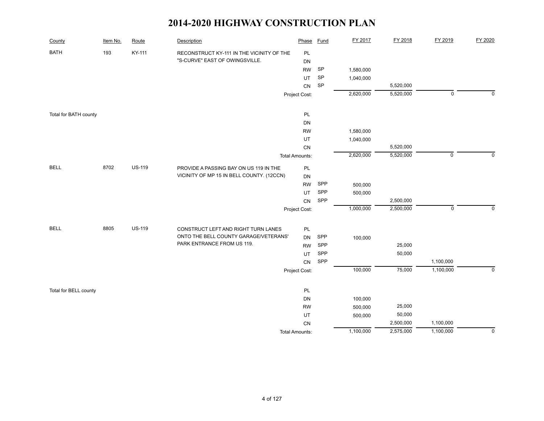| County                | Item No. | Route         | Description                                                                         | Phase                 | <b>Fund</b>                | FY 2017   | FY 2018   | FY 2019     | FY 2020     |
|-----------------------|----------|---------------|-------------------------------------------------------------------------------------|-----------------------|----------------------------|-----------|-----------|-------------|-------------|
| <b>BATH</b>           | 193      | KY-111        | RECONSTRUCT KY-111 IN THE VICINITY OF THE                                           | PL                    |                            |           |           |             |             |
|                       |          |               | "S-CURVE" EAST OF OWINGSVILLE.                                                      | DN                    |                            |           |           |             |             |
|                       |          |               |                                                                                     | <b>RW</b>             | $\ensuremath{\mathsf{SP}}$ | 1,580,000 |           |             |             |
|                       |          |               |                                                                                     | UT                    | SP                         | 1,040,000 |           |             |             |
|                       |          |               |                                                                                     | CN                    | SP                         |           | 5,520,000 |             |             |
|                       |          |               |                                                                                     | Project Cost:         |                            | 2,620,000 | 5,520,000 | $\mathbf 0$ | $\mathbf 0$ |
| Total for BATH county |          |               |                                                                                     | PL                    |                            |           |           |             |             |
|                       |          |               |                                                                                     | <b>DN</b>             |                            |           |           |             |             |
|                       |          |               |                                                                                     | <b>RW</b>             |                            | 1,580,000 |           |             |             |
|                       |          |               |                                                                                     | UT                    |                            | 1,040,000 |           |             |             |
|                       |          |               |                                                                                     | CN                    |                            |           | 5,520,000 |             |             |
|                       |          |               |                                                                                     | <b>Total Amounts:</b> |                            | 2,620,000 | 5,520,000 | $\mathsf 0$ | $\mathbf 0$ |
| <b>BELL</b>           | 8702     | <b>US-119</b> | PROVIDE A PASSING BAY ON US 119 IN THE<br>VICINITY OF MP 15 IN BELL COUNTY. (12CCN) | $\mathsf{PL}$         |                            |           |           |             |             |
|                       |          |               |                                                                                     | DN                    |                            |           |           |             |             |
|                       |          |               |                                                                                     | <b>RW</b>             | SPP                        | 500,000   |           |             |             |
|                       |          |               |                                                                                     | UT                    | SPP                        | 500,000   |           |             |             |
|                       |          |               |                                                                                     | CN                    | SPP                        |           | 2,500,000 |             |             |
|                       |          |               |                                                                                     | Project Cost:         |                            | 1,000,000 | 2,500,000 | $\mathbf 0$ | $\mathbf 0$ |
| <b>BELL</b>           | 8805     | <b>US-119</b> | CONSTRUCT LEFT AND RIGHT TURN LANES                                                 | PL                    |                            |           |           |             |             |
|                       |          |               | ONTO THE BELL COUNTY GARAGE/VETERANS'                                               | <b>DN</b>             | SPP                        | 100,000   |           |             |             |
|                       |          |               | PARK ENTRANCE FROM US 119.                                                          | <b>RW</b>             | SPP                        |           | 25,000    |             |             |
|                       |          |               |                                                                                     | UT                    | ${\sf SPP}$                |           | 50,000    |             |             |
|                       |          |               |                                                                                     | <b>CN</b>             | SPP                        |           |           | 1,100,000   |             |
|                       |          |               |                                                                                     | Project Cost:         |                            | 100,000   | 75,000    | 1,100,000   | $\mathbf 0$ |
| Total for BELL county |          |               |                                                                                     | PL                    |                            |           |           |             |             |
|                       |          |               |                                                                                     | DN                    |                            | 100,000   |           |             |             |
|                       |          |               |                                                                                     | <b>RW</b>             |                            | 500,000   | 25,000    |             |             |
|                       |          |               |                                                                                     | UT                    |                            | 500,000   | 50,000    |             |             |
|                       |          |               |                                                                                     | CN                    |                            |           | 2,500,000 | 1,100,000   |             |
|                       |          |               |                                                                                     | <b>Total Amounts:</b> |                            | 1,100,000 | 2,575,000 | 1,100,000   | 0           |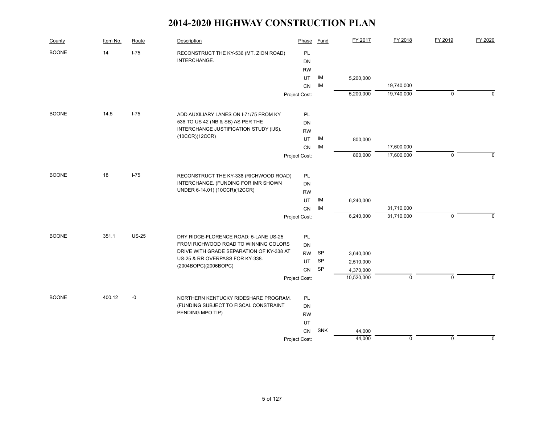| County       | Item No. | Route        | Description                                                                   | Phase         | Fund       | FY 2017                 | FY 2018     | FY 2019     | FY 2020     |
|--------------|----------|--------------|-------------------------------------------------------------------------------|---------------|------------|-------------------------|-------------|-------------|-------------|
| <b>BOONE</b> | 14       | $I-75$       | RECONSTRUCT THE KY-536 (MT. ZION ROAD)                                        | PL            |            |                         |             |             |             |
|              |          |              | INTERCHANGE.                                                                  | DN            |            |                         |             |             |             |
|              |          |              |                                                                               | <b>RW</b>     |            |                         |             |             |             |
|              |          |              |                                                                               | UT            | IM         | 5,200,000               |             |             |             |
|              |          |              |                                                                               | <b>CN</b>     | IM         |                         | 19,740,000  |             |             |
|              |          |              |                                                                               | Project Cost: |            | 5,200,000               | 19,740,000  | $\mathbf 0$ | $\Omega$    |
| <b>BOONE</b> | 14.5     | $I - 75$     | ADD AUXILIARY LANES ON I-71/75 FROM KY                                        | PL            |            |                         |             |             |             |
|              |          |              | 536 TO US 42 (NB & SB) AS PER THE                                             | DN            |            |                         |             |             |             |
|              |          |              | INTERCHANGE JUSTIFICATION STUDY (IJS).                                        | <b>RW</b>     |            |                         |             |             |             |
|              |          |              | (10CCR)(12CCR)                                                                | UT            | IM         | 800,000                 |             |             |             |
|              |          |              |                                                                               | CN            | IM         |                         | 17,600,000  |             |             |
|              |          |              |                                                                               | Project Cost: |            | 800,000                 | 17,600,000  | $\mathsf 0$ | $\Omega$    |
| <b>BOONE</b> | 18       | $I-75$       | RECONSTRUCT THE KY-338 (RICHWOOD ROAD)                                        | <b>PL</b>     |            |                         |             |             |             |
|              |          |              | INTERCHANGE. (FUNDING FOR IMR SHOWN                                           | <b>DN</b>     |            |                         |             |             |             |
|              |          |              | UNDER 6-14.01) (10CCR)(12CCR)                                                 | <b>RW</b>     |            |                         |             |             |             |
|              |          |              |                                                                               | UT            | IM         | 6,240,000               |             |             |             |
|              |          |              |                                                                               | CN            | IM         |                         | 31,710,000  |             |             |
|              |          |              |                                                                               | Project Cost: |            | 6,240,000               | 31,710,000  | $\mathbf 0$ | $\Omega$    |
|              |          |              |                                                                               |               |            |                         |             |             |             |
| <b>BOONE</b> | 351.1    | <b>US-25</b> | DRY RIDGE-FLORENCE ROAD; 5-LANE US-25<br>FROM RICHWOOD ROAD TO WINNING COLORS | PL            |            |                         |             |             |             |
|              |          |              | DRIVE WITH GRADE SEPARATION OF KY-338 AT                                      | <b>DN</b>     |            |                         |             |             |             |
|              |          |              | US-25 & RR OVERPASS FOR KY-338.                                               | <b>RW</b>     | SP<br>SP   | 3,640,000               |             |             |             |
|              |          |              | (2004BOPC)(2006BOPC)                                                          | UT            |            | 2,510,000               |             |             |             |
|              |          |              |                                                                               | <b>CN</b>     | SP         | 4,370,000<br>10,520,000 | $\mathbf 0$ | $\mathbf 0$ | $\Omega$    |
|              |          |              |                                                                               | Project Cost: |            |                         |             |             |             |
| <b>BOONE</b> | 400.12   | $-0$         | NORTHERN KENTUCKY RIDESHARE PROGRAM.                                          | PL            |            |                         |             |             |             |
|              |          |              | (FUNDING SUBJECT TO FISCAL CONSTRAINT                                         | DN            |            |                         |             |             |             |
|              |          |              | PENDING MPO TIP)                                                              | <b>RW</b>     |            |                         |             |             |             |
|              |          |              |                                                                               | UT            |            |                         |             |             |             |
|              |          |              |                                                                               | CN            | <b>SNK</b> | 44,000                  |             |             |             |
|              |          |              |                                                                               | Project Cost: |            | 44,000                  | $\mathbf 0$ | $\mathbf 0$ | $\mathbf 0$ |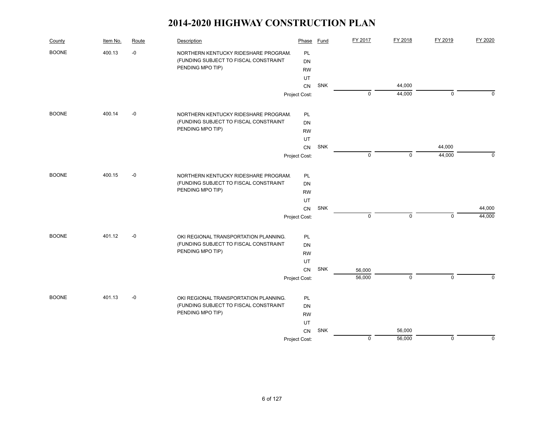| County       | Item No. | Route | Description                           | Phase         | Fund | FY 2017     | FY 2018          | FY 2019      | FY 2020     |
|--------------|----------|-------|---------------------------------------|---------------|------|-------------|------------------|--------------|-------------|
| <b>BOONE</b> | 400.13   | $-0$  | NORTHERN KENTUCKY RIDESHARE PROGRAM.  | PL            |      |             |                  |              |             |
|              |          |       | (FUNDING SUBJECT TO FISCAL CONSTRAINT | <b>DN</b>     |      |             |                  |              |             |
|              |          |       | PENDING MPO TIP)                      | <b>RW</b>     |      |             |                  |              |             |
|              |          |       |                                       | UT            |      |             |                  |              |             |
|              |          |       |                                       | <b>CN</b>     | SNK  | $\mathbf 0$ | 44,000<br>44,000 | $\mathbf 0$  | $\Omega$    |
|              |          |       |                                       | Project Cost: |      |             |                  |              |             |
| <b>BOONE</b> | 400.14   | $-0$  | NORTHERN KENTUCKY RIDESHARE PROGRAM.  | PL            |      |             |                  |              |             |
|              |          |       | (FUNDING SUBJECT TO FISCAL CONSTRAINT | DN            |      |             |                  |              |             |
|              |          |       | PENDING MPO TIP)                      | <b>RW</b>     |      |             |                  |              |             |
|              |          |       |                                       | UT            |      |             |                  |              |             |
|              |          |       |                                       | CN            | SNK  |             |                  | 44,000       |             |
|              |          |       |                                       | Project Cost: |      | $\mathbf 0$ | $\mathbf 0$      | 44,000       | $\Omega$    |
| <b>BOONE</b> | 400.15   | $-0$  | NORTHERN KENTUCKY RIDESHARE PROGRAM.  | PL            |      |             |                  |              |             |
|              |          |       | (FUNDING SUBJECT TO FISCAL CONSTRAINT | <b>DN</b>     |      |             |                  |              |             |
|              |          |       | PENDING MPO TIP)                      | <b>RW</b>     |      |             |                  |              |             |
|              |          |       |                                       | UT            |      |             |                  |              |             |
|              |          |       |                                       | <b>CN</b>     | SNK  |             |                  |              | 44,000      |
|              |          |       |                                       | Project Cost: |      | $\pmb{0}$   | $\mathbf 0$      | $\mathbf 0$  | 44,000      |
| <b>BOONE</b> | 401.12   | $-0$  | OKI REGIONAL TRANSPORTATION PLANNING. | PL            |      |             |                  |              |             |
|              |          |       | (FUNDING SUBJECT TO FISCAL CONSTRAINT | DN            |      |             |                  |              |             |
|              |          |       | PENDING MPO TIP)                      | <b>RW</b>     |      |             |                  |              |             |
|              |          |       |                                       | UT            |      |             |                  |              |             |
|              |          |       |                                       | CN            | SNK  | 56,000      |                  |              |             |
|              |          |       |                                       | Project Cost: |      | 56,000      | $\mathbf 0$      | $\mathbf{0}$ | $\Omega$    |
| <b>BOONE</b> | 401.13   | $-0$  | OKI REGIONAL TRANSPORTATION PLANNING. | PL            |      |             |                  |              |             |
|              |          |       | (FUNDING SUBJECT TO FISCAL CONSTRAINT | DN            |      |             |                  |              |             |
|              |          |       | PENDING MPO TIP)                      | <b>RW</b>     |      |             |                  |              |             |
|              |          |       |                                       | UT            |      |             |                  |              |             |
|              |          |       |                                       | CN            | SNK  |             | 56,000           |              |             |
|              |          |       |                                       | Project Cost: |      | $\pmb{0}$   | 56,000           | $\mathbf 0$  | $\mathbf 0$ |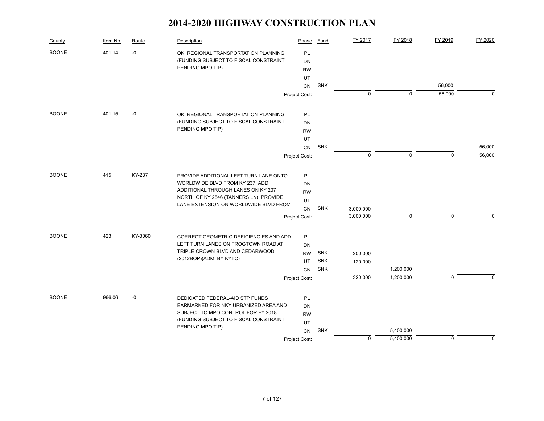| County       | Item No. | Route   | Description                            | Phase         | Fund       | FY 2017     | FY 2018     | FY 2019     | FY 2020     |
|--------------|----------|---------|----------------------------------------|---------------|------------|-------------|-------------|-------------|-------------|
| <b>BOONE</b> | 401.14   | -0      | OKI REGIONAL TRANSPORTATION PLANNING.  | PL            |            |             |             |             |             |
|              |          |         | (FUNDING SUBJECT TO FISCAL CONSTRAINT  | <b>DN</b>     |            |             |             |             |             |
|              |          |         | PENDING MPO TIP)                       | <b>RW</b>     |            |             |             |             |             |
|              |          |         |                                        | UT            |            |             |             |             |             |
|              |          |         |                                        | CN            | <b>SNK</b> |             |             | 56,000      |             |
|              |          |         |                                        | Project Cost: |            | $\mathbf 0$ | $\mathbf 0$ | 56,000      | $\mathbf 0$ |
| <b>BOONE</b> | 401.15   | $-0$    | OKI REGIONAL TRANSPORTATION PLANNING.  | PL            |            |             |             |             |             |
|              |          |         | (FUNDING SUBJECT TO FISCAL CONSTRAINT  | <b>DN</b>     |            |             |             |             |             |
|              |          |         | PENDING MPO TIP)                       | <b>RW</b>     |            |             |             |             |             |
|              |          |         |                                        | UT            |            |             |             |             |             |
|              |          |         |                                        | CN            | SNK        |             |             |             | 56,000      |
|              |          |         |                                        | Project Cost: |            | $\mathbf 0$ | $\mathbf 0$ | $\Omega$    | 56,000      |
| <b>BOONE</b> | 415      | KY-237  | PROVIDE ADDITIONAL LEFT TURN LANE ONTO | PL            |            |             |             |             |             |
|              |          |         | WORLDWIDE BLVD FROM KY 237. ADD        | DN            |            |             |             |             |             |
|              |          |         | ADDITIONAL THROUGH LANES ON KY 237     | <b>RW</b>     |            |             |             |             |             |
|              |          |         | NORTH OF KY 2846 (TANNERS LN). PROVIDE | UT            |            |             |             |             |             |
|              |          |         | LANE EXTENSION ON WORLDWIDE BLVD FROM  | CN            | <b>SNK</b> | 3,000,000   |             |             |             |
|              |          |         |                                        | Project Cost: |            | 3,000,000   | $\mathbf 0$ | $\mathbf 0$ | 0           |
| <b>BOONE</b> | 423      | KY-3060 | CORRECT GEOMETRIC DEFICIENCIES AND ADD | PL            |            |             |             |             |             |
|              |          |         | LEFT TURN LANES ON FROGTOWN ROAD AT    | <b>DN</b>     |            |             |             |             |             |
|              |          |         | TRIPLE CROWN BLVD AND CEDARWOOD.       | <b>RW</b>     | <b>SNK</b> | 200,000     |             |             |             |
|              |          |         | (2012BOP)(ADM. BY KYTC)                | UT            | <b>SNK</b> | 120,000     |             |             |             |
|              |          |         |                                        | CN            | <b>SNK</b> |             | 1,200,000   |             |             |
|              |          |         |                                        | Project Cost: |            | 320,000     | 1,200,000   | $\mathbf 0$ | $\Omega$    |
| <b>BOONE</b> | 966.06   | $-0$    | DEDICATED FEDERAL-AID STP FUNDS        | <b>PL</b>     |            |             |             |             |             |
|              |          |         | EARMARKED FOR NKY URBANIZED AREA AND   | <b>DN</b>     |            |             |             |             |             |
|              |          |         | SUBJECT TO MPO CONTROL FOR FY 2018     | <b>RW</b>     |            |             |             |             |             |
|              |          |         | (FUNDING SUBJECT TO FISCAL CONSTRAINT  | UT            |            |             |             |             |             |
|              |          |         | PENDING MPO TIP)                       | <b>CN</b>     | SNK        |             | 5,400,000   |             |             |
|              |          |         |                                        | Project Cost: |            | $\mathbf 0$ | 5,400,000   | $\mathbf 0$ | 0           |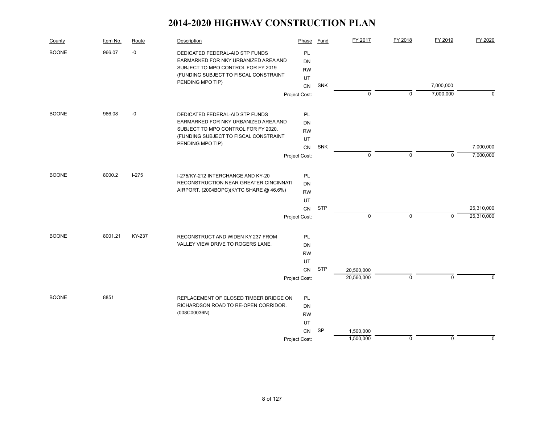| County       | Item No. | Route     | Description                                                             | Phase         | Fund       | FY 2017     | FY 2018     | FY 2019     | FY 2020     |
|--------------|----------|-----------|-------------------------------------------------------------------------|---------------|------------|-------------|-------------|-------------|-------------|
| <b>BOONE</b> | 966.07   | $-0$      | DEDICATED FEDERAL-AID STP FUNDS<br>EARMARKED FOR NKY URBANIZED AREA AND | PL<br>DN      |            |             |             |             |             |
|              |          |           | SUBJECT TO MPO CONTROL FOR FY 2019                                      | <b>RW</b>     |            |             |             |             |             |
|              |          |           | (FUNDING SUBJECT TO FISCAL CONSTRAINT                                   | UT            |            |             |             |             |             |
|              |          |           | PENDING MPO TIP)                                                        | CN            | <b>SNK</b> |             |             | 7,000,000   |             |
|              |          |           |                                                                         | Project Cost: |            | 0           | $\Omega$    | 7,000,000   | $\Omega$    |
| <b>BOONE</b> | 966.08   | $-0$      | DEDICATED FEDERAL-AID STP FUNDS                                         | PL            |            |             |             |             |             |
|              |          |           | EARMARKED FOR NKY URBANIZED AREA AND                                    | DN            |            |             |             |             |             |
|              |          |           | SUBJECT TO MPO CONTROL FOR FY 2020.                                     | <b>RW</b>     |            |             |             |             |             |
|              |          |           | (FUNDING SUBJECT TO FISCAL CONSTRAINT<br>PENDING MPO TIP)               | <b>UT</b>     |            |             |             |             |             |
|              |          |           |                                                                         | CN            | SNK        |             |             |             | 7,000,000   |
|              |          |           |                                                                         | Project Cost: |            | $\mathbf 0$ | $\mathbf 0$ | $\Omega$    | 7,000,000   |
| <b>BOONE</b> | 8000.2   | $I - 275$ | I-275/KY-212 INTERCHANGE AND KY-20                                      | PL            |            |             |             |             |             |
|              |          |           | RECONSTRUCTION NEAR GREATER CINCINNATI                                  | DN            |            |             |             |             |             |
|              |          |           | AIRPORT. (2004BOPC)(KYTC SHARE @ 46.6%)                                 | <b>RW</b>     |            |             |             |             |             |
|              |          |           |                                                                         | UT            |            |             |             |             |             |
|              |          |           |                                                                         | <b>CN</b>     | <b>STP</b> |             |             |             | 25,310,000  |
|              |          |           |                                                                         | Project Cost: |            | 0           | $\mathbf 0$ | $\mathbf 0$ | 25,310,000  |
| <b>BOONE</b> | 8001.21  | KY-237    | RECONSTRUCT AND WIDEN KY 237 FROM                                       | PL            |            |             |             |             |             |
|              |          |           | VALLEY VIEW DRIVE TO ROGERS LANE.                                       | <b>DN</b>     |            |             |             |             |             |
|              |          |           |                                                                         | <b>RW</b>     |            |             |             |             |             |
|              |          |           |                                                                         | UT.           |            |             |             |             |             |
|              |          |           |                                                                         | <b>CN</b>     | <b>STP</b> | 20,560,000  |             |             |             |
|              |          |           |                                                                         | Project Cost: |            | 20,560,000  | $\mathbf 0$ | $\Omega$    | $\Omega$    |
| <b>BOONE</b> | 8851     |           | REPLACEMENT OF CLOSED TIMBER BRIDGE ON                                  | PL.           |            |             |             |             |             |
|              |          |           | RICHARDSON ROAD TO RE-OPEN CORRIDOR.                                    | DN            |            |             |             |             |             |
|              |          |           | (008C00036N)                                                            | <b>RW</b>     |            |             |             |             |             |
|              |          |           |                                                                         | UT            |            |             |             |             |             |
|              |          |           |                                                                         | CN            | <b>SP</b>  | 1,500,000   |             |             |             |
|              |          |           |                                                                         | Project Cost: |            | 1,500,000   | $\mathbf 0$ | $\pmb{0}$   | $\mathbf 0$ |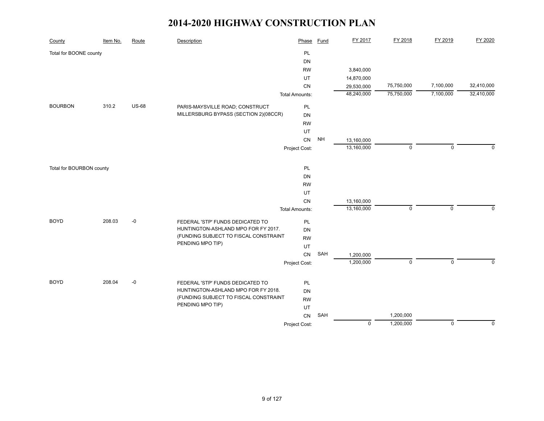| County                   | Item No. | Route        | <b>Description</b>                    | Phase                 | <b>Fund</b>     | FY 2017     | FY 2018     | FY 2019     | FY 2020     |
|--------------------------|----------|--------------|---------------------------------------|-----------------------|-----------------|-------------|-------------|-------------|-------------|
| Total for BOONE county   |          |              |                                       | PL                    |                 |             |             |             |             |
|                          |          |              |                                       | DN                    |                 |             |             |             |             |
|                          |          |              |                                       | <b>RW</b>             |                 | 3,840,000   |             |             |             |
|                          |          |              |                                       | UT                    |                 | 14,870,000  |             |             |             |
|                          |          |              |                                       | CN                    |                 | 29,530,000  | 75,750,000  | 7,100,000   | 32,410,000  |
|                          |          |              |                                       | <b>Total Amounts:</b> |                 | 48,240,000  | 75,750,000  | 7,100,000   | 32,410,000  |
| <b>BOURBON</b>           | 310.2    | <b>US-68</b> | PARIS-MAYSVILLE ROAD; CONSTRUCT       | PL                    |                 |             |             |             |             |
|                          |          |              | MILLERSBURG BYPASS (SECTION 2)(08CCR) | DN                    |                 |             |             |             |             |
|                          |          |              |                                       | <b>RW</b>             |                 |             |             |             |             |
|                          |          |              |                                       | UT                    |                 |             |             |             |             |
|                          |          |              |                                       | CN                    | $\mathsf{NH}\,$ | 13,160,000  |             |             |             |
|                          |          |              |                                       | Project Cost:         |                 | 13,160,000  | $\pmb{0}$   | $\mathbf 0$ | $\Omega$    |
|                          |          |              |                                       |                       |                 |             |             |             |             |
| Total for BOURBON county |          |              |                                       | PL                    |                 |             |             |             |             |
|                          |          |              |                                       | DN                    |                 |             |             |             |             |
|                          |          |              |                                       | <b>RW</b>             |                 |             |             |             |             |
|                          |          |              |                                       | UT                    |                 |             |             |             |             |
|                          |          |              |                                       | CN                    |                 | 13,160,000  |             |             |             |
|                          |          |              |                                       | <b>Total Amounts:</b> |                 | 13,160,000  | $\mathbf 0$ | $\mathbf 0$ | $\mathbf 0$ |
| <b>BOYD</b>              | 208.03   | $-0$         | FEDERAL 'STP' FUNDS DEDICATED TO      | PL                    |                 |             |             |             |             |
|                          |          |              | HUNTINGTON-ASHLAND MPO FOR FY 2017.   | DN                    |                 |             |             |             |             |
|                          |          |              | (FUNDING SUBJECT TO FISCAL CONSTRAINT | <b>RW</b>             |                 |             |             |             |             |
|                          |          |              | PENDING MPO TIP)                      | UT                    |                 |             |             |             |             |
|                          |          |              |                                       | CN                    | SAH             | 1,200,000   |             |             |             |
|                          |          |              |                                       | Project Cost:         |                 | 1,200,000   | $\mathsf 0$ | $\mathbf 0$ | $\Omega$    |
|                          |          |              |                                       |                       |                 |             |             |             |             |
| <b>BOYD</b>              | 208.04   | $-0$         | FEDERAL 'STP' FUNDS DEDICATED TO      | PL                    |                 |             |             |             |             |
|                          |          |              | HUNTINGTON-ASHLAND MPO FOR FY 2018.   | DN                    |                 |             |             |             |             |
|                          |          |              | (FUNDING SUBJECT TO FISCAL CONSTRAINT | <b>RW</b>             |                 |             |             |             |             |
|                          |          |              | PENDING MPO TIP)                      | UT                    |                 |             |             |             |             |
|                          |          |              |                                       | CN                    | SAH             |             | 1,200,000   |             |             |
|                          |          |              |                                       | Project Cost:         |                 | $\mathbf 0$ | 1,200,000   | $\mathbf 0$ | $\mathbf 0$ |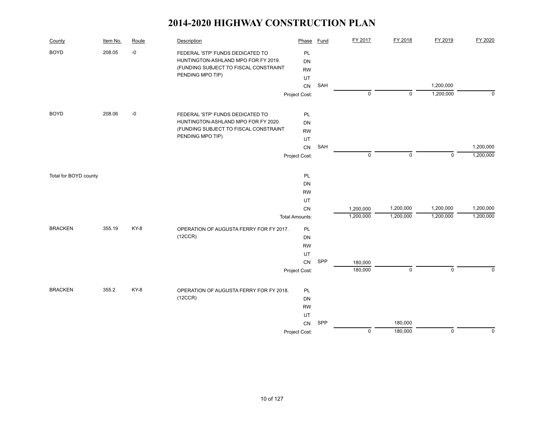| County                | Item No. | Route | Description                                                             | Phase                 | Fund | FY 2017     | FY 2018     | FY 2019     | FY 2020   |
|-----------------------|----------|-------|-------------------------------------------------------------------------|-----------------------|------|-------------|-------------|-------------|-----------|
| <b>BOYD</b>           | 208.05   | -0    | FEDERAL 'STP' FUNDS DEDICATED TO<br>HUNTINGTON-ASHLAND MPO FOR FY 2019. | PL<br>DN              |      |             |             |             |           |
|                       |          |       | (FUNDING SUBJECT TO FISCAL CONSTRAINT                                   | <b>RW</b>             |      |             |             |             |           |
|                       |          |       | PENDING MPO TIP)                                                        | UT                    |      |             |             |             |           |
|                       |          |       |                                                                         | <b>CN</b>             | SAH  |             |             | 1,200,000   |           |
|                       |          |       |                                                                         | Project Cost:         |      | $\mathbf 0$ | $\mathbf 0$ | 1,200,000   | $\Omega$  |
|                       |          |       |                                                                         |                       |      |             |             |             |           |
| <b>BOYD</b>           | 208.06   | $-0$  | FEDERAL 'STP' FUNDS DEDICATED TO                                        | PL                    |      |             |             |             |           |
|                       |          |       | HUNTINGTON-ASHLAND MPO FOR FY 2020.                                     | DN                    |      |             |             |             |           |
|                       |          |       | (FUNDING SUBJECT TO FISCAL CONSTRAINT                                   | <b>RW</b>             |      |             |             |             |           |
|                       |          |       | PENDING MPO TIP)                                                        | UT                    |      |             |             |             |           |
|                       |          |       |                                                                         | <b>CN</b>             | SAH  |             |             |             | 1,200,000 |
|                       |          |       |                                                                         | Project Cost:         |      | $\pmb{0}$   | $\mathbf 0$ | $\mathbf 0$ | 1,200,000 |
|                       |          |       |                                                                         |                       |      |             |             |             |           |
| Total for BOYD county |          |       |                                                                         | PL                    |      |             |             |             |           |
|                       |          |       |                                                                         | DN                    |      |             |             |             |           |
|                       |          |       |                                                                         | <b>RW</b>             |      |             |             |             |           |
|                       |          |       |                                                                         | UT                    |      |             |             |             |           |
|                       |          |       |                                                                         | CN                    |      | 1,200,000   | 1,200,000   | 1,200,000   | 1,200,000 |
|                       |          |       |                                                                         | <b>Total Amounts:</b> |      | 1,200,000   | 1,200,000   | 1,200,000   | 1,200,000 |
| <b>BRACKEN</b>        | 355.19   | KY-8  | OPERATION OF AUGUSTA FERRY FOR FY 2017.                                 | PL                    |      |             |             |             |           |
|                       |          |       | (12CCR)                                                                 | DN                    |      |             |             |             |           |
|                       |          |       |                                                                         | <b>RW</b>             |      |             |             |             |           |
|                       |          |       |                                                                         | <b>UT</b>             |      |             |             |             |           |
|                       |          |       |                                                                         | <b>CN</b>             | SPP  | 180,000     |             |             |           |
|                       |          |       |                                                                         | Project Cost:         |      | 180,000     | $\mathbf 0$ | $\mathbf 0$ | $\Omega$  |
| <b>BRACKEN</b>        | 355.2    | KY-8  | OPERATION OF AUGUSTA FERRY FOR FY 2018.                                 | PL                    |      |             |             |             |           |
|                       |          |       | (12CCR)                                                                 | DN                    |      |             |             |             |           |
|                       |          |       |                                                                         | <b>RW</b>             |      |             |             |             |           |
|                       |          |       |                                                                         | UT                    |      |             |             |             |           |
|                       |          |       |                                                                         | CN                    | SPP  |             | 180,000     |             |           |
|                       |          |       |                                                                         | Project Cost:         |      | $\pmb{0}$   | 180,000     | $\mathbf 0$ | $\Omega$  |
|                       |          |       |                                                                         |                       |      |             |             |             |           |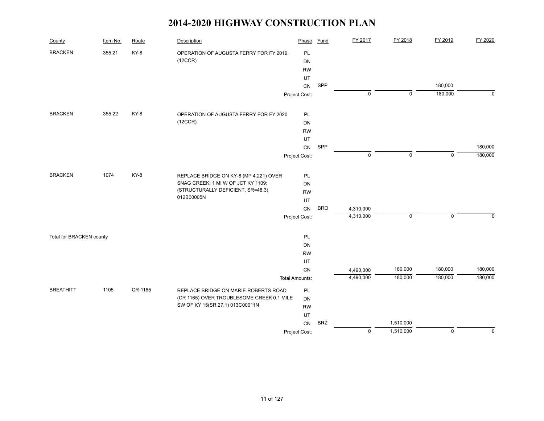| County                   | Item No. | Route   | Description                               | Phase                 | <b>Fund</b> | FY 2017     | FY 2018     | FY 2019     | FY 2020      |
|--------------------------|----------|---------|-------------------------------------------|-----------------------|-------------|-------------|-------------|-------------|--------------|
| <b>BRACKEN</b>           | 355.21   | KY-8    | OPERATION OF AUGUSTA FERRY FOR FY 2019.   | PL                    |             |             |             |             |              |
|                          |          |         | (12CCR)                                   | DN                    |             |             |             |             |              |
|                          |          |         |                                           | <b>RW</b>             |             |             |             |             |              |
|                          |          |         |                                           | UT                    |             |             |             |             |              |
|                          |          |         |                                           | CN                    | SPP         |             |             | 180,000     |              |
|                          |          |         |                                           | Project Cost:         |             | 0           | $\mathbf 0$ | 180,000     | $\mathbf{0}$ |
| <b>BRACKEN</b>           | 355.22   | KY-8    | OPERATION OF AUGUSTA FERRY FOR FY 2020.   | PL                    |             |             |             |             |              |
|                          |          |         | (12CCR)                                   | DN                    |             |             |             |             |              |
|                          |          |         |                                           | <b>RW</b>             |             |             |             |             |              |
|                          |          |         |                                           | UT                    |             |             |             |             |              |
|                          |          |         |                                           | CN                    | SPP         |             |             |             | 180,000      |
|                          |          |         |                                           | Project Cost:         |             | $\mathbf 0$ | $\pmb{0}$   | $\mathsf 0$ | 180,000      |
|                          |          |         |                                           |                       |             |             |             |             |              |
| <b>BRACKEN</b>           | 1074     | KY-8    | REPLACE BRIDGE ON KY-8 (MP 4.221) OVER    | PL                    |             |             |             |             |              |
|                          |          |         | SNAG CREEK; 1 MI W OF JCT KY 1109;        | DN                    |             |             |             |             |              |
|                          |          |         | (STRUCTURALLY DEFICIENT, SR=48.3)         | <b>RW</b>             |             |             |             |             |              |
|                          |          |         | 012B00005N                                | UT                    |             |             |             |             |              |
|                          |          |         |                                           | CN                    | <b>BRO</b>  | 4,310,000   |             |             |              |
|                          |          |         |                                           | Project Cost:         |             | 4,310,000   | $\mathbf 0$ | $\Omega$    | $\Omega$     |
| Total for BRACKEN county |          |         |                                           | <b>PL</b>             |             |             |             |             |              |
|                          |          |         |                                           | DN                    |             |             |             |             |              |
|                          |          |         |                                           | <b>RW</b>             |             |             |             |             |              |
|                          |          |         |                                           | UT                    |             |             |             |             |              |
|                          |          |         |                                           | CN                    |             | 4,490,000   | 180,000     | 180,000     | 180,000      |
|                          |          |         |                                           | <b>Total Amounts:</b> |             | 4,490,000   | 180,000     | 180,000     | 180,000      |
| <b>BREATHITT</b>         | 1105     | CR-1165 | REPLACE BRIDGE ON MARIE ROBERTS ROAD      | <b>PL</b>             |             |             |             |             |              |
|                          |          |         | (CR 1165) OVER TROUBLESOME CREEK 0.1 MILE | DN                    |             |             |             |             |              |
|                          |          |         | SW OF KY 15(SR 27.1) 013C00011N           | <b>RW</b>             |             |             |             |             |              |
|                          |          |         |                                           | UT                    |             |             |             |             |              |
|                          |          |         |                                           | CN                    | <b>BRZ</b>  |             | 1,510,000   |             |              |
|                          |          |         |                                           | Project Cost:         |             | $\mathbf 0$ | 1,510,000   | $\mathbf 0$ | $\mathbf 0$  |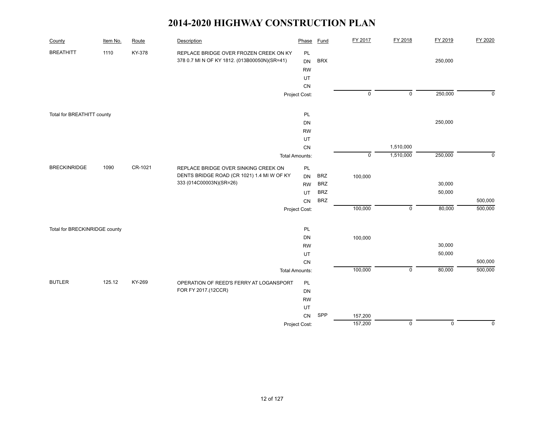| County                        | Item No. | Route   | Description                                  | Phase                 | <b>Fund</b> | FY 2017   | FY 2018     | FY 2019     | FY 2020        |
|-------------------------------|----------|---------|----------------------------------------------|-----------------------|-------------|-----------|-------------|-------------|----------------|
| <b>BREATHITT</b>              | 1110     | KY-378  | REPLACE BRIDGE OVER FROZEN CREEK ON KY       | PL                    |             |           |             |             |                |
|                               |          |         | 378 0.7 MI N OF KY 1812. (013B00050N)(SR=41) | <b>DN</b>             | <b>BRX</b>  |           |             | 250,000     |                |
|                               |          |         |                                              | <b>RW</b>             |             |           |             |             |                |
|                               |          |         |                                              | UT                    |             |           |             |             |                |
|                               |          |         |                                              | CN                    |             |           |             |             |                |
|                               |          |         |                                              | Project Cost:         |             | $\pmb{0}$ | $\mathsf 0$ | 250,000     | $\overline{0}$ |
| Total for BREATHITT county    |          |         |                                              | PL                    |             |           |             |             |                |
|                               |          |         |                                              | DN                    |             |           |             | 250,000     |                |
|                               |          |         |                                              | <b>RW</b>             |             |           |             |             |                |
|                               |          |         |                                              | UT                    |             |           |             |             |                |
|                               |          |         |                                              | CN                    |             |           | 1,510,000   |             |                |
|                               |          |         |                                              | <b>Total Amounts:</b> |             | $\pmb{0}$ | 1,510,000   | 250,000     | $\mathbf 0$    |
| <b>BRECKINRIDGE</b>           | 1090     | CR-1021 | REPLACE BRIDGE OVER SINKING CREEK ON         | PL                    |             |           |             |             |                |
|                               |          |         | DENTS BRIDGE ROAD (CR 1021) 1.4 MI W OF KY   | DN                    | <b>BRZ</b>  | 100,000   |             |             |                |
|                               |          |         | 333 (014C00003N)(SR=26)                      | <b>RW</b>             | <b>BRZ</b>  |           |             | 30,000      |                |
|                               |          |         |                                              | UT                    | <b>BRZ</b>  |           |             | 50,000      |                |
|                               |          |         |                                              | CN                    | <b>BRZ</b>  |           |             |             | 500,000        |
|                               |          |         |                                              | Project Cost:         |             | 100,000   | $\mathsf 0$ | 80,000      | 500,000        |
| Total for BRECKINRIDGE county |          |         |                                              | PL                    |             |           |             |             |                |
|                               |          |         |                                              | DN                    |             | 100,000   |             |             |                |
|                               |          |         |                                              | <b>RW</b>             |             |           |             | 30,000      |                |
|                               |          |         |                                              | UT                    |             |           |             | 50,000      |                |
|                               |          |         |                                              | CN                    |             |           |             |             | 500,000        |
|                               |          |         |                                              | <b>Total Amounts:</b> |             | 100,000   | $\mathsf 0$ | 80,000      | 500,000        |
| <b>BUTLER</b>                 | 125.12   | KY-269  | OPERATION OF REED'S FERRY AT LOGANSPORT      | PL                    |             |           |             |             |                |
|                               |          |         | FOR FY 2017.(12CCR)                          | DN                    |             |           |             |             |                |
|                               |          |         |                                              | <b>RW</b>             |             |           |             |             |                |
|                               |          |         |                                              | UT                    |             |           |             |             |                |
|                               |          |         |                                              | <b>CN</b>             | SPP         | 157,200   |             |             |                |
|                               |          |         |                                              | Project Cost:         |             | 157,200   | $\mathbf 0$ | $\mathbf 0$ | $\mathbf 0$    |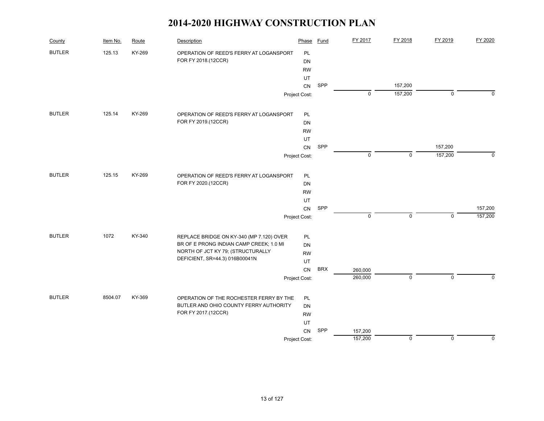| County        | Item No. | Route  | Description                              | Phase         | Fund       | FY 2017     | FY 2018     | FY 2019      | FY 2020     |
|---------------|----------|--------|------------------------------------------|---------------|------------|-------------|-------------|--------------|-------------|
| <b>BUTLER</b> | 125.13   | KY-269 | OPERATION OF REED'S FERRY AT LOGANSPORT  | PL            |            |             |             |              |             |
|               |          |        | FOR FY 2018.(12CCR)                      | DN            |            |             |             |              |             |
|               |          |        |                                          | <b>RW</b>     |            |             |             |              |             |
|               |          |        |                                          | UT            |            |             |             |              |             |
|               |          |        |                                          | CN            | SPP        |             | 157,200     |              |             |
|               |          |        |                                          | Project Cost: |            | $\pmb{0}$   | 157,200     | $\mathbf 0$  | $\Omega$    |
| <b>BUTLER</b> | 125.14   | KY-269 | OPERATION OF REED'S FERRY AT LOGANSPORT  | PL            |            |             |             |              |             |
|               |          |        | FOR FY 2019.(12CCR)                      | DN            |            |             |             |              |             |
|               |          |        |                                          | <b>RW</b>     |            |             |             |              |             |
|               |          |        |                                          | UT            |            |             |             |              |             |
|               |          |        |                                          | ${\sf CN}$    | SPP        |             |             | 157,200      |             |
|               |          |        |                                          | Project Cost: |            | $\mathbf 0$ | $\mathbf 0$ | 157,200      | $\Omega$    |
| <b>BUTLER</b> | 125.15   | KY-269 | OPERATION OF REED'S FERRY AT LOGANSPORT  | PL            |            |             |             |              |             |
|               |          |        | FOR FY 2020.(12CCR)                      | DN            |            |             |             |              |             |
|               |          |        |                                          | <b>RW</b>     |            |             |             |              |             |
|               |          |        |                                          | UT            |            |             |             |              |             |
|               |          |        |                                          | CN            | SPP        |             |             |              | 157,200     |
|               |          |        |                                          | Project Cost: |            | $\pmb{0}$   | $\mathbf 0$ | $\mathbf 0$  | 157,200     |
| <b>BUTLER</b> | 1072     | KY-340 | REPLACE BRIDGE ON KY-340 (MP 7.120) OVER | PL            |            |             |             |              |             |
|               |          |        | BR OF E PRONG INDIAN CAMP CREEK; 1.0 MI  | DN            |            |             |             |              |             |
|               |          |        | NORTH OF JCT KY 79; (STRUCTURALLY        | <b>RW</b>     |            |             |             |              |             |
|               |          |        | DEFICIENT, SR=44.3) 016B00041N           | UT            |            |             |             |              |             |
|               |          |        |                                          | CN            | <b>BRX</b> | 260,000     |             |              |             |
|               |          |        |                                          | Project Cost: |            | 260,000     | $\mathbf 0$ | $\mathbf{0}$ | $\Omega$    |
| <b>BUTLER</b> | 8504.07  | KY-369 | OPERATION OF THE ROCHESTER FERRY BY THE  | PL            |            |             |             |              |             |
|               |          |        | BUTLER AND OHIO COUNTY FERRY AUTHORITY   | DN            |            |             |             |              |             |
|               |          |        | FOR FY 2017.(12CCR)                      | <b>RW</b>     |            |             |             |              |             |
|               |          |        |                                          | UT            |            |             |             |              |             |
|               |          |        |                                          | CN            | SPP        | 157,200     |             |              |             |
|               |          |        |                                          | Project Cost: |            | 157,200     | $\mathbf 0$ | $\mathbf 0$  | $\mathbf 0$ |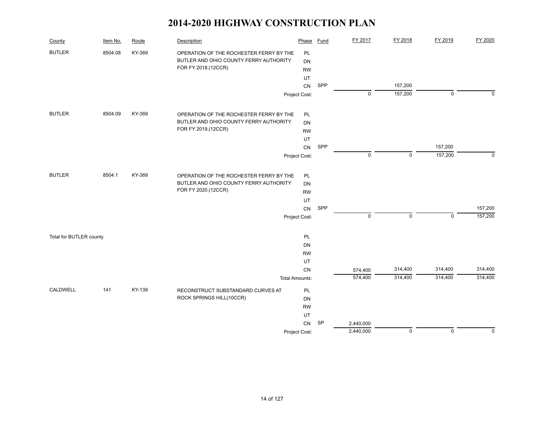| County                  | Item No. | Route  | Description                             | Phase                 | <b>Fund</b> | FY 2017     | FY 2018     | FY 2019     | FY 2020     |
|-------------------------|----------|--------|-----------------------------------------|-----------------------|-------------|-------------|-------------|-------------|-------------|
| <b>BUTLER</b>           | 8504.08  | KY-369 | OPERATION OF THE ROCHESTER FERRY BY THE | PL                    |             |             |             |             |             |
|                         |          |        | BUTLER AND OHIO COUNTY FERRY AUTHORITY  | DN                    |             |             |             |             |             |
|                         |          |        | FOR FY 2018.(12CCR)                     | <b>RW</b>             |             |             |             |             |             |
|                         |          |        |                                         | UT                    |             |             |             |             |             |
|                         |          |        |                                         | CN                    | SPP         |             | 157,200     |             |             |
|                         |          |        |                                         | Project Cost:         |             | $\mathbf 0$ | 157,200     | $\mathbf 0$ | $\Omega$    |
| <b>BUTLER</b>           | 8504.09  | KY-369 | OPERATION OF THE ROCHESTER FERRY BY THE | PL                    |             |             |             |             |             |
|                         |          |        | BUTLER AND OHIO COUNTY FERRY AUTHORITY  | <b>DN</b>             |             |             |             |             |             |
|                         |          |        | FOR FY 2019.(12CCR)                     | <b>RW</b>             |             |             |             |             |             |
|                         |          |        |                                         | UT                    |             |             |             |             |             |
|                         |          |        |                                         | CN                    | SPP         |             |             | 157,200     |             |
|                         |          |        |                                         | Project Cost:         |             | $\mathbf 0$ | $\mathbf 0$ | 157,200     | $\Omega$    |
|                         |          |        |                                         |                       |             |             |             |             |             |
| <b>BUTLER</b>           | 8504.1   | KY-369 | OPERATION OF THE ROCHESTER FERRY BY THE | PL                    |             |             |             |             |             |
|                         |          |        | BUTLER AND OHIO COUNTY FERRY AUTHORITY  | DN                    |             |             |             |             |             |
|                         |          |        | FOR FY 2020.(12CCR)                     | <b>RW</b>             |             |             |             |             |             |
|                         |          |        |                                         | UT                    |             |             |             |             |             |
|                         |          |        |                                         | CN                    | SPP         |             |             |             | 157,200     |
|                         |          |        |                                         | Project Cost:         |             | $\mathbf 0$ | $\mathbf 0$ | $\mathbf 0$ | 157,200     |
| Total for BUTLER county |          |        |                                         | PL                    |             |             |             |             |             |
|                         |          |        |                                         | DN                    |             |             |             |             |             |
|                         |          |        |                                         | <b>RW</b>             |             |             |             |             |             |
|                         |          |        |                                         | UT                    |             |             |             |             |             |
|                         |          |        |                                         | CN                    |             | 574,400     | 314,400     | 314,400     | 314,400     |
|                         |          |        |                                         | <b>Total Amounts:</b> |             | 574,400     | 314,400     | 314,400     | 314,400     |
| CALDWELL                | 141      | KY-139 | RECONSTRUCT SUBSTANDARD CURVES AT       | PL                    |             |             |             |             |             |
|                         |          |        | ROCK SPRINGS HILL(10CCR)                | DN                    |             |             |             |             |             |
|                         |          |        |                                         | <b>RW</b>             |             |             |             |             |             |
|                         |          |        |                                         | UT                    |             |             |             |             |             |
|                         |          |        |                                         | ${\sf CN}$            | SP          | 2,440,000   |             |             |             |
|                         |          |        |                                         | Project Cost:         |             | 2,440,000   | $\mathsf 0$ | $\mathsf 0$ | $\mathbf 0$ |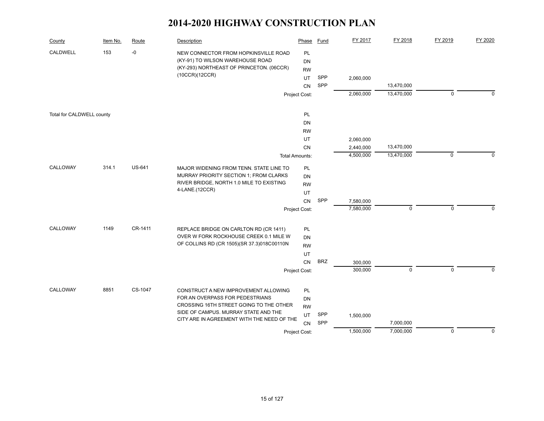| County                    | Item No. | Route         | Description                                                                        | Phase                 | Fund       | FY 2017   | FY 2018     | FY 2019     | FY 2020     |
|---------------------------|----------|---------------|------------------------------------------------------------------------------------|-----------------------|------------|-----------|-------------|-------------|-------------|
| CALDWELL                  | 153      | $-0$          | NEW CONNECTOR FROM HOPKINSVILLE ROAD                                               | PL                    |            |           |             |             |             |
|                           |          |               | (KY-91) TO WILSON WAREHOUSE ROAD                                                   | DN                    |            |           |             |             |             |
|                           |          |               | (KY-293) NORTHEAST OF PRINCETON. (06CCR)                                           | <b>RW</b>             |            |           |             |             |             |
|                           |          |               | (10CCR)(12CCR)                                                                     | <b>UT</b>             | SPP        | 2,060,000 |             |             |             |
|                           |          |               |                                                                                    | CN                    | <b>SPP</b> |           | 13,470,000  |             |             |
|                           |          |               |                                                                                    | Project Cost:         |            | 2,060,000 | 13,470,000  | $\mathbf 0$ | $\Omega$    |
| Total for CALDWELL county |          |               |                                                                                    | PL                    |            |           |             |             |             |
|                           |          |               |                                                                                    | <b>DN</b>             |            |           |             |             |             |
|                           |          |               |                                                                                    | <b>RW</b>             |            |           |             |             |             |
|                           |          |               |                                                                                    | UT                    |            | 2,060,000 |             |             |             |
|                           |          |               |                                                                                    | CN                    |            | 2,440,000 | 13,470,000  |             |             |
|                           |          |               |                                                                                    | <b>Total Amounts:</b> |            | 4,500,000 | 13,470,000  | $\mathbf 0$ | 0           |
| CALLOWAY                  | 314.1    | <b>US-641</b> | MAJOR WIDENING FROM TENN. STATE LINE TO                                            | <b>PL</b>             |            |           |             |             |             |
|                           |          |               | MURRAY PRIORITY SECTION 1; FROM CLARKS                                             | DN                    |            |           |             |             |             |
|                           |          |               | RIVER BRIDGE, NORTH 1.0 MILE TO EXISTING                                           | <b>RW</b>             |            |           |             |             |             |
|                           |          |               | 4-LANE.(12CCR)                                                                     | UT                    |            |           |             |             |             |
|                           |          |               |                                                                                    | CN                    | SPP        | 7,580,000 |             |             |             |
|                           |          |               |                                                                                    | Project Cost:         |            | 7,580,000 | 0           | $\mathbf 0$ | $\Omega$    |
| CALLOWAY                  | 1149     | CR-1411       | REPLACE BRIDGE ON CARLTON RD (CR 1411)                                             | <b>PL</b>             |            |           |             |             |             |
|                           |          |               | OVER W FORK ROCKHOUSE CREEK 0.1 MILE W                                             | DN                    |            |           |             |             |             |
|                           |          |               | OF COLLINS RD (CR 1505)(SR 37.3)018C00110N                                         | <b>RW</b>             |            |           |             |             |             |
|                           |          |               |                                                                                    | UT                    |            |           |             |             |             |
|                           |          |               |                                                                                    | CN                    | <b>BRZ</b> | 300,000   |             |             |             |
|                           |          |               |                                                                                    | Project Cost:         |            | 300,000   | $\mathbf 0$ | $\mathbf 0$ | $\Omega$    |
|                           |          |               |                                                                                    |                       |            |           |             |             |             |
| CALLOWAY                  | 8851     | CS-1047       | CONSTRUCT A NEW IMPROVEMENT ALLOWING                                               | PL                    |            |           |             |             |             |
|                           |          |               | FOR AN OVERPASS FOR PEDESTRIANS                                                    | DN                    |            |           |             |             |             |
|                           |          |               | CROSSING 16TH STREET GOING TO THE OTHER                                            | <b>RW</b>             |            |           |             |             |             |
|                           |          |               | SIDE OF CAMPUS. MURRAY STATE AND THE<br>CITY ARE IN AGREEMENT WITH THE NEED OF THE | UT                    | SPP        | 1,500,000 |             |             |             |
|                           |          |               |                                                                                    | CN                    | SPP        |           | 7,000,000   |             |             |
|                           |          |               |                                                                                    | Project Cost:         |            | 1,500,000 | 7,000,000   | $\mathbf 0$ | $\mathbf 0$ |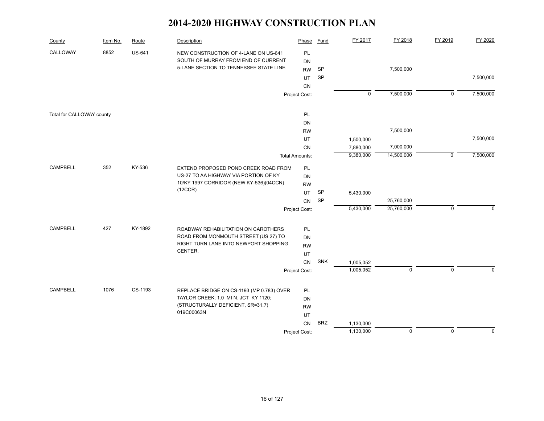| County                    | Item No. | Route         | Description                               | Phase                 | Fund       | FY 2017                | FY 2018     | FY 2019     | FY 2020     |
|---------------------------|----------|---------------|-------------------------------------------|-----------------------|------------|------------------------|-------------|-------------|-------------|
| CALLOWAY                  | 8852     | <b>US-641</b> | NEW CONSTRUCTION OF 4-LANE ON US-641      | PL                    |            |                        |             |             |             |
|                           |          |               | SOUTH OF MURRAY FROM END OF CURRENT       | <b>DN</b>             |            |                        |             |             |             |
|                           |          |               | 5-LANE SECTION TO TENNESSEE STATE LINE.   | <b>RW</b>             | <b>SP</b>  |                        | 7,500,000   |             |             |
|                           |          |               |                                           | UT                    | <b>SP</b>  |                        |             |             | 7,500,000   |
|                           |          |               |                                           | CN                    |            |                        |             |             |             |
|                           |          |               |                                           | Project Cost:         |            | $\mathbf 0$            | 7,500,000   | $\mathsf 0$ | 7,500,000   |
| Total for CALLOWAY county |          |               |                                           | PL                    |            |                        |             |             |             |
|                           |          |               |                                           | DN                    |            |                        |             |             |             |
|                           |          |               |                                           | <b>RW</b>             |            |                        | 7,500,000   |             |             |
|                           |          |               |                                           | UT                    |            | 1,500,000              |             |             | 7,500,000   |
|                           |          |               |                                           | CN                    |            | 7,880,000              | 7,000,000   |             |             |
|                           |          |               |                                           | <b>Total Amounts:</b> |            | 9,380,000              | 14,500,000  | $\mathbf 0$ | 7,500,000   |
|                           |          |               |                                           |                       |            |                        |             |             |             |
| <b>CAMPBELL</b>           | 352      | KY-536        | EXTEND PROPOSED POND CREEK ROAD FROM      | PL                    |            |                        |             |             |             |
|                           |          |               | US-27 TO AA HIGHWAY VIA PORTION OF KY     | DN                    |            |                        |             |             |             |
|                           |          |               | 10/KY 1997 CORRIDOR (NEW KY-536)(04CCN)   | <b>RW</b>             |            |                        |             |             |             |
|                           |          |               | (12CCR)                                   | UT                    | SP         | 5,430,000              |             |             |             |
|                           |          |               |                                           | <b>CN</b>             | SP         |                        | 25,760,000  |             |             |
|                           |          |               |                                           | Project Cost:         |            | 5,430,000              | 25,760,000  | $\mathbf 0$ | $\Omega$    |
| <b>CAMPBELL</b>           | 427      | KY-1892       | ROADWAY REHABILITATION ON CAROTHERS       | PL                    |            |                        |             |             |             |
|                           |          |               | ROAD FROM MONMOUTH STREET (US 27) TO      | <b>DN</b>             |            |                        |             |             |             |
|                           |          |               | RIGHT TURN LANE INTO NEWPORT SHOPPING     | <b>RW</b>             |            |                        |             |             |             |
|                           |          |               | CENTER.                                   | UT                    |            |                        |             |             |             |
|                           |          |               |                                           | <b>CN</b>             | SNK        |                        |             |             |             |
|                           |          |               |                                           |                       |            | 1,005,052<br>1,005,052 | $\mathbf 0$ | $\mathbf 0$ | $\Omega$    |
|                           |          |               |                                           | Project Cost:         |            |                        |             |             |             |
| <b>CAMPBELL</b>           | 1076     | CS-1193       | REPLACE BRIDGE ON CS-1193 (MP 0.783) OVER | PL                    |            |                        |             |             |             |
|                           |          |               | TAYLOR CREEK; 1.0 MI N. JCT KY 1120;      | DN                    |            |                        |             |             |             |
|                           |          |               | (STRUCTURALLY DEFICIENT, SR=31.7)         | <b>RW</b>             |            |                        |             |             |             |
|                           |          |               | 019C00063N                                | UT                    |            |                        |             |             |             |
|                           |          |               |                                           | CN                    | <b>BRZ</b> | 1,130,000              |             |             |             |
|                           |          |               |                                           | Project Cost:         |            | 1,130,000              | $\mathbf 0$ | $\Omega$    | $\mathbf 0$ |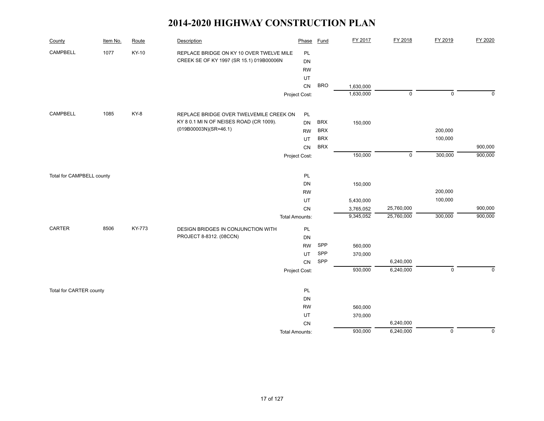| County                    | Item No. | Route  | Description                              | Phase                 | <b>Fund</b> | FY 2017   | FY 2018             | FY 2019        | FY 2020     |
|---------------------------|----------|--------|------------------------------------------|-----------------------|-------------|-----------|---------------------|----------------|-------------|
| CAMPBELL                  | 1077     | KY-10  | REPLACE BRIDGE ON KY 10 OVER TWELVE MILE | PL                    |             |           |                     |                |             |
|                           |          |        | CREEK SE OF KY 1997 (SR 15.1) 019B00006N | DN                    |             |           |                     |                |             |
|                           |          |        |                                          | <b>RW</b>             |             |           |                     |                |             |
|                           |          |        |                                          | UT                    |             |           |                     |                |             |
|                           |          |        |                                          | ${\sf CN}$            | <b>BRO</b>  | 1,630,000 |                     |                |             |
|                           |          |        |                                          | Project Cost:         |             | 1,630,000 | $\mathsf{O}\xspace$ | $\pmb{0}$      | $\mathbf 0$ |
| CAMPBELL                  | 1085     | KY-8   | REPLACE BRIDGE OVER TWELVEMILE CREEK ON  | PL                    |             |           |                     |                |             |
|                           |          |        | KY 8 0.1 MI N OF NEISES ROAD (CR 1009).  | <b>DN</b>             | <b>BRX</b>  | 150,000   |                     |                |             |
|                           |          |        | (019B00003N)(SR=46.1)                    | <b>RW</b>             | <b>BRX</b>  |           |                     | 200,000        |             |
|                           |          |        |                                          | UT                    | <b>BRX</b>  |           |                     | 100,000        |             |
|                           |          |        |                                          | <b>CN</b>             | <b>BRX</b>  |           |                     |                | 900,000     |
|                           |          |        |                                          | Project Cost:         |             | 150,000   | $\mathsf 0$         | 300,000        | 900,000     |
|                           |          |        |                                          |                       |             |           |                     |                |             |
| Total for CAMPBELL county |          |        |                                          | PL                    |             |           |                     |                |             |
|                           |          |        |                                          | DN                    |             | 150,000   |                     |                |             |
|                           |          |        |                                          | <b>RW</b>             |             |           |                     | 200,000        |             |
|                           |          |        |                                          | UT                    |             | 5,430,000 |                     | 100,000        |             |
|                           |          |        |                                          | ${\sf CN}$            |             | 3,765,052 | 25,760,000          |                | 900,000     |
|                           |          |        |                                          | <b>Total Amounts:</b> |             | 9,345,052 | 25,760,000          | 300,000        | 900,000     |
| CARTER                    | 8506     | KY-773 | DESIGN BRIDGES IN CONJUNCTION WITH       | PL                    |             |           |                     |                |             |
|                           |          |        | PROJECT 8-8312. (08CCN)                  | DN                    |             |           |                     |                |             |
|                           |          |        |                                          | <b>RW</b>             | SPP         | 560,000   |                     |                |             |
|                           |          |        |                                          | UT                    | SPP         | 370,000   |                     |                |             |
|                           |          |        |                                          | ${\sf CN}$            | SPP         |           | 6,240,000           |                |             |
|                           |          |        |                                          | Project Cost:         |             | 930,000   | 6,240,000           | $\mathsf 0$    | $\mathbf 0$ |
| Total for CARTER county   |          |        |                                          | PL                    |             |           |                     |                |             |
|                           |          |        |                                          | DN                    |             |           |                     |                |             |
|                           |          |        |                                          | <b>RW</b>             |             | 560,000   |                     |                |             |
|                           |          |        |                                          | UT                    |             | 370,000   |                     |                |             |
|                           |          |        |                                          | CN                    |             |           | 6,240,000           |                |             |
|                           |          |        |                                          | <b>Total Amounts:</b> |             | 930,000   | 6,240,000           | $\overline{0}$ | $\mathbf 0$ |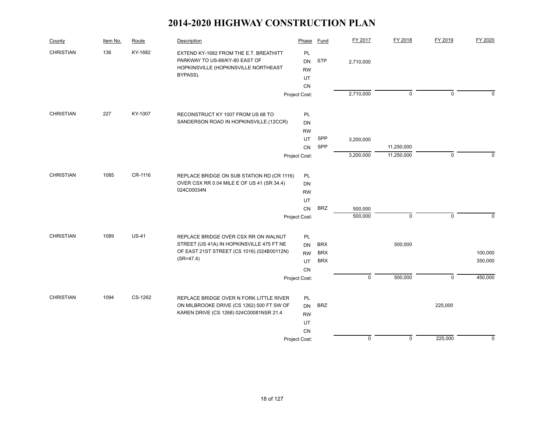| County           | Item No. | Route        | Description                                                                          | Phase           | <b>Fund</b> | FY 2017     | FY 2018     | FY 2019      | FY 2020     |
|------------------|----------|--------------|--------------------------------------------------------------------------------------|-----------------|-------------|-------------|-------------|--------------|-------------|
| CHRISTIAN        | 136      | KY-1682      | EXTEND KY-1682 FROM THE E.T. BREATHITT<br>PARKWAY TO US-68/KY-80 EAST OF             | PL<br><b>DN</b> | <b>STP</b>  | 2,710,000   |             |              |             |
|                  |          |              | HOPKINSVILLE (HOPKINSVILLE NORTHEAST                                                 | <b>RW</b>       |             |             |             |              |             |
|                  |          |              | BYPASS).                                                                             | UT              |             |             |             |              |             |
|                  |          |              |                                                                                      | CN              |             |             |             |              |             |
|                  |          |              |                                                                                      | Project Cost:   |             | 2,710,000   | $\mathbf 0$ | $\mathbf 0$  | $\Omega$    |
| CHRISTIAN        | 227      | KY-1007      | RECONSTRUCT KY 1007 FROM US 68 TO                                                    | PL              |             |             |             |              |             |
|                  |          |              | SANDERSON ROAD IN HOPKINSVILLE.(12CCR)                                               | <b>DN</b>       |             |             |             |              |             |
|                  |          |              |                                                                                      | <b>RW</b>       |             |             |             |              |             |
|                  |          |              |                                                                                      | UT.             | SPP         | 3,200,000   |             |              |             |
|                  |          |              |                                                                                      | <b>CN</b>       | SPP         |             | 11,250,000  |              |             |
|                  |          |              |                                                                                      | Project Cost:   |             | 3,200,000   | 11,250,000  | $\mathbf{0}$ | $\Omega$    |
| <b>CHRISTIAN</b> | 1085     | CR-1116      | REPLACE BRIDGE ON SUB STATION RD (CR 1116)                                           |                 |             |             |             |              |             |
|                  |          |              | OVER CSX RR 0.04 MILE E OF US 41 (SR 34.4)                                           | PL<br><b>DN</b> |             |             |             |              |             |
|                  |          |              | 024C00034N                                                                           | <b>RW</b>       |             |             |             |              |             |
|                  |          |              |                                                                                      | UT              |             |             |             |              |             |
|                  |          |              |                                                                                      | <b>CN</b>       | <b>BRZ</b>  | 500,000     |             |              |             |
|                  |          |              |                                                                                      | Project Cost:   |             | 500,000     | $\mathbf 0$ | $\mathbf 0$  | $\mathbf 0$ |
| <b>CHRISTIAN</b> | 1089     | <b>US-41</b> |                                                                                      |                 |             |             |             |              |             |
|                  |          |              | REPLACE BRIDGE OVER CSX RR ON WALNUT<br>STREET (US 41A) IN HOPKINSVILLE 475 FT NE    | PL<br><b>DN</b> | <b>BRX</b>  |             | 500,000     |              |             |
|                  |          |              | OF EAST 21ST STREET (CS 1016) (024B00112N)                                           | <b>RW</b>       | <b>BRX</b>  |             |             |              | 100,000     |
|                  |          |              | $(SR = 47.4)$                                                                        | UT              | <b>BRX</b>  |             |             |              | 350,000     |
|                  |          |              |                                                                                      | CN              |             |             |             |              |             |
|                  |          |              |                                                                                      | Project Cost:   |             | $\mathsf 0$ | 500,000     | $\mathbf 0$  | 450,000     |
|                  |          |              |                                                                                      |                 |             |             |             |              |             |
| <b>CHRISTIAN</b> | 1094     | CS-1262      | REPLACE BRIDGE OVER N FORK LITTLE RIVER                                              | <b>PL</b>       |             |             |             |              |             |
|                  |          |              | ON MILBROOKE DRIVE (CS 1262) 500 FT SW OF<br>KAREN DRIVE (CS 1268) 024C00081NSR 21.4 | <b>DN</b>       | <b>BRZ</b>  |             |             | 225,000      |             |
|                  |          |              |                                                                                      | <b>RW</b>       |             |             |             |              |             |
|                  |          |              |                                                                                      | UT              |             |             |             |              |             |
|                  |          |              |                                                                                      | CN              |             |             | $\mathsf 0$ |              |             |
|                  |          |              |                                                                                      | Project Cost:   |             | $\mathbf 0$ |             | 225,000      | $\mathbf 0$ |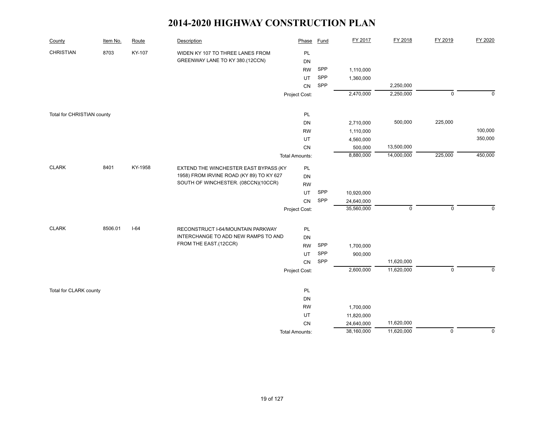| County                     | Item No. | Route   | Description                              | Phase                 | <b>Fund</b> | FY 2017    | FY 2018     | FY 2019        | FY 2020     |
|----------------------------|----------|---------|------------------------------------------|-----------------------|-------------|------------|-------------|----------------|-------------|
| <b>CHRISTIAN</b>           | 8703     | KY-107  | WIDEN KY 107 TO THREE LANES FROM         | PL                    |             |            |             |                |             |
|                            |          |         | GREENWAY LANE TO KY 380.(12CCN)          | DN                    |             |            |             |                |             |
|                            |          |         |                                          | <b>RW</b>             | SPP         | 1,110,000  |             |                |             |
|                            |          |         |                                          | UT                    | SPP         | 1,360,000  |             |                |             |
|                            |          |         |                                          | CN                    | SPP         |            | 2,250,000   |                |             |
|                            |          |         |                                          | Project Cost:         |             | 2,470,000  | 2,250,000   | $\mathbf 0$    | $\mathbf 0$ |
| Total for CHRISTIAN county |          |         |                                          | PL                    |             |            |             |                |             |
|                            |          |         |                                          | DN                    |             | 2,710,000  | 500,000     | 225,000        |             |
|                            |          |         |                                          | <b>RW</b>             |             | 1,110,000  |             |                | 100,000     |
|                            |          |         |                                          | UT                    |             | 4,560,000  |             |                | 350,000     |
|                            |          |         |                                          | CN                    |             | 500,000    | 13,500,000  |                |             |
|                            |          |         |                                          | <b>Total Amounts:</b> |             | 8,880,000  | 14,000,000  | 225,000        | 450,000     |
| <b>CLARK</b>               | 8401     | KY-1958 | EXTEND THE WINCHESTER EAST BYPASS (KY    | PL                    |             |            |             |                |             |
|                            |          |         | 1958) FROM IRVINE ROAD (KY 89) TO KY 627 | DN                    |             |            |             |                |             |
|                            |          |         | SOUTH OF WINCHESTER. (08CCN)(10CCR)      | <b>RW</b>             |             |            |             |                |             |
|                            |          |         |                                          | UT                    | SPP         | 10,920,000 |             |                |             |
|                            |          |         |                                          | CN                    | SPP         | 24,640,000 |             |                |             |
|                            |          |         |                                          | Project Cost:         |             | 35,560,000 | $\mathsf 0$ | $\mathbf 0$    | $\Omega$    |
| <b>CLARK</b>               | 8506.01  | $I-64$  | RECONSTRUCT I-64/MOUNTAIN PARKWAY        | PL                    |             |            |             |                |             |
|                            |          |         | INTERCHANGE TO ADD NEW RAMPS TO AND      | DN                    |             |            |             |                |             |
|                            |          |         | FROM THE EAST.(12CCR)                    | <b>RW</b>             | SPP         | 1,700,000  |             |                |             |
|                            |          |         |                                          | UT                    | SPP         | 900,000    |             |                |             |
|                            |          |         |                                          | CN                    | SPP         |            | 11,620,000  |                |             |
|                            |          |         |                                          | Project Cost:         |             | 2,600,000  | 11,620,000  | $\mathbf 0$    | $\mathbf 0$ |
|                            |          |         |                                          |                       |             |            |             |                |             |
| Total for CLARK county     |          |         |                                          | PL                    |             |            |             |                |             |
|                            |          |         |                                          | DN                    |             |            |             |                |             |
|                            |          |         |                                          | <b>RW</b>             |             | 1,700,000  |             |                |             |
|                            |          |         |                                          | UT                    |             | 11,820,000 |             |                |             |
|                            |          |         |                                          | CN                    |             | 24,640,000 | 11,620,000  |                |             |
|                            |          |         |                                          | <b>Total Amounts:</b> |             | 38,160,000 | 11,620,000  | $\overline{0}$ | $\mathbf 0$ |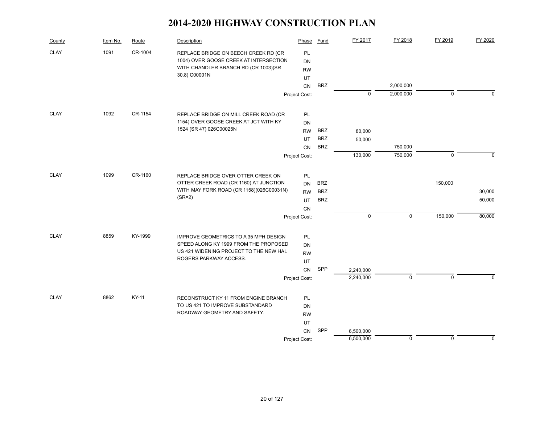| County      | Item No. | Route   | Description                                                                  | Phase           | Fund       | FY 2017     | FY 2018             | FY 2019        | FY 2020     |
|-------------|----------|---------|------------------------------------------------------------------------------|-----------------|------------|-------------|---------------------|----------------|-------------|
| <b>CLAY</b> | 1091     | CR-1004 | REPLACE BRIDGE ON BEECH CREEK RD (CR                                         | PL              |            |             |                     |                |             |
|             |          |         | 1004) OVER GOOSE CREEK AT INTERSECTION                                       | <b>DN</b>       |            |             |                     |                |             |
|             |          |         | WITH CHANDLER BRANCH RD (CR 1003)(SR<br>30.8) C00001N                        | <b>RW</b>       |            |             |                     |                |             |
|             |          |         |                                                                              | UT              |            |             |                     |                |             |
|             |          |         |                                                                              | <b>CN</b>       | <b>BRZ</b> |             | 2,000,000           |                |             |
|             |          |         |                                                                              | Project Cost:   |            | $\mathbf 0$ | 2,000,000           | $\mathbf 0$    | $\Omega$    |
| <b>CLAY</b> | 1092     | CR-1154 | REPLACE BRIDGE ON MILL CREEK ROAD (CR                                        | <b>PL</b>       |            |             |                     |                |             |
|             |          |         | 1154) OVER GOOSE CREEK AT JCT WITH KY                                        | <b>DN</b>       |            |             |                     |                |             |
|             |          |         | 1524 (SR 47) 026C00025N                                                      | <b>RW</b>       | <b>BRZ</b> | 80,000      |                     |                |             |
|             |          |         |                                                                              | UT              | <b>BRZ</b> | 50,000      |                     |                |             |
|             |          |         |                                                                              | CN              | <b>BRZ</b> |             | 750,000             |                |             |
|             |          |         |                                                                              | Project Cost:   |            | 130,000     | 750,000             | $\mathbf 0$    | $\mathbf 0$ |
| <b>CLAY</b> | 1099     | CR-1160 |                                                                              |                 |            |             |                     |                |             |
|             |          |         | REPLACE BRIDGE OVER OTTER CREEK ON<br>OTTER CREEK ROAD (CR 1160) AT JUNCTION | PL<br><b>DN</b> | <b>BRZ</b> |             |                     | 150,000        |             |
|             |          |         | WITH MAY FORK ROAD (CR 1158)(026C00031N)                                     | <b>RW</b>       | <b>BRZ</b> |             |                     |                | 30,000      |
|             |          |         | $(SR=2)$                                                                     | UT              | <b>BRZ</b> |             |                     |                | 50,000      |
|             |          |         |                                                                              | CN              |            |             |                     |                |             |
|             |          |         |                                                                              | Project Cost:   |            | $\pmb{0}$   | $\mathsf{O}\xspace$ | 150,000        | 80,000      |
|             |          |         |                                                                              |                 |            |             |                     |                |             |
| <b>CLAY</b> | 8859     | KY-1999 | IMPROVE GEOMETRICS TO A 35 MPH DESIGN                                        | <b>PL</b>       |            |             |                     |                |             |
|             |          |         | SPEED ALONG KY 1999 FROM THE PROPOSED                                        | <b>DN</b>       |            |             |                     |                |             |
|             |          |         | US 421 WIDENING PROJECT TO THE NEW HAL<br>ROGERS PARKWAY ACCESS.             | <b>RW</b>       |            |             |                     |                |             |
|             |          |         |                                                                              | UT              |            |             |                     |                |             |
|             |          |         |                                                                              | CN              | SPP        | 2,240,000   |                     |                |             |
|             |          |         |                                                                              | Project Cost:   |            | 2,240,000   | $\mathbf 0$         | $\overline{0}$ | $\Omega$    |
| <b>CLAY</b> | 8862     | KY-11   | RECONSTRUCT KY 11 FROM ENGINE BRANCH                                         | PL              |            |             |                     |                |             |
|             |          |         | TO US 421 TO IMPROVE SUBSTANDARD                                             | <b>DN</b>       |            |             |                     |                |             |
|             |          |         | ROADWAY GEOMETRY AND SAFETY.                                                 | <b>RW</b>       |            |             |                     |                |             |
|             |          |         |                                                                              | UT              |            |             |                     |                |             |
|             |          |         |                                                                              | CN              | SPP        | 6,500,000   |                     |                |             |
|             |          |         |                                                                              | Project Cost:   |            | 6,500,000   | $\mathbf 0$         | $\mathbf 0$    | 0           |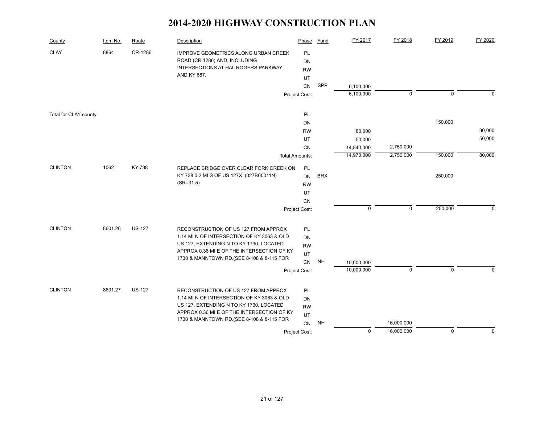| County                | Item No. | Route         | Description                                                                                                                                                                                                               | Phase                             | Fund       | FY 2017     | FY 2018     | FY 2019     | FY 2020     |
|-----------------------|----------|---------------|---------------------------------------------------------------------------------------------------------------------------------------------------------------------------------------------------------------------------|-----------------------------------|------------|-------------|-------------|-------------|-------------|
| <b>CLAY</b>           | 8864     | CR-1286       | <b>IMPROVE GEOMETRICS ALONG URBAN CREEK</b><br>ROAD (CR 1286) AND, INCLUDING<br>INTERSECTIONS AT HAL ROGERS PARKWAY<br>AND KY 687.                                                                                        | PL<br>DN<br><b>RW</b><br>UT       |            |             |             |             |             |
|                       |          |               |                                                                                                                                                                                                                           | CN                                | SPP        | 6,100,000   |             |             |             |
|                       |          |               |                                                                                                                                                                                                                           | Project Cost:                     |            | 6,100,000   | $\mathbf 0$ | $\mathsf 0$ | $\mathbf 0$ |
| Total for CLAY county |          |               |                                                                                                                                                                                                                           | PL                                |            |             |             |             |             |
|                       |          |               |                                                                                                                                                                                                                           | DN                                |            |             |             | 150,000     |             |
|                       |          |               |                                                                                                                                                                                                                           | <b>RW</b>                         |            | 80,000      |             |             | 30,000      |
|                       |          |               |                                                                                                                                                                                                                           | UT                                |            | 50,000      |             |             | 50,000      |
|                       |          |               |                                                                                                                                                                                                                           | <b>CN</b>                         |            | 14,840,000  | 2,750,000   |             |             |
|                       |          |               |                                                                                                                                                                                                                           | <b>Total Amounts:</b>             |            | 14,970,000  | 2,750,000   | 150,000     | 80,000      |
| <b>CLINTON</b>        | 1062     | KY-738        | REPLACE BRIDGE OVER CLEAR FORK CREEK ON<br>KY 738 0.2 MI S OF US 127X. (027B00011N)<br>$(SR = 31.5)$                                                                                                                      | PL<br><b>DN</b><br><b>RW</b>      | <b>BRX</b> |             |             | 250,000     |             |
|                       |          |               |                                                                                                                                                                                                                           | UT                                |            |             |             |             |             |
|                       |          |               |                                                                                                                                                                                                                           | <b>CN</b>                         |            |             |             |             |             |
|                       |          |               |                                                                                                                                                                                                                           | Project Cost:                     |            | $\mathsf 0$ | $\mathbf 0$ | 250,000     | $\Omega$    |
| <b>CLINTON</b>        | 8601.26  | <b>US-127</b> | RECONSTRUCTION OF US 127 FROM APPROX<br>1.14 MI N OF INTERSECTION OF KY 3063 & OLD<br>US 127, EXTENDING N TO KY 1730, LOCATED<br>APPROX 0.36 MI E OF THE INTERSECTION OF KY                                               | PL<br>DN<br><b>RW</b><br>UT       |            |             |             |             |             |
|                       |          |               | 1730 & MANNTOWN RD. (SEE 8-108 & 8-115 FOR                                                                                                                                                                                | CN                                | <b>NH</b>  | 10,000,000  |             |             |             |
|                       |          |               |                                                                                                                                                                                                                           | Project Cost:                     |            | 10,000,000  | $\pmb{0}$   | $\mathbf 0$ | $\mathbf 0$ |
| <b>CLINTON</b>        | 8601.27  | <b>US-127</b> | RECONSTRUCTION OF US 127 FROM APPROX<br>1.14 MI N OF INTERSECTION OF KY 3063 & OLD<br>US 127, EXTENDING N TO KY 1730, LOCATED<br>APPROX 0.36 MI E OF THE INTERSECTION OF KY<br>1730 & MANNTOWN RD. (SEE 8-108 & 8-115 FOR | PL<br>DN<br><b>RW</b><br>UT<br>CN | <b>NH</b>  |             | 16,000,000  |             |             |
|                       |          |               |                                                                                                                                                                                                                           | Project Cost:                     |            | $\mathbf 0$ | 16,000,000  | $\mathbf 0$ | $\mathbf 0$ |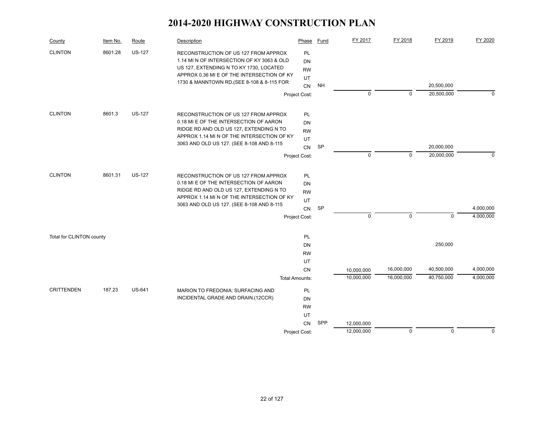| County                   | Item No. | Route         | Description                                                                                                                                                                                                               | Phase                                              | Fund      | FY 2017                  | FY 2018                  | FY 2019                  | FY 2020                |
|--------------------------|----------|---------------|---------------------------------------------------------------------------------------------------------------------------------------------------------------------------------------------------------------------------|----------------------------------------------------|-----------|--------------------------|--------------------------|--------------------------|------------------------|
| <b>CLINTON</b>           | 8601.28  | <b>US-127</b> | RECONSTRUCTION OF US 127 FROM APPROX<br>1.14 MI N OF INTERSECTION OF KY 3063 & OLD<br>US 127, EXTENDING N TO KY 1730, LOCATED<br>APPROX 0.36 MI E OF THE INTERSECTION OF KY<br>1730 & MANNTOWN RD. (SEE 8-108 & 8-115 FOR | <b>PL</b><br>DN<br><b>RW</b><br>UT<br>CN           | <b>NH</b> |                          |                          | 20,500,000               |                        |
|                          |          |               |                                                                                                                                                                                                                           | Project Cost:                                      |           | $\mathbf 0$              | $\mathbf 0$              | 20,500,000               | $\Omega$               |
| <b>CLINTON</b>           | 8601.3   | <b>US-127</b> | RECONSTRUCTION OF US 127 FROM APPROX<br>0.18 MI E OF THE INTERSECTION OF AARON<br>RIDGE RD AND OLD US 127, EXTENDING N TO<br>APPROX 1.14 MI N OF THE INTERSECTION OF KY<br>3063 AND OLD US 127. (SEE 8-108 AND 8-115      | <b>PL</b><br><b>DN</b><br><b>RW</b><br>UT<br>CN    | SP        |                          |                          | 20,000,000               |                        |
|                          |          |               |                                                                                                                                                                                                                           | Project Cost:                                      |           | $\mathbf 0$              | $\mathbf 0$              | 20,000,000               | $\Omega$               |
| <b>CLINTON</b>           | 8601.31  | <b>US-127</b> | RECONSTRUCTION OF US 127 FROM APPROX<br>0.18 MI E OF THE INTERSECTION OF AARON<br>RIDGE RD AND OLD US 127, EXTENDING N TO<br>APPROX 1.14 MI N OF THE INTERSECTION OF KY<br>3063 AND OLD US 127. (SEE 8-108 AND 8-115      | PL<br>DN<br><b>RW</b><br>UT<br>CN<br>Project Cost: | SP        | $\mathbf 0$              | $\mathbf 0$              | $\mathbf 0$              | 4,000,000<br>4,000,000 |
| Total for CLINTON county |          |               |                                                                                                                                                                                                                           | <b>PL</b><br>DN<br><b>RW</b>                       |           |                          |                          | 250,000                  |                        |
|                          |          |               |                                                                                                                                                                                                                           | UT<br><b>CN</b><br><b>Total Amounts:</b>           |           | 10,000,000<br>10,000,000 | 16,000,000<br>16,000,000 | 40,500,000<br>40,750,000 | 4,000,000<br>4,000,000 |
| <b>CRITTENDEN</b>        | 187.23   | <b>US-641</b> | MARION TO FREDONIA; SURFACING AND<br>INCIDENTAL GRADE AND DRAIN.(12CCR)                                                                                                                                                   | PL<br>DN<br><b>RW</b><br>UT                        |           |                          |                          |                          |                        |
|                          |          |               |                                                                                                                                                                                                                           | CN<br>Project Cost:                                | SPP       | 12,000,000<br>12,000,000 | $\mathbf 0$              | $\mathbf 0$              | $\Omega$               |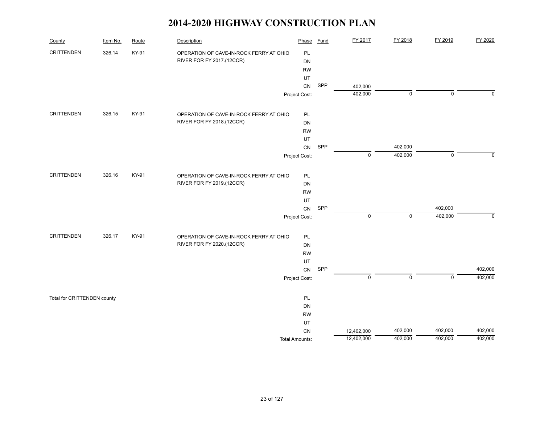| County                      | Item No. | Route | Description                             | Phase                 | Fund | FY 2017            | FY 2018     | FY 2019     | FY 2020      |
|-----------------------------|----------|-------|-----------------------------------------|-----------------------|------|--------------------|-------------|-------------|--------------|
| <b>CRITTENDEN</b>           | 326.14   | KY-91 | OPERATION OF CAVE-IN-ROCK FERRY AT OHIO | PL                    |      |                    |             |             |              |
|                             |          |       | RIVER FOR FY 2017.(12CCR)               | DN                    |      |                    |             |             |              |
|                             |          |       |                                         | <b>RW</b>             |      |                    |             |             |              |
|                             |          |       |                                         | UT                    | SPP  |                    |             |             |              |
|                             |          |       |                                         | CN                    |      | 402,000<br>402,000 | $\mathbf 0$ | $\mathbf 0$ | $\Omega$     |
|                             |          |       |                                         | Project Cost:         |      |                    |             |             |              |
| <b>CRITTENDEN</b>           | 326.15   | KY-91 | OPERATION OF CAVE-IN-ROCK FERRY AT OHIO | PL                    |      |                    |             |             |              |
|                             |          |       | RIVER FOR FY 2018.(12CCR)               | DN                    |      |                    |             |             |              |
|                             |          |       |                                         | <b>RW</b>             |      |                    |             |             |              |
|                             |          |       |                                         | UT                    |      |                    |             |             |              |
|                             |          |       |                                         | ${\sf CN}$            | SPP  |                    | 402,000     |             |              |
|                             |          |       |                                         | Project Cost:         |      | $\mathbf 0$        | 402,000     | $\mathbf 0$ | $\mathbf{0}$ |
| <b>CRITTENDEN</b>           | 326.16   | KY-91 | OPERATION OF CAVE-IN-ROCK FERRY AT OHIO | PL                    |      |                    |             |             |              |
|                             |          |       | RIVER FOR FY 2019.(12CCR)               | DN                    |      |                    |             |             |              |
|                             |          |       |                                         | <b>RW</b>             |      |                    |             |             |              |
|                             |          |       |                                         | UT                    |      |                    |             |             |              |
|                             |          |       |                                         | CN                    | SPP  |                    |             | 402,000     |              |
|                             |          |       |                                         | Project Cost:         |      | $\pmb{0}$          | $\mathsf 0$ | 402,000     | $\mathbf 0$  |
| <b>CRITTENDEN</b>           | 326.17   | KY-91 | OPERATION OF CAVE-IN-ROCK FERRY AT OHIO | PL                    |      |                    |             |             |              |
|                             |          |       | RIVER FOR FY 2020.(12CCR)               | DN                    |      |                    |             |             |              |
|                             |          |       |                                         | <b>RW</b>             |      |                    |             |             |              |
|                             |          |       |                                         | UT                    |      |                    |             |             |              |
|                             |          |       |                                         | CN                    | SPP  |                    |             |             | 402,000      |
|                             |          |       |                                         | Project Cost:         |      | $\pmb{0}$          | $\mathbf 0$ | $\mathbf 0$ | 402,000      |
| Total for CRITTENDEN county |          |       |                                         | PL                    |      |                    |             |             |              |
|                             |          |       |                                         | DN                    |      |                    |             |             |              |
|                             |          |       |                                         | <b>RW</b>             |      |                    |             |             |              |
|                             |          |       |                                         | UT                    |      |                    |             |             |              |
|                             |          |       |                                         | ${\sf CN}$            |      | 12,402,000         | 402,000     | 402,000     | 402,000      |
|                             |          |       |                                         | <b>Total Amounts:</b> |      | 12,402,000         | 402,000     | 402,000     | 402,000      |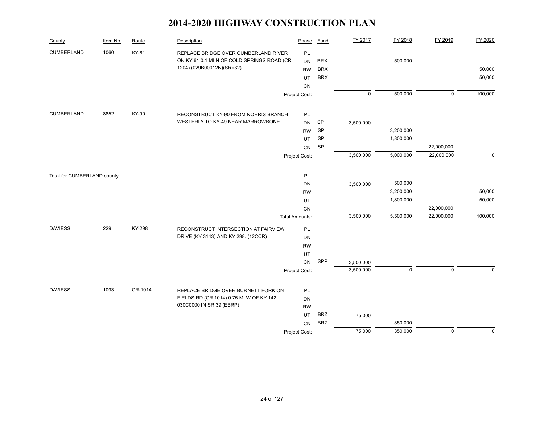| County                      | Item No. | Route   | Description                                | Phase                 | <b>Fund</b> | FY 2017     | FY 2018     | FY 2019     | FY 2020     |
|-----------------------------|----------|---------|--------------------------------------------|-----------------------|-------------|-------------|-------------|-------------|-------------|
| <b>CUMBERLAND</b>           | 1060     | KY-61   | REPLACE BRIDGE OVER CUMBERLAND RIVER       | PL                    |             |             |             |             |             |
|                             |          |         | ON KY 61 0.1 MI N OF COLD SPRINGS ROAD (CR | <b>DN</b>             | <b>BRX</b>  |             | 500,000     |             |             |
|                             |          |         | 1204).(029B00012N)(SR=32)                  | <b>RW</b>             | <b>BRX</b>  |             |             |             | 50,000      |
|                             |          |         |                                            | <b>UT</b>             | <b>BRX</b>  |             |             |             | 50,000      |
|                             |          |         |                                            | CN                    |             |             |             |             |             |
|                             |          |         |                                            | Project Cost:         |             | $\mathsf 0$ | 500,000     | $\mathbf 0$ | 100,000     |
| CUMBERLAND                  | 8852     | KY-90   | RECONSTRUCT KY-90 FROM NORRIS BRANCH       | PL                    |             |             |             |             |             |
|                             |          |         | WESTERLY TO KY-49 NEAR MARROWBONE.         | <b>DN</b>             | <b>SP</b>   | 3,500,000   |             |             |             |
|                             |          |         |                                            | <b>RW</b>             | SP          |             | 3,200,000   |             |             |
|                             |          |         |                                            | UT                    | SP          |             | 1,800,000   |             |             |
|                             |          |         |                                            | CN                    | SP          |             |             | 22,000,000  |             |
|                             |          |         |                                            | Project Cost:         |             | 3,500,000   | 5,000,000   | 22,000,000  | $\mathbf 0$ |
| Total for CUMBERLAND county |          |         |                                            | PL                    |             |             |             |             |             |
|                             |          |         |                                            | <b>DN</b>             |             | 3,500,000   | 500,000     |             |             |
|                             |          |         |                                            | <b>RW</b>             |             |             | 3,200,000   |             | 50,000      |
|                             |          |         |                                            | UT                    |             |             | 1,800,000   |             | 50,000      |
|                             |          |         |                                            | CN                    |             |             |             | 22,000,000  |             |
|                             |          |         |                                            | <b>Total Amounts:</b> |             | 3,500,000   | 5,500,000   | 22,000,000  | 100,000     |
| <b>DAVIESS</b>              | 229      | KY-298  | RECONSTRUCT INTERSECTION AT FAIRVIEW       | PL                    |             |             |             |             |             |
|                             |          |         | DRIVE (KY 3143) AND KY 298. (12CCR)        | DN                    |             |             |             |             |             |
|                             |          |         |                                            | <b>RW</b>             |             |             |             |             |             |
|                             |          |         |                                            | UT                    |             |             |             |             |             |
|                             |          |         |                                            | CN                    | SPP         | 3,500,000   |             |             |             |
|                             |          |         |                                            | Project Cost:         |             | 3,500,000   | $\mathbf 0$ | $\mathbf 0$ | $\Omega$    |
| <b>DAVIESS</b>              | 1093     | CR-1014 | REPLACE BRIDGE OVER BURNETT FORK ON        | PL                    |             |             |             |             |             |
|                             |          |         | FIELDS RD (CR 1014) 0.75 MI W OF KY 142    | DN                    |             |             |             |             |             |
|                             |          |         | 030C00001N SR 39 (EBRP)                    | <b>RW</b>             |             |             |             |             |             |
|                             |          |         |                                            | UT                    | <b>BRZ</b>  | 75,000      |             |             |             |
|                             |          |         |                                            | CN                    | <b>BRZ</b>  |             | 350,000     |             |             |
|                             |          |         |                                            | Project Cost:         |             | 75,000      | 350,000     | $\mathbf 0$ | $\mathbf 0$ |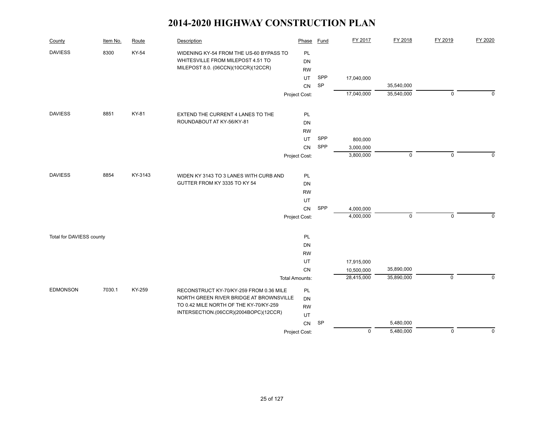| County                   | Item No. | Route   | Description                             | Phase                 | Fund      | FY 2017                  | FY 2018     | FY 2019        | FY 2020     |
|--------------------------|----------|---------|-----------------------------------------|-----------------------|-----------|--------------------------|-------------|----------------|-------------|
| <b>DAVIESS</b>           | 8300     | KY-54   | WIDENING KY-54 FROM THE US-60 BYPASS TO | PL                    |           |                          |             |                |             |
|                          |          |         | WHITESVILLE FROM MILEPOST 4.51 TO       | DN                    |           |                          |             |                |             |
|                          |          |         | MILEPOST 8.0. (06CCN)(10CCR)(12CCR)     | <b>RW</b>             |           |                          |             |                |             |
|                          |          |         |                                         | UT                    | SPP       | 17,040,000               |             |                |             |
|                          |          |         |                                         | CN                    | SP        |                          | 35,540,000  |                |             |
|                          |          |         |                                         | Project Cost:         |           | 17,040,000               | 35,540,000  | $\mathbf 0$    | $\Omega$    |
| <b>DAVIESS</b>           | 8851     | KY-81   | EXTEND THE CURRENT 4 LANES TO THE       | PL                    |           |                          |             |                |             |
|                          |          |         | ROUNDABOUT AT KY-56/KY-81               | DN                    |           |                          |             |                |             |
|                          |          |         |                                         | <b>RW</b>             |           |                          |             |                |             |
|                          |          |         |                                         | UT.                   | SPP       | 800,000                  |             |                |             |
|                          |          |         |                                         | <b>CN</b>             | SPP       | 3,000,000                |             |                |             |
|                          |          |         |                                         | Project Cost:         |           | 3,800,000                | 0           | 0              | $\Omega$    |
|                          |          |         |                                         |                       |           |                          |             |                |             |
| <b>DAVIESS</b>           | 8854     | KY-3143 | WIDEN KY 3143 TO 3 LANES WITH CURB AND  | PL                    |           |                          |             |                |             |
|                          |          |         | GUTTER FROM KY 3335 TO KY 54            | DN                    |           |                          |             |                |             |
|                          |          |         |                                         | <b>RW</b>             |           |                          |             |                |             |
|                          |          |         |                                         | UT                    |           |                          |             |                |             |
|                          |          |         |                                         | CN                    | SPP       | 4,000,000                |             |                |             |
|                          |          |         |                                         | Project Cost:         |           | 4,000,000                | $\mathbf 0$ | $\mathbf 0$    | $\Omega$    |
|                          |          |         |                                         | PL                    |           |                          |             |                |             |
| Total for DAVIESS county |          |         |                                         | DN                    |           |                          |             |                |             |
|                          |          |         |                                         | <b>RW</b>             |           |                          |             |                |             |
|                          |          |         |                                         | UT                    |           |                          |             |                |             |
|                          |          |         |                                         | CN                    |           | 17,915,000<br>10,500,000 | 35,890,000  |                |             |
|                          |          |         |                                         | <b>Total Amounts:</b> |           | 28,415,000               | 35,890,000  | $\overline{0}$ | $\Omega$    |
|                          |          |         |                                         |                       |           |                          |             |                |             |
| <b>EDMONSON</b>          | 7030.1   | KY-259  | RECONSTRUCT KY-70/KY-259 FROM 0.36 MILE | PL                    |           |                          |             |                |             |
|                          |          |         | NORTH GREEN RIVER BRIDGE AT BROWNSVILLE | DN                    |           |                          |             |                |             |
|                          |          |         | TO 0.42 MILE NORTH OF THE KY-70/KY-259  | <b>RW</b>             |           |                          |             |                |             |
|                          |          |         | INTERSECTION.(06CCR)(2004BOPC)(12CCR)   | UT                    |           |                          |             |                |             |
|                          |          |         |                                         | CN                    | <b>SP</b> |                          | 5,480,000   |                |             |
|                          |          |         |                                         | Project Cost:         |           | $\mathbf 0$              | 5,480,000   | $\mathbf 0$    | $\mathbf 0$ |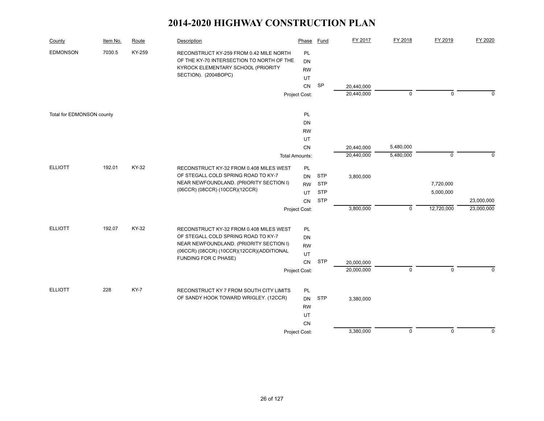| County                    | Item No. | Route  | Description                                                                                                                | Phase                      | <b>Fund</b>              | FY 2017                  | FY 2018     | FY 2019     | FY 2020     |
|---------------------------|----------|--------|----------------------------------------------------------------------------------------------------------------------------|----------------------------|--------------------------|--------------------------|-------------|-------------|-------------|
| <b>EDMONSON</b>           | 7030.5   | KY-259 | RECONSTRUCT KY-259 FROM 0.42 MILE NORTH<br>OF THE KY-70 INTERSECTION TO NORTH OF THE<br>KYROCK ELEMENTARY SCHOOL (PRIORITY | PL<br><b>DN</b>            |                          |                          |             |             |             |
|                           |          |        | SECTION). (2004BOPC)                                                                                                       | <b>RW</b><br>UT            |                          |                          |             |             |             |
|                           |          |        |                                                                                                                            | CN                         | SP                       | 20,440,000               |             |             |             |
|                           |          |        |                                                                                                                            | Project Cost:              |                          | 20,440,000               | $\mathbf 0$ | $\mathbf 0$ | $\Omega$    |
|                           |          |        |                                                                                                                            |                            |                          |                          |             |             |             |
| Total for EDMONSON county |          |        |                                                                                                                            | <b>PL</b>                  |                          |                          |             |             |             |
|                           |          |        |                                                                                                                            | <b>DN</b>                  |                          |                          |             |             |             |
|                           |          |        |                                                                                                                            | <b>RW</b>                  |                          |                          |             |             |             |
|                           |          |        |                                                                                                                            | UT<br>CN                   |                          |                          | 5,480,000   |             |             |
|                           |          |        |                                                                                                                            | <b>Total Amounts:</b>      |                          | 20,440,000<br>20,440,000 | 5,480,000   | $\mathsf 0$ | $\mathbf 0$ |
|                           |          |        |                                                                                                                            |                            |                          |                          |             |             |             |
| <b>ELLIOTT</b>            | 192.01   | KY-32  | RECONSTRUCT KY-32 FROM 0.408 MILES WEST                                                                                    | PL                         |                          |                          |             |             |             |
|                           |          |        | OF STEGALL COLD SPRING ROAD TO KY-7<br>NEAR NEWFOUNDLAND. (PRIORITY SECTION I)                                             | <b>DN</b>                  | <b>STP</b>               | 3,800,000                |             |             |             |
|                           |          |        | (06CCR) (08CCR) (10CCR)(12CCR)                                                                                             | <b>RW</b>                  | <b>STP</b>               |                          |             | 7,720,000   |             |
|                           |          |        |                                                                                                                            | UT                         | <b>STP</b><br><b>STP</b> |                          |             | 5,000,000   | 23,000,000  |
|                           |          |        |                                                                                                                            | <b>CN</b><br>Project Cost: |                          | 3,800,000                | $\mathsf 0$ | 12,720,000  | 23,000,000  |
|                           |          |        |                                                                                                                            |                            |                          |                          |             |             |             |
| <b>ELLIOTT</b>            | 192.07   | KY-32  | RECONSTRUCT KY-32 FROM 0.408 MILES WEST                                                                                    | PL                         |                          |                          |             |             |             |
|                           |          |        | OF STEGALL COLD SPRING ROAD TO KY-7                                                                                        | <b>DN</b>                  |                          |                          |             |             |             |
|                           |          |        | NEAR NEWFOUNDLAND. (PRIORITY SECTION I)                                                                                    | <b>RW</b>                  |                          |                          |             |             |             |
|                           |          |        | (06CCR) (08CCR) (10CCR) (12CCR) (ADDITIONAL<br>FUNDING FOR C PHASE)                                                        | UT                         |                          |                          |             |             |             |
|                           |          |        |                                                                                                                            | <b>CN</b>                  | <b>STP</b>               | 20,000,000               |             |             |             |
|                           |          |        |                                                                                                                            | Project Cost:              |                          | 20,000,000               | $\mathbf 0$ | $\mathbf 0$ | $\Omega$    |
| <b>ELLIOTT</b>            | 228      | KY-7   | RECONSTRUCT KY 7 FROM SOUTH CITY LIMITS                                                                                    | <b>PL</b>                  |                          |                          |             |             |             |
|                           |          |        | OF SANDY HOOK TOWARD WRIGLEY. (12CCR)                                                                                      | <b>DN</b>                  | <b>STP</b>               | 3,380,000                |             |             |             |
|                           |          |        |                                                                                                                            | <b>RW</b>                  |                          |                          |             |             |             |
|                           |          |        |                                                                                                                            | UT                         |                          |                          |             |             |             |
|                           |          |        |                                                                                                                            | <b>CN</b>                  |                          |                          |             |             |             |
|                           |          |        |                                                                                                                            | Project Cost:              |                          | 3,380,000                | $\pmb{0}$   | $\mathsf 0$ | $\pmb{0}$   |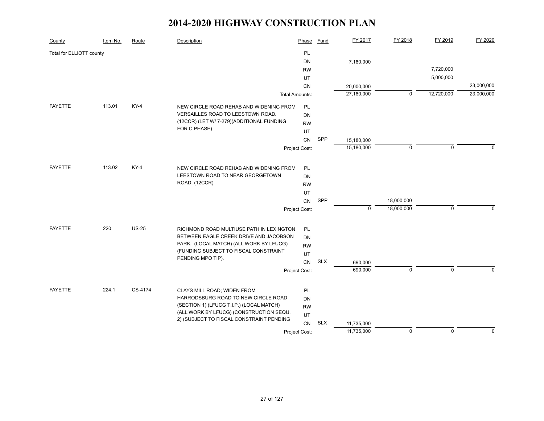| County                   | Item No. | Route        | <b>Description</b>                                                              | Phase                 | <b>Fund</b> | FY 2017     | FY 2018     | FY 2019     | FY 2020     |
|--------------------------|----------|--------------|---------------------------------------------------------------------------------|-----------------------|-------------|-------------|-------------|-------------|-------------|
| Total for ELLIOTT county |          |              |                                                                                 | PL                    |             |             |             |             |             |
|                          |          |              |                                                                                 | DN                    |             | 7,180,000   |             |             |             |
|                          |          |              |                                                                                 | <b>RW</b>             |             |             |             | 7,720,000   |             |
|                          |          |              |                                                                                 | UT                    |             |             |             | 5,000,000   |             |
|                          |          |              |                                                                                 | CN                    |             | 20,000,000  |             |             | 23,000,000  |
|                          |          |              |                                                                                 | <b>Total Amounts:</b> |             | 27,180,000  | $\mathbf 0$ | 12,720,000  | 23,000,000  |
| FAYETTE                  | 113.01   | KY-4         | NEW CIRCLE ROAD REHAB AND WIDENING FROM                                         | PL                    |             |             |             |             |             |
|                          |          |              | VERSAILLES ROAD TO LEESTOWN ROAD.                                               | DN                    |             |             |             |             |             |
|                          |          |              | (12CCR) (LET W/ 7-279) (ADDITIONAL FUNDING                                      | <b>RW</b>             |             |             |             |             |             |
|                          |          |              | FOR C PHASE)                                                                    | UT                    |             |             |             |             |             |
|                          |          |              |                                                                                 | <b>CN</b>             | SPP         | 15,180,000  |             |             |             |
|                          |          |              |                                                                                 | Project Cost:         |             | 15,180,000  | $\mathbf 0$ | $\mathbf 0$ | $\Omega$    |
|                          |          |              |                                                                                 |                       |             |             |             |             |             |
| <b>FAYETTE</b>           | 113.02   | $KY-4$       | NEW CIRCLE ROAD REHAB AND WIDENING FROM                                         | PL                    |             |             |             |             |             |
|                          |          |              | LEESTOWN ROAD TO NEAR GEORGETOWN<br>ROAD. (12CCR)                               | <b>DN</b>             |             |             |             |             |             |
|                          |          |              |                                                                                 | <b>RW</b>             |             |             |             |             |             |
|                          |          |              |                                                                                 | UT                    |             |             |             |             |             |
|                          |          |              |                                                                                 | CN                    | SPP         |             | 18,000,000  |             |             |
|                          |          |              |                                                                                 | Project Cost:         |             | $\mathbf 0$ | 18,000,000  | $\mathbf 0$ | $\mathbf 0$ |
| <b>FAYETTE</b>           | 220      | <b>US-25</b> | RICHMOND ROAD MULTIUSE PATH IN LEXINGTON                                        | PL.                   |             |             |             |             |             |
|                          |          |              | BETWEEN EAGLE CREEK DRIVE AND JACOBSON                                          | DN                    |             |             |             |             |             |
|                          |          |              | PARK. (LOCAL MATCH) (ALL WORK BY LFUCG)                                         | <b>RW</b>             |             |             |             |             |             |
|                          |          |              | (FUNDING SUBJECT TO FISCAL CONSTRAINT                                           | UT                    |             |             |             |             |             |
|                          |          |              | PENDING MPO TIP).                                                               | CN                    | <b>SLX</b>  | 690,000     |             |             |             |
|                          |          |              |                                                                                 | Project Cost:         |             | 690,000     | $\mathbf 0$ | $\mathbf 0$ | $\Omega$    |
|                          |          |              |                                                                                 |                       |             |             |             |             |             |
| <b>FAYETTE</b>           | 224.1    | CS-4174      | CLAYS MILL ROAD; WIDEN FROM                                                     | PL                    |             |             |             |             |             |
|                          |          |              | HARRODSBURG ROAD TO NEW CIRCLE ROAD<br>(SECTION 1) (LFUCG T.I.P.) (LOCAL MATCH) | <b>DN</b>             |             |             |             |             |             |
|                          |          |              | (ALL WORK BY LFUCG) (CONSTRUCTION SEQU.                                         | <b>RW</b>             |             |             |             |             |             |
|                          |          |              | UT<br>2) (SUBJECT TO FISCAL CONSTRAINT PENDING                                  |                       |             |             |             |             |             |
|                          |          |              |                                                                                 | CN                    | <b>SLX</b>  | 11,735,000  |             |             |             |
|                          |          |              |                                                                                 | Project Cost:         |             | 11,735,000  | $\mathbf 0$ | $\mathbf 0$ | $\mathbf 0$ |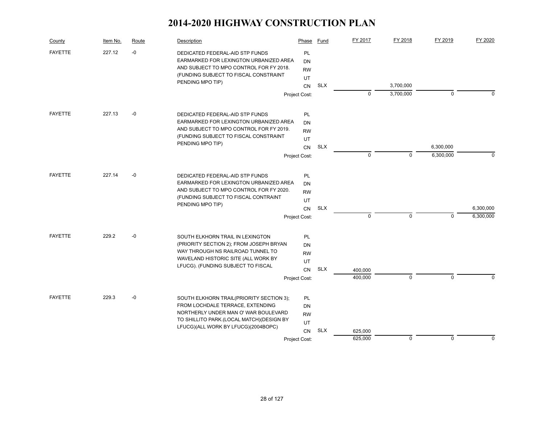| County         | Item No. | Route | Description                                                               | Phase           | Fund       | FY 2017     | FY 2018     | FY 2019     | FY 2020     |
|----------------|----------|-------|---------------------------------------------------------------------------|-----------------|------------|-------------|-------------|-------------|-------------|
| <b>FAYETTE</b> | 227.12   | $-0$  | DEDICATED FEDERAL-AID STP FUNDS<br>EARMARKED FOR LEXINGTON URBANIZED AREA | <b>PL</b><br>DN |            |             |             |             |             |
|                |          |       | AND SUBJECT TO MPO CONTROL FOR FY 2018.                                   | <b>RW</b>       |            |             |             |             |             |
|                |          |       | (FUNDING SUBJECT TO FISCAL CONSTRAINT                                     | UT              |            |             |             |             |             |
|                |          |       | PENDING MPO TIP)                                                          | <b>CN</b>       | <b>SLX</b> |             | 3,700,000   |             |             |
|                |          |       |                                                                           | Project Cost:   |            | $\mathbf 0$ | 3,700,000   | 0           | O           |
| <b>FAYETTE</b> | 227.13   | $-0$  | DEDICATED FEDERAL-AID STP FUNDS                                           | <b>PL</b>       |            |             |             |             |             |
|                |          |       | EARMARKED FOR LEXINGTON URBANIZED AREA                                    | DN              |            |             |             |             |             |
|                |          |       | AND SUBJECT TO MPO CONTROL FOR FY 2019.                                   | <b>RW</b>       |            |             |             |             |             |
|                |          |       | (FUNDING SUBJECT TO FISCAL CONSTRAINT                                     | UT              |            |             |             |             |             |
|                |          |       | PENDING MPO TIP)                                                          | CN              | <b>SLX</b> |             |             | 6,300,000   |             |
|                |          |       |                                                                           | Project Cost:   |            | 0           | $\Omega$    | 6,300,000   | $\Omega$    |
| <b>FAYETTE</b> | 227.14   | $-0$  | DEDICATED FEDERAL-AID STP FUNDS                                           | PL              |            |             |             |             |             |
|                |          |       | EARMARKED FOR LEXINGTON URBANIZED AREA                                    | DN              |            |             |             |             |             |
|                |          |       | AND SUBJECT TO MPO CONTROL FOR FY 2020.                                   | <b>RW</b>       |            |             |             |             |             |
|                |          |       | (FUNDING SUBJECT TO FISCAL CONTRAINT                                      | UT              |            |             |             |             |             |
|                |          |       | PENDING MPO TIP)                                                          | <b>CN</b>       | <b>SLX</b> |             |             |             | 6,300,000   |
|                |          |       |                                                                           | Project Cost:   |            | $\mathbf 0$ | 0           | 0           | 6,300,000   |
| <b>FAYETTE</b> | 229.2    | $-0$  | SOUTH ELKHORN TRAIL IN LEXINGTON                                          | <b>PL</b>       |            |             |             |             |             |
|                |          |       | (PRIORITY SECTION 2); FROM JOSEPH BRYAN                                   | DN              |            |             |             |             |             |
|                |          |       | WAY THROUGH NS RAILROAD TUNNEL TO                                         | <b>RW</b>       |            |             |             |             |             |
|                |          |       | WAVELAND HISTORIC SITE (ALL WORK BY                                       | UT              |            |             |             |             |             |
|                |          |       | LFUCG). (FUNDING SUBJECT TO FISCAL                                        | <b>CN</b>       | <b>SLX</b> | 400,000     |             |             |             |
|                |          |       |                                                                           | Project Cost:   |            | 400,000     | $\Omega$    | $\Omega$    | O           |
| <b>FAYETTE</b> | 229.3    | $-0$  | SOUTH ELKHORN TRAIL(PRIORITY SECTION 3);                                  | <b>PL</b>       |            |             |             |             |             |
|                |          |       | FROM LOCHDALE TERRACE, EXTENDING                                          | DN              |            |             |             |             |             |
|                |          |       | NORTHERLY UNDER MAN O' WAR BOULEVARD                                      | <b>RW</b>       |            |             |             |             |             |
|                |          |       | TO SHILLITO PARK.(LOCAL MATCH)(DESIGN BY                                  | UT              |            |             |             |             |             |
|                |          |       | LFUCG)(ALL WORK BY LFUCG)(2004BOPC)                                       | CN              | <b>SLX</b> | 625,000     |             |             |             |
|                |          |       |                                                                           | Project Cost:   |            | 625,000     | $\mathbf 0$ | $\mathbf 0$ | $\mathbf 0$ |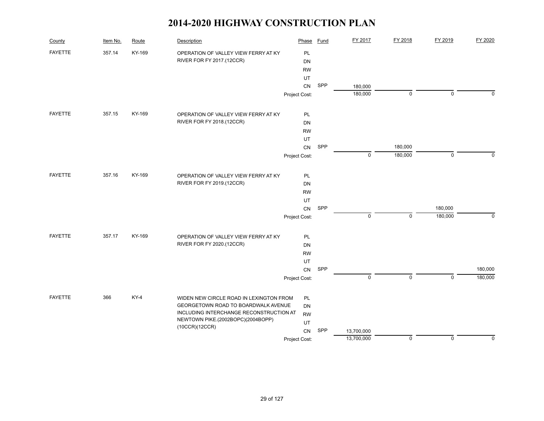| County         | Item No. | Route  | Description                             | Phase         | <b>Fund</b> | FY 2017     | FY 2018     | FY 2019     | FY 2020     |
|----------------|----------|--------|-----------------------------------------|---------------|-------------|-------------|-------------|-------------|-------------|
| <b>FAYETTE</b> | 357.14   | KY-169 | OPERATION OF VALLEY VIEW FERRY AT KY    | PL            |             |             |             |             |             |
|                |          |        | RIVER FOR FY 2017.(12CCR)               | DN            |             |             |             |             |             |
|                |          |        |                                         | <b>RW</b>     |             |             |             |             |             |
|                |          |        |                                         | UT            |             |             |             |             |             |
|                |          |        |                                         | ${\sf CN}$    | SPP         | 180,000     |             |             |             |
|                |          |        |                                         | Project Cost: |             | 180,000     | 0           | $\mathbf 0$ | $\mathbf 0$ |
| <b>FAYETTE</b> | 357.15   | KY-169 | OPERATION OF VALLEY VIEW FERRY AT KY    | PL            |             |             |             |             |             |
|                |          |        | RIVER FOR FY 2018.(12CCR)               | DN            |             |             |             |             |             |
|                |          |        |                                         | <b>RW</b>     |             |             |             |             |             |
|                |          |        |                                         | UT            |             |             |             |             |             |
|                |          |        |                                         | ${\sf CN}$    | SPP         |             | 180,000     |             |             |
|                |          |        |                                         | Project Cost: |             | $\mathbf 0$ | 180,000     | $\mathbf 0$ | $\Omega$    |
| <b>FAYETTE</b> | 357.16   | KY-169 | OPERATION OF VALLEY VIEW FERRY AT KY    | PL            |             |             |             |             |             |
|                |          |        | RIVER FOR FY 2019.(12CCR)               | DN            |             |             |             |             |             |
|                |          |        |                                         | <b>RW</b>     |             |             |             |             |             |
|                |          |        |                                         | UT            |             |             |             |             |             |
|                |          |        |                                         | ${\sf CN}$    | SPP         |             |             | 180,000     |             |
|                |          |        |                                         | Project Cost: |             | $\mathsf 0$ | 0           | 180,000     | $\mathbf 0$ |
| <b>FAYETTE</b> | 357.17   | KY-169 | OPERATION OF VALLEY VIEW FERRY AT KY    | PL            |             |             |             |             |             |
|                |          |        | RIVER FOR FY 2020.(12CCR)               | DN            |             |             |             |             |             |
|                |          |        |                                         | <b>RW</b>     |             |             |             |             |             |
|                |          |        |                                         | UT            |             |             |             |             |             |
|                |          |        |                                         | CN            | SPP         |             |             |             | 180,000     |
|                |          |        |                                         | Project Cost: |             | $\mathbf 0$ | $\mathbf 0$ | $\Omega$    | 180,000     |
| <b>FAYETTE</b> | 366      | KY-4   | WIDEN NEW CIRCLE ROAD IN LEXINGTON FROM | PL            |             |             |             |             |             |
|                |          |        | GEORGETOWN ROAD TO BOARDWALK AVENUE     | DN            |             |             |             |             |             |
|                |          |        | INCLUDING INTERCHANGE RECONSTRUCTION AT | <b>RW</b>     |             |             |             |             |             |
|                |          |        | NEWTOWN PIKE.(2002BOPC)(2004BOPP)       | UT            |             |             |             |             |             |
|                |          |        | (10CCR)(12CCR)                          | CN            | SPP         | 13,700,000  |             |             |             |
|                |          |        |                                         | Project Cost: |             | 13,700,000  | $\mathbf 0$ | $\mathbf 0$ | $\mathbf 0$ |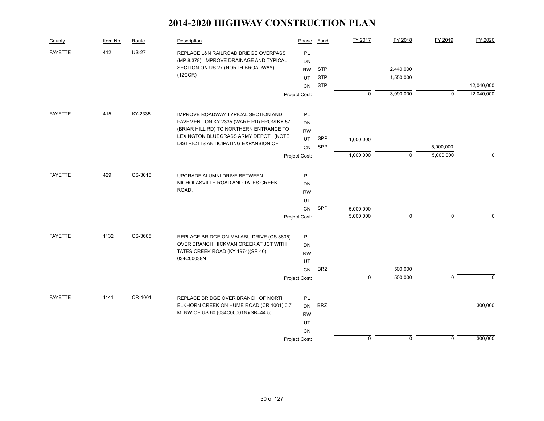| County         | Item No. | Route        | Description                                                                      | Phase           | <b>Fund</b> | FY 2017     | FY 2018     | FY 2019     | FY 2020    |
|----------------|----------|--------------|----------------------------------------------------------------------------------|-----------------|-------------|-------------|-------------|-------------|------------|
| <b>FAYETTE</b> | 412      | <b>US-27</b> | REPLACE L&N RAILROAD BRIDGE OVERPASS<br>(MP 8.378), IMPROVE DRAINAGE AND TYPICAL | PL              |             |             |             |             |            |
|                |          |              | SECTION ON US 27 (NORTH BROADWAY)                                                | DN              | <b>STP</b>  |             | 2,440,000   |             |            |
|                |          |              | (12CCR)                                                                          | <b>RW</b><br>UT | <b>STP</b>  |             | 1,550,000   |             |            |
|                |          |              |                                                                                  | <b>CN</b>       | <b>STP</b>  |             |             |             | 12,040,000 |
|                |          |              |                                                                                  | Project Cost:   |             | $\mathbf 0$ | 3,990,000   | $\mathbf 0$ | 12,040,000 |
|                |          |              |                                                                                  |                 |             |             |             |             |            |
| <b>FAYETTE</b> | 415      | KY-2335      | IMPROVE ROADWAY TYPICAL SECTION AND                                              | PL              |             |             |             |             |            |
|                |          |              | PAVEMENT ON KY 2335 (WARE RD) FROM KY 57                                         | DN              |             |             |             |             |            |
|                |          |              | (BRIAR HILL RD) TO NORTHERN ENTRANCE TO                                          | <b>RW</b>       |             |             |             |             |            |
|                |          |              | LEXINGTON BLUEGRASS ARMY DEPOT. (NOTE:                                           | UT              | SPP         | 1,000,000   |             |             |            |
|                |          |              | DISTRICT IS ANTICIPATING EXPANSION OF                                            | CN              | SPP         |             |             | 5,000,000   |            |
|                |          |              |                                                                                  | Project Cost:   |             | 1,000,000   | $\Omega$    | 5,000,000   | $\Omega$   |
|                |          |              |                                                                                  |                 |             |             |             |             |            |
| <b>FAYETTE</b> | 429      | CS-3016      | UPGRADE ALUMNI DRIVE BETWEEN                                                     | PL              |             |             |             |             |            |
|                |          |              | NICHOLASVILLE ROAD AND TATES CREEK                                               | DN              |             |             |             |             |            |
|                |          |              | ROAD.                                                                            | <b>RW</b>       |             |             |             |             |            |
|                |          |              |                                                                                  | UT              |             |             |             |             |            |
|                |          |              |                                                                                  | <b>CN</b>       | SPP         | 5,000,000   |             |             |            |
|                |          |              |                                                                                  | Project Cost:   |             | 5,000,000   | $\mathbf 0$ | $\mathbf 0$ | $\Omega$   |
| <b>FAYETTE</b> | 1132     | CS-3605      | REPLACE BRIDGE ON MALABU DRIVE (CS 3605)                                         | PL              |             |             |             |             |            |
|                |          |              | OVER BRANCH HICKMAN CREEK AT JCT WITH                                            | DN              |             |             |             |             |            |
|                |          |              | TATES CREEK ROAD (KY 1974)(SR 40)                                                | <b>RW</b>       |             |             |             |             |            |
|                |          |              | 034C00038N                                                                       | UT              |             |             |             |             |            |
|                |          |              |                                                                                  | CN              | <b>BRZ</b>  |             | 500,000     |             |            |
|                |          |              |                                                                                  | Project Cost:   |             | $\mathbf 0$ | 500,000     | $\mathbf 0$ | $\Omega$   |
| <b>FAYETTE</b> | 1141     | CR-1001      |                                                                                  |                 |             |             |             |             |            |
|                |          |              | REPLACE BRIDGE OVER BRANCH OF NORTH<br>ELKHORN CREEK ON HUME ROAD (CR 1001) 0.7  | PL<br><b>DN</b> | <b>BRZ</b>  |             |             |             | 300,000    |
|                |          |              | MI NW OF US 60 (034C00001N)(SR=44.5)                                             | <b>RW</b>       |             |             |             |             |            |
|                |          |              |                                                                                  | <b>UT</b>       |             |             |             |             |            |
|                |          |              |                                                                                  | CN              |             |             |             |             |            |
|                |          |              |                                                                                  | Project Cost:   |             | $\mathbf 0$ | $\mathbf 0$ | $\mathsf 0$ | 300,000    |
|                |          |              |                                                                                  |                 |             |             |             |             |            |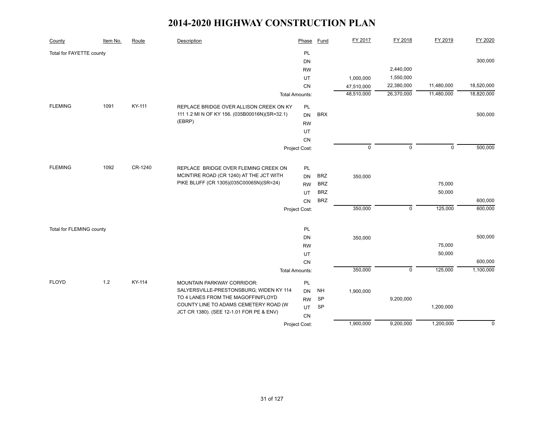| County                   | Item No. | Route   | Description                                   | Phase                 | <b>Fund</b> | FY 2017     | FY 2018     | FY 2019     | FY 2020     |
|--------------------------|----------|---------|-----------------------------------------------|-----------------------|-------------|-------------|-------------|-------------|-------------|
| Total for FAYETTE county |          |         |                                               | PL                    |             |             |             |             |             |
|                          |          |         |                                               | <b>DN</b>             |             |             |             |             | 300,000     |
|                          |          |         |                                               | <b>RW</b>             |             |             | 2,440,000   |             |             |
|                          |          |         |                                               | UT                    |             | 1,000,000   | 1,550,000   |             |             |
|                          |          |         |                                               | CN                    |             | 47,510,000  | 22,380,000  | 11,480,000  | 18,520,000  |
|                          |          |         |                                               | <b>Total Amounts:</b> |             | 48,510,000  | 26,370,000  | 11,480,000  | 18,820,000  |
| <b>FLEMING</b>           | 1091     | KY-111  | REPLACE BRIDGE OVER ALLISON CREEK ON KY       | <b>PL</b>             |             |             |             |             |             |
|                          |          |         | 111 1.2 MI N OF KY 156. (035B00016N)(SR=32.1) | <b>DN</b>             | <b>BRX</b>  |             |             |             | 500,000     |
|                          |          |         | (EBRP)                                        | <b>RW</b>             |             |             |             |             |             |
|                          |          |         |                                               | UT                    |             |             |             |             |             |
|                          |          |         |                                               | CN                    |             |             |             |             |             |
|                          |          |         |                                               | Project Cost:         |             | $\mathbf 0$ | $\mathbf 0$ | $\mathbf 0$ | 500,000     |
|                          |          |         |                                               |                       |             |             |             |             |             |
| <b>FLEMING</b>           | 1092     | CR-1240 | REPLACE BRIDGE OVER FLEMING CREEK ON          | PL                    |             |             |             |             |             |
|                          |          |         | MCINTIRE ROAD (CR 1240) AT THE JCT WITH       | <b>DN</b>             | <b>BRZ</b>  | 350,000     |             |             |             |
|                          |          |         | PIKE BLUFF (CR 1305)(035C00065N)(SR=24)       | <b>RW</b>             | <b>BRZ</b>  |             |             | 75,000      |             |
|                          |          |         |                                               | UT                    | <b>BRZ</b>  |             |             | 50,000      |             |
|                          |          |         |                                               | CN                    | <b>BRZ</b>  |             |             |             | 600,000     |
|                          |          |         |                                               | Project Cost:         |             | 350,000     | $\mathsf 0$ | 125,000     | 600,000     |
|                          |          |         |                                               |                       |             |             |             |             |             |
| Total for FLEMING county |          |         |                                               | PL                    |             |             |             |             |             |
|                          |          |         |                                               | <b>DN</b>             |             | 350,000     |             |             | 500,000     |
|                          |          |         |                                               | <b>RW</b>             |             |             |             | 75,000      |             |
|                          |          |         |                                               | UT                    |             |             |             | 50,000      |             |
|                          |          |         |                                               | CN                    |             |             |             |             | 600,000     |
|                          |          |         |                                               | <b>Total Amounts:</b> |             | 350,000     | $\mathbf 0$ | 125,000     | 1,100,000   |
| <b>FLOYD</b>             | $1.2$    | KY-114  | <b>MOUNTAIN PARKWAY CORRIDOR:</b>             | PL                    |             |             |             |             |             |
|                          |          |         | SALYERSVILLE-PRESTONSBURG; WIDEN KY 114       | <b>DN</b>             | <b>NH</b>   | 1,900,000   |             |             |             |
|                          |          |         | TO 4 LANES FROM THE MAGOFFIN/FLOYD            | <b>RW</b>             | <b>SP</b>   |             | 9,200,000   |             |             |
|                          |          |         | COUNTY LINE TO ADAMS CEMETERY ROAD (W         | UT                    | SP          |             |             | 1,200,000   |             |
|                          |          |         | JCT CR 1380). (SEE 12-1.01 FOR PE & ENV)      | CN                    |             |             |             |             |             |
|                          |          |         |                                               | Project Cost:         |             | 1,900,000   | 9,200,000   | 1,200,000   | $\mathbf 0$ |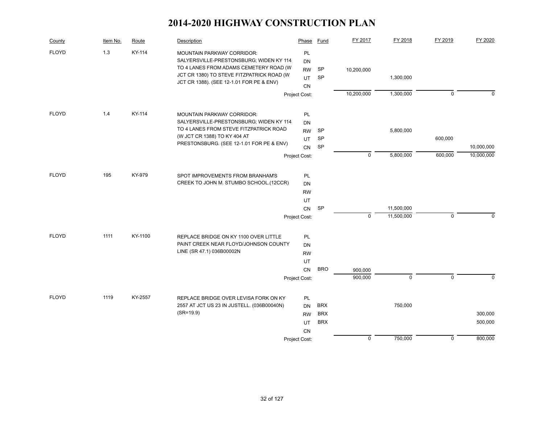| County       | Item No. | Route   | Description                                                                  | Phase         | Fund       | FY 2017     | FY 2018     | FY 2019     | FY 2020     |
|--------------|----------|---------|------------------------------------------------------------------------------|---------------|------------|-------------|-------------|-------------|-------------|
| <b>FLOYD</b> | 1.3      | KY-114  | <b>MOUNTAIN PARKWAY CORRIDOR:</b><br>SALYERSVILLE-PRESTONSBURG; WIDEN KY 114 | PL<br>DN      |            |             |             |             |             |
|              |          |         | TO 4 LANES FROM ADAMS CEMETERY ROAD (W                                       | <b>RW</b>     | SP         | 10,200,000  |             |             |             |
|              |          |         | JCT CR 1380) TO STEVE FITZPATRICK ROAD (W                                    | UT            | SP         |             | 1,300,000   |             |             |
|              |          |         | JCT CR 1388). (SEE 12-1.01 FOR PE & ENV)                                     | CN            |            |             |             |             |             |
|              |          |         |                                                                              | Project Cost: |            | 10,200,000  | 1,300,000   | $\mathbf 0$ | $\mathbf 0$ |
| <b>FLOYD</b> | 1.4      | KY-114  | MOUNTAIN PARKWAY CORRIDOR:                                                   | <b>PL</b>     |            |             |             |             |             |
|              |          |         | SALYERSVILLE-PRESTONSBURG; WIDEN KY 114                                      | DN            |            |             |             |             |             |
|              |          |         | TO 4 LANES FROM STEVE FITZPATRICK ROAD                                       | <b>RW</b>     | <b>SP</b>  |             | 5,800,000   |             |             |
|              |          |         | (W JCT CR 1388) TO KY 404 AT                                                 | UT.           | <b>SP</b>  |             |             | 600,000     |             |
|              |          |         | PRESTONSBURG. (SEE 12-1.01 FOR PE & ENV)                                     | <b>CN</b>     | SP         |             |             |             | 10,000,000  |
|              |          |         |                                                                              | Project Cost: |            | $\mathbf 0$ | 5,800,000   | 600,000     | 10,000,000  |
| <b>FLOYD</b> | 195      | KY-979  | SPOT IMPROVEMENTS FROM BRANHAM'S                                             | PL            |            |             |             |             |             |
|              |          |         | CREEK TO JOHN M. STUMBO SCHOOL.(12CCR)                                       | DN            |            |             |             |             |             |
|              |          |         |                                                                              | <b>RW</b>     |            |             |             |             |             |
|              |          |         |                                                                              | UT            |            |             |             |             |             |
|              |          |         |                                                                              | CN            | <b>SP</b>  |             | 11.500.000  |             |             |
|              |          |         |                                                                              | Project Cost: |            | $\mathbf 0$ | 11,500,000  | $\mathbf 0$ | $\Omega$    |
| <b>FLOYD</b> | 1111     | KY-1100 | REPLACE BRIDGE ON KY 1100 OVER LITTLE                                        | PL            |            |             |             |             |             |
|              |          |         | PAINT CREEK NEAR FLOYD/JOHNSON COUNTY                                        | <b>DN</b>     |            |             |             |             |             |
|              |          |         | LINE (SR 47.1) 036B00002N                                                    | <b>RW</b>     |            |             |             |             |             |
|              |          |         |                                                                              | UT            |            |             |             |             |             |
|              |          |         |                                                                              | CN            | <b>BRO</b> | 900,000     |             |             |             |
|              |          |         |                                                                              | Project Cost: |            | 900,000     | $\mathbf 0$ | $\Omega$    | $\Omega$    |
| <b>FLOYD</b> | 1119     | KY-2557 | REPLACE BRIDGE OVER LEVISA FORK ON KY                                        | <b>PL</b>     |            |             |             |             |             |
|              |          |         | 2557 AT JCT US 23 IN JUSTELL. (036B00040N)                                   | <b>DN</b>     | <b>BRX</b> |             | 750,000     |             |             |
|              |          |         | $(SR = 19.9)$                                                                | <b>RW</b>     | <b>BRX</b> |             |             |             | 300,000     |
|              |          |         |                                                                              | <b>UT</b>     | <b>BRX</b> |             |             |             | 500,000     |
|              |          |         |                                                                              | <b>CN</b>     |            |             |             |             |             |
|              |          |         |                                                                              | Project Cost: |            | $\pmb{0}$   | 750,000     | $\mathbf 0$ | 800,000     |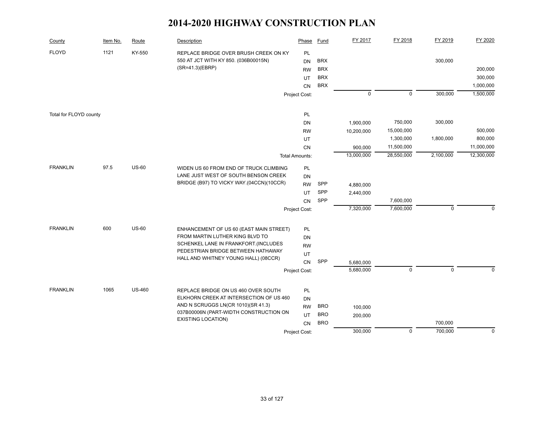| County                 | Item No. | Route         | Description                                                         | Phase                 | Fund                     | FY 2017     | FY 2018     | FY 2019     | FY 2020      |
|------------------------|----------|---------------|---------------------------------------------------------------------|-----------------------|--------------------------|-------------|-------------|-------------|--------------|
| <b>FLOYD</b>           | 1121     | KY-550        | REPLACE BRIDGE OVER BRUSH CREEK ON KY                               | PL                    |                          |             |             |             |              |
|                        |          |               | 550 AT JCT WITH KY 850. (036B00015N)<br>(SR=41.3)(EBRP)             | DN                    | <b>BRX</b><br><b>BRX</b> |             |             | 300,000     | 200,000      |
|                        |          |               |                                                                     | <b>RW</b><br>UT       | <b>BRX</b>               |             |             |             | 300,000      |
|                        |          |               |                                                                     | CN                    | <b>BRX</b>               |             |             |             | 1,000,000    |
|                        |          |               |                                                                     | Project Cost:         |                          | $\mathsf 0$ | $\mathsf 0$ | 300,000     | 1,500,000    |
|                        |          |               |                                                                     |                       |                          |             |             |             |              |
| Total for FLOYD county |          |               |                                                                     | PL                    |                          |             |             |             |              |
|                        |          |               |                                                                     | <b>DN</b>             |                          | 1,900,000   | 750,000     | 300,000     |              |
|                        |          |               |                                                                     | <b>RW</b>             |                          | 10,200,000  | 15,000,000  |             | 500,000      |
|                        |          |               |                                                                     | UT                    |                          |             | 1,300,000   | 1,800,000   | 800,000      |
|                        |          |               |                                                                     | <b>CN</b>             |                          | 900,000     | 11,500,000  |             | 11,000,000   |
|                        |          |               |                                                                     | <b>Total Amounts:</b> |                          | 13,000,000  | 28,550,000  | 2,100,000   | 12,300,000   |
| <b>FRANKLIN</b>        | 97.5     | <b>US-60</b>  | WIDEN US 60 FROM END OF TRUCK CLIMBING                              | PL                    |                          |             |             |             |              |
|                        |          |               | LANE JUST WEST OF SOUTH BENSON CREEK                                | <b>DN</b>             |                          |             |             |             |              |
|                        |          |               | BRIDGE (B97) TO VICKY WAY.(04CCN)(10CCR)                            | <b>RW</b>             | SPP                      | 4,880,000   |             |             |              |
|                        |          |               |                                                                     | UT                    | SPP                      | 2,440,000   |             |             |              |
|                        |          |               |                                                                     | CN                    | SPP                      |             | 7,600,000   |             |              |
|                        |          |               |                                                                     | Project Cost:         |                          | 7,320,000   | 7,600,000   | $\mathbf 0$ | $\mathbf{0}$ |
| <b>FRANKLIN</b>        | 600      | <b>US-60</b>  | ENHANCEMENT OF US 60 (EAST MAIN STREET)                             | PL                    |                          |             |             |             |              |
|                        |          |               | FROM MARTIN LUTHER KING BLVD TO                                     | DN                    |                          |             |             |             |              |
|                        |          |               | SCHENKEL LANE IN FRANKFORT.(INCLUDES                                | <b>RW</b>             |                          |             |             |             |              |
|                        |          |               | PEDESTRIAN BRIDGE BETWEEN HATHAWAY                                  | UT                    |                          |             |             |             |              |
|                        |          |               | HALL AND WHITNEY YOUNG HALL) (08CCR)                                | CN                    | SPP                      | 5,680,000   |             |             |              |
|                        |          |               |                                                                     | Project Cost:         |                          | 5,680,000   | $\mathsf 0$ | $\mathbf 0$ | $\Omega$     |
|                        |          |               |                                                                     |                       |                          |             |             |             |              |
| <b>FRANKLIN</b>        | 1065     | <b>US-460</b> | REPLACE BRIDGE ON US 460 OVER SOUTH                                 | PL                    |                          |             |             |             |              |
|                        |          |               | ELKHORN CREEK AT INTERSECTION OF US 460                             | <b>DN</b>             |                          |             |             |             |              |
|                        |          |               | AND N SCRUGGS LN(CR 1010)(SR 41.3)                                  | <b>RW</b>             | <b>BRO</b>               | 100,000     |             |             |              |
|                        |          |               | 037B00006N (PART-WIDTH CONSTRUCTION ON<br><b>EXISTING LOCATION)</b> | UT                    | <b>BRO</b>               | 200,000     |             |             |              |
|                        |          |               |                                                                     | CN                    | <b>BRO</b>               |             |             | 700,000     |              |
|                        |          |               |                                                                     | Project Cost:         |                          | 300,000     | $\mathsf 0$ | 700,000     | $\mathbf 0$  |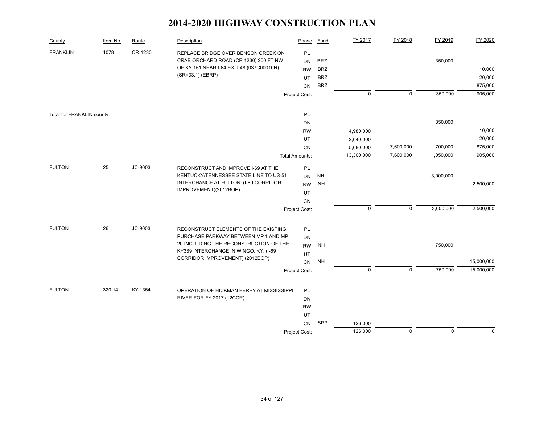| County                    | Item No. | Route   | Description                                                                                                                                                                                        | Phase                                    | Fund                                                 | FY 2017                | FY 2018     | FY 2019     | FY 2020                     |
|---------------------------|----------|---------|----------------------------------------------------------------------------------------------------------------------------------------------------------------------------------------------------|------------------------------------------|------------------------------------------------------|------------------------|-------------|-------------|-----------------------------|
| <b>FRANKLIN</b>           | 1078     | CR-1230 | REPLACE BRIDGE OVER BENSON CREEK ON<br>CRAB ORCHARD ROAD (CR 1230) 200 FT NW<br>OF KY 151 NEAR I-64 EXIT 48 (037C00010N)<br>(SR=33.1) (EBRP)                                                       | PL<br><b>DN</b><br><b>RW</b><br>UT<br>CN | <b>BRZ</b><br><b>BRZ</b><br><b>BRZ</b><br><b>BRZ</b> |                        |             | 350,000     | 10,000<br>20,000<br>875,000 |
|                           |          |         |                                                                                                                                                                                                    | Project Cost:                            |                                                      | $\mathsf 0$            | $\mathsf 0$ | 350,000     | 905,000                     |
| Total for FRANKLIN county |          |         |                                                                                                                                                                                                    | PL<br><b>DN</b>                          |                                                      |                        |             | 350,000     |                             |
|                           |          |         |                                                                                                                                                                                                    | <b>RW</b>                                |                                                      | 4,980,000              |             |             | 10,000                      |
|                           |          |         |                                                                                                                                                                                                    | UT<br><b>CN</b>                          |                                                      | 2,640,000<br>5,680,000 | 7,600,000   | 700,000     | 20,000<br>875,000           |
|                           |          |         |                                                                                                                                                                                                    | <b>Total Amounts:</b>                    |                                                      | 13,300,000             | 7,600,000   | 1,050,000   | 905,000                     |
| <b>FULTON</b>             | 25       | JC-9003 | RECONSTRUCT AND IMPROVE I-69 AT THE<br>KENTUCKY/TENNESSEE STATE LINE TO US-51<br>INTERCHANGE AT FULTON. (I-69 CORRIDOR<br>IMPROVEMENT)(2012BOP)                                                    | PL<br><b>DN</b><br><b>RW</b><br>UT<br>CN | $\mathsf{NH}\,$<br><b>NH</b>                         |                        |             | 3,000,000   | 2,500,000                   |
|                           |          |         |                                                                                                                                                                                                    | Project Cost:                            |                                                      | $\mathbf 0$            | $\mathbf 0$ | 3,000,000   | 2,500,000                   |
| <b>FULTON</b>             | 26       | JC-9003 | RECONSTRUCT ELEMENTS OF THE EXISTING<br>PURCHASE PARKWAY BETWEEN MP 1 AND MP<br>20 INCLUDING THE RECONSTRUCTION OF THE<br>KY339 INTERCHANGE IN WINGO, KY. (I-69<br>CORRIDOR IMPROVEMENT) (2012BOP) | PL<br>DN<br><b>RW</b><br>UT<br>CN        | <b>NH</b><br><b>NH</b>                               |                        |             | 750,000     | 15,000,000                  |
|                           |          |         |                                                                                                                                                                                                    | Project Cost:                            |                                                      | $\mathsf 0$            | $\mathsf 0$ | 750,000     | 15,000,000                  |
| <b>FULTON</b>             | 320.14   | KY-1354 | OPERATION OF HICKMAN FERRY AT MISSISSIPPI<br>RIVER FOR FY 2017.(12CCR)                                                                                                                             | PL<br>DN<br><b>RW</b><br>UT<br><b>CN</b> | SPP                                                  | 126,000<br>126,000     | $\mathbf 0$ | $\mathbf 0$ | $\mathbf 0$                 |
|                           |          |         |                                                                                                                                                                                                    | Project Cost:                            |                                                      |                        |             |             |                             |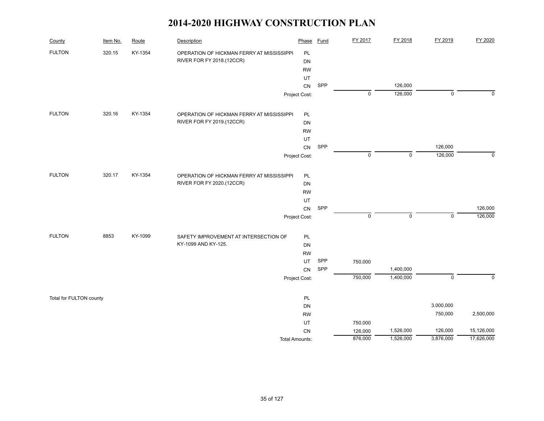| County                  | Item No. | Route   | Description                               | Phase         | <b>Fund</b> | FY 2017            | FY 2018                | FY 2019              | FY 2020                  |
|-------------------------|----------|---------|-------------------------------------------|---------------|-------------|--------------------|------------------------|----------------------|--------------------------|
| <b>FULTON</b>           | 320.15   | KY-1354 | OPERATION OF HICKMAN FERRY AT MISSISSIPPI | PL            |             |                    |                        |                      |                          |
|                         |          |         | RIVER FOR FY 2018.(12CCR)                 | DN            |             |                    |                        |                      |                          |
|                         |          |         |                                           | <b>RW</b>     |             |                    |                        |                      |                          |
|                         |          |         |                                           | UT            |             |                    |                        |                      |                          |
|                         |          |         |                                           | CN            | SPP         |                    | 126,000                |                      |                          |
|                         |          |         |                                           | Project Cost: |             | $\mathsf 0$        | 126,000                | $\pmb{0}$            | $\mathbf 0$              |
| <b>FULTON</b>           | 320.16   | KY-1354 | OPERATION OF HICKMAN FERRY AT MISSISSIPPI | PL            |             |                    |                        |                      |                          |
|                         |          |         | RIVER FOR FY 2019.(12CCR)                 | DN            |             |                    |                        |                      |                          |
|                         |          |         |                                           | <b>RW</b>     |             |                    |                        |                      |                          |
|                         |          |         |                                           | UT            |             |                    |                        |                      |                          |
|                         |          |         |                                           | CN            | SPP         |                    |                        | 126,000              |                          |
|                         |          |         |                                           | Project Cost: |             | $\mathsf 0$        | $\mathsf 0$            | 126,000              | $\pmb{0}$                |
| <b>FULTON</b>           | 320.17   | KY-1354 | OPERATION OF HICKMAN FERRY AT MISSISSIPPI | PL            |             |                    |                        |                      |                          |
|                         |          |         | RIVER FOR FY 2020.(12CCR)                 | DN            |             |                    |                        |                      |                          |
|                         |          |         |                                           | <b>RW</b>     |             |                    |                        |                      |                          |
|                         |          |         |                                           | UT            |             |                    |                        |                      |                          |
|                         |          |         |                                           | CN            | SPP         |                    |                        |                      | 126,000                  |
|                         |          |         |                                           | Project Cost: |             | $\pmb{0}$          | $\mathbf 0$            | $\pmb{0}$            | 126,000                  |
| <b>FULTON</b>           | 8853     | KY-1099 | SAFETY IMPROVEMENT AT INTERSECTION OF     | PL            |             |                    |                        |                      |                          |
|                         |          |         | KY-1099 AND KY-125.                       | DN            |             |                    |                        |                      |                          |
|                         |          |         |                                           | <b>RW</b>     |             |                    |                        |                      |                          |
|                         |          |         |                                           | UT            | SPP         | 750,000            |                        |                      |                          |
|                         |          |         |                                           | CN            | SPP         | 750,000            | 1,400,000<br>1,400,000 | $\overline{0}$       | $\mathbf 0$              |
|                         |          |         |                                           | Project Cost: |             |                    |                        |                      |                          |
| Total for FULTON county |          |         |                                           | PL            |             |                    |                        |                      |                          |
|                         |          |         |                                           | DN            |             |                    |                        | 3,000,000            |                          |
|                         |          |         |                                           | <b>RW</b>     |             |                    |                        | 750,000              | 2,500,000                |
|                         |          |         |                                           | UT            |             | 750,000            |                        |                      |                          |
|                         |          |         |                                           | CN            |             | 126,000<br>876,000 | 1,526,000<br>1,526,000 | 126,000<br>3,876,000 | 15,126,000<br>17,626,000 |
|                         |          |         | <b>Total Amounts:</b>                     |               |             |                    |                        |                      |                          |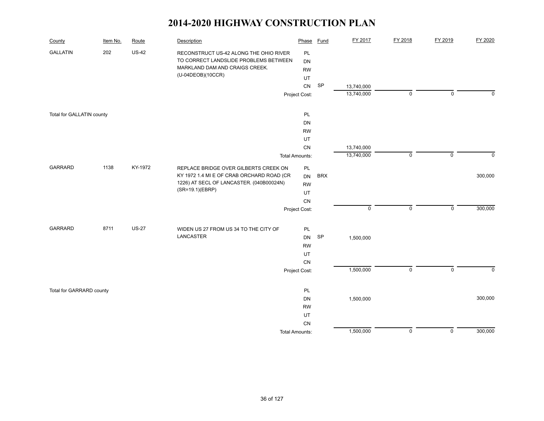| County                    | Item No. | Route        | Description                                                             | Phase                 | <b>Fund</b> | FY 2017                  | FY 2018        | FY 2019             | FY 2020     |
|---------------------------|----------|--------------|-------------------------------------------------------------------------|-----------------------|-------------|--------------------------|----------------|---------------------|-------------|
| <b>GALLATIN</b>           | 202      | $US-42$      | RECONSTRUCT US-42 ALONG THE OHIO RIVER                                  | PL                    |             |                          |                |                     |             |
|                           |          |              | TO CORRECT LANDSLIDE PROBLEMS BETWEEN<br>MARKLAND DAM AND CRAIGS CREEK. | DN                    |             |                          |                |                     |             |
|                           |          |              | (U-04DEOB)(10CCR)                                                       | <b>RW</b>             |             |                          |                |                     |             |
|                           |          |              |                                                                         | UT<br>${\sf CN}$      | SP          |                          |                |                     |             |
|                           |          |              |                                                                         | Project Cost:         |             | 13,740,000<br>13,740,000 | $\mathbf 0$    | $\mathsf 0$         | $\mathbf 0$ |
|                           |          |              |                                                                         |                       |             |                          |                |                     |             |
| Total for GALLATIN county |          |              |                                                                         | PL                    |             |                          |                |                     |             |
|                           |          |              |                                                                         | DN                    |             |                          |                |                     |             |
|                           |          |              |                                                                         | <b>RW</b>             |             |                          |                |                     |             |
|                           |          |              |                                                                         | UT                    |             |                          |                |                     |             |
|                           |          |              |                                                                         | ${\sf CN}$            |             | 13,740,000               |                |                     |             |
|                           |          |              |                                                                         | <b>Total Amounts:</b> |             | 13,740,000               | $\mathbf 0$    | $\mathsf{O}\xspace$ | $\mathbf 0$ |
| <b>GARRARD</b>            | 1138     | KY-1972      | REPLACE BRIDGE OVER GILBERTS CREEK ON                                   | PL                    |             |                          |                |                     |             |
|                           |          |              | KY 1972 1.4 MI E OF CRAB ORCHARD ROAD (CR                               | <b>DN</b>             | <b>BRX</b>  |                          |                |                     | 300,000     |
|                           |          |              | 1226) AT SECL OF LANCASTER. (040B00024N)                                | <b>RW</b>             |             |                          |                |                     |             |
|                           |          |              | (SR=19.1)(EBRP)                                                         | UT                    |             |                          |                |                     |             |
|                           |          |              |                                                                         | CN                    |             |                          |                |                     |             |
|                           |          |              |                                                                         | Project Cost:         |             | $\pmb{0}$                | $\mathsf 0$    | $\mathbf 0$         | 300,000     |
| <b>GARRARD</b>            | 8711     | <b>US-27</b> | WIDEN US 27 FROM US 34 TO THE CITY OF                                   | PL                    |             |                          |                |                     |             |
|                           |          |              | LANCASTER                                                               | DN                    | SP          | 1,500,000                |                |                     |             |
|                           |          |              |                                                                         | <b>RW</b>             |             |                          |                |                     |             |
|                           |          |              |                                                                         | UT                    |             |                          |                |                     |             |
|                           |          |              |                                                                         | CN                    |             |                          |                |                     |             |
|                           |          |              |                                                                         | Project Cost:         |             | 1,500,000                | $\mathsf 0$    | $\mathsf 0$         | $\mathbf 0$ |
|                           |          |              |                                                                         |                       |             |                          |                |                     |             |
| Total for GARRARD county  |          |              |                                                                         | PL                    |             |                          |                |                     |             |
|                           |          |              |                                                                         | DN                    |             | 1,500,000                |                |                     | 300,000     |
|                           |          |              |                                                                         | <b>RW</b>             |             |                          |                |                     |             |
|                           |          |              |                                                                         | UT                    |             |                          |                |                     |             |
|                           |          |              |                                                                         | ${\sf CN}$            |             | 1,500,000                | $\overline{0}$ | $\overline{0}$      | 300,000     |
|                           |          |              |                                                                         | <b>Total Amounts:</b> |             |                          |                |                     |             |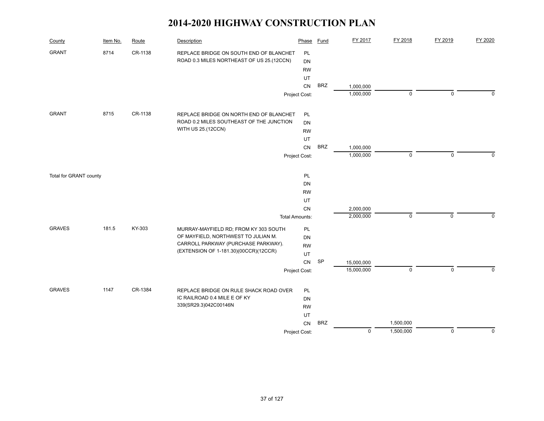| County                 | Item No. | Route   | Description                               | Phase                 | Fund       | FY 2017     | FY 2018     | FY 2019     | FY 2020     |
|------------------------|----------|---------|-------------------------------------------|-----------------------|------------|-------------|-------------|-------------|-------------|
| <b>GRANT</b>           | 8714     | CR-1138 | REPLACE BRIDGE ON SOUTH END OF BLANCHET   | PL                    |            |             |             |             |             |
|                        |          |         | ROAD 0.3 MILES NORTHEAST OF US 25.(12CCN) | DN                    |            |             |             |             |             |
|                        |          |         |                                           | <b>RW</b>             |            |             |             |             |             |
|                        |          |         |                                           | UT                    |            |             |             |             |             |
|                        |          |         |                                           | CN                    | <b>BRZ</b> | 1,000,000   |             |             |             |
|                        |          |         |                                           | Project Cost:         |            | 1,000,000   | $\mathbf 0$ | $\mathbf 0$ | $\Omega$    |
| <b>GRANT</b>           | 8715     | CR-1138 | REPLACE BRIDGE ON NORTH END OF BLANCHET   | PL                    |            |             |             |             |             |
|                        |          |         | ROAD 0.2 MILES SOUTHEAST OF THE JUNCTION  | <b>DN</b>             |            |             |             |             |             |
|                        |          |         | WITH US 25.(12CCN)                        | <b>RW</b>             |            |             |             |             |             |
|                        |          |         |                                           | UT                    |            |             |             |             |             |
|                        |          |         |                                           | <b>CN</b>             | <b>BRZ</b> | 1,000,000   |             |             |             |
|                        |          |         |                                           | Project Cost:         |            | 1,000,000   | $\mathbf 0$ | $\mathbf 0$ | 0           |
|                        |          |         |                                           |                       |            |             |             |             |             |
| Total for GRANT county |          |         |                                           | PL                    |            |             |             |             |             |
|                        |          |         |                                           | DN                    |            |             |             |             |             |
|                        |          |         |                                           | <b>RW</b>             |            |             |             |             |             |
|                        |          |         |                                           | UT                    |            |             |             |             |             |
|                        |          |         |                                           | CN                    |            | 2,000,000   |             |             |             |
|                        |          |         |                                           | <b>Total Amounts:</b> |            | 2,000,000   | $\mathbf 0$ | $\mathbf 0$ | $\mathbf 0$ |
| <b>GRAVES</b>          | 181.5    | KY-303  | MURRAY-MAYFIELD RD; FROM KY 303 SOUTH     | PL                    |            |             |             |             |             |
|                        |          |         | OF MAYFIELD, NORTHWEST TO JULIAN M.       | DN                    |            |             |             |             |             |
|                        |          |         | CARROLL PARKWAY (PURCHASE PARKWAY).       | <b>RW</b>             |            |             |             |             |             |
|                        |          |         | (EXTENSION OF 1-181.30)(00CCR)(12CCR)     | UT                    |            |             |             |             |             |
|                        |          |         |                                           | CN                    | SP         | 15,000,000  |             |             |             |
|                        |          |         |                                           | Project Cost:         |            | 15,000,000  | $\mathsf 0$ | $\mathbf 0$ | $\Omega$    |
| <b>GRAVES</b>          | 1147     | CR-1384 | REPLACE BRIDGE ON RULE SHACK ROAD OVER    | PL                    |            |             |             |             |             |
|                        |          |         | IC RAILROAD 0.4 MILE E OF KY              | <b>DN</b>             |            |             |             |             |             |
|                        |          |         | 339(SR29.3)042C00146N                     | <b>RW</b>             |            |             |             |             |             |
|                        |          |         |                                           | UT                    |            |             |             |             |             |
|                        |          |         |                                           | CN                    | <b>BRZ</b> |             | 1,500,000   |             |             |
|                        |          |         |                                           | Project Cost:         |            | $\mathsf 0$ | 1,500,000   | $\mathsf 0$ | 0           |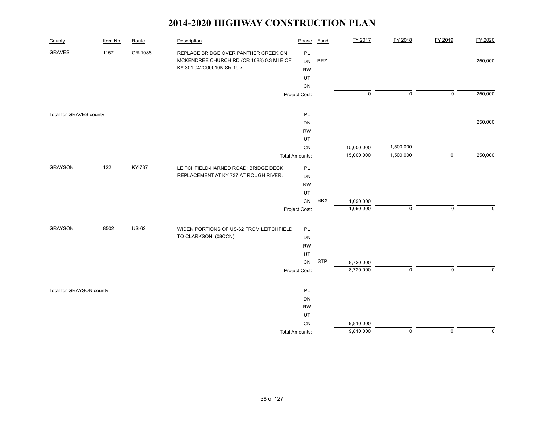| County                   | Item No. | Route        | Description                               | Phase                 | <b>Fund</b> | FY 2017     | FY 2018        | FY 2019        | FY 2020     |
|--------------------------|----------|--------------|-------------------------------------------|-----------------------|-------------|-------------|----------------|----------------|-------------|
| <b>GRAVES</b>            | 1157     | CR-1088      | REPLACE BRIDGE OVER PANTHER CREEK ON      | PL                    |             |             |                |                |             |
|                          |          |              | MCKENDREE CHURCH RD (CR 1088) 0.3 MI E OF | DN                    | <b>BRZ</b>  |             |                |                | 250,000     |
|                          |          |              | KY 301 042C00010N SR 19.7                 | <b>RW</b>             |             |             |                |                |             |
|                          |          |              |                                           | UT                    |             |             |                |                |             |
|                          |          |              |                                           | CN                    |             |             |                |                |             |
|                          |          |              |                                           | Project Cost:         |             | $\mathsf 0$ | $\mathsf 0$    | $\mathsf 0$    | 250,000     |
| Total for GRAVES county  |          |              |                                           | PL                    |             |             |                |                |             |
|                          |          |              |                                           | DN                    |             |             |                |                | 250,000     |
|                          |          |              |                                           | <b>RW</b>             |             |             |                |                |             |
|                          |          |              |                                           | UT                    |             |             |                |                |             |
|                          |          |              |                                           | CN                    |             | 15,000,000  | 1,500,000      |                |             |
|                          |          |              |                                           | <b>Total Amounts:</b> |             | 15,000,000  | 1,500,000      | $\mathsf 0$    | 250,000     |
| <b>GRAYSON</b>           | 122      | KY-737       | LEITCHFIELD-HARNED ROAD; BRIDGE DECK      | PL                    |             |             |                |                |             |
|                          |          |              | REPLACEMENT AT KY 737 AT ROUGH RIVER.     | DN                    |             |             |                |                |             |
|                          |          |              |                                           | <b>RW</b>             |             |             |                |                |             |
|                          |          |              |                                           | UT                    |             |             |                |                |             |
|                          |          |              |                                           | CN                    | <b>BRX</b>  | 1,090,000   |                |                |             |
|                          |          |              |                                           | Project Cost:         |             | 1,090,000   | $\mathsf 0$    | $\mathsf 0$    | $\mathbf 0$ |
| <b>GRAYSON</b>           | 8502     | <b>US-62</b> | WIDEN PORTIONS OF US-62 FROM LEITCHFIELD  | PL                    |             |             |                |                |             |
|                          |          |              | TO CLARKSON. (08CCN)                      | DN                    |             |             |                |                |             |
|                          |          |              |                                           | <b>RW</b>             |             |             |                |                |             |
|                          |          |              |                                           | UT                    |             |             |                |                |             |
|                          |          |              |                                           | CN                    | <b>STP</b>  | 8,720,000   |                |                |             |
|                          |          |              |                                           | Project Cost:         |             | 8,720,000   | $\mathsf 0$    | $\mathbf 0$    | $\mathbf 0$ |
| Total for GRAYSON county |          |              |                                           | PL                    |             |             |                |                |             |
|                          |          |              |                                           | DN                    |             |             |                |                |             |
|                          |          |              |                                           | <b>RW</b>             |             |             |                |                |             |
|                          |          |              |                                           | UT                    |             |             |                |                |             |
|                          |          |              |                                           | CN                    |             | 9,810,000   |                |                |             |
|                          |          |              |                                           | <b>Total Amounts:</b> |             | 9,810,000   | $\overline{0}$ | $\overline{0}$ | $\mathbf 0$ |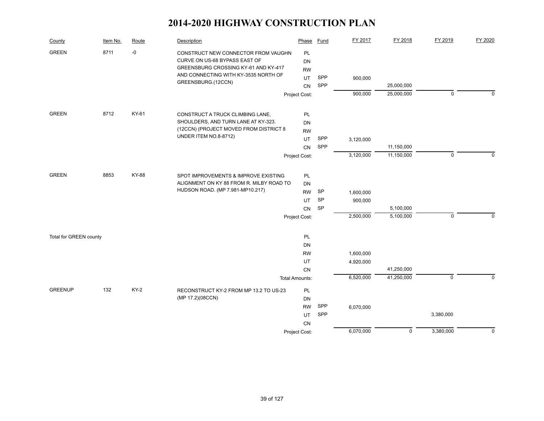| County                 | Item No. | Route        | Description                                                                                                  | Phase                 | <b>Fund</b> | FY 2017   | FY 2018    | FY 2019        | FY 2020     |
|------------------------|----------|--------------|--------------------------------------------------------------------------------------------------------------|-----------------------|-------------|-----------|------------|----------------|-------------|
| <b>GREEN</b>           | 8711     | $-0$         | CONSTRUCT NEW CONNECTOR FROM VAUGHN<br>CURVE ON US-68 BYPASS EAST OF<br>GREENSBURG CROSSING KY-61 AND KY-417 | PL<br>DN<br><b>RW</b> |             |           |            |                |             |
|                        |          |              | AND CONNECTING WITH KY-3535 NORTH OF                                                                         | UT.                   | SPP         | 900,000   |            |                |             |
|                        |          |              | GREENSBURG.(12CCN)                                                                                           | <b>CN</b>             | SPP         |           | 25,000,000 |                |             |
|                        |          |              |                                                                                                              | Project Cost:         |             | 900,000   | 25,000,000 | $\mathbf 0$    | $\Omega$    |
| <b>GREEN</b>           | 8712     | KY-61        | CONSTRUCT A TRUCK CLIMBING LANE,                                                                             | PL                    |             |           |            |                |             |
|                        |          |              | SHOULDERS, AND TURN LANE AT KY-323.                                                                          | DN                    |             |           |            |                |             |
|                        |          |              | (12CCN) (PROJECT MOVED FROM DISTRICT 8                                                                       | <b>RW</b>             |             |           |            |                |             |
|                        |          |              | UNDER ITEM NO.8-8712)                                                                                        | UT.                   | SPP         | 3,120,000 |            |                |             |
|                        |          |              |                                                                                                              | <b>CN</b>             | SPP         |           | 11,150,000 |                |             |
|                        |          |              |                                                                                                              | Project Cost:         |             | 3,120,000 | 11,150,000 | $\pmb{0}$      | $\mathbf 0$ |
| <b>GREEN</b>           | 8853     | <b>KY-88</b> | SPOT IMPROVEMENTS & IMPROVE EXISTING                                                                         | PL                    |             |           |            |                |             |
|                        |          |              | ALIGNMENT ON KY 88 FROM R. MILBY ROAD TO                                                                     | DN                    |             |           |            |                |             |
|                        |          |              | HUDSON ROAD. (MP 7.981-MP10.217)                                                                             | <b>RW</b>             | SP          | 1,600,000 |            |                |             |
|                        |          |              |                                                                                                              | UT                    | SP          | 900,000   |            |                |             |
|                        |          |              |                                                                                                              | CN                    | <b>SP</b>   |           | 5,100,000  |                |             |
|                        |          |              |                                                                                                              | Project Cost:         |             | 2,500,000 | 5,100,000  | $\mathbf 0$    | $\mathbf 0$ |
| Total for GREEN county |          |              |                                                                                                              | PL.                   |             |           |            |                |             |
|                        |          |              |                                                                                                              | DN                    |             |           |            |                |             |
|                        |          |              |                                                                                                              | <b>RW</b>             |             | 1,600,000 |            |                |             |
|                        |          |              |                                                                                                              | UT                    |             | 4,920,000 |            |                |             |
|                        |          |              |                                                                                                              | <b>CN</b>             |             |           | 41,250,000 |                |             |
|                        |          |              |                                                                                                              | <b>Total Amounts:</b> |             | 6,520,000 | 41,250,000 | $\overline{0}$ | $\mathbf 0$ |
| <b>GREENUP</b>         | 132      | <b>KY-2</b>  | RECONSTRUCT KY-2 FROM MP 13.2 TO US-23                                                                       | PL                    |             |           |            |                |             |
|                        |          |              | (MP 17.2)(08CCN)                                                                                             | <b>DN</b>             |             |           |            |                |             |
|                        |          |              |                                                                                                              | <b>RW</b>             | SPP         | 6,070,000 |            |                |             |
|                        |          |              |                                                                                                              | UT                    | SPP         |           |            | 3,380,000      |             |
|                        |          |              |                                                                                                              | CN                    |             |           |            |                |             |
|                        |          |              |                                                                                                              | Project Cost:         |             | 6,070,000 | 0          | 3,380,000      | $\mathbf 0$ |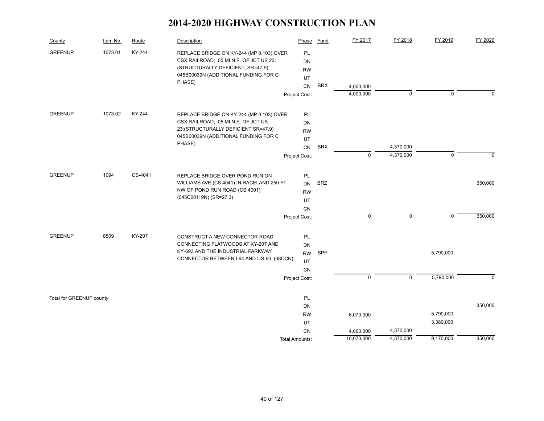| County                   | Item No. | Route   | Description                                    | Phase                 | Fund       | FY 2017     | FY 2018     | FY 2019     | FY 2020  |
|--------------------------|----------|---------|------------------------------------------------|-----------------------|------------|-------------|-------------|-------------|----------|
| <b>GREENUP</b>           | 1073.01  | KY-244  | REPLACE BRIDGE ON KY-244 (MP 0.103) OVER       | <b>PL</b>             |            |             |             |             |          |
|                          |          |         | CSX RAILROAD; .05 MI N.E. OF JCT US 23;        | DN                    |            |             |             |             |          |
|                          |          |         | (STRUCTURALLY DEFICIENT, SR=47.9)              | <b>RW</b>             |            |             |             |             |          |
|                          |          |         | 045B00039N (ADDITIONAL FUNDING FOR C<br>PHASE) | UT                    |            |             |             |             |          |
|                          |          |         |                                                | <b>CN</b>             | <b>BRX</b> | 4,000,000   |             |             |          |
|                          |          |         |                                                | Project Cost:         |            | 4,000,000   | $\mathbf 0$ | $\mathbf 0$ | $\Omega$ |
| <b>GREENUP</b>           | 1073.02  | KY-244  | REPLACE BRIDGE ON KY-244 (MP 0.103) OVER       | <b>PL</b>             |            |             |             |             |          |
|                          |          |         | CSX RAILROAD; .05 MI N.E. OF JCT US            | DN                    |            |             |             |             |          |
|                          |          |         | 23; (STRUCTURALLY DEFICIENT SR=47.9)           | <b>RW</b>             |            |             |             |             |          |
|                          |          |         | 045B00039N (ADDITIONAL FUNDING FOR C           | UT                    |            |             |             |             |          |
|                          |          |         | PHASE)                                         | <b>CN</b>             | <b>BRX</b> |             | 4,370,000   |             |          |
|                          |          |         |                                                | Project Cost:         |            | $\Omega$    | 4,370,000   | $\mathbf 0$ | $\Omega$ |
|                          |          |         |                                                |                       |            |             |             |             |          |
| <b>GREENUP</b>           | 1094     | CS-4041 | REPLACE BRIDGE OVER POND RUN ON                | PL                    |            |             |             |             |          |
|                          |          |         | WILLIAMS AVE (CS 4041) IN RACELAND 250 FT      | <b>DN</b>             | <b>BRZ</b> |             |             |             | 350,000  |
|                          |          |         | NW OF POND RUN ROAD (CS 4001)                  | <b>RW</b>             |            |             |             |             |          |
|                          |          |         | (045C00119N) (SR=27.3)                         | UT                    |            |             |             |             |          |
|                          |          |         |                                                | <b>CN</b>             |            |             |             |             |          |
|                          |          |         |                                                | Project Cost:         |            | $\pmb{0}$   | $\mathsf 0$ | $\mathbf 0$ | 350,000  |
| <b>GREENUP</b>           | 8509     | KY-207  | CONSTRUCT A NEW CONNECTOR ROAD                 | <b>PL</b>             |            |             |             |             |          |
|                          |          |         | CONNECTING FLATWOODS AT KY-207 AND             | DN                    |            |             |             |             |          |
|                          |          |         | KY-693 AND THE INDUSTRIAL PARKWAY              | <b>RW</b>             | SPP        |             |             | 5,790,000   |          |
|                          |          |         | CONNECTOR BETWEEN I-64 AND US-60. (08CCN)      | UT                    |            |             |             |             |          |
|                          |          |         |                                                | CN                    |            |             |             |             |          |
|                          |          |         |                                                | Project Cost:         |            | $\mathbf 0$ | $\mathbf 0$ | 5,790,000   | $\Omega$ |
|                          |          |         |                                                |                       |            |             |             |             |          |
| Total for GREENUP county |          |         |                                                | PL                    |            |             |             |             |          |
|                          |          |         |                                                | DN                    |            |             |             |             | 350,000  |
|                          |          |         |                                                | <b>RW</b>             |            | 6,070,000   |             | 5,790,000   |          |
|                          |          |         |                                                | UT                    |            |             |             | 3,380,000   |          |
|                          |          |         |                                                | <b>CN</b>             |            | 4,000,000   | 4,370,000   |             |          |
|                          |          |         |                                                | <b>Total Amounts:</b> |            | 10,070,000  | 4,370,000   | 9,170,000   | 350,000  |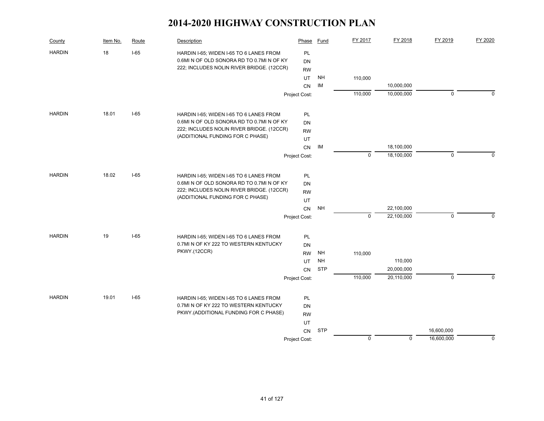| County        | Item No. | Route  | Description                               | Phase         | Fund       | FY 2017     | FY 2018    | FY 2019     | FY 2020  |
|---------------|----------|--------|-------------------------------------------|---------------|------------|-------------|------------|-------------|----------|
| <b>HARDIN</b> | 18       | $I-65$ | HARDIN I-65; WIDEN I-65 TO 6 LANES FROM   | PL            |            |             |            |             |          |
|               |          |        | 0.6MI N OF OLD SONORA RD TO 0.7MI N OF KY | DN            |            |             |            |             |          |
|               |          |        | 222; INCLUDES NOLIN RIVER BRIDGE. (12CCR) | <b>RW</b>     |            |             |            |             |          |
|               |          |        |                                           | UT            | <b>NH</b>  | 110,000     |            |             |          |
|               |          |        |                                           | CN            | IM         |             | 10,000,000 |             |          |
|               |          |        |                                           | Project Cost: |            | 110,000     | 10,000,000 | $\mathbf 0$ | $\Omega$ |
| <b>HARDIN</b> | 18.01    | $I-65$ | HARDIN I-65; WIDEN I-65 TO 6 LANES FROM   | PL            |            |             |            |             |          |
|               |          |        | 0.6MI N OF OLD SONORA RD TO 0.7MI N OF KY | <b>DN</b>     |            |             |            |             |          |
|               |          |        | 222; INCLUDES NOLIN RIVER BRIDGE. (12CCR) | <b>RW</b>     |            |             |            |             |          |
|               |          |        | (ADDITIONAL FUNDING FOR C PHASE)          | UT            |            |             |            |             |          |
|               |          |        |                                           | CN            | IM         |             | 18,100,000 |             |          |
|               |          |        |                                           | Project Cost: |            | $\mathbf 0$ | 18,100,000 | $\mathbf 0$ | $\Omega$ |
| <b>HARDIN</b> | 18.02    | $I-65$ | HARDIN I-65; WIDEN I-65 TO 6 LANES FROM   | PL            |            |             |            |             |          |
|               |          |        | 0.6MI N OF OLD SONORA RD TO 0.7MI N OF KY | DN            |            |             |            |             |          |
|               |          |        | 222; INCLUDES NOLIN RIVER BRIDGE. (12CCR) | <b>RW</b>     |            |             |            |             |          |
|               |          |        | (ADDITIONAL FUNDING FOR C PHASE)          | UT            |            |             |            |             |          |
|               |          |        |                                           | <b>CN</b>     | <b>NH</b>  |             | 22,100,000 |             |          |
|               |          |        |                                           | Project Cost: |            | $\mathbf 0$ | 22,100,000 | $\mathsf 0$ | $\Omega$ |
| <b>HARDIN</b> | 19       | $I-65$ | HARDIN I-65; WIDEN I-65 TO 6 LANES FROM   | PL            |            |             |            |             |          |
|               |          |        | 0.7MI N OF KY 222 TO WESTERN KENTUCKY     | DN            |            |             |            |             |          |
|               |          |        | PKWY.(12CCR)                              | <b>RW</b>     | <b>NH</b>  | 110,000     |            |             |          |
|               |          |        |                                           | <b>UT</b>     | <b>NH</b>  |             | 110,000    |             |          |
|               |          |        |                                           | <b>CN</b>     | <b>STP</b> |             | 20,000,000 |             |          |
|               |          |        |                                           | Project Cost: |            | 110,000     | 20,110,000 | $\mathbf 0$ | $\Omega$ |
| <b>HARDIN</b> | 19.01    | $I-65$ | HARDIN I-65; WIDEN I-65 TO 6 LANES FROM   | PL            |            |             |            |             |          |
|               |          |        | 0.7MI N OF KY 222 TO WESTERN KENTUCKY     | DN            |            |             |            |             |          |
|               |          |        | PKWY.(ADDITIONAL FUNDING FOR C PHASE)     | <b>RW</b>     |            |             |            |             |          |
|               |          |        |                                           | UT            |            |             |            |             |          |
|               |          |        |                                           | <b>CN</b>     | <b>STP</b> |             |            | 16,600,000  |          |
|               |          |        |                                           | Project Cost: |            | 0           | 0          | 16,600,000  | 0        |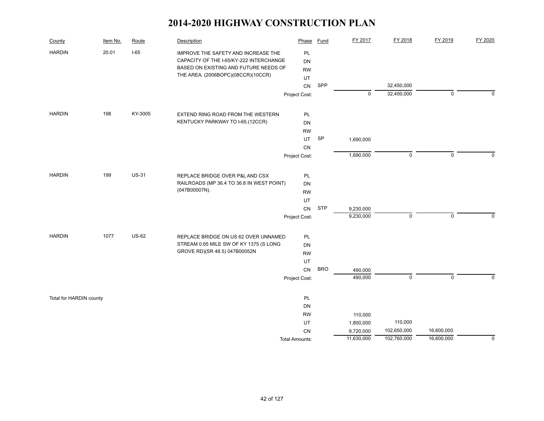| County                  | Item No. | Route        | Description                                                                 | Phase                 | Fund       | FY 2017    | FY 2018     | FY 2019        | FY 2020     |
|-------------------------|----------|--------------|-----------------------------------------------------------------------------|-----------------------|------------|------------|-------------|----------------|-------------|
| <b>HARDIN</b>           | 20.01    | $I-65$       | IMPROVE THE SAFETY AND INCREASE THE                                         | PL                    |            |            |             |                |             |
|                         |          |              | CAPACITY OF THE I-65/KY-222 INTERCHANGE                                     | <b>DN</b>             |            |            |             |                |             |
|                         |          |              | BASED ON EXISTING AND FUTURE NEEDS OF<br>THE AREA. (2006BOPC)(08CCR)(10CCR) | <b>RW</b>             |            |            |             |                |             |
|                         |          |              |                                                                             | UT                    |            |            |             |                |             |
|                         |          |              |                                                                             | ${\sf CN}$            | SPP        |            | 32,450,000  |                |             |
|                         |          |              |                                                                             | Project Cost:         |            | 0          | 32,450,000  | $\mathbf 0$    | $\mathbf 0$ |
| <b>HARDIN</b>           | 198      | KY-3005      | EXTEND RING ROAD FROM THE WESTERN                                           | PL                    |            |            |             |                |             |
|                         |          |              | KENTUCKY PARKWAY TO I-65.(12CCR)                                            | DN                    |            |            |             |                |             |
|                         |          |              |                                                                             | <b>RW</b>             |            |            |             |                |             |
|                         |          |              |                                                                             | UT                    | <b>SP</b>  | 1,690,000  |             |                |             |
|                         |          |              |                                                                             | CN                    |            |            |             |                |             |
|                         |          |              |                                                                             | Project Cost:         |            | 1,690,000  | $\mathbf 0$ | $\mathbf 0$    | $\Omega$    |
| <b>HARDIN</b>           | 199      | <b>US-31</b> | REPLACE BRIDGE OVER P&L AND CSX                                             | PL                    |            |            |             |                |             |
|                         |          |              | RAILROADS (MP 36.4 TO 36.8 IN WEST POINT)                                   | <b>DN</b>             |            |            |             |                |             |
|                         |          |              | (047B00007N).                                                               | <b>RW</b>             |            |            |             |                |             |
|                         |          |              |                                                                             | UT                    |            |            |             |                |             |
|                         |          |              |                                                                             | CN                    | <b>STP</b> | 9,230,000  |             |                |             |
|                         |          |              |                                                                             | Project Cost:         |            | 9,230,000  | $\mathbf 0$ | $\mathbf 0$    | $\mathbf 0$ |
| <b>HARDIN</b>           | 1077     | <b>US-62</b> | REPLACE BRIDGE ON US 62 OVER UNNAMED                                        | PL                    |            |            |             |                |             |
|                         |          |              | STREAM 0.65 MILE SW OF KY 1375 (S LONG                                      | DN                    |            |            |             |                |             |
|                         |          |              | GROVE RD)(SR 48.5) 047B00052N                                               | <b>RW</b>             |            |            |             |                |             |
|                         |          |              |                                                                             | UT                    |            |            |             |                |             |
|                         |          |              |                                                                             | CN                    | <b>BRO</b> | 490,000    |             |                |             |
|                         |          |              |                                                                             | Project Cost:         |            | 490,000    | $\mathbf 0$ | $\overline{0}$ | $\Omega$    |
| Total for HARDIN county |          |              |                                                                             | PL                    |            |            |             |                |             |
|                         |          |              |                                                                             | DN                    |            |            |             |                |             |
|                         |          |              |                                                                             | <b>RW</b>             |            | 110,000    |             |                |             |
|                         |          |              |                                                                             | UT                    |            | 1,800,000  | 110,000     |                |             |
|                         |          |              |                                                                             | CN                    |            | 9,720,000  | 102,650,000 | 16,600,000     |             |
|                         |          |              |                                                                             | <b>Total Amounts:</b> |            | 11,630,000 | 102,760,000 | 16,600,000     | 0           |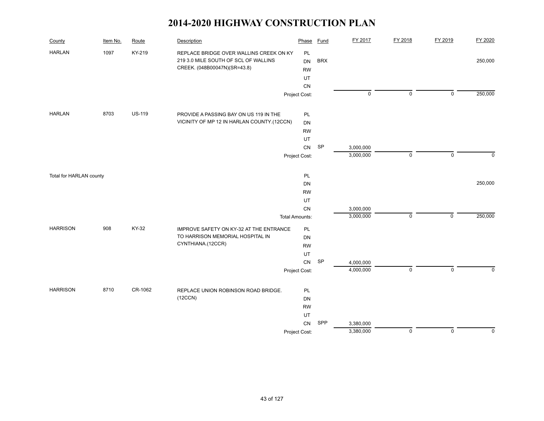| County                  | Item No. | Route         | Description                                                                                                     | Phase                 | <b>Fund</b> | FY 2017     | FY 2018     | FY 2019     | FY 2020     |
|-------------------------|----------|---------------|-----------------------------------------------------------------------------------------------------------------|-----------------------|-------------|-------------|-------------|-------------|-------------|
| <b>HARLAN</b>           | 1097     | KY-219        | REPLACE BRIDGE OVER WALLINS CREEK ON KY<br>219 3.0 MILE SOUTH OF SCL OF WALLINS<br>CREEK. (048B00047N)(SR=43.8) | PL<br>DN<br><b>RW</b> | <b>BRX</b>  |             |             |             | 250,000     |
|                         |          |               |                                                                                                                 | <b>UT</b>             |             |             |             |             |             |
|                         |          |               |                                                                                                                 | CN                    |             |             |             |             |             |
|                         |          |               |                                                                                                                 | Project Cost:         |             | $\mathsf 0$ | $\mathbf 0$ | $\pmb{0}$   | 250,000     |
| <b>HARLAN</b>           | 8703     | <b>US-119</b> | PROVIDE A PASSING BAY ON US 119 IN THE                                                                          | PL                    |             |             |             |             |             |
|                         |          |               | VICINITY OF MP 12 IN HARLAN COUNTY.(12CCN)                                                                      | DN                    |             |             |             |             |             |
|                         |          |               |                                                                                                                 | <b>RW</b>             |             |             |             |             |             |
|                         |          |               |                                                                                                                 | UT                    |             |             |             |             |             |
|                         |          |               |                                                                                                                 | ${\sf CN}$            | SP          | 3,000,000   |             |             |             |
|                         |          |               |                                                                                                                 | Project Cost:         |             | 3,000,000   | $\mathbf 0$ | 0           | $\mathbf 0$ |
| Total for HARLAN county |          |               |                                                                                                                 | PL                    |             |             |             |             |             |
|                         |          |               |                                                                                                                 | <b>DN</b>             |             |             |             |             | 250,000     |
|                         |          |               |                                                                                                                 | <b>RW</b>             |             |             |             |             |             |
|                         |          |               |                                                                                                                 | UT                    |             |             |             |             |             |
|                         |          |               |                                                                                                                 | CN                    |             | 3,000,000   |             |             |             |
|                         |          |               |                                                                                                                 | <b>Total Amounts:</b> |             | 3,000,000   | $\mathbf 0$ | $\mathsf 0$ | 250,000     |
| <b>HARRISON</b>         | 908      | KY-32         | IMPROVE SAFETY ON KY-32 AT THE ENTRANCE                                                                         | PL                    |             |             |             |             |             |
|                         |          |               | TO HARRISON MEMORIAL HOSPITAL IN                                                                                | DN                    |             |             |             |             |             |
|                         |          |               | CYNTHIANA.(12CCR)                                                                                               | <b>RW</b>             |             |             |             |             |             |
|                         |          |               |                                                                                                                 | UT                    |             |             |             |             |             |
|                         |          |               |                                                                                                                 | ${\sf CN}$            | <b>SP</b>   | 4,000,000   |             |             |             |
|                         |          |               |                                                                                                                 | Project Cost:         |             | 4,000,000   | $\mathsf 0$ | $\mathbf 0$ | $\Omega$    |
| <b>HARRISON</b>         | 8710     | CR-1062       | REPLACE UNION ROBINSON ROAD BRIDGE.                                                                             | PL                    |             |             |             |             |             |
|                         |          |               | (12CCN)                                                                                                         | DN                    |             |             |             |             |             |
|                         |          |               |                                                                                                                 | <b>RW</b>             |             |             |             |             |             |
|                         |          |               |                                                                                                                 | UT                    |             |             |             |             |             |
|                         |          |               |                                                                                                                 | ${\sf CN}$            | SPP         | 3,380,000   |             |             |             |
|                         |          |               |                                                                                                                 | Project Cost:         |             | 3,380,000   | $\mathsf 0$ | $\mathbf 0$ | $\pmb{0}$   |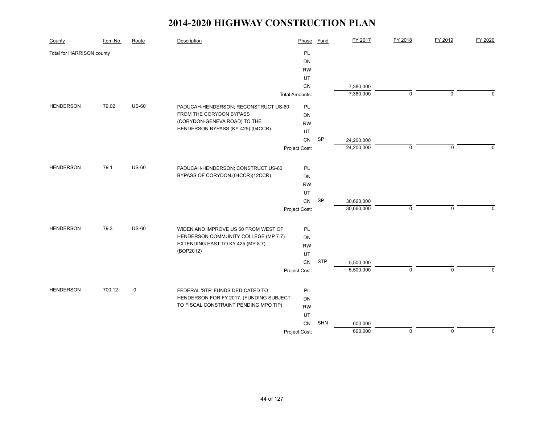| County                    | Item No. | Route   | Description                             | Phase                 | <b>Fund</b> | FY 2017    | FY 2018     | FY 2019     | FY 2020   |
|---------------------------|----------|---------|-----------------------------------------|-----------------------|-------------|------------|-------------|-------------|-----------|
| Total for HARRISON county |          |         |                                         | <b>PL</b>             |             |            |             |             |           |
|                           |          |         |                                         | DN                    |             |            |             |             |           |
|                           |          |         |                                         | <b>RW</b>             |             |            |             |             |           |
|                           |          |         |                                         | UT                    |             |            |             |             |           |
|                           |          |         |                                         | CN                    |             | 7,380,000  |             |             |           |
|                           |          |         |                                         | <b>Total Amounts:</b> |             | 7,380,000  | 0           | 0           | $\Omega$  |
| <b>HENDERSON</b>          | 79.02    | $US-60$ | PADUCAH-HENDERSON; RECONSTRUCT US-60    | PL                    |             |            |             |             |           |
|                           |          |         | FROM THE CORYDON BYPASS                 | DN                    |             |            |             |             |           |
|                           |          |         | (CORYDON-GENEVA ROAD) TO THE            | <b>RW</b>             |             |            |             |             |           |
|                           |          |         | HENDERSON BYPASS (KY-425).(04CCR)       | UT                    |             |            |             |             |           |
|                           |          |         |                                         | <b>CN</b>             | SP          | 24,200,000 |             |             |           |
|                           |          |         |                                         | Project Cost:         |             | 24,200,000 | $\mathbf 0$ | $\mathbf 0$ | $\Omega$  |
| <b>HENDERSON</b>          | 79.1     | $US-60$ | PADUCAH-HENDERSON; CONSTRUCT US-60      | PL                    |             |            |             |             |           |
|                           |          |         | BYPASS OF CORYDON.(04CCR)(12CCR)        | DN                    |             |            |             |             |           |
|                           |          |         |                                         | <b>RW</b>             |             |            |             |             |           |
|                           |          |         |                                         | UT                    |             |            |             |             |           |
|                           |          |         |                                         | CN                    | <b>SP</b>   | 30,660,000 |             |             |           |
|                           |          |         |                                         | Project Cost:         |             | 30,660,000 | $\mathbf 0$ | $\mathbf 0$ | $\Omega$  |
| <b>HENDERSON</b>          | 79.3     | $US-60$ | WIDEN AND IMPROVE US 60 FROM WEST OF    | PL                    |             |            |             |             |           |
|                           |          |         | HENDERSON COMMUNITY COLLEGE (MP 7.7)    | DN                    |             |            |             |             |           |
|                           |          |         | EXTENDING EAST TO KY 425 (MP 8.7).      | <b>RW</b>             |             |            |             |             |           |
|                           |          |         | (BOP2012)                               | UT                    |             |            |             |             |           |
|                           |          |         |                                         | CN                    | <b>STP</b>  | 5,500,000  |             |             |           |
|                           |          |         |                                         | Project Cost:         |             | 5,500,000  | $\mathsf 0$ | $\mathbf 0$ | 0         |
|                           |          |         |                                         |                       |             |            |             |             |           |
| <b>HENDERSON</b>          | 700.12   | $-0$    | FEDERAL 'STP' FUNDS DEDICATED TO        | PL                    |             |            |             |             |           |
|                           |          |         | HENDERSON FOR FY 2017. (FUNDING SUBJECT | DN                    |             |            |             |             |           |
|                           |          |         | TO FISCAL CONSTRAINT PENDING MPO TIP)   | <b>RW</b>             |             |            |             |             |           |
|                           |          |         |                                         | UT                    |             |            |             |             |           |
|                           |          |         |                                         | CN                    | <b>SHN</b>  | 600,000    |             |             |           |
|                           |          |         |                                         | Project Cost:         |             | 600,000    | $\mathsf 0$ | $\mathsf 0$ | $\pmb{0}$ |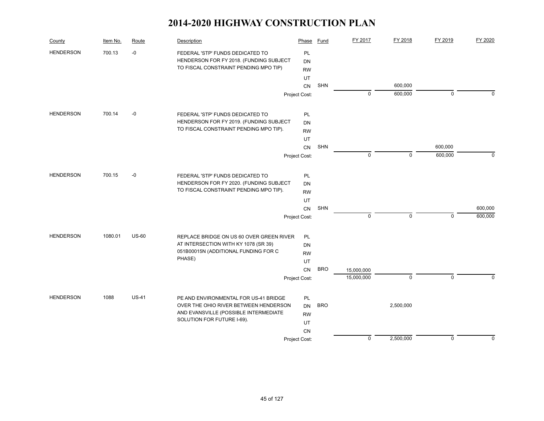| County           | Item No. | Route        | Description                              | Phase         | Fund       | FY 2017     | FY 2018     | FY 2019        | FY 2020     |
|------------------|----------|--------------|------------------------------------------|---------------|------------|-------------|-------------|----------------|-------------|
| <b>HENDERSON</b> | 700.13   | $-0$         | FEDERAL 'STP' FUNDS DEDICATED TO         | PL            |            |             |             |                |             |
|                  |          |              | HENDERSON FOR FY 2018. (FUNDING SUBJECT  | <b>DN</b>     |            |             |             |                |             |
|                  |          |              | TO FISCAL CONSTRAINT PENDING MPO TIP)    | <b>RW</b>     |            |             |             |                |             |
|                  |          |              |                                          | UT            |            |             |             |                |             |
|                  |          |              |                                          | CN            | SHN        |             | 600,000     |                |             |
|                  |          |              |                                          | Project Cost: |            | $\mathbf 0$ | 600,000     | $\mathbf 0$    | $\Omega$    |
| <b>HENDERSON</b> | 700.14   | $-0$         | FEDERAL 'STP' FUNDS DEDICATED TO         | PL            |            |             |             |                |             |
|                  |          |              | HENDERSON FOR FY 2019. (FUNDING SUBJECT  | <b>DN</b>     |            |             |             |                |             |
|                  |          |              | TO FISCAL CONSTRAINT PENDING MPO TIP).   | <b>RW</b>     |            |             |             |                |             |
|                  |          |              |                                          | UT            |            |             |             |                |             |
|                  |          |              |                                          | CN            | SHN        |             |             | 600,000        |             |
|                  |          |              |                                          | Project Cost: |            | $\mathbf 0$ | $\mathbf 0$ | 600,000        | $\mathbf 0$ |
|                  |          |              |                                          |               |            |             |             |                |             |
| <b>HENDERSON</b> | 700.15   | $-0$         | FEDERAL 'STP' FUNDS DEDICATED TO         | PL            |            |             |             |                |             |
|                  |          |              | HENDERSON FOR FY 2020. (FUNDING SUBJECT  | <b>DN</b>     |            |             |             |                |             |
|                  |          |              | TO FISCAL CONSTRAINT PENDING MPO TIP).   | <b>RW</b>     |            |             |             |                |             |
|                  |          |              |                                          | UT            |            |             |             |                |             |
|                  |          |              |                                          | CN            | SHN        |             |             |                | 600,000     |
|                  |          |              |                                          | Project Cost: |            | $\mathbf 0$ | $\mathbf 0$ | $\mathbf 0$    | 600,000     |
| <b>HENDERSON</b> | 1080.01  | <b>US-60</b> | REPLACE BRIDGE ON US 60 OVER GREEN RIVER | <b>PL</b>     |            |             |             |                |             |
|                  |          |              | AT INTERSECTION WITH KY 1078 (SR 39)     | DN            |            |             |             |                |             |
|                  |          |              | 051B00015N (ADDITIONAL FUNDING FOR C     | <b>RW</b>     |            |             |             |                |             |
|                  |          |              | PHASE)                                   | UT            |            |             |             |                |             |
|                  |          |              |                                          | <b>CN</b>     | <b>BRO</b> | 15,000,000  |             |                |             |
|                  |          |              |                                          | Project Cost: |            | 15,000,000  | $\mathbf 0$ | $\overline{0}$ | $\Omega$    |
| <b>HENDERSON</b> | 1088     | $US-41$      | PE AND ENVIRONMENTAL FOR US-41 BRIDGE    | PL            |            |             |             |                |             |
|                  |          |              | OVER THE OHIO RIVER BETWEEN HENDERSON    | <b>DN</b>     | <b>BRO</b> |             | 2,500,000   |                |             |
|                  |          |              | AND EVANSVILLE (POSSIBLE INTERMEDIATE    | <b>RW</b>     |            |             |             |                |             |
|                  |          |              | SOLUTION FOR FUTURE I-69).               | UT            |            |             |             |                |             |
|                  |          |              |                                          | CN            |            |             |             |                |             |
|                  |          |              |                                          | Project Cost: |            | $\mathbf 0$ | 2,500,000   | $\mathbf 0$    | $\pmb{0}$   |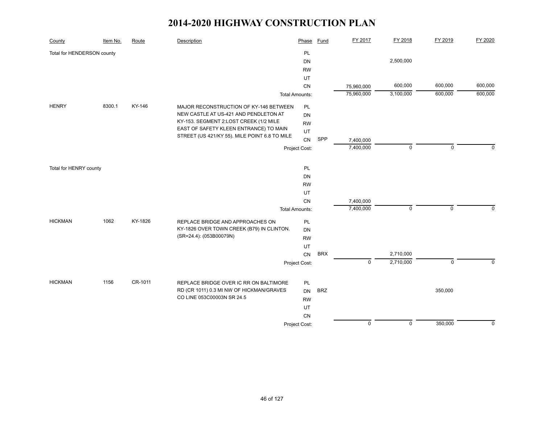| County                     | Item No. | Route   | Description                                   | Phase                 | Fund       | FY 2017     | FY 2018     | FY 2019     | FY 2020     |
|----------------------------|----------|---------|-----------------------------------------------|-----------------------|------------|-------------|-------------|-------------|-------------|
| Total for HENDERSON county |          |         |                                               | PL                    |            |             |             |             |             |
|                            |          |         |                                               | <b>DN</b>             |            |             | 2,500,000   |             |             |
|                            |          |         |                                               | <b>RW</b>             |            |             |             |             |             |
|                            |          |         |                                               | UT                    |            |             |             |             |             |
|                            |          |         |                                               | CN                    |            | 75,960,000  | 600,000     | 600,000     | 600,000     |
|                            |          |         |                                               | <b>Total Amounts:</b> |            | 75,960,000  | 3,100,000   | 600,000     | 600,000     |
| <b>HENRY</b>               | 8300.1   | KY-146  | MAJOR RECONSTRUCTION OF KY-146 BETWEEN        | PL                    |            |             |             |             |             |
|                            |          |         | NEW CASTLE AT US-421 AND PENDLETON AT         | DN                    |            |             |             |             |             |
|                            |          |         | KY-153. SEGMENT 2:LOST CREEK (1/2 MILE        | <b>RW</b>             |            |             |             |             |             |
|                            |          |         | EAST OF SAFETY KLEEN ENTRANCE) TO MAIN        | UT                    |            |             |             |             |             |
|                            |          |         | STREET (US 421/KY 55). MILE POINT 6.8 TO MILE | CN                    | SPP        | 7,400,000   |             |             |             |
|                            |          |         |                                               | Project Cost:         |            | 7,400,000   | $\mathbf 0$ | $\mathbf 0$ | $\Omega$    |
|                            |          |         |                                               |                       |            |             |             |             |             |
| Total for HENRY county     |          |         |                                               | PL                    |            |             |             |             |             |
|                            |          |         |                                               | <b>DN</b>             |            |             |             |             |             |
|                            |          |         |                                               | <b>RW</b>             |            |             |             |             |             |
|                            |          |         |                                               | UT                    |            |             |             |             |             |
|                            |          |         |                                               | CN                    |            | 7,400,000   |             |             |             |
|                            |          |         |                                               | <b>Total Amounts:</b> |            | 7,400,000   | $\mathbf 0$ | $\mathbf 0$ | $\mathbf 0$ |
| <b>HICKMAN</b>             | 1062     | KY-1826 | REPLACE BRIDGE AND APPROACHES ON              | PL                    |            |             |             |             |             |
|                            |          |         | KY-1826 OVER TOWN CREEK (B79) IN CLINTON.     | <b>DN</b>             |            |             |             |             |             |
|                            |          |         | (SR=24.4): (053B00079N)                       | <b>RW</b>             |            |             |             |             |             |
|                            |          |         |                                               | UT                    |            |             |             |             |             |
|                            |          |         |                                               | CN                    | <b>BRX</b> |             | 2,710,000   |             |             |
|                            |          |         |                                               | Project Cost:         |            | $\mathbf 0$ | 2,710,000   | $\pmb{0}$   | $\mathbf 0$ |
|                            |          |         |                                               |                       |            |             |             |             |             |
| <b>HICKMAN</b>             | 1156     | CR-1011 | REPLACE BRIDGE OVER IC RR ON BALTIMORE        | PL                    |            |             |             |             |             |
|                            |          |         | RD (CR 1011) 0.3 MI NW OF HICKMAN/GRAVES      | DN                    | <b>BRZ</b> |             |             | 350,000     |             |
|                            |          |         | CO LINE 053C00003N SR 24.5                    | <b>RW</b>             |            |             |             |             |             |
|                            |          |         |                                               | UT                    |            |             |             |             |             |
|                            |          |         |                                               | CN                    |            |             |             |             |             |
|                            |          |         |                                               | Project Cost:         |            | $\mathbf 0$ | $\mathbf 0$ | 350,000     | $\mathbf 0$ |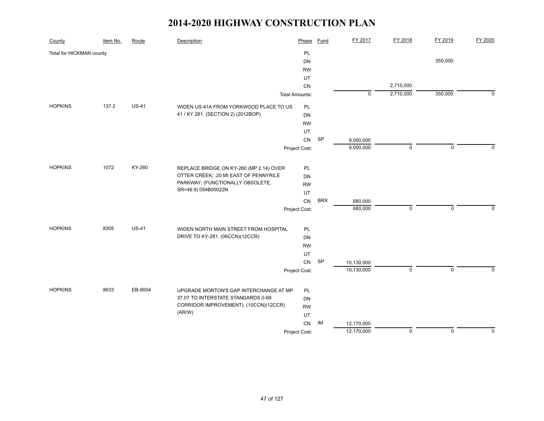| County                   | Item No. | Route        | Description                             | Phase                 | <b>Fund</b> | FY 2017     | FY 2018   | FY 2019     | FY 2020     |
|--------------------------|----------|--------------|-----------------------------------------|-----------------------|-------------|-------------|-----------|-------------|-------------|
| Total for HICKMAN county |          |              |                                         | PL                    |             |             |           |             |             |
|                          |          |              |                                         | DN                    |             |             |           | 350,000     |             |
|                          |          |              |                                         | <b>RW</b>             |             |             |           |             |             |
|                          |          |              |                                         | UT                    |             |             |           |             |             |
|                          |          |              |                                         | CN                    |             |             | 2,710,000 |             |             |
|                          |          |              |                                         | <b>Total Amounts:</b> |             | $\mathbf 0$ | 2,710,000 | 350,000     | $\mathbf 0$ |
| <b>HOPKINS</b>           | 137.2    | <b>US-41</b> | WIDEN US-41A FROM YORKWOOD PLACE TO US  | PL                    |             |             |           |             |             |
|                          |          |              | 41 / KY 281. (SECTION 2) (2012BOP)      | DN                    |             |             |           |             |             |
|                          |          |              |                                         | <b>RW</b>             |             |             |           |             |             |
|                          |          |              |                                         | UT                    |             |             |           |             |             |
|                          |          |              |                                         | <b>CN</b>             | SP          | 9,000,000   |           |             |             |
|                          |          |              |                                         | Project Cost:         |             | 9,000,000   | $\pmb{0}$ | $\mathbf 0$ | $\mathbf 0$ |
| <b>HOPKINS</b>           | 1072     | KY-260       | REPLACE BRIDGE ON KY-260 (MP 2.14) OVER | PL                    |             |             |           |             |             |
|                          |          |              | OTTER CREEK; .20 MI EAST OF PENNYRILE   | DN                    |             |             |           |             |             |
|                          |          |              | PARKWAY; (FUNCTIONALLY OBSOLETE,        | <b>RW</b>             |             |             |           |             |             |
|                          |          |              | SR=49.9) 054B00022N                     | UT                    |             |             |           |             |             |
|                          |          |              |                                         | CN                    | <b>BRX</b>  | 680,000     |           |             |             |
|                          |          |              |                                         | Project Cost:         |             | 680,000     | $\pmb{0}$ | $\mathbf 0$ | $\Omega$    |
| <b>HOPKINS</b>           | 8305     | <b>US-41</b> | WIDEN NORTH MAIN STREET FROM HOSPITAL   | <b>PL</b>             |             |             |           |             |             |
|                          |          |              | DRIVE TO KY-281. (06CCN)(12CCR)         | DN                    |             |             |           |             |             |
|                          |          |              |                                         | <b>RW</b>             |             |             |           |             |             |
|                          |          |              |                                         | UT                    |             |             |           |             |             |
|                          |          |              |                                         | CN                    | SP          | 10,130,000  |           |             |             |
|                          |          |              |                                         | Project Cost:         |             | 10,130,000  | $\pmb{0}$ | $\mathsf 0$ | $\mathbf 0$ |
| <b>HOPKINS</b>           | 8633     | EB-9004      | UPGRADE MORTON'S GAP INTERCHANGE AT MP  | <b>PL</b>             |             |             |           |             |             |
|                          |          |              | 37.07 TO INTERSTATE STANDARDS (I-69     | DN                    |             |             |           |             |             |
|                          |          |              | CORRIDOR IMPROVEMENT). (10CCN)(12CCR)   | <b>RW</b>             |             |             |           |             |             |
|                          |          |              | (AR/W)                                  | UT                    |             |             |           |             |             |
|                          |          |              |                                         | CN                    | IM          | 12,170,000  |           |             |             |
|                          |          |              |                                         | Project Cost:         |             | 12,170,000  | $\pmb{0}$ | $\mathsf 0$ | 0           |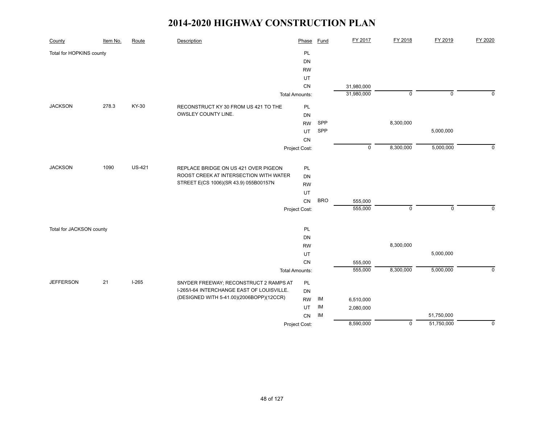| County                   | Item No. | Route         | Description                                | Phase                 | <b>Fund</b> | FY 2017     | FY 2018        | FY 2019        | FY 2020        |
|--------------------------|----------|---------------|--------------------------------------------|-----------------------|-------------|-------------|----------------|----------------|----------------|
| Total for HOPKINS county |          |               |                                            | PL                    |             |             |                |                |                |
|                          |          |               |                                            | <b>DN</b>             |             |             |                |                |                |
|                          |          |               |                                            | <b>RW</b>             |             |             |                |                |                |
|                          |          |               |                                            | UT                    |             |             |                |                |                |
|                          |          |               |                                            | CN                    |             | 31,980,000  |                |                |                |
|                          |          |               |                                            | <b>Total Amounts:</b> |             | 31,980,000  | $\overline{0}$ | $\overline{0}$ | $\Omega$       |
| <b>JACKSON</b>           | 278.3    | KY-30         | RECONSTRUCT KY 30 FROM US 421 TO THE       | PL                    |             |             |                |                |                |
|                          |          |               | OWSLEY COUNTY LINE.                        | DN                    |             |             |                |                |                |
|                          |          |               |                                            | <b>RW</b>             | SPP         |             | 8,300,000      |                |                |
|                          |          |               |                                            | UT                    | SPP         |             |                | 5,000,000      |                |
|                          |          |               |                                            | CN                    |             |             |                |                |                |
|                          |          |               |                                            | Project Cost:         |             | $\mathsf 0$ | 8,300,000      | 5,000,000      | $\overline{0}$ |
|                          |          |               |                                            |                       |             |             |                |                |                |
| <b>JACKSON</b>           | 1090     | <b>US-421</b> | REPLACE BRIDGE ON US 421 OVER PIGEON       | PL                    |             |             |                |                |                |
|                          |          |               | ROOST CREEK AT INTERSECTION WITH WATER     | <b>DN</b>             |             |             |                |                |                |
|                          |          |               | STREET E(CS 1006)(SR 43.9) 055B00157N      | <b>RW</b>             |             |             |                |                |                |
|                          |          |               |                                            | UT                    |             |             |                |                |                |
|                          |          |               |                                            | CN                    | <b>BRO</b>  | 555,000     |                |                |                |
|                          |          |               |                                            | Project Cost:         |             | 555,000     | $\mathsf 0$    | $\mathbf 0$    | $\mathbf 0$    |
|                          |          |               |                                            |                       |             |             |                |                |                |
| Total for JACKSON county |          |               |                                            | PL<br><b>DN</b>       |             |             |                |                |                |
|                          |          |               |                                            | <b>RW</b>             |             |             | 8,300,000      |                |                |
|                          |          |               |                                            | UT                    |             |             |                | 5,000,000      |                |
|                          |          |               |                                            | CN                    |             | 555,000     |                |                |                |
|                          |          |               |                                            | <b>Total Amounts:</b> |             | 555,000     | 8,300,000      | 5,000,000      | $\mathbf 0$    |
|                          |          |               |                                            |                       |             |             |                |                |                |
| <b>JEFFERSON</b>         | 21       | $I-265$       | SNYDER FREEWAY; RECONSTRUCT 2 RAMPS AT     | PL                    |             |             |                |                |                |
|                          |          |               | I-265/I-64 INTERCHANGE EAST OF LOUISVILLE. | <b>DN</b>             |             |             |                |                |                |
|                          |          |               | (DESIGNED WITH 5-41.00)(2006BOPP)(12CCR)   | <b>RW</b>             | IM          | 6,510,000   |                |                |                |
|                          |          |               |                                            | UT                    | IM          | 2,080,000   |                |                |                |
|                          |          |               |                                            | CN                    | IM          |             |                | 51,750,000     |                |
|                          |          |               |                                            | <b>Project Cost:</b>  |             | 8,590,000   | $\mathbf 0$    | 51,750,000     | $\mathbf 0$    |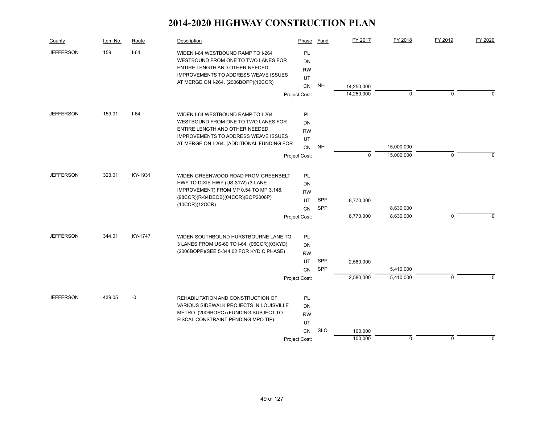| County           | Item No. | Route   | Description                                                                        | Phase                  | Fund       | FY 2017    | FY 2018     | FY 2019     | FY 2020     |
|------------------|----------|---------|------------------------------------------------------------------------------------|------------------------|------------|------------|-------------|-------------|-------------|
| <b>JEFFERSON</b> | 159      | $I-64$  | WIDEN I-64 WESTBOUND RAMP TO I-264<br>WESTBOUND FROM ONE TO TWO LANES FOR          | PL<br>DN               |            |            |             |             |             |
|                  |          |         | ENTIRE LENGTH AND OTHER NEEDED                                                     | <b>RW</b>              |            |            |             |             |             |
|                  |          |         | <b>IMPROVEMENTS TO ADDRESS WEAVE ISSUES</b>                                        | UT                     |            |            |             |             |             |
|                  |          |         | AT MERGE ON I-264. (2006BOPP)(12CCR)                                               | CN                     | <b>NH</b>  | 14,250,000 |             |             |             |
|                  |          |         |                                                                                    | Project Cost:          |            | 14,250,000 | $\mathbf 0$ | $\mathbf 0$ | $\Omega$    |
| <b>JEFFERSON</b> | 159.01   | $I-64$  | WIDEN I-64 WESTBOUND RAMP TO I-264                                                 | PL                     |            |            |             |             |             |
|                  |          |         | WESTBOUND FROM ONE TO TWO LANES FOR                                                | <b>DN</b>              |            |            |             |             |             |
|                  |          |         | ENTIRE LENGTH AND OTHER NEEDED                                                     | <b>RW</b>              |            |            |             |             |             |
|                  |          |         | <b>IMPROVEMENTS TO ADDRESS WEAVE ISSUES</b>                                        | UT                     |            |            |             |             |             |
|                  |          |         | AT MERGE ON I-264. (ADDITIONAL FUNDING FOR                                         | <b>CN</b>              | <b>NH</b>  |            | 15,000,000  |             |             |
|                  |          |         |                                                                                    | Project Cost:          |            | $\Omega$   | 15,000,000  | $\mathbf 0$ | $\Omega$    |
| <b>JEFFERSON</b> | 323.01   | KY-1931 | WIDEN GREENWOOD ROAD FROM GREENBELT                                                | PL                     |            |            |             |             |             |
|                  |          |         | HWY TO DIXIE HWY (US-31W) (3-LANE                                                  | <b>DN</b>              |            |            |             |             |             |
|                  |          |         | IMPROVEMENT) FROM MP 0.54 TO MP 3.148.                                             | <b>RW</b>              |            |            |             |             |             |
|                  |          |         | (98CCR)(R-04DEOB)(04CCR)(BOP2006P)                                                 | <b>UT</b>              | SPP        | 8,770,000  |             |             |             |
|                  |          |         | (10CCR)(12CCR)                                                                     | <b>CN</b>              | SPP        |            | 8,630,000   |             |             |
|                  |          |         |                                                                                    | Project Cost:          |            | 8,770,000  | 8,630,000   | $\mathbf 0$ | $\Omega$    |
| <b>JEFFERSON</b> | 344.01   | KY-1747 |                                                                                    |                        |            |            |             |             |             |
|                  |          |         | WIDEN SOUTHBOUND HURSTBOURNE LANE TO<br>3 LANES FROM US-60 TO I-64. (06CCR)(03KYD) | <b>PL</b><br><b>DN</b> |            |            |             |             |             |
|                  |          |         | (2006BOPP)(SEE 5-344.02 FOR KYD C PHASE)                                           | <b>RW</b>              |            |            |             |             |             |
|                  |          |         |                                                                                    | UT                     | SPP        | 2,580,000  |             |             |             |
|                  |          |         |                                                                                    | CN                     | SPP        |            | 5,410,000   |             |             |
|                  |          |         |                                                                                    | Project Cost:          |            | 2,580,000  | 5,410,000   | $\mathbf 0$ | $\Omega$    |
| <b>JEFFERSON</b> | 439.05   | $-0$    | REHABILITATION AND CONSTRUCTION OF                                                 | <b>PL</b>              |            |            |             |             |             |
|                  |          |         | VARIOUS SIDEWALK PROJECTS IN LOUISVILLE                                            | <b>DN</b>              |            |            |             |             |             |
|                  |          |         | METRO. (2006BOPC) (FUNDING SUBJECT TO                                              | <b>RW</b>              |            |            |             |             |             |
|                  |          |         | FISCAL CONSTRAINT PENDING MPO TIP).                                                | UT                     |            |            |             |             |             |
|                  |          |         |                                                                                    | CN                     | <b>SLO</b> | 100,000    |             |             |             |
|                  |          |         |                                                                                    | Project Cost:          |            | 100,000    | $\mathbf 0$ | $\mathbf 0$ | $\mathbf 0$ |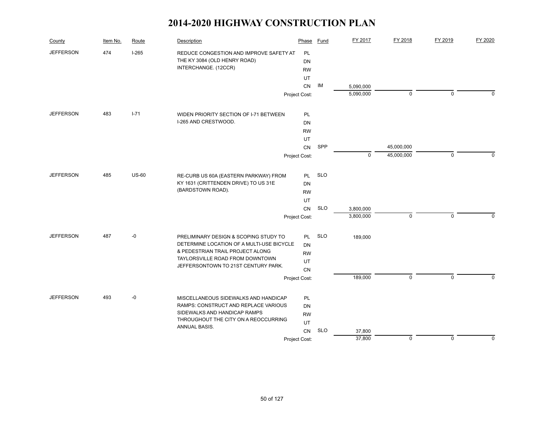| County           | Item No. | Route        | Description                                                                                     | Phase                 | Fund       | FY 2017     | FY 2018     | FY 2019     | FY 2020     |
|------------------|----------|--------------|-------------------------------------------------------------------------------------------------|-----------------------|------------|-------------|-------------|-------------|-------------|
| <b>JEFFERSON</b> | 474      | $I-265$      | REDUCE CONGESTION AND IMPROVE SAFETY AT<br>THE KY 3084 (OLD HENRY ROAD)<br>INTERCHANGE. (12CCR) | PL<br>DN<br><b>RW</b> |            |             |             |             |             |
|                  |          |              |                                                                                                 | UT                    |            |             |             |             |             |
|                  |          |              |                                                                                                 | CN                    | IM         | 5,090,000   |             |             |             |
|                  |          |              |                                                                                                 | Project Cost:         |            | 5,090,000   | $\pmb{0}$   | $\mathbf 0$ | 0           |
| <b>JEFFERSON</b> | 483      | $I - 71$     | WIDEN PRIORITY SECTION OF I-71 BETWEEN                                                          | PL                    |            |             |             |             |             |
|                  |          |              | I-265 AND CRESTWOOD.                                                                            | <b>DN</b>             |            |             |             |             |             |
|                  |          |              |                                                                                                 | <b>RW</b>             |            |             |             |             |             |
|                  |          |              |                                                                                                 | UT                    |            |             |             |             |             |
|                  |          |              |                                                                                                 | CN                    | SPP        |             | 45,000,000  | $\mathbf 0$ |             |
|                  |          |              |                                                                                                 | Project Cost:         |            | $\mathbf 0$ | 45,000,000  |             | $\Omega$    |
| <b>JEFFERSON</b> | 485      | <b>US-60</b> | RE-CURB US 60A (EASTERN PARKWAY) FROM                                                           | <b>PL</b>             | <b>SLO</b> |             |             |             |             |
|                  |          |              | KY 1631 (CRITTENDEN DRIVE) TO US 31E                                                            | DN                    |            |             |             |             |             |
|                  |          |              | (BARDSTOWN ROAD).                                                                               | <b>RW</b>             |            |             |             |             |             |
|                  |          |              |                                                                                                 | UT                    |            |             |             |             |             |
|                  |          |              |                                                                                                 | CN                    | <b>SLO</b> | 3,800,000   |             |             |             |
|                  |          |              |                                                                                                 | Project Cost:         |            | 3,800,000   | $\mathbf 0$ | $\mathbf 0$ | $\mathbf 0$ |
| <b>JEFFERSON</b> | 487      | $-0$         | PRELIMINARY DESIGN & SCOPING STUDY TO                                                           | <b>PL</b>             | <b>SLO</b> | 189,000     |             |             |             |
|                  |          |              | DETERMINE LOCATION OF A MULTI-USE BICYCLE                                                       | <b>DN</b>             |            |             |             |             |             |
|                  |          |              | & PEDESTRIAN TRAIL PROJECT ALONG<br>TAYLORSVILLE ROAD FROM DOWNTOWN                             | <b>RW</b>             |            |             |             |             |             |
|                  |          |              | JEFFERSONTOWN TO 21ST CENTURY PARK.                                                             | UT                    |            |             |             |             |             |
|                  |          |              |                                                                                                 | CN                    |            |             | $\mathbf 0$ | $\mathbf 0$ | $\Omega$    |
|                  |          |              |                                                                                                 | Project Cost:         |            | 189,000     |             |             |             |
| <b>JEFFERSON</b> | 493      | $-0$         | MISCELLANEOUS SIDEWALKS AND HANDICAP                                                            | <b>PL</b>             |            |             |             |             |             |
|                  |          |              | RAMPS: CONSTRUCT AND REPLACE VARIOUS                                                            | DN                    |            |             |             |             |             |
|                  |          |              | SIDEWALKS AND HANDICAP RAMPS                                                                    | <b>RW</b>             |            |             |             |             |             |
|                  |          |              | THROUGHOUT THE CITY ON A REOCCURRING<br>ANNUAL BASIS.                                           | UT                    |            |             |             |             |             |
|                  |          |              |                                                                                                 | CN                    | <b>SLO</b> | 37,800      |             |             |             |
|                  |          |              |                                                                                                 | Project Cost:         |            | 37,800      | $\mathbf 0$ | $\mathbf 0$ | $\pmb{0}$   |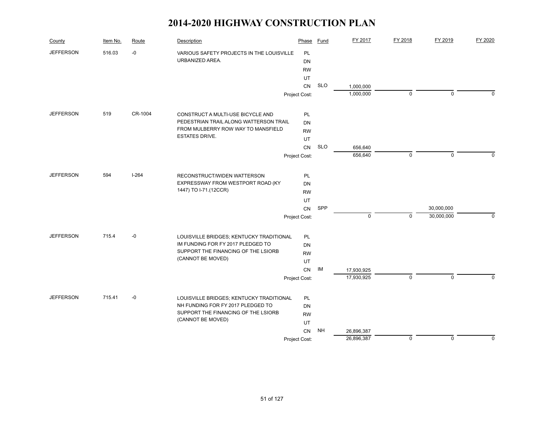| County           | Item No. | Route     | Description                               | Phase         | Fund       | FY 2017    | FY 2018     | FY 2019     | FY 2020     |
|------------------|----------|-----------|-------------------------------------------|---------------|------------|------------|-------------|-------------|-------------|
| <b>JEFFERSON</b> | 516.03   | $-0$      | VARIOUS SAFETY PROJECTS IN THE LOUISVILLE | PL            |            |            |             |             |             |
|                  |          |           | URBANIZED AREA.                           | DN            |            |            |             |             |             |
|                  |          |           |                                           | <b>RW</b>     |            |            |             |             |             |
|                  |          |           |                                           | UT            |            |            |             |             |             |
|                  |          |           |                                           | CN            | <b>SLO</b> | 1,000,000  |             |             |             |
|                  |          |           |                                           | Project Cost: |            | 1,000,000  | $\mathbf 0$ | $\mathbf 0$ | $\Omega$    |
| <b>JEFFERSON</b> | 519      | CR-1004   | CONSTRUCT A MULTI-USE BICYCLE AND         | <b>PL</b>     |            |            |             |             |             |
|                  |          |           | PEDESTRIAN TRAIL ALONG WATTERSON TRAIL    | <b>DN</b>     |            |            |             |             |             |
|                  |          |           | FROM MULBERRY ROW WAY TO MANSFIELD        | <b>RW</b>     |            |            |             |             |             |
|                  |          |           | <b>ESTATES DRIVE.</b>                     | UT            |            |            |             |             |             |
|                  |          |           |                                           | <b>CN</b>     | <b>SLO</b> | 656,640    |             |             |             |
|                  |          |           |                                           | Project Cost: |            | 656,640    | $\mathbf 0$ | $\mathbf 0$ | $\mathbf 0$ |
| <b>JEFFERSON</b> | 594      | $I - 264$ | RECONSTRUCT/WIDEN WATTERSON               | PL            |            |            |             |             |             |
|                  |          |           | EXPRESSWAY FROM WESTPORT ROAD (KY         | <b>DN</b>     |            |            |             |             |             |
|                  |          |           | 1447) TO I-71.(12CCR)                     | <b>RW</b>     |            |            |             |             |             |
|                  |          |           |                                           | UT            |            |            |             |             |             |
|                  |          |           |                                           | CN            | SPP        |            |             | 30,000,000  |             |
|                  |          |           |                                           | Project Cost: |            | 0          | $\mathbf 0$ | 30,000,000  | 0           |
| <b>JEFFERSON</b> | 715.4    | $-0$      | LOUISVILLE BRIDGES; KENTUCKY TRADITIONAL  | <b>PL</b>     |            |            |             |             |             |
|                  |          |           | IM FUNDING FOR FY 2017 PLEDGED TO         | DN            |            |            |             |             |             |
|                  |          |           | SUPPORT THE FINANCING OF THE LSIORB       | <b>RW</b>     |            |            |             |             |             |
|                  |          |           | (CANNOT BE MOVED)                         | UT            |            |            |             |             |             |
|                  |          |           |                                           | CN            | IM         | 17,930,925 |             |             |             |
|                  |          |           |                                           | Project Cost: |            | 17,930,925 | $\mathbf 0$ | $\Omega$    | $\Omega$    |
| <b>JEFFERSON</b> | 715.41   | $-0$      | LOUISVILLE BRIDGES; KENTUCKY TRADITIONAL  | <b>PL</b>     |            |            |             |             |             |
|                  |          |           | NH FUNDING FOR FY 2017 PLEDGED TO         | DN            |            |            |             |             |             |
|                  |          |           | SUPPORT THE FINANCING OF THE LSIORB       | <b>RW</b>     |            |            |             |             |             |
|                  |          |           | (CANNOT BE MOVED)                         | UT            |            |            |             |             |             |
|                  |          |           |                                           | <b>CN</b>     | <b>NH</b>  | 26,896,387 |             |             |             |
|                  |          |           |                                           | Project Cost: |            | 26,896,387 | $\mathbf 0$ | $\mathbf 0$ | 0           |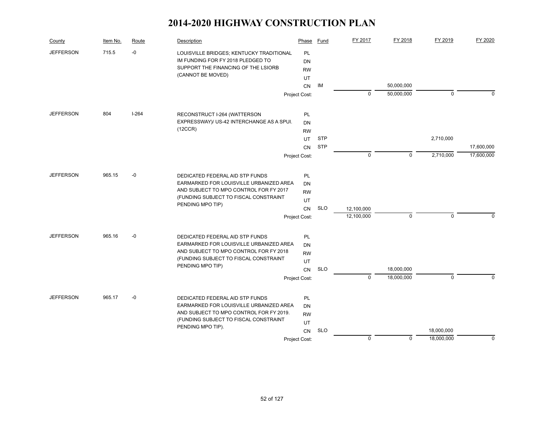| County           | Item No. | Route   | Description                                                                   | Phase           | Fund       | FY 2017     | FY 2018     | FY 2019     | FY 2020     |
|------------------|----------|---------|-------------------------------------------------------------------------------|-----------------|------------|-------------|-------------|-------------|-------------|
| <b>JEFFERSON</b> | 715.5    | -0      | LOUISVILLE BRIDGES; KENTUCKY TRADITIONAL<br>IM FUNDING FOR FY 2018 PLEDGED TO | PL<br><b>DN</b> |            |             |             |             |             |
|                  |          |         | SUPPORT THE FINANCING OF THE LSIORB                                           | <b>RW</b>       |            |             |             |             |             |
|                  |          |         | (CANNOT BE MOVED)                                                             | UT              |            |             |             |             |             |
|                  |          |         |                                                                               | <b>CN</b>       | IM         |             | 50,000,000  |             |             |
|                  |          |         |                                                                               | Project Cost:   |            | $\mathbf 0$ | 50,000,000  | $\mathbf 0$ | 0           |
| <b>JEFFERSON</b> | 804      | $I-264$ | RECONSTRUCT I-264 (WATTERSON                                                  | <b>PL</b>       |            |             |             |             |             |
|                  |          |         | EXPRESSWAY)/ US-42 INTERCHANGE AS A SPUI.                                     | <b>DN</b>       |            |             |             |             |             |
|                  |          |         | (12CCR)                                                                       | <b>RW</b>       |            |             |             |             |             |
|                  |          |         |                                                                               | UT              | <b>STP</b> |             |             | 2,710,000   |             |
|                  |          |         |                                                                               | <b>CN</b>       | <b>STP</b> |             |             |             | 17,600,000  |
|                  |          |         |                                                                               | Project Cost:   |            | $\mathbf 0$ | $\mathbf 0$ | 2,710,000   | 17,600,000  |
| <b>JEFFERSON</b> | 965.15   | $-0$    | DEDICATED FEDERAL AID STP FUNDS                                               | PL.             |            |             |             |             |             |
|                  |          |         | EARMARKED FOR LOUISVILLE URBANIZED AREA                                       | DN              |            |             |             |             |             |
|                  |          |         | AND SUBJECT TO MPO CONTROL FOR FY 2017                                        | <b>RW</b>       |            |             |             |             |             |
|                  |          |         | (FUNDING SUBJECT TO FISCAL CONSTRAINT                                         | UT              |            |             |             |             |             |
|                  |          |         | PENDING MPO TIP)                                                              | <b>CN</b>       | <b>SLO</b> | 12,100,000  |             |             |             |
|                  |          |         |                                                                               | Project Cost:   |            | 12,100,000  | $\mathbf 0$ | $\Omega$    | $\Omega$    |
| <b>JEFFERSON</b> | 965.16   | $-0$    | DEDICATED FEDERAL AID STP FUNDS                                               | PL.             |            |             |             |             |             |
|                  |          |         | EARMARKED FOR LOUISVILLE URBANIZED AREA                                       | <b>DN</b>       |            |             |             |             |             |
|                  |          |         | AND SUBJECT TO MPO CONTROL FOR FY 2018                                        | <b>RW</b>       |            |             |             |             |             |
|                  |          |         | (FUNDING SUBJECT TO FISCAL CONSTRAINT                                         | UT              |            |             |             |             |             |
|                  |          |         | PENDING MPO TIP)                                                              | <b>CN</b>       | <b>SLO</b> |             | 18,000,000  |             |             |
|                  |          |         |                                                                               | Project Cost:   |            | $\Omega$    | 18,000,000  | $\Omega$    | $\Omega$    |
| <b>JEFFERSON</b> | 965.17   | $-0$    | DEDICATED FEDERAL AID STP FUNDS                                               | PL              |            |             |             |             |             |
|                  |          |         | EARMARKED FOR LOUISVILLE URBANIZED AREA                                       | <b>DN</b>       |            |             |             |             |             |
|                  |          |         | AND SUBJECT TO MPO CONTROL FOR FY 2019.                                       | <b>RW</b>       |            |             |             |             |             |
|                  |          |         | (FUNDING SUBJECT TO FISCAL CONSTRAINT                                         | UT              |            |             |             |             |             |
|                  |          |         | PENDING MPO TIP).                                                             | CN              | <b>SLO</b> |             |             | 18,000,000  |             |
|                  |          |         |                                                                               | Project Cost:   |            | $\mathbf 0$ | $\Omega$    | 18,000,000  | $\mathbf 0$ |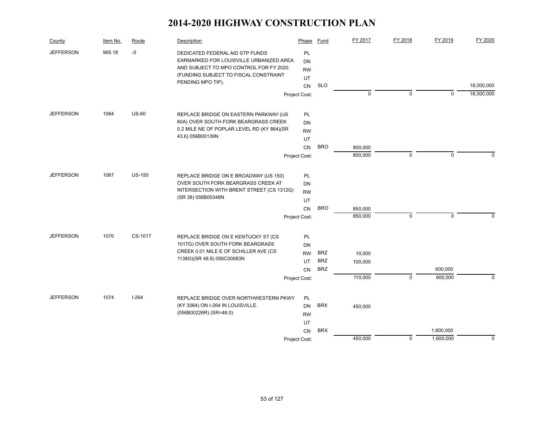| County           | Item No. | Route         | Description                                                                 | Phase                  | Fund       | FY 2017     | FY 2018     | FY 2019     | FY 2020     |
|------------------|----------|---------------|-----------------------------------------------------------------------------|------------------------|------------|-------------|-------------|-------------|-------------|
| <b>JEFFERSON</b> | 965.18   | $-0$          | DEDICATED FEDERAL AID STP FUNDS<br>EARMARKED FOR LOUISVILLE URBANIZED AREA  | <b>PL</b><br><b>DN</b> |            |             |             |             |             |
|                  |          |               | AND SUBJECT TO MPO CONTROL FOR FY 2020.                                     | <b>RW</b>              |            |             |             |             |             |
|                  |          |               | (FUNDING SUBJECT TO FISCAL CONSTRAINT                                       | UT                     |            |             |             |             |             |
|                  |          |               | PENDING MPO TIP).                                                           | CN                     | <b>SLO</b> |             |             |             | 18,000,000  |
|                  |          |               |                                                                             | Project Cost:          |            | $\mathbf 0$ | 0           | $\mathbf 0$ | 18,000,000  |
| <b>JEFFERSON</b> | 1064     | $US-60$       | REPLACE BRIDGE ON EASTERN PARKWAY (US                                       | PL                     |            |             |             |             |             |
|                  |          |               | 60A) OVER SOUTH FORK BEARGRASS CREEK                                        | <b>DN</b>              |            |             |             |             |             |
|                  |          |               | 0.2 MILE NE OF POPLAR LEVEL RD (KY 864)(SR                                  | <b>RW</b>              |            |             |             |             |             |
|                  |          |               | 43.6) 056B00139N                                                            | UT                     |            |             |             |             |             |
|                  |          |               |                                                                             | CN                     | <b>BRO</b> | 800,000     |             |             |             |
|                  |          |               |                                                                             | Project Cost:          |            | 800,000     | $\mathbf 0$ | $\mathbf 0$ | $\mathbf 0$ |
| <b>JEFFERSON</b> | 1067     | <b>US-150</b> |                                                                             |                        |            |             |             |             |             |
|                  |          |               | REPLACE BRIDGE ON E BROADWAY (US 150)<br>OVER SOUTH FORK BEARGRASS CREEK AT | PL<br><b>DN</b>        |            |             |             |             |             |
|                  |          |               | INTERSECTION WITH BRENT STREET (CS 1312G)                                   | <b>RW</b>              |            |             |             |             |             |
|                  |          |               | (SR 38) 056B00348N                                                          | UT                     |            |             |             |             |             |
|                  |          |               |                                                                             | <b>CN</b>              | <b>BRO</b> | 850,000     |             |             |             |
|                  |          |               |                                                                             | Project Cost:          |            | 850,000     | 0           | $\mathbf 0$ | $\mathbf 0$ |
|                  |          |               |                                                                             |                        |            |             |             |             |             |
| <b>JEFFERSON</b> | 1070     | CS-1017       | REPLACE BRIDGE ON E KENTUCKY ST (CS                                         | PL                     |            |             |             |             |             |
|                  |          |               | 1017G) OVER SOUTH FORK BEARGRASS                                            | <b>DN</b>              |            |             |             |             |             |
|                  |          |               | CREEK 0.01 MILE E OF SCHILLER AVE (CS<br>1138G)(SR 48.8) 056C00083N         | <b>RW</b>              | <b>BRZ</b> | 10,000      |             |             |             |
|                  |          |               |                                                                             | UT                     | <b>BRZ</b> | 100,000     |             |             |             |
|                  |          |               |                                                                             | <b>CN</b>              | <b>BRZ</b> |             |             | 600,000     |             |
|                  |          |               |                                                                             | Project Cost:          |            | 110,000     | $\mathsf 0$ | 600,000     | $\mathbf 0$ |
| <b>JEFFERSON</b> | 1074     | $I-264$       | REPLACE BRIDGE OVER NORTHWESTERN PKWY                                       | PL                     |            |             |             |             |             |
|                  |          |               | (KY 3064) ON I-264 IN LOUISVILLE.                                           | <b>DN</b>              | <b>BRX</b> | 450,000     |             |             |             |
|                  |          |               | (056B00226R) (SR=48.0)                                                      | <b>RW</b>              |            |             |             |             |             |
|                  |          |               |                                                                             | UT                     |            |             |             |             |             |
|                  |          |               |                                                                             | <b>CN</b>              | <b>BRX</b> |             |             | 1,600,000   |             |
|                  |          |               |                                                                             | Project Cost:          |            | 450,000     | $\mathbf 0$ | 1,600,000   | $\mathbf 0$ |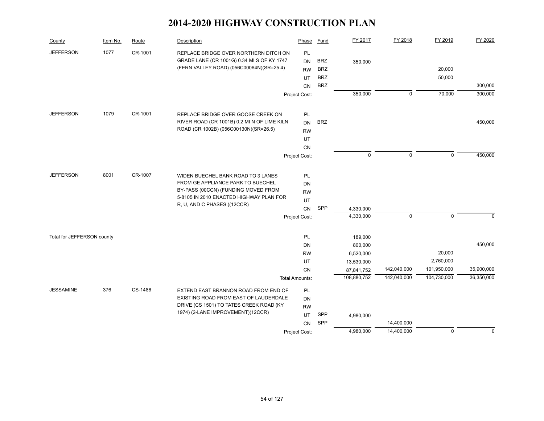| County                     | Item No. | Route   | Description                                                                                                                     | Phase                        | <b>Fund</b>              | FY 2017                | FY 2018     | FY 2019     | FY 2020     |
|----------------------------|----------|---------|---------------------------------------------------------------------------------------------------------------------------------|------------------------------|--------------------------|------------------------|-------------|-------------|-------------|
| <b>JEFFERSON</b>           | 1077     | CR-1001 | REPLACE BRIDGE OVER NORTHERN DITCH ON<br>GRADE LANE (CR 1001G) 0.34 MI S OF KY 1747<br>(FERN VALLEY ROAD) (056C00064N)(SR=25.4) | PL<br><b>DN</b><br><b>RW</b> | <b>BRZ</b><br><b>BRZ</b> | 350,000                |             | 20,000      |             |
|                            |          |         |                                                                                                                                 | UT                           | <b>BRZ</b><br><b>BRZ</b> |                        |             | 50,000      | 300,000     |
|                            |          |         |                                                                                                                                 | CN<br>Project Cost:          |                          | 350,000                | $\mathbf 0$ | 70,000      | 300,000     |
|                            |          |         |                                                                                                                                 |                              |                          |                        |             |             |             |
| <b>JEFFERSON</b>           | 1079     | CR-1001 | REPLACE BRIDGE OVER GOOSE CREEK ON                                                                                              | PL                           |                          |                        |             |             |             |
|                            |          |         | RIVER ROAD (CR 1001B) 0.2 MI N OF LIME KILN                                                                                     | <b>DN</b>                    | <b>BRZ</b>               |                        |             |             | 450,000     |
|                            |          |         | ROAD (CR 1002B) (056C00130N)(SR=26.5)                                                                                           | <b>RW</b>                    |                          |                        |             |             |             |
|                            |          |         |                                                                                                                                 | UT                           |                          |                        |             |             |             |
|                            |          |         |                                                                                                                                 | CN                           |                          | $\mathbf 0$            | 0           | $\mathbf 0$ | 450,000     |
|                            |          |         |                                                                                                                                 | Project Cost:                |                          |                        |             |             |             |
| <b>JEFFERSON</b>           | 8001     | CR-1007 | WIDEN BUECHEL BANK ROAD TO 3 LANES                                                                                              | PL                           |                          |                        |             |             |             |
|                            |          |         | FROM GE APPLIANCE PARK TO BUECHEL                                                                                               | <b>DN</b>                    |                          |                        |             |             |             |
|                            |          |         | BY-PASS (00CCN) (FUNDING MOVED FROM<br>5-8105 IN 2010 ENACTED HIGHWAY PLAN FOR                                                  | <b>RW</b>                    |                          |                        |             |             |             |
|                            |          |         | R, U, AND C PHASES.)(12CCR)                                                                                                     | UT                           |                          |                        |             |             |             |
|                            |          |         |                                                                                                                                 | <b>CN</b>                    | SPP                      | 4,330,000<br>4,330,000 | $\mathbf 0$ | $\mathbf 0$ |             |
|                            |          |         |                                                                                                                                 | Project Cost:                |                          |                        |             |             | $\mathbf 0$ |
| Total for JEFFERSON county |          |         |                                                                                                                                 | <b>PL</b>                    |                          | 189,000                |             |             |             |
|                            |          |         |                                                                                                                                 | DN                           |                          | 800,000                |             |             | 450,000     |
|                            |          |         |                                                                                                                                 | <b>RW</b>                    |                          | 6,520,000              |             | 20,000      |             |
|                            |          |         |                                                                                                                                 | UT                           |                          | 13,530,000             |             | 2,760,000   |             |
|                            |          |         |                                                                                                                                 | <b>CN</b>                    |                          | 87,841,752             | 142,040,000 | 101,950,000 | 35,900,000  |
|                            |          |         |                                                                                                                                 | <b>Total Amounts:</b>        |                          | 108,880,752            | 142,040,000 | 104,730,000 | 36,350,000  |
| <b>JESSAMINE</b>           | 376      | CS-1486 | EXTEND EAST BRANNON ROAD FROM END OF                                                                                            | PL                           |                          |                        |             |             |             |
|                            |          |         | EXISTING ROAD FROM EAST OF LAUDERDALE<br>DRIVE (CS 1501) TO TATES CREEK ROAD (KY                                                | <b>DN</b>                    |                          |                        |             |             |             |
|                            |          |         | 1974) (2-LANE IMPROVEMENT)(12CCR)                                                                                               | <b>RW</b>                    |                          |                        |             |             |             |
|                            |          |         |                                                                                                                                 | UT.                          | SPP<br>SPP               | 4,980,000              | 14,400,000  |             |             |
|                            |          |         |                                                                                                                                 | CN<br>Project Cost:          |                          | 4,980,000              | 14,400,000  | $\mathbf 0$ | 0           |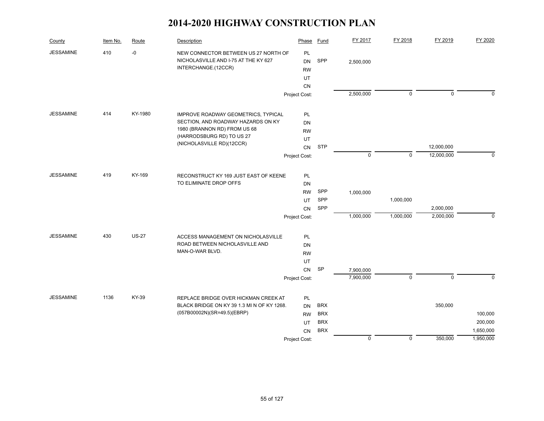| County           | Item No. | Route        | Description                                | Phase         | <b>Fund</b> | FY 2017     | FY 2018     | FY 2019     | FY 2020     |
|------------------|----------|--------------|--------------------------------------------|---------------|-------------|-------------|-------------|-------------|-------------|
| <b>JESSAMINE</b> | 410      | $\mbox{-}0$  | NEW CONNECTOR BETWEEN US 27 NORTH OF       | PL            |             |             |             |             |             |
|                  |          |              | NICHOLASVILLE AND I-75 AT THE KY 627       | <b>DN</b>     | SPP         | 2,500,000   |             |             |             |
|                  |          |              | INTERCHANGE.(12CCR)                        | <b>RW</b>     |             |             |             |             |             |
|                  |          |              |                                            | UT            |             |             |             |             |             |
|                  |          |              |                                            | <b>CN</b>     |             |             |             |             |             |
|                  |          |              |                                            | Project Cost: |             | 2,500,000   | 0           | $\mathbf 0$ | $\mathbf 0$ |
| <b>JESSAMINE</b> | 414      | KY-1980      | IMPROVE ROADWAY GEOMETRICS, TYPICAL        | <b>PL</b>     |             |             |             |             |             |
|                  |          |              | SECTION, AND ROADWAY HAZARDS ON KY         | DN            |             |             |             |             |             |
|                  |          |              | 1980 (BRANNON RD) FROM US 68               | <b>RW</b>     |             |             |             |             |             |
|                  |          |              | (HARRODSBURG RD) TO US 27                  | UT            |             |             |             |             |             |
|                  |          |              | (NICHOLASVILLE RD)(12CCR)                  | CN            | <b>STP</b>  |             |             | 12,000,000  |             |
|                  |          |              |                                            | Project Cost: |             | $\mathbf 0$ | $\mathbf 0$ | 12,000,000  | $\Omega$    |
| <b>JESSAMINE</b> | 419      | KY-169       | RECONSTRUCT KY 169 JUST EAST OF KEENE      | PL            |             |             |             |             |             |
|                  |          |              | TO ELIMINATE DROP OFFS                     | DN            |             |             |             |             |             |
|                  |          |              |                                            | <b>RW</b>     | SPP         | 1,000,000   |             |             |             |
|                  |          |              |                                            | UT            | SPP         |             | 1,000,000   |             |             |
|                  |          |              |                                            | <b>CN</b>     | SPP         |             |             | 2,000,000   |             |
|                  |          |              |                                            | Project Cost: |             | 1,000,000   | 1,000,000   | 2,000,000   | $\mathbf 0$ |
| <b>JESSAMINE</b> | 430      | <b>US-27</b> | ACCESS MANAGEMENT ON NICHOLASVILLE         | PL            |             |             |             |             |             |
|                  |          |              | ROAD BETWEEN NICHOLASVILLE AND             | DN            |             |             |             |             |             |
|                  |          |              | MAN-O-WAR BLVD.                            | <b>RW</b>     |             |             |             |             |             |
|                  |          |              |                                            | UT            |             |             |             |             |             |
|                  |          |              |                                            | <b>CN</b>     | SP          | 7,900,000   |             |             |             |
|                  |          |              |                                            | Project Cost: |             | 7,900,000   | $\mathbf 0$ | $\mathbf 0$ | $\Omega$    |
|                  |          |              |                                            |               |             |             |             |             |             |
| <b>JESSAMINE</b> | 1136     | KY-39        | REPLACE BRIDGE OVER HICKMAN CREEK AT       | PL            |             |             |             |             |             |
|                  |          |              | BLACK BRIDGE ON KY 39 1.3 MI N OF KY 1268. | <b>DN</b>     | <b>BRX</b>  |             |             | 350,000     |             |
|                  |          |              | (057B00002N)(SR=49.5)(EBRP)                | <b>RW</b>     | <b>BRX</b>  |             |             |             | 100,000     |
|                  |          |              |                                            | UT            | <b>BRX</b>  |             |             |             | 200,000     |
|                  |          |              |                                            | CN            | <b>BRX</b>  |             |             |             | 1,650,000   |
|                  |          |              |                                            | Project Cost: |             | $\mathbf 0$ | $\mathbf 0$ | 350,000     | 1,950,000   |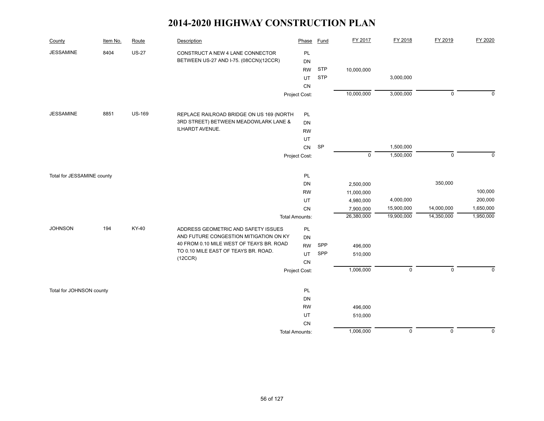| County                     | Item No. | Route         | Description                                                                        | Phase                 | <b>Fund</b> | FY 2017     | FY 2018        | FY 2019        | FY 2020     |
|----------------------------|----------|---------------|------------------------------------------------------------------------------------|-----------------------|-------------|-------------|----------------|----------------|-------------|
| <b>JESSAMINE</b>           | 8404     | <b>US-27</b>  | CONSTRUCT A NEW 4 LANE CONNECTOR                                                   | PL                    |             |             |                |                |             |
|                            |          |               | BETWEEN US-27 AND I-75. (08CCN)(12CCR)                                             | DN                    |             |             |                |                |             |
|                            |          |               |                                                                                    | <b>RW</b>             | <b>STP</b>  | 10,000,000  |                |                |             |
|                            |          |               |                                                                                    | UT                    | <b>STP</b>  |             | 3,000,000      |                |             |
|                            |          |               |                                                                                    | CN                    |             |             |                |                |             |
|                            |          |               |                                                                                    | Project Cost:         |             | 10,000,000  | 3,000,000      | $\mathbf 0$    | $\mathbf 0$ |
| <b>JESSAMINE</b>           | 8851     | <b>US-169</b> | REPLACE RAILROAD BRIDGE ON US 169 (NORTH                                           | PL                    |             |             |                |                |             |
|                            |          |               | 3RD STREET) BETWEEN MEADOWLARK LANE &                                              | DN                    |             |             |                |                |             |
|                            |          |               | ILHARDT AVENUE.                                                                    | <b>RW</b>             |             |             |                |                |             |
|                            |          |               |                                                                                    | UT                    |             |             |                |                |             |
|                            |          |               |                                                                                    | ${\sf CN}$            | SP          |             | 1,500,000      |                |             |
|                            |          |               |                                                                                    | Project Cost:         |             | $\mathsf 0$ | 1,500,000      | $\mathbf 0$    | $\mathbf 0$ |
|                            |          |               |                                                                                    |                       |             |             |                |                |             |
| Total for JESSAMINE county |          |               |                                                                                    | PL                    |             |             |                |                |             |
|                            |          |               |                                                                                    | DN                    |             | 2,500,000   |                | 350,000        |             |
|                            |          |               |                                                                                    | <b>RW</b>             |             | 11,000,000  |                |                | 100,000     |
|                            |          |               |                                                                                    | UT                    |             | 4,980,000   | 4,000,000      |                | 200,000     |
|                            |          |               |                                                                                    | CN                    |             | 7,900,000   | 15,900,000     | 14,000,000     | 1,650,000   |
|                            |          |               |                                                                                    | <b>Total Amounts:</b> |             | 26,380,000  | 19,900,000     | 14,350,000     | 1,950,000   |
| <b>JOHNSON</b>             | 194      | KY-40         | ADDRESS GEOMETRIC AND SAFETY ISSUES                                                | PL                    |             |             |                |                |             |
|                            |          |               | AND FUTURE CONGESTION MITIGATION ON KY<br>40 FROM 0.10 MILE WEST OF TEAYS BR. ROAD | DN                    |             |             |                |                |             |
|                            |          |               | TO 0.10 MILE EAST OF TEAYS BR. ROAD.                                               | <b>RW</b>             | SPP         | 496,000     |                |                |             |
|                            |          |               | (12CCR)                                                                            | <b>UT</b>             | SPP         | 510,000     |                |                |             |
|                            |          |               |                                                                                    | CN                    |             |             |                |                |             |
|                            |          |               |                                                                                    | Project Cost:         |             | 1,006,000   | $\mathsf 0$    | $\mathsf 0$    | $\Omega$    |
| Total for JOHNSON county   |          |               |                                                                                    | PL                    |             |             |                |                |             |
|                            |          |               |                                                                                    | DN                    |             |             |                |                |             |
|                            |          |               |                                                                                    | <b>RW</b>             |             | 496,000     |                |                |             |
|                            |          |               |                                                                                    | UT                    |             | 510,000     |                |                |             |
|                            |          |               |                                                                                    | CN                    |             |             |                |                |             |
|                            |          |               |                                                                                    | <b>Total Amounts:</b> |             | 1,006,000   | $\overline{0}$ | $\overline{0}$ | $\mathbf 0$ |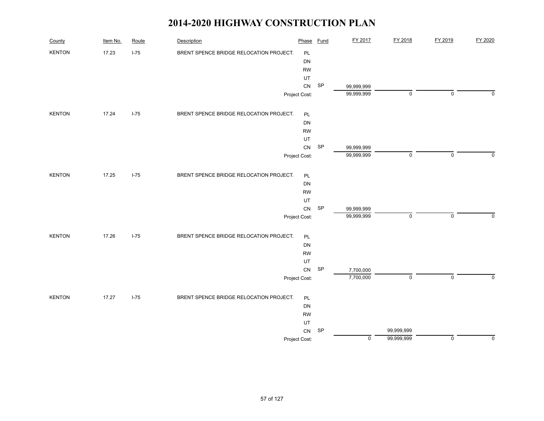| County        | Item No. | Route  | Description                             | Phase         | <b>Fund</b>                | FY 2017     | FY 2018     | FY 2019     | FY 2020        |
|---------------|----------|--------|-----------------------------------------|---------------|----------------------------|-------------|-------------|-------------|----------------|
| <b>KENTON</b> | 17.23    | $I-75$ | BRENT SPENCE BRIDGE RELOCATION PROJECT. | PL            |                            |             |             |             |                |
|               |          |        |                                         | DN            |                            |             |             |             |                |
|               |          |        |                                         | <b>RW</b>     |                            |             |             |             |                |
|               |          |        |                                         | UT            |                            |             |             |             |                |
|               |          |        |                                         | CN            | SP                         | 99,999,999  |             |             |                |
|               |          |        |                                         | Project Cost: |                            | 99,999,999  | 0           | $\mathsf 0$ | 0              |
| <b>KENTON</b> | 17.24    | $I-75$ | BRENT SPENCE BRIDGE RELOCATION PROJECT. | PL            |                            |             |             |             |                |
|               |          |        |                                         | DN            |                            |             |             |             |                |
|               |          |        |                                         | <b>RW</b>     |                            |             |             |             |                |
|               |          |        |                                         | UT            |                            |             |             |             |                |
|               |          |        |                                         | CN            | $\ensuremath{\mathsf{SP}}$ | 99,999,999  |             |             |                |
|               |          |        |                                         | Project Cost: |                            | 99,999,999  | $\mathbf 0$ | $\mathbf 0$ | $\mathbf 0$    |
| <b>KENTON</b> | 17.25    | $I-75$ | BRENT SPENCE BRIDGE RELOCATION PROJECT. | PL            |                            |             |             |             |                |
|               |          |        |                                         | DN            |                            |             |             |             |                |
|               |          |        |                                         | <b>RW</b>     |                            |             |             |             |                |
|               |          |        |                                         | UT            |                            |             |             |             |                |
|               |          |        |                                         | CN            | $\ensuremath{\mathsf{SP}}$ | 99,999,999  |             |             |                |
|               |          |        |                                         | Project Cost: |                            | 99,999,999  | $\pmb{0}$   | $\mathsf 0$ | 0              |
| <b>KENTON</b> | 17.26    | $I-75$ | BRENT SPENCE BRIDGE RELOCATION PROJECT. | PL            |                            |             |             |             |                |
|               |          |        |                                         | DN            |                            |             |             |             |                |
|               |          |        |                                         | <b>RW</b>     |                            |             |             |             |                |
|               |          |        |                                         | UT            |                            |             |             |             |                |
|               |          |        |                                         | ${\sf CN}$    | $\ensuremath{\mathsf{SP}}$ | 7,700,000   |             |             |                |
|               |          |        |                                         | Project Cost: |                            | 7,700,000   | $\mathsf 0$ | $\mathbf 0$ | $\overline{0}$ |
| <b>KENTON</b> | 17.27    | $I-75$ | BRENT SPENCE BRIDGE RELOCATION PROJECT. | PL            |                            |             |             |             |                |
|               |          |        |                                         | DN            |                            |             |             |             |                |
|               |          |        |                                         | <b>RW</b>     |                            |             |             |             |                |
|               |          |        |                                         | UT            |                            |             |             |             |                |
|               |          |        |                                         | CN            | SP                         |             | 99,999,999  |             |                |
|               |          |        |                                         | Project Cost: |                            | $\mathbf 0$ | 99,999,999  | $\mathsf 0$ | 0              |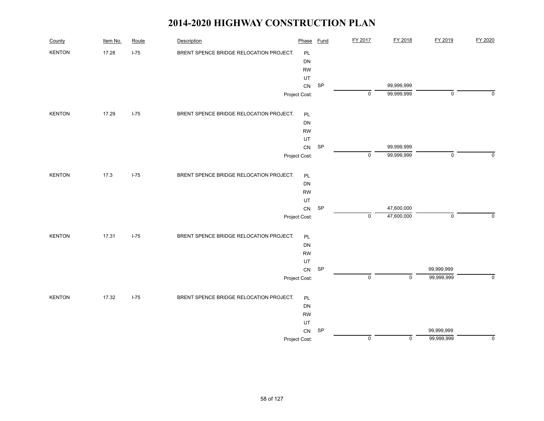| County        | Item No. | Route  | Description                             | Phase         | <b>Fund</b> | FY 2017   | FY 2018                  | FY 2019     | FY 2020     |
|---------------|----------|--------|-----------------------------------------|---------------|-------------|-----------|--------------------------|-------------|-------------|
| <b>KENTON</b> | 17.28    | $I-75$ | BRENT SPENCE BRIDGE RELOCATION PROJECT. | $\mathsf{PL}$ |             |           |                          |             |             |
|               |          |        |                                         | DN            |             |           |                          |             |             |
|               |          |        |                                         | <b>RW</b>     |             |           |                          |             |             |
|               |          |        |                                         | UT            |             |           |                          |             |             |
|               |          |        |                                         | CN            | SP          |           | 99,999,999               |             |             |
|               |          |        |                                         | Project Cost: |             | $\pmb{0}$ | 99,999,999               | $\mathsf 0$ | $\mathbf 0$ |
| <b>KENTON</b> | 17.29    | $I-75$ | BRENT SPENCE BRIDGE RELOCATION PROJECT. | PL            |             |           |                          |             |             |
|               |          |        |                                         | DN            |             |           |                          |             |             |
|               |          |        |                                         | <b>RW</b>     |             |           |                          |             |             |
|               |          |        |                                         | UT            |             |           |                          |             |             |
|               |          |        |                                         | ${\sf CN}$    | SP          | $\pmb{0}$ | 99,999,999<br>99,999,999 | $\pmb{0}$   | $\mathbf 0$ |
|               |          |        |                                         | Project Cost: |             |           |                          |             |             |
| <b>KENTON</b> | 17.3     | $I-75$ | BRENT SPENCE BRIDGE RELOCATION PROJECT. | $\mathsf{PL}$ |             |           |                          |             |             |
|               |          |        |                                         | DN            |             |           |                          |             |             |
|               |          |        |                                         | <b>RW</b>     |             |           |                          |             |             |
|               |          |        |                                         | UT            |             |           |                          |             |             |
|               |          |        |                                         | ${\sf CN}$    | SP          |           | 47,600,000               |             |             |
|               |          |        |                                         | Project Cost: |             | $\pmb{0}$ | 47,600,000               | $\pmb{0}$   | $\mathbf 0$ |
| <b>KENTON</b> | 17.31    | $I-75$ | BRENT SPENCE BRIDGE RELOCATION PROJECT. | PL            |             |           |                          |             |             |
|               |          |        |                                         | DN            |             |           |                          |             |             |
|               |          |        |                                         | <b>RW</b>     |             |           |                          |             |             |
|               |          |        |                                         | UT            |             |           |                          |             |             |
|               |          |        |                                         | ${\sf CN}$    | SP          |           |                          | 99,999,999  |             |
|               |          |        |                                         | Project Cost: |             | $\pmb{0}$ | $\mathsf 0$              | 99,999,999  | $\mathbf 0$ |
| <b>KENTON</b> | 17.32    | $I-75$ | BRENT SPENCE BRIDGE RELOCATION PROJECT. | $\mathsf{PL}$ |             |           |                          |             |             |
|               |          |        |                                         | DN            |             |           |                          |             |             |
|               |          |        |                                         | <b>RW</b>     |             |           |                          |             |             |
|               |          |        |                                         | UT            |             |           |                          |             |             |
|               |          |        |                                         | ${\sf CN}$    | SP          |           |                          | 99,999,999  |             |
|               |          |        |                                         | Project Cost: |             | $\pmb{0}$ | $\mathbf 0$              | 99,999,999  | $\mathbf 0$ |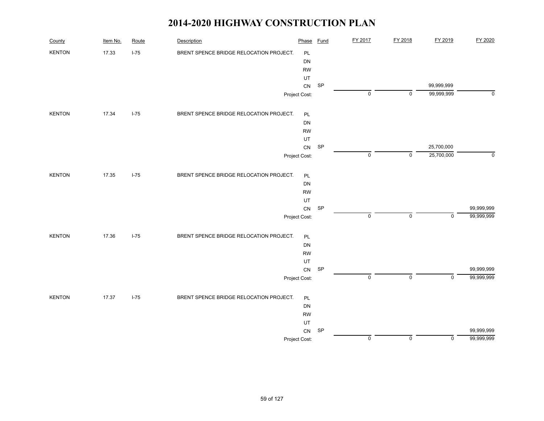| County        | Item No. | Route  | Description                             | Phase         | <b>Fund</b> | FY 2017        | FY 2018     | FY 2019                  | FY 2020                  |
|---------------|----------|--------|-----------------------------------------|---------------|-------------|----------------|-------------|--------------------------|--------------------------|
| <b>KENTON</b> | 17.33    | $I-75$ | BRENT SPENCE BRIDGE RELOCATION PROJECT. | PL            |             |                |             |                          |                          |
|               |          |        |                                         | <b>DN</b>     |             |                |             |                          |                          |
|               |          |        |                                         | <b>RW</b>     |             |                |             |                          |                          |
|               |          |        |                                         | UT            |             |                |             |                          |                          |
|               |          |        |                                         | CN            | SP          | $\pmb{0}$      | 0           | 99,999,999<br>99,999,999 | $\mathbf 0$              |
|               |          |        |                                         | Project Cost: |             |                |             |                          |                          |
| <b>KENTON</b> | 17.34    | $I-75$ | BRENT SPENCE BRIDGE RELOCATION PROJECT. | PL            |             |                |             |                          |                          |
|               |          |        |                                         | DN            |             |                |             |                          |                          |
|               |          |        |                                         | ${\sf RW}$    |             |                |             |                          |                          |
|               |          |        |                                         | UT            | SP          |                |             |                          |                          |
|               |          |        |                                         | ${\sf CN}$    |             | $\pmb{0}$      | $\mathsf 0$ | 25,700,000<br>25,700,000 | 0                        |
|               |          |        |                                         | Project Cost: |             |                |             |                          |                          |
| <b>KENTON</b> | 17.35    | $I-75$ | BRENT SPENCE BRIDGE RELOCATION PROJECT. | PL            |             |                |             |                          |                          |
|               |          |        |                                         | DN            |             |                |             |                          |                          |
|               |          |        |                                         | <b>RW</b>     |             |                |             |                          |                          |
|               |          |        |                                         | UT            |             |                |             |                          |                          |
|               |          |        |                                         | ${\sf CN}$    | SP          | $\pmb{0}$      | 0           | $\mathbf 0$              | 99,999,999<br>99,999,999 |
|               |          |        |                                         | Project Cost: |             |                |             |                          |                          |
| <b>KENTON</b> | 17.36    | $I-75$ | BRENT SPENCE BRIDGE RELOCATION PROJECT. | $\mathsf{PL}$ |             |                |             |                          |                          |
|               |          |        |                                         | DN            |             |                |             |                          |                          |
|               |          |        |                                         | ${\sf RW}$    |             |                |             |                          |                          |
|               |          |        |                                         | UT            |             |                |             |                          |                          |
|               |          |        |                                         | ${\sf CN}$    | SP          | $\overline{0}$ | $\mathsf 0$ | $\mathbf 0$              | 99,999,999<br>99,999,999 |
|               |          |        |                                         | Project Cost: |             |                |             |                          |                          |
| <b>KENTON</b> | 17.37    | $I-75$ | BRENT SPENCE BRIDGE RELOCATION PROJECT. | PL            |             |                |             |                          |                          |
|               |          |        |                                         | DN            |             |                |             |                          |                          |
|               |          |        |                                         | ${\sf RW}$    |             |                |             |                          |                          |
|               |          |        |                                         | UT            |             |                |             |                          |                          |
|               |          |        |                                         | ${\sf CN}$    | SP          |                |             |                          | 99,999,999               |
|               |          |        |                                         | Project Cost: |             | $\pmb{0}$      | $\mathbf 0$ | $\mathbf 0$              | 99,999,999               |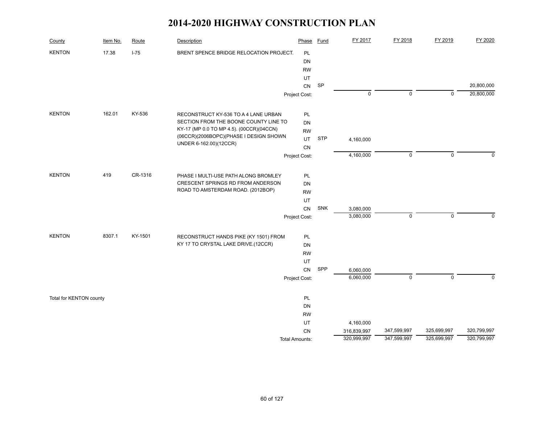| County                  | Item No. | Route   | Description                                                      | Phase                 | Fund       | FY 2017     | FY 2018     | FY 2019     | FY 2020     |
|-------------------------|----------|---------|------------------------------------------------------------------|-----------------------|------------|-------------|-------------|-------------|-------------|
| <b>KENTON</b>           | 17.38    | $I-75$  | BRENT SPENCE BRIDGE RELOCATION PROJECT.                          | PL                    |            |             |             |             |             |
|                         |          |         |                                                                  | DN                    |            |             |             |             |             |
|                         |          |         |                                                                  | <b>RW</b>             |            |             |             |             |             |
|                         |          |         |                                                                  | UT                    |            |             |             |             |             |
|                         |          |         |                                                                  | ${\sf CN}$            | <b>SP</b>  |             |             |             | 20,800,000  |
|                         |          |         |                                                                  | Project Cost:         |            | 0           | 0           | $\Omega$    | 20,800,000  |
| <b>KENTON</b>           | 162.01   | KY-536  | RECONSTRUCT KY-536 TO A 4 LANE URBAN                             | PL                    |            |             |             |             |             |
|                         |          |         | SECTION FROM THE BOONE COUNTY LINE TO                            | <b>DN</b>             |            |             |             |             |             |
|                         |          |         | KY-17 (MP 0.0 TO MP 4.5). (00CCR)(04CCN)                         | <b>RW</b>             |            |             |             |             |             |
|                         |          |         | (06CCR)(2006BOPC)(PHASE I DESIGN SHOWN<br>UNDER 6-162.00)(12CCR) | UT.                   | <b>STP</b> | 4,160,000   |             |             |             |
|                         |          |         |                                                                  | CN                    |            |             |             |             |             |
|                         |          |         |                                                                  | Project Cost:         |            | 4,160,000   | $\mathsf 0$ | $\pmb{0}$   | $\mathbf 0$ |
| <b>KENTON</b>           | 419      | CR-1316 | PHASE I MULTI-USE PATH ALONG BROMLEY                             | PL                    |            |             |             |             |             |
|                         |          |         | CRESCENT SPRINGS RD FROM ANDERSON                                | DN                    |            |             |             |             |             |
|                         |          |         | ROAD TO AMSTERDAM ROAD. (2012BOP)                                | <b>RW</b>             |            |             |             |             |             |
|                         |          |         |                                                                  | UT                    |            |             |             |             |             |
|                         |          |         |                                                                  | <b>CN</b>             | SNK        | 3,080,000   |             |             |             |
|                         |          |         |                                                                  | Project Cost:         |            | 3,080,000   | $\mathsf 0$ | $\pmb{0}$   | $\mathbf 0$ |
| <b>KENTON</b>           | 8307.1   | KY-1501 | RECONSTRUCT HANDS PIKE (KY 1501) FROM                            | PL                    |            |             |             |             |             |
|                         |          |         | KY 17 TO CRYSTAL LAKE DRIVE.(12CCR)                              | DN                    |            |             |             |             |             |
|                         |          |         |                                                                  | <b>RW</b>             |            |             |             |             |             |
|                         |          |         |                                                                  | UT                    |            |             |             |             |             |
|                         |          |         |                                                                  | CN                    | SPP        | 6,060,000   |             |             |             |
|                         |          |         |                                                                  | Project Cost:         |            | 6,060,000   | $\mathbf 0$ | $\mathbf 0$ | $\Omega$    |
| Total for KENTON county |          |         |                                                                  | PL                    |            |             |             |             |             |
|                         |          |         |                                                                  | DN                    |            |             |             |             |             |
|                         |          |         |                                                                  | <b>RW</b>             |            |             |             |             |             |
|                         |          |         |                                                                  | UT                    |            | 4,160,000   |             |             |             |
|                         |          |         |                                                                  | CN                    |            | 316,839,997 | 347,599,997 | 325,699,997 | 320,799,997 |
|                         |          |         |                                                                  | <b>Total Amounts:</b> |            | 320,999,997 | 347,599,997 | 325,699,997 | 320,799,997 |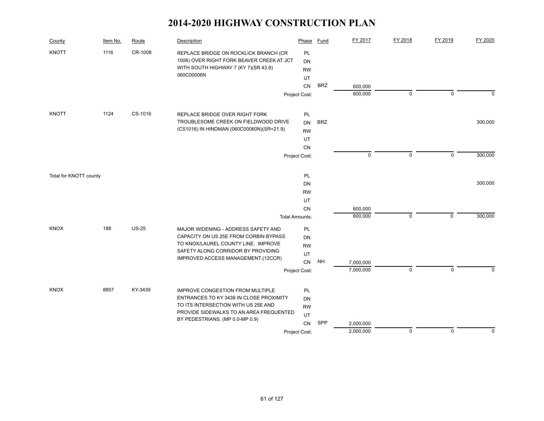| County                 | Item No. | Route        | <b>Description</b>                                                                                                                                                                                      | Phase                                    | <b>Fund</b> | FY 2017     | FY 2018     | FY 2019     | FY 2020     |
|------------------------|----------|--------------|---------------------------------------------------------------------------------------------------------------------------------------------------------------------------------------------------------|------------------------------------------|-------------|-------------|-------------|-------------|-------------|
| <b>KNOTT</b>           | 1116     | CR-1008      | REPLACE BRIDGE ON ROCKLICK BRANCH (CR<br>1008) OVER RIGHT FORK BEAVER CREEK AT JCT<br>WITH SOUTH HIGHWAY 7 (KY 7)(SR 43.9)<br>060C00006N                                                                | PL<br><b>DN</b><br><b>RW</b><br>UT<br>CN | <b>BRZ</b>  | 600.000     |             |             |             |
|                        |          |              |                                                                                                                                                                                                         | Project Cost:                            |             | 600,000     | $\mathbf 0$ | $\mathbf 0$ | $\mathbf 0$ |
| <b>KNOTT</b>           | 1124     | CS-1016      | REPLACE BRIDGE OVER RIGHT FORK<br>TROUBLESOME CREEK ON FIELDWOOD DRIVE<br>(CS1016) IN HINDMAN (060C00060N)(SR=21.9)                                                                                     | PL<br><b>DN</b><br><b>RW</b>             | <b>BRZ</b>  |             |             |             | 300,000     |
|                        |          |              |                                                                                                                                                                                                         | UT                                       |             |             |             |             |             |
|                        |          |              |                                                                                                                                                                                                         | CN<br>Project Cost:                      |             | $\mathbf 0$ | $\mathbf 0$ | $\mathbf 0$ | 300,000     |
| Total for KNOTT county |          |              |                                                                                                                                                                                                         | PL                                       |             |             |             |             |             |
|                        |          |              |                                                                                                                                                                                                         | DN                                       |             |             |             |             | 300,000     |
|                        |          |              |                                                                                                                                                                                                         | <b>RW</b><br>UT                          |             |             |             |             |             |
|                        |          |              |                                                                                                                                                                                                         | <b>CN</b>                                |             | 600,000     |             |             |             |
|                        |          |              |                                                                                                                                                                                                         | <b>Total Amounts:</b>                    |             | 600,000     | $\mathbf 0$ | $\mathbf 0$ | 300,000     |
| <b>KNOX</b>            | 188      | <b>US-25</b> | MAJOR WIDENING - ADDRESS SAFETY AND<br>CAPACITY ON US 25E FROM CORBIN BYPASS<br>TO KNOX/LAUREL COUNTY LINE. IMPROVE<br>SAFETY ALONG CORRIDOR BY PROVIDING<br>IMPROVED ACCESS MANAGEMENT.(12CCR)         | PL<br>DN<br><b>RW</b><br>UT<br>CN        | <b>NH</b>   | 7,000,000   |             |             |             |
|                        |          |              |                                                                                                                                                                                                         | Project Cost:                            |             | 7,000,000   | $\pmb{0}$   | $\mathbf 0$ | $\Omega$    |
|                        |          |              |                                                                                                                                                                                                         |                                          |             |             |             |             |             |
| <b>KNOX</b>            | 8857     | KY-3439      | <b>IMPROVE CONGESTION FROM MULTIPLE</b><br>ENTRANCES TO KY 3439 IN CLOSE PROXIMITY<br>TO ITS INTERSECTION WITH US 25E AND<br>PROVIDE SIDEWALKS TO AN AREA FREQUENTED<br>BY PEDESTRIANS. (MP 0.0-MP 0.9) | PL<br>DN<br><b>RW</b><br>UT<br>CN        | SPP         | 2,000,000   |             |             |             |
|                        |          |              |                                                                                                                                                                                                         | Project Cost:                            |             | 2,000,000   | $\pmb{0}$   | $\mathbf 0$ | $\mathbf 0$ |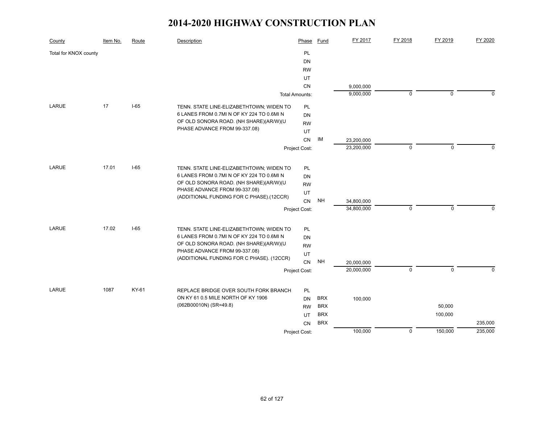| County                | Item No. | Route  | Description                               | Phase                 | Fund       | FY 2017    | FY 2018     | FY 2019     | FY 2020  |
|-----------------------|----------|--------|-------------------------------------------|-----------------------|------------|------------|-------------|-------------|----------|
| Total for KNOX county |          |        |                                           | PL                    |            |            |             |             |          |
|                       |          |        |                                           | DN                    |            |            |             |             |          |
|                       |          |        |                                           | <b>RW</b>             |            |            |             |             |          |
|                       |          |        |                                           | UT                    |            |            |             |             |          |
|                       |          |        |                                           | <b>CN</b>             |            | 9,000,000  |             |             |          |
|                       |          |        |                                           | <b>Total Amounts:</b> |            | 9,000,000  | $\mathbf 0$ | $\mathbf 0$ | $\Omega$ |
| LARUE                 | 17       | $I-65$ | TENN. STATE LINE-ELIZABETHTOWN; WIDEN TO  | PL                    |            |            |             |             |          |
|                       |          |        | 6 LANES FROM 0.7MI N OF KY 224 TO 0.6MI N | <b>DN</b>             |            |            |             |             |          |
|                       |          |        | OF OLD SONORA ROAD. (NH SHARE)(AR/W)(U    | <b>RW</b>             |            |            |             |             |          |
|                       |          |        | PHASE ADVANCE FROM 99-337.08)             | UT                    |            |            |             |             |          |
|                       |          |        |                                           | CN                    | IM         | 23,200,000 |             |             |          |
|                       |          |        |                                           | Project Cost:         |            | 23,200,000 | $\mathbf 0$ | $\mathbf 0$ | $\Omega$ |
|                       |          |        |                                           |                       |            |            |             |             |          |
| <b>LARUE</b>          | 17.01    | $I-65$ | TENN. STATE LINE-ELIZABETHTOWN; WIDEN TO  | PL                    |            |            |             |             |          |
|                       |          |        | 6 LANES FROM 0.7MI N OF KY 224 TO 0.6MI N | <b>DN</b>             |            |            |             |             |          |
|                       |          |        | OF OLD SONORA ROAD. (NH SHARE)(AR/W)(U    | <b>RW</b>             |            |            |             |             |          |
|                       |          |        | PHASE ADVANCE FROM 99-337.08)             | UT                    |            |            |             |             |          |
|                       |          |        | (ADDITIONAL FUNDING FOR C PHASE).(12CCR)  | <b>CN</b>             | <b>NH</b>  | 34,800,000 |             |             |          |
|                       |          |        |                                           | Project Cost:         |            | 34,800,000 | $\mathbf 0$ | $\mathbf 0$ | $\Omega$ |
|                       |          |        |                                           |                       |            |            |             |             |          |
| <b>LARUE</b>          | 17.02    | $I-65$ | TENN. STATE LINE-ELIZABETHTOWN; WIDEN TO  | <b>PL</b>             |            |            |             |             |          |
|                       |          |        | 6 LANES FROM 0.7MI N OF KY 224 TO 0.6MI N | <b>DN</b>             |            |            |             |             |          |
|                       |          |        | OF OLD SONORA ROAD. (NH SHARE)(AR/W)(U    | <b>RW</b>             |            |            |             |             |          |
|                       |          |        | PHASE ADVANCE FROM 99-337.08)             | UT                    |            |            |             |             |          |
|                       |          |        | (ADDITIONAL FUNDING FOR C PHASE). (12CCR) | <b>CN</b>             | <b>NH</b>  | 20,000,000 |             |             |          |
|                       |          |        |                                           | Project Cost:         |            | 20,000,000 | $\mathbf 0$ | $\mathbf 0$ | $\Omega$ |
|                       |          |        |                                           |                       |            |            |             |             |          |
| LARUE                 | 1087     | KY-61  | REPLACE BRIDGE OVER SOUTH FORK BRANCH     | PL                    |            |            |             |             |          |
|                       |          |        | ON KY 61 0.5 MILE NORTH OF KY 1906        | <b>DN</b>             | <b>BRX</b> | 100,000    |             |             |          |
|                       |          |        | (062B00010N) (SR=49.8)                    | <b>RW</b>             | <b>BRX</b> |            |             | 50,000      |          |
|                       |          |        |                                           | UT                    | <b>BRX</b> |            |             | 100,000     |          |
|                       |          |        |                                           | <b>CN</b>             | <b>BRX</b> |            |             |             | 235,000  |
|                       |          |        |                                           | Project Cost:         |            | 100,000    | $\pmb{0}$   | 150,000     | 235,000  |
|                       |          |        |                                           |                       |            |            |             |             |          |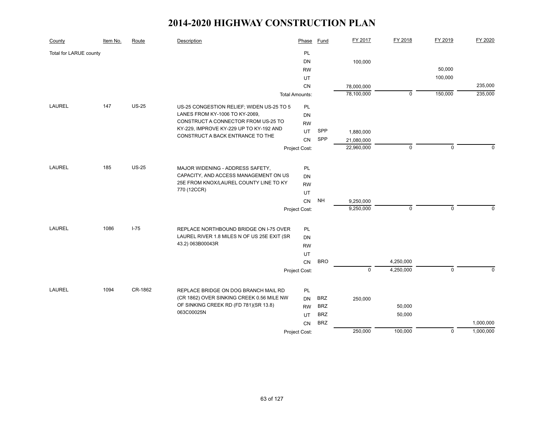| County                 | Item No. | Route    | Description                                                     | Phase                 | <b>Fund</b> | FY 2017     | FY 2018     | FY 2019     | FY 2020     |
|------------------------|----------|----------|-----------------------------------------------------------------|-----------------------|-------------|-------------|-------------|-------------|-------------|
| Total for LARUE county |          |          |                                                                 | PL                    |             |             |             |             |             |
|                        |          |          |                                                                 | DN                    |             | 100,000     |             |             |             |
|                        |          |          |                                                                 | <b>RW</b>             |             |             |             | 50,000      |             |
|                        |          |          |                                                                 | UT                    |             |             |             | 100,000     |             |
|                        |          |          |                                                                 | CN                    |             | 78,000,000  |             |             | 235,000     |
|                        |          |          |                                                                 | <b>Total Amounts:</b> |             | 78,100,000  | 0           | 150,000     | 235,000     |
| LAUREL                 | 147      | $US-25$  | US-25 CONGESTION RELIEF; WIDEN US-25 TO 5                       | PL                    |             |             |             |             |             |
|                        |          |          | LANES FROM KY-1006 TO KY-2069,                                  | DN                    |             |             |             |             |             |
|                        |          |          | CONSTRUCT A CONNECTOR FROM US-25 TO                             | <b>RW</b>             |             |             |             |             |             |
|                        |          |          | KY-229, IMPROVE KY-229 UP TO KY-192 AND                         | UT.                   | SPP         | 1,880,000   |             |             |             |
|                        |          |          | CONSTRUCT A BACK ENTRANCE TO THE                                | CN                    | SPP         | 21,080,000  |             |             |             |
|                        |          |          |                                                                 | Project Cost:         |             | 22,960,000  | $\mathbf 0$ | $\pmb{0}$   | $\mathbf 0$ |
|                        |          |          |                                                                 |                       |             |             |             |             |             |
| LAUREL                 | 185      | $US-25$  | MAJOR WIDENING - ADDRESS SAFETY,                                | PL                    |             |             |             |             |             |
|                        |          |          | CAPACITY, AND ACCESS MANAGEMENT ON US                           | DN                    |             |             |             |             |             |
|                        |          |          | 25E FROM KNOX/LAUREL COUNTY LINE TO KY                          | <b>RW</b>             |             |             |             |             |             |
|                        |          |          | 770 (12CCR)                                                     | UT                    |             |             |             |             |             |
|                        |          |          |                                                                 | CN                    | <b>NH</b>   | 9,250,000   |             |             |             |
|                        |          |          |                                                                 | Project Cost:         |             | 9,250,000   | $\mathbf 0$ | $\mathbf 0$ | $\mathbf 0$ |
|                        |          |          |                                                                 |                       |             |             |             |             |             |
| <b>LAUREL</b>          | 1086     | $I - 75$ | REPLACE NORTHBOUND BRIDGE ON I-75 OVER                          | PL                    |             |             |             |             |             |
|                        |          |          | LAUREL RIVER 1.8 MILES N OF US 25E EXIT (SR<br>43.2) 063B00043R | <b>DN</b>             |             |             |             |             |             |
|                        |          |          |                                                                 | <b>RW</b>             |             |             |             |             |             |
|                        |          |          |                                                                 | UT<br><b>CN</b>       | <b>BRO</b>  |             | 4,250,000   |             |             |
|                        |          |          |                                                                 | Project Cost:         |             | $\mathbf 0$ | 4,250,000   | $\pmb{0}$   | $\Omega$    |
|                        |          |          |                                                                 |                       |             |             |             |             |             |
| <b>LAUREL</b>          | 1094     | CR-1862  | REPLACE BRIDGE ON DOG BRANCH MAIL RD                            | PL                    |             |             |             |             |             |
|                        |          |          | (CR 1862) OVER SINKING CREEK 0.56 MILE NW                       | <b>DN</b>             | <b>BRZ</b>  | 250,000     |             |             |             |
|                        |          |          | OF SINKING CREEK RD (FD 781)(SR 13.8)                           | <b>RW</b>             | <b>BRZ</b>  |             | 50,000      |             |             |
|                        |          |          | 063C00025N                                                      | UT.                   | <b>BRZ</b>  |             | 50,000      |             |             |
|                        |          |          |                                                                 | <b>CN</b>             | <b>BRZ</b>  |             |             |             | 1,000,000   |
|                        |          |          |                                                                 | Project Cost:         |             | 250,000     | 100,000     | $\pmb{0}$   | 1,000,000   |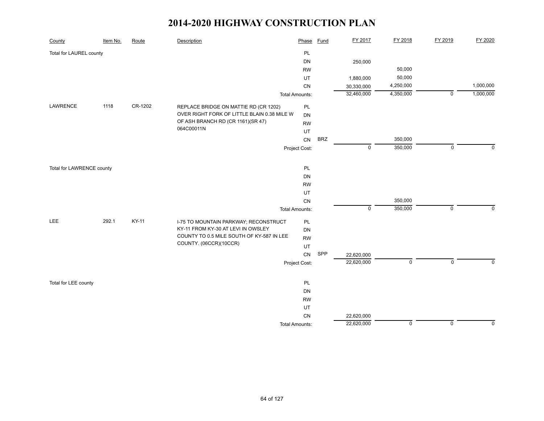| County                    | Item No. | Route   | Description                                 | Phase                 | <b>Fund</b> | FY 2017        | FY 2018     | FY 2019        | FY 2020     |
|---------------------------|----------|---------|---------------------------------------------|-----------------------|-------------|----------------|-------------|----------------|-------------|
| Total for LAUREL county   |          |         |                                             | PL                    |             |                |             |                |             |
|                           |          |         |                                             | DN                    |             | 250,000        |             |                |             |
|                           |          |         |                                             | <b>RW</b>             |             |                | 50,000      |                |             |
|                           |          |         |                                             | UT                    |             | 1,880,000      | 50,000      |                |             |
|                           |          |         |                                             | CN                    |             | 30,330,000     | 4,250,000   |                | 1,000,000   |
|                           |          |         |                                             | <b>Total Amounts:</b> |             | 32,460,000     | 4,350,000   | $\overline{0}$ | 1,000,000   |
| LAWRENCE                  | 1118     | CR-1202 | REPLACE BRIDGE ON MATTIE RD (CR 1202)       | PL                    |             |                |             |                |             |
|                           |          |         | OVER RIGHT FORK OF LITTLE BLAIN 0.38 MILE W | DN                    |             |                |             |                |             |
|                           |          |         | OF ASH BRANCH RD (CR 1161)(SR 47)           | <b>RW</b>             |             |                |             |                |             |
|                           |          |         | 064C00011N                                  | UT                    |             |                |             |                |             |
|                           |          |         |                                             | ${\sf CN}$            | <b>BRZ</b>  |                | 350,000     |                |             |
|                           |          |         |                                             | Project Cost:         |             | $\mathsf 0$    | 350,000     | $\mathbf 0$    | $\mathbf 0$ |
|                           |          |         |                                             |                       |             |                |             |                |             |
| Total for LAWRENCE county |          |         |                                             | PL                    |             |                |             |                |             |
|                           |          |         |                                             | DN                    |             |                |             |                |             |
|                           |          |         |                                             | <b>RW</b>             |             |                |             |                |             |
|                           |          |         |                                             | UT                    |             |                |             |                |             |
|                           |          |         |                                             | CN                    |             |                | 350,000     |                |             |
|                           |          |         |                                             | <b>Total Amounts:</b> |             | $\overline{0}$ | 350,000     | $\overline{0}$ | $\mathbf 0$ |
| <b>LEE</b>                | 292.1    | KY-11   | I-75 TO MOUNTAIN PARKWAY; RECONSTRUCT       | PL                    |             |                |             |                |             |
|                           |          |         | KY-11 FROM KY-30 AT LEVI IN OWSLEY          | DN                    |             |                |             |                |             |
|                           |          |         | COUNTY TO 0.5 MILE SOUTH OF KY-587 IN LEE   | <b>RW</b>             |             |                |             |                |             |
|                           |          |         | COUNTY. (06CCR)(10CCR)                      | UT                    |             |                |             |                |             |
|                           |          |         |                                             | CN                    | SPP         | 22,620,000     |             |                |             |
|                           |          |         |                                             | Project Cost:         |             | 22,620,000     | $\mathbf 0$ | $\mathsf 0$    | $\Omega$    |
|                           |          |         |                                             |                       |             |                |             |                |             |
| Total for LEE county      |          |         |                                             | PL                    |             |                |             |                |             |
|                           |          |         |                                             | DN                    |             |                |             |                |             |
|                           |          |         |                                             | <b>RW</b>             |             |                |             |                |             |
|                           |          |         |                                             | UT                    |             |                |             |                |             |
|                           |          |         |                                             | ${\sf CN}$            |             | 22,620,000     |             |                |             |
|                           |          |         |                                             | <b>Total Amounts:</b> |             | 22,620,000     | $\mathbf 0$ | $\mathbf 0$    | $\mathbf 0$ |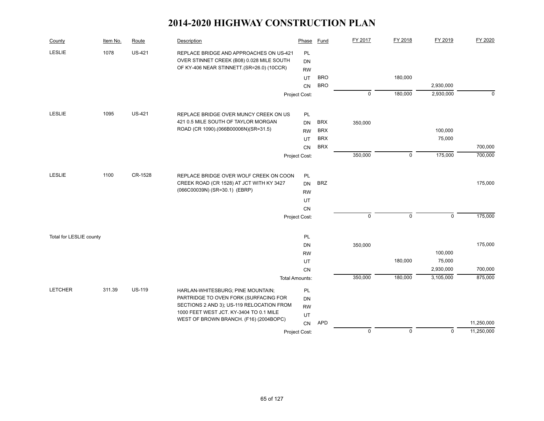| County                  | Item No. | Route         | Description                               | Phase                 | Fund       | FY 2017     | FY 2018     | FY 2019        | FY 2020     |
|-------------------------|----------|---------------|-------------------------------------------|-----------------------|------------|-------------|-------------|----------------|-------------|
| <b>LESLIE</b>           | 1078     | <b>US-421</b> | REPLACE BRIDGE AND APPROACHES ON US-421   | PL                    |            |             |             |                |             |
|                         |          |               | OVER STINNET CREEK (B08) 0.028 MILE SOUTH | DN                    |            |             |             |                |             |
|                         |          |               | OF KY-406 NEAR STINNETT.(SR=26.0) (10CCR) | <b>RW</b>             |            |             |             |                |             |
|                         |          |               |                                           | UT                    | <b>BRO</b> |             | 180,000     |                |             |
|                         |          |               |                                           | CN                    | <b>BRO</b> |             |             | 2,930,000      |             |
|                         |          |               |                                           | Project Cost:         |            | $\pmb{0}$   | 180,000     | 2,930,000      | $\mathbf 0$ |
| <b>LESLIE</b>           | 1095     | <b>US-421</b> | REPLACE BRIDGE OVER MUNCY CREEK ON US     | PL                    |            |             |             |                |             |
|                         |          |               | 421 0.5 MILE SOUTH OF TAYLOR MORGAN       | DN                    | <b>BRX</b> | 350,000     |             |                |             |
|                         |          |               | ROAD (CR 1090).(066B00006N)(SR=31.5)      | <b>RW</b>             | <b>BRX</b> |             |             | 100,000        |             |
|                         |          |               |                                           | <b>UT</b>             | <b>BRX</b> |             |             | 75,000         |             |
|                         |          |               |                                           | <b>CN</b>             | <b>BRX</b> |             |             |                | 700,000     |
|                         |          |               |                                           | Project Cost:         |            | 350,000     | $\mathsf 0$ | 175,000        | 700,000     |
| <b>LESLIE</b>           | 1100     | CR-1528       | REPLACE BRIDGE OVER WOLF CREEK ON COON    | PL                    |            |             |             |                |             |
|                         |          |               | CREEK ROAD (CR 1528) AT JCT WITH KY 3427  | <b>DN</b>             | <b>BRZ</b> |             |             |                | 175,000     |
|                         |          |               | (066C00039N) (SR=30.1) (EBRP)             | <b>RW</b>             |            |             |             |                |             |
|                         |          |               |                                           | UT                    |            |             |             |                |             |
|                         |          |               |                                           | CN                    |            |             |             |                |             |
|                         |          |               |                                           | Project Cost:         |            | $\pmb{0}$   | $\mathsf 0$ | $\overline{0}$ | 175,000     |
|                         |          |               |                                           |                       |            |             |             |                |             |
| Total for LESLIE county |          |               |                                           | PL                    |            |             |             |                |             |
|                         |          |               |                                           | DN                    |            | 350,000     |             |                | 175,000     |
|                         |          |               |                                           | <b>RW</b>             |            |             |             | 100,000        |             |
|                         |          |               |                                           | UT                    |            |             | 180,000     | 75,000         |             |
|                         |          |               |                                           | CN                    |            |             |             | 2,930,000      | 700,000     |
|                         |          |               |                                           | <b>Total Amounts:</b> |            | 350,000     | 180,000     | 3,105,000      | 875,000     |
| <b>LETCHER</b>          | 311.39   | <b>US-119</b> | HARLAN-WHITESBURG; PINE MOUNTAIN;         | PL                    |            |             |             |                |             |
|                         |          |               | PARTRIDGE TO OVEN FORK (SURFACING FOR     | DN                    |            |             |             |                |             |
|                         |          |               | SECTIONS 2 AND 3); US-119 RELOCATION FROM | <b>RW</b>             |            |             |             |                |             |
|                         |          |               | 1000 FEET WEST JCT. KY-3404 TO 0.1 MILE   | UT                    |            |             |             |                |             |
|                         |          |               | WEST OF BROWN BRANCH. (F16) (2004BOPC)    | CN                    | <b>APD</b> |             |             |                | 11,250,000  |
|                         |          |               |                                           | Project Cost:         |            | $\mathbf 0$ | $\mathbf 0$ | $\mathbf 0$    | 11,250,000  |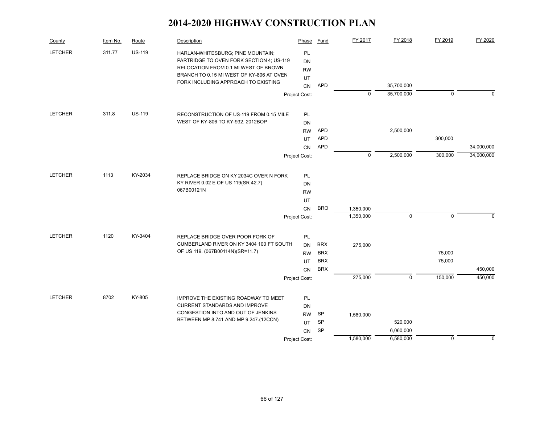| County         | Item No. | Route         | Description                                                                     | Phase         | Fund       | FY 2017     | FY 2018     | FY 2019     | FY 2020     |
|----------------|----------|---------------|---------------------------------------------------------------------------------|---------------|------------|-------------|-------------|-------------|-------------|
| <b>LETCHER</b> | 311.77   | <b>US-119</b> | HARLAN-WHITESBURG; PINE MOUNTAIN;                                               | PL            |            |             |             |             |             |
|                |          |               | PARTRIDGE TO OVEN FORK SECTION 4; US-119                                        | DN            |            |             |             |             |             |
|                |          |               | RELOCATION FROM 0.1 MI WEST OF BROWN                                            | <b>RW</b>     |            |             |             |             |             |
|                |          |               | BRANCH TO 0.15 MI WEST OF KY-806 AT OVEN<br>FORK INCLUDING APPROACH TO EXISTING | UT            |            |             |             |             |             |
|                |          |               |                                                                                 | CN            | <b>APD</b> |             | 35,700,000  |             |             |
|                |          |               |                                                                                 | Project Cost: |            | $\mathbf 0$ | 35,700,000  | $\mathbf 0$ | $\mathbf 0$ |
| <b>LETCHER</b> | 311.8    | <b>US-119</b> | RECONSTRUCTION OF US-119 FROM 0.15 MILE                                         | PL            |            |             |             |             |             |
|                |          |               | WEST OF KY-806 TO KY-932, 2012BOP                                               | <b>DN</b>     |            |             |             |             |             |
|                |          |               |                                                                                 | <b>RW</b>     | <b>APD</b> |             | 2,500,000   |             |             |
|                |          |               |                                                                                 | UT.           | <b>APD</b> |             |             | 300,000     |             |
|                |          |               |                                                                                 | <b>CN</b>     | <b>APD</b> |             |             |             | 34,000,000  |
|                |          |               |                                                                                 | Project Cost: |            | $\mathbf 0$ | 2,500,000   | 300,000     | 34,000,000  |
| <b>LETCHER</b> | 1113     | KY-2034       | REPLACE BRIDGE ON KY 2034C OVER N FORK                                          | PL            |            |             |             |             |             |
|                |          |               | KY RIVER 0.02 E OF US 119(SR 42.7)                                              | <b>DN</b>     |            |             |             |             |             |
|                |          |               | 067B00121N                                                                      | <b>RW</b>     |            |             |             |             |             |
|                |          |               |                                                                                 | UT            |            |             |             |             |             |
|                |          |               |                                                                                 | CN            | <b>BRO</b> | 1,350,000   |             |             |             |
|                |          |               |                                                                                 | Project Cost: |            | 1,350,000   | $\mathbf 0$ | $\pmb{0}$   | $\mathbf 0$ |
| <b>LETCHER</b> | 1120     | KY-3404       | REPLACE BRIDGE OVER POOR FORK OF                                                | PL            |            |             |             |             |             |
|                |          |               | CUMBERLAND RIVER ON KY 3404 100 FT SOUTH                                        | <b>DN</b>     | <b>BRX</b> | 275,000     |             |             |             |
|                |          |               | OF US 119. (067B00114N)(SR=11.7)                                                | <b>RW</b>     | <b>BRX</b> |             |             | 75,000      |             |
|                |          |               |                                                                                 | <b>UT</b>     | <b>BRX</b> |             |             | 75,000      |             |
|                |          |               |                                                                                 | <b>CN</b>     | <b>BRX</b> |             |             |             | 450,000     |
|                |          |               |                                                                                 | Project Cost: |            | 275,000     | $\mathbf 0$ | 150,000     | 450,000     |
| <b>LETCHER</b> | 8702     | KY-805        | IMPROVE THE EXISTING ROADWAY TO MEET                                            | PL            |            |             |             |             |             |
|                |          |               | <b>CURRENT STANDARDS AND IMPROVE</b>                                            | DN            |            |             |             |             |             |
|                |          |               | CONGESTION INTO AND OUT OF JENKINS                                              | <b>RW</b>     | <b>SP</b>  | 1,580,000   |             |             |             |
|                |          |               | BETWEEN MP 8.741 AND MP 9.247 (12CCN)                                           | UT.           | SP         |             | 520,000     |             |             |
|                |          |               |                                                                                 | CN            | SP         |             | 6,060,000   |             |             |
|                |          |               |                                                                                 | Project Cost: |            | 1,580,000   | 6,580,000   | $\mathbf 0$ | $\mathbf 0$ |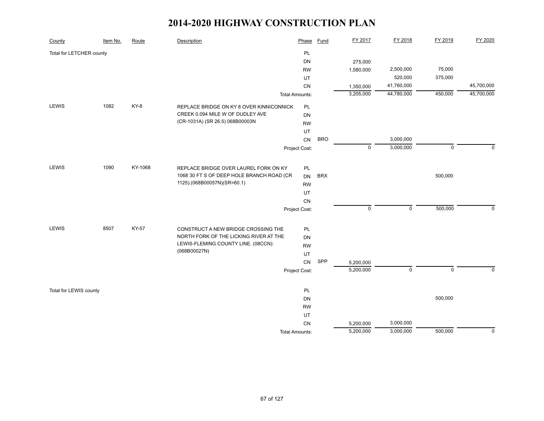| County                   | Item No. | Route        | Description                               | Phase                 | <b>Fund</b> | FY 2017     | FY 2018     | FY 2019     | FY 2020     |
|--------------------------|----------|--------------|-------------------------------------------|-----------------------|-------------|-------------|-------------|-------------|-------------|
| Total for LETCHER county |          |              |                                           | PL                    |             |             |             |             |             |
|                          |          |              |                                           | <b>DN</b>             |             | 275,000     |             |             |             |
|                          |          |              |                                           | <b>RW</b>             |             | 1,580,000   | 2,500,000   | 75,000      |             |
|                          |          |              |                                           | UT                    |             |             | 520,000     | 375,000     |             |
|                          |          |              |                                           | CN                    |             | 1,350,000   | 41,760,000  |             | 45,700,000  |
|                          |          |              |                                           | <b>Total Amounts:</b> |             | 3,205,000   | 44,780,000  | 450,000     | 45,700,000  |
| LEWIS                    | 1082     | KY-8         | REPLACE BRIDGE ON KY 8 OVER KINNICONNICK  | PL                    |             |             |             |             |             |
|                          |          |              | CREEK 0.094 MILE W OF DUDLEY AVE          | DN                    |             |             |             |             |             |
|                          |          |              | (CR-1031A) (SR 26.5) 068B00003N           | <b>RW</b>             |             |             |             |             |             |
|                          |          |              |                                           | UT                    |             |             |             |             |             |
|                          |          |              |                                           | CN                    | <b>BRO</b>  |             | 3,000,000   |             |             |
|                          |          |              |                                           | Project Cost:         |             | $\mathbf 0$ | 3,000,000   | $\mathbf 0$ | $\mathbf 0$ |
|                          |          |              |                                           |                       |             |             |             |             |             |
| <b>LEWIS</b>             | 1090     | KY-1068      | REPLACE BRIDGE OVER LAUREL FORK ON KY     | PL                    |             |             |             |             |             |
|                          |          |              | 1068 30 FT S OF DEEP HOLE BRANCH ROAD (CR | DN                    | <b>BRX</b>  |             |             | 500,000     |             |
|                          |          |              | 1125).(068B00057N)(SR=60.1)               | <b>RW</b>             |             |             |             |             |             |
|                          |          |              |                                           | UT                    |             |             |             |             |             |
|                          |          |              |                                           | CN                    |             |             |             |             |             |
|                          |          |              |                                           | Project Cost:         |             | $\mathsf 0$ | $\mathsf 0$ | 500,000     | $\Omega$    |
|                          |          |              |                                           |                       |             |             |             |             |             |
| LEWIS                    | 8507     | <b>KY-57</b> | CONSTRUCT A NEW BRIDGE CROSSING THE       | PL                    |             |             |             |             |             |
|                          |          |              | NORTH FORK OF THE LICKING RIVER AT THE    | DN                    |             |             |             |             |             |
|                          |          |              | LEWIS-FLEMING COUNTY LINE. (08CCN):       | <b>RW</b>             |             |             |             |             |             |
|                          |          |              | (068B00027N)                              | UT                    |             |             |             |             |             |
|                          |          |              |                                           | CN                    | SPP         | 5,200,000   |             |             |             |
|                          |          |              |                                           | Project Cost:         |             | 5,200,000   | $\mathbf 0$ | $\mathbf 0$ | $\mathbf 0$ |
|                          |          |              |                                           |                       |             |             |             |             |             |
| Total for LEWIS county   |          |              |                                           | PL                    |             |             |             |             |             |
|                          |          |              |                                           | DN                    |             |             |             | 500,000     |             |
|                          |          |              |                                           | <b>RW</b>             |             |             |             |             |             |
|                          |          |              |                                           | UT                    |             |             |             |             |             |
|                          |          |              |                                           | CN                    |             | 5,200,000   | 3,000,000   |             |             |
|                          |          |              |                                           | <b>Total Amounts:</b> |             | 5,200,000   | 3,000,000   | 500,000     | $\mathbf 0$ |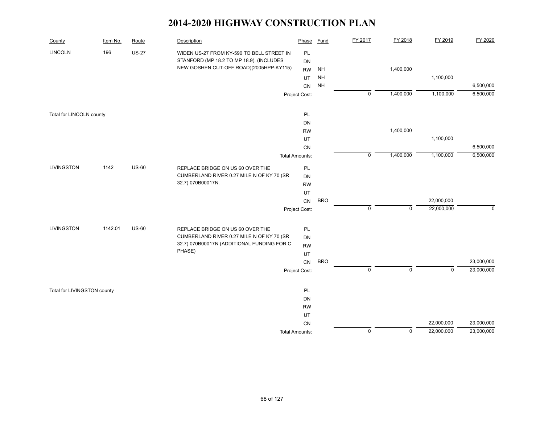| County                      | Item No. | Route        | Description                                | Phase                 | Fund            | FY 2017        | FY 2018        | FY 2019     | FY 2020     |
|-----------------------------|----------|--------------|--------------------------------------------|-----------------------|-----------------|----------------|----------------|-------------|-------------|
| <b>LINCOLN</b>              | 196      | <b>US-27</b> | WIDEN US-27 FROM KY-590 TO BELL STREET IN  | PL                    |                 |                |                |             |             |
|                             |          |              | STANFORD (MP 18.2 TO MP 18.9). (INCLUDES   | DN                    |                 |                |                |             |             |
|                             |          |              | NEW GOSHEN CUT-OFF ROAD)(2005HPP-KY115)    | <b>RW</b>             | <b>NH</b>       |                | 1,400,000      |             |             |
|                             |          |              |                                            | UT                    | $\mathsf{NH}\,$ |                |                | 1,100,000   |             |
|                             |          |              |                                            | CN                    | <b>NH</b>       |                |                |             | 6,500,000   |
|                             |          |              |                                            | Project Cost:         |                 | $\pmb{0}$      | 1,400,000      | 1,100,000   | 6,500,000   |
| Total for LINCOLN county    |          |              |                                            | PL                    |                 |                |                |             |             |
|                             |          |              |                                            | DN                    |                 |                |                |             |             |
|                             |          |              |                                            | <b>RW</b>             |                 |                | 1,400,000      |             |             |
|                             |          |              |                                            | UT                    |                 |                |                | 1,100,000   |             |
|                             |          |              |                                            | CN                    |                 |                |                |             | 6,500,000   |
|                             |          |              |                                            | <b>Total Amounts:</b> |                 | $\pmb{0}$      | 1,400,000      | 1,100,000   | 6,500,000   |
| <b>LIVINGSTON</b>           | 1142     | <b>US-60</b> | REPLACE BRIDGE ON US 60 OVER THE           | PL                    |                 |                |                |             |             |
|                             |          |              | CUMBERLAND RIVER 0.27 MILE N OF KY 70 (SR  | DN                    |                 |                |                |             |             |
|                             |          |              | 32.7) 070B00017N.                          | <b>RW</b>             |                 |                |                |             |             |
|                             |          |              |                                            | UT                    |                 |                |                |             |             |
|                             |          |              |                                            | CN                    | <b>BRO</b>      |                |                | 22,000,000  |             |
|                             |          |              |                                            | Project Cost:         |                 | $\pmb{0}$      | $\mathbf 0$    | 22,000,000  | $\mathbf 0$ |
| <b>LIVINGSTON</b>           | 1142.01  | <b>US-60</b> | REPLACE BRIDGE ON US 60 OVER THE           | PL                    |                 |                |                |             |             |
|                             |          |              | CUMBERLAND RIVER 0.27 MILE N OF KY 70 (SR  | DN                    |                 |                |                |             |             |
|                             |          |              | 32.7) 070B00017N (ADDITIONAL FUNDING FOR C | <b>RW</b>             |                 |                |                |             |             |
|                             |          |              | PHASE)                                     | UT                    |                 |                |                |             |             |
|                             |          |              |                                            | <b>CN</b>             | <b>BRO</b>      |                |                |             | 23,000,000  |
|                             |          |              |                                            | Project Cost:         |                 | $\pmb{0}$      | $\mathbf 0$    | $\mathbf 0$ | 23,000,000  |
| Total for LIVINGSTON county |          |              |                                            | PL                    |                 |                |                |             |             |
|                             |          |              |                                            | DN                    |                 |                |                |             |             |
|                             |          |              |                                            | <b>RW</b>             |                 |                |                |             |             |
|                             |          |              |                                            | UT                    |                 |                |                |             |             |
|                             |          |              |                                            | CN                    |                 |                |                | 22,000,000  | 23,000,000  |
|                             |          |              |                                            | <b>Total Amounts:</b> |                 | $\overline{0}$ | $\overline{0}$ | 22,000,000  | 23,000,000  |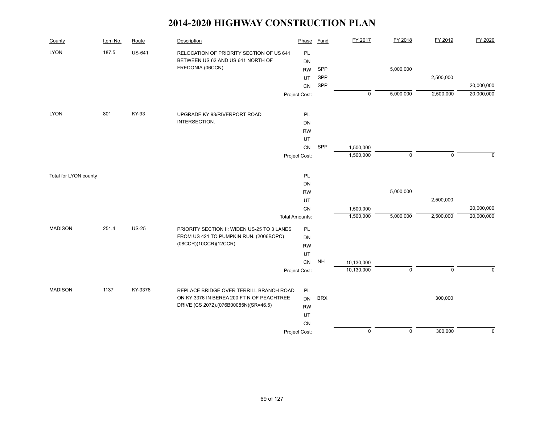| County                | Item No. | Route         | Description                                 | Phase                 | <b>Fund</b> | FY 2017    | FY 2018     | FY 2019     | FY 2020     |
|-----------------------|----------|---------------|---------------------------------------------|-----------------------|-------------|------------|-------------|-------------|-------------|
| <b>LYON</b>           | 187.5    | <b>US-641</b> | RELOCATION OF PRIORITY SECTION OF US 641    | PL                    |             |            |             |             |             |
|                       |          |               | BETWEEN US 62 AND US 641 NORTH OF           | DN                    |             |            |             |             |             |
|                       |          |               | FREDONIA.(06CCN)                            | <b>RW</b>             | SPP         |            | 5,000,000   |             |             |
|                       |          |               |                                             | UT                    | SPP         |            |             | 2,500,000   |             |
|                       |          |               |                                             | CN                    | SPP         |            |             |             | 20,000,000  |
|                       |          |               |                                             | Project Cost:         |             | $\pmb{0}$  | 5,000,000   | 2,500,000   | 20,000,000  |
| <b>LYON</b>           | 801      | KY-93         | UPGRADE KY 93/RIVERPORT ROAD                | PL                    |             |            |             |             |             |
|                       |          |               | INTERSECTION.                               | <b>DN</b>             |             |            |             |             |             |
|                       |          |               |                                             | <b>RW</b>             |             |            |             |             |             |
|                       |          |               |                                             | UT                    |             |            |             |             |             |
|                       |          |               |                                             | CN                    | SPP         | 1,500,000  |             |             |             |
|                       |          |               |                                             | Project Cost:         |             | 1,500,000  | $\mathbf 0$ | $\mathbf 0$ | $\Omega$    |
| Total for LYON county |          |               |                                             | PL                    |             |            |             |             |             |
|                       |          |               |                                             | DN                    |             |            |             |             |             |
|                       |          |               |                                             | <b>RW</b>             |             |            | 5,000,000   |             |             |
|                       |          |               |                                             | UT                    |             |            |             | 2,500,000   |             |
|                       |          |               |                                             | CN                    |             | 1,500,000  |             |             | 20,000,000  |
|                       |          |               |                                             | <b>Total Amounts:</b> |             | 1,500,000  | 5,000,000   | 2,500,000   | 20,000,000  |
| <b>MADISON</b>        | 251.4    | <b>US-25</b>  | PRIORITY SECTION II: WIDEN US-25 TO 3 LANES | PL                    |             |            |             |             |             |
|                       |          |               | FROM US 421 TO PUMPKIN RUN. (2006BOPC)      | DN                    |             |            |             |             |             |
|                       |          |               | (08CCR)(10CCR)(12CCR)                       | <b>RW</b>             |             |            |             |             |             |
|                       |          |               |                                             | <b>UT</b>             |             |            |             |             |             |
|                       |          |               |                                             | CN                    | <b>NH</b>   | 10,130,000 |             |             |             |
|                       |          |               |                                             | Project Cost:         |             | 10,130,000 | $\mathbf 0$ | $\mathbf 0$ | $\mathbf 0$ |
| <b>MADISON</b>        | 1137     | KY-3376       | REPLACE BRIDGE OVER TERRILL BRANCH ROAD     | PL                    |             |            |             |             |             |
|                       |          |               | ON KY 3376 IN BEREA 200 FT N OF PEACHTREE   | <b>DN</b>             | <b>BRX</b>  |            |             | 300,000     |             |
|                       |          |               | DRIVE (CS 2072).(076B00085N)(SR=46.5)       | <b>RW</b>             |             |            |             |             |             |
|                       |          |               |                                             | UT                    |             |            |             |             |             |
|                       |          |               |                                             | CN                    |             |            |             |             |             |
|                       |          |               |                                             | Project Cost:         |             | $\pmb{0}$  | $\mathsf 0$ | 300,000     | $\mathbf 0$ |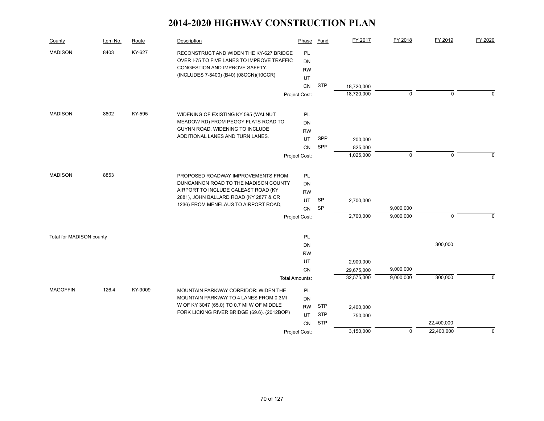| County                   | Item No. | Route   | Description                                                                                                                                                       | Phase                       | Fund       | FY 2017    | FY 2018     | FY 2019                  | FY 2020     |
|--------------------------|----------|---------|-------------------------------------------------------------------------------------------------------------------------------------------------------------------|-----------------------------|------------|------------|-------------|--------------------------|-------------|
| <b>MADISON</b>           | 8403     | KY-627  | RECONSTRUCT AND WIDEN THE KY-627 BRIDGE<br>OVER I-75 TO FIVE LANES TO IMPROVE TRAFFIC<br>CONGESTION AND IMPROVE SAFETY.<br>(INCLUDES 7-8400) (B40) (08CCN)(10CCR) | PL<br>DN<br><b>RW</b><br>UT |            |            |             |                          |             |
|                          |          |         |                                                                                                                                                                   | <b>CN</b>                   | <b>STP</b> | 18,720,000 |             |                          |             |
|                          |          |         |                                                                                                                                                                   | Project Cost:               |            | 18,720,000 | $\pmb{0}$   | $\mathbf 0$              | $\Omega$    |
|                          |          |         |                                                                                                                                                                   |                             |            |            |             |                          |             |
| <b>MADISON</b>           | 8802     | KY-595  | WIDENING OF EXISTING KY 595 (WALNUT<br>MEADOW RD) FROM PEGGY FLATS ROAD TO                                                                                        | <b>PL</b><br>DN             |            |            |             |                          |             |
|                          |          |         | GUYNN ROAD. WIDENING TO INCLUDE                                                                                                                                   | <b>RW</b>                   |            |            |             |                          |             |
|                          |          |         | ADDITIONAL LANES AND TURN LANES.                                                                                                                                  | UT                          | SPP        | 200,000    |             |                          |             |
|                          |          |         |                                                                                                                                                                   | <b>CN</b>                   | SPP        | 825,000    |             |                          |             |
|                          |          |         |                                                                                                                                                                   | Project Cost:               |            | 1,025,000  | $\pmb{0}$   | $\mathbf 0$              | $\Omega$    |
|                          |          |         |                                                                                                                                                                   |                             |            |            |             |                          |             |
| <b>MADISON</b>           | 8853     |         | PROPOSED ROADWAY IMPROVEMENTS FROM                                                                                                                                | <b>PL</b>                   |            |            |             |                          |             |
|                          |          |         | DUNCANNON ROAD TO THE MADISON COUNTY                                                                                                                              | DN                          |            |            |             |                          |             |
|                          |          |         | AIRPORT TO INCLUDE CALEAST ROAD (KY<br>2881), JOHN BALLARD ROAD (KY 2877 & CR                                                                                     | <b>RW</b>                   |            |            |             |                          |             |
|                          |          |         | 1236) FROM MENELAUS TO AIRPORT ROAD,                                                                                                                              | <b>UT</b>                   | SP         | 2,700,000  |             |                          |             |
|                          |          |         |                                                                                                                                                                   | <b>CN</b>                   | SP         |            | 9,000,000   |                          |             |
|                          |          |         |                                                                                                                                                                   | Project Cost:               |            | 2,700,000  | 9,000,000   | $\mathbf 0$              | $\Omega$    |
| Total for MADISON county |          |         |                                                                                                                                                                   | PL                          |            |            |             |                          |             |
|                          |          |         |                                                                                                                                                                   | DN                          |            |            |             | 300,000                  |             |
|                          |          |         |                                                                                                                                                                   | <b>RW</b>                   |            |            |             |                          |             |
|                          |          |         |                                                                                                                                                                   | UT                          |            | 2,900,000  |             |                          |             |
|                          |          |         |                                                                                                                                                                   | <b>CN</b>                   |            | 29,675,000 | 9,000,000   |                          |             |
|                          |          |         |                                                                                                                                                                   | <b>Total Amounts:</b>       |            | 32,575,000 | 9,000,000   | 300,000                  | $\Omega$    |
| <b>MAGOFFIN</b>          | 126.4    | KY-9009 | MOUNTAIN PARKWAY CORRIDOR: WIDEN THE                                                                                                                              | PL                          |            |            |             |                          |             |
|                          |          |         | MOUNTAIN PARKWAY TO 4 LANES FROM 0.3MI                                                                                                                            | <b>DN</b>                   |            |            |             |                          |             |
|                          |          |         | W OF KY 3047 (65.0) TO 0.7 MI W OF MIDDLE<br>FORK LICKING RIVER BRIDGE (69.6). (2012BOP)                                                                          | <b>RW</b>                   | <b>STP</b> | 2,400,000  |             |                          |             |
|                          |          |         |                                                                                                                                                                   | UT                          | <b>STP</b> | 750,000    |             |                          |             |
|                          |          |         |                                                                                                                                                                   | CN                          | <b>STP</b> | 3,150,000  | $\mathbf 0$ | 22,400,000<br>22,400,000 | $\mathbf 0$ |
|                          |          |         |                                                                                                                                                                   | Project Cost:               |            |            |             |                          |             |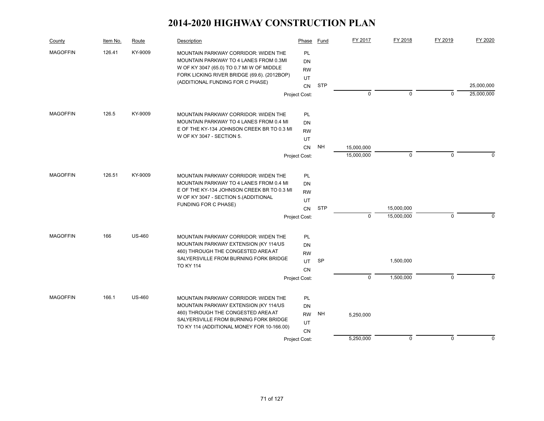| County          | Item No. | Route         | Description                                                                                                                                                                | Phase                        | <b>Fund</b> | FY 2017     | FY 2018     | FY 2019     | FY 2020                  |
|-----------------|----------|---------------|----------------------------------------------------------------------------------------------------------------------------------------------------------------------------|------------------------------|-------------|-------------|-------------|-------------|--------------------------|
| <b>MAGOFFIN</b> | 126.41   | KY-9009       | MOUNTAIN PARKWAY CORRIDOR: WIDEN THE<br>MOUNTAIN PARKWAY TO 4 LANES FROM 0.3MI<br>W OF KY 3047 (65.0) TO 0.7 MI W OF MIDDLE<br>FORK LICKING RIVER BRIDGE (69.6). (2012BOP) | <b>PL</b><br>DN<br><b>RW</b> |             |             |             |             |                          |
|                 |          |               | (ADDITIONAL FUNDING FOR C PHASE)                                                                                                                                           | UT                           |             |             |             |             |                          |
|                 |          |               |                                                                                                                                                                            | <b>CN</b><br>Project Cost:   | <b>STP</b>  | $\mathbf 0$ | $\mathbf 0$ | $\mathbf 0$ | 25,000,000<br>25,000,000 |
| <b>MAGOFFIN</b> | 126.5    | KY-9009       | <b>MOUNTAIN PARKWAY CORRIDOR: WIDEN THE</b>                                                                                                                                | PL                           |             |             |             |             |                          |
|                 |          |               | MOUNTAIN PARKWAY TO 4 LANES FROM 0.4 MI                                                                                                                                    | <b>DN</b>                    |             |             |             |             |                          |
|                 |          |               | E OF THE KY-134 JOHNSON CREEK BR TO 0.3 MI                                                                                                                                 | <b>RW</b>                    |             |             |             |             |                          |
|                 |          |               | W OF KY 3047 - SECTION 5.                                                                                                                                                  | UT                           |             |             |             |             |                          |
|                 |          |               |                                                                                                                                                                            | <b>CN</b>                    | <b>NH</b>   | 15,000,000  |             |             |                          |
|                 |          |               |                                                                                                                                                                            | Project Cost:                |             | 15,000,000  | $\mathbf 0$ | $\mathbf 0$ | $\Omega$                 |
| <b>MAGOFFIN</b> | 126.51   | KY-9009       | MOUNTAIN PARKWAY CORRIDOR: WIDEN THE                                                                                                                                       | PL                           |             |             |             |             |                          |
|                 |          |               | MOUNTAIN PARKWAY TO 4 LANES FROM 0.4 MI                                                                                                                                    | DN                           |             |             |             |             |                          |
|                 |          |               | E OF THE KY-134 JOHNSON CREEK BR TO 0.3 MI<br>W OF KY 3047 - SECTION 5. (ADDITIONAL                                                                                        | <b>RW</b>                    |             |             |             |             |                          |
|                 |          |               | <b>FUNDING FOR C PHASE)</b>                                                                                                                                                | <b>UT</b><br>CN              | <b>STP</b>  |             | 15,000,000  |             |                          |
|                 |          |               |                                                                                                                                                                            | Project Cost:                |             | $\mathbf 0$ | 15,000,000  | $\mathbf 0$ | $\Omega$                 |
| <b>MAGOFFIN</b> | 166      | <b>US-460</b> | MOUNTAIN PARKWAY CORRIDOR: WIDEN THE                                                                                                                                       | <b>PL</b>                    |             |             |             |             |                          |
|                 |          |               | MOUNTAIN PARKWAY EXTENSION (KY 114/US                                                                                                                                      | DN                           |             |             |             |             |                          |
|                 |          |               | 460) THROUGH THE CONGESTED AREA AT                                                                                                                                         | <b>RW</b>                    |             |             |             |             |                          |
|                 |          |               | SALYERSVILLE FROM BURNING FORK BRIDGE<br><b>TO KY 114</b>                                                                                                                  | UT.                          | SP          |             | 1,500,000   |             |                          |
|                 |          |               |                                                                                                                                                                            | CN                           |             |             |             |             |                          |
|                 |          |               |                                                                                                                                                                            | Project Cost:                |             | $\mathbf 0$ | 1,500,000   | $\mathbf 0$ | $\Omega$                 |
| <b>MAGOFFIN</b> | 166.1    | <b>US-460</b> | MOUNTAIN PARKWAY CORRIDOR: WIDEN THE                                                                                                                                       | PL                           |             |             |             |             |                          |
|                 |          |               | MOUNTAIN PARKWAY EXTENSION (KY 114/US)                                                                                                                                     | <b>DN</b>                    |             |             |             |             |                          |
|                 |          |               | 460) THROUGH THE CONGESTED AREA AT<br>SALYERSVILLE FROM BURNING FORK BRIDGE                                                                                                | <b>RW</b>                    | <b>NH</b>   | 5,250,000   |             |             |                          |
|                 |          |               | TO KY 114 (ADDITIONAL MONEY FOR 10-166.00)                                                                                                                                 | UT<br>CN                     |             |             |             |             |                          |
|                 |          |               |                                                                                                                                                                            | Project Cost:                |             | 5,250,000   | 0           | 0           | 0                        |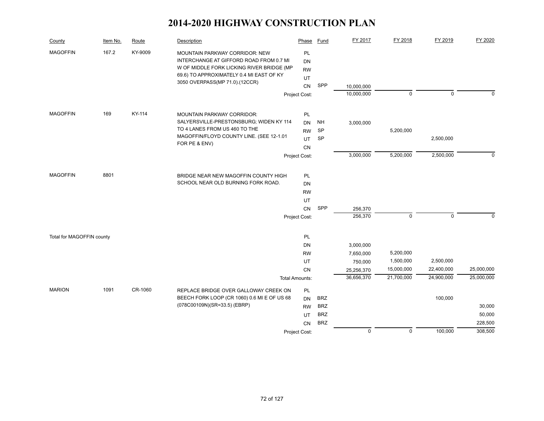| County                    | Item No. | Route   | <b>Description</b>                                                                                                                                                 | Phase                              | Fund       | FY 2017            | FY 2018     | FY 2019     | FY 2020     |
|---------------------------|----------|---------|--------------------------------------------------------------------------------------------------------------------------------------------------------------------|------------------------------------|------------|--------------------|-------------|-------------|-------------|
| <b>MAGOFFIN</b>           | 167.2    | KY-9009 | MOUNTAIN PARKWAY CORRIDOR: NEW<br>INTERCHANGE AT GIFFORD ROAD FROM 0.7 MI<br>W OF MIDDLE FORK LICKING RIVER BRIDGE (MP<br>69.6) TO APPROXIMATELY 0.4 MI EAST OF KY | PL<br><b>DN</b><br><b>RW</b><br>UT |            |                    |             |             |             |
|                           |          |         | 3050 OVERPASS(MP 71.0).(12CCR)                                                                                                                                     | CN                                 | SPP        | 10,000,000         |             |             |             |
|                           |          |         |                                                                                                                                                                    | Project Cost:                      |            | 10,000,000         | $\mathbf 0$ | $\mathbf 0$ | $\mathbf 0$ |
| <b>MAGOFFIN</b>           | 169      | KY-114  | <b>MOUNTAIN PARKWAY CORRIDOR:</b>                                                                                                                                  | PL                                 |            |                    |             |             |             |
|                           |          |         | SALYERSVILLE-PRESTONSBURG; WIDEN KY 114                                                                                                                            | <b>DN</b>                          | <b>NH</b>  | 3,000,000          |             |             |             |
|                           |          |         | TO 4 LANES FROM US 460 TO THE                                                                                                                                      | <b>RW</b>                          | SP         |                    | 5,200,000   |             |             |
|                           |          |         | MAGOFFIN/FLOYD COUNTY LINE. (SEE 12-1.01<br>FOR PE & ENV)                                                                                                          | <b>UT</b>                          | SP         |                    |             | 2,500,000   |             |
|                           |          |         |                                                                                                                                                                    | <b>CN</b><br>Project Cost:         |            | 3,000,000          | 5,200,000   | 2,500,000   | $\Omega$    |
|                           |          |         |                                                                                                                                                                    |                                    |            |                    |             |             |             |
| <b>MAGOFFIN</b>           | 8801     |         | BRIDGE NEAR NEW MAGOFFIN COUNTY HIGH                                                                                                                               | PL                                 |            |                    |             |             |             |
|                           |          |         | SCHOOL NEAR OLD BURNING FORK ROAD.                                                                                                                                 | DN                                 |            |                    |             |             |             |
|                           |          |         |                                                                                                                                                                    | <b>RW</b>                          |            |                    |             |             |             |
|                           |          |         |                                                                                                                                                                    | UT                                 | SPP        |                    |             |             |             |
|                           |          |         |                                                                                                                                                                    | <b>CN</b><br>Project Cost:         |            | 256,370<br>256,370 | $\mathbf 0$ | $\mathbf 0$ | $\Omega$    |
|                           |          |         |                                                                                                                                                                    |                                    |            |                    |             |             |             |
| Total for MAGOFFIN county |          |         |                                                                                                                                                                    | PL                                 |            |                    |             |             |             |
|                           |          |         |                                                                                                                                                                    | DN                                 |            | 3,000,000          |             |             |             |
|                           |          |         |                                                                                                                                                                    | <b>RW</b>                          |            | 7,650,000          | 5,200,000   |             |             |
|                           |          |         |                                                                                                                                                                    | UT                                 |            | 750,000            | 1,500,000   | 2,500,000   |             |
|                           |          |         |                                                                                                                                                                    | <b>CN</b>                          |            | 25,256,370         | 15,000,000  | 22,400,000  | 25,000,000  |
|                           |          |         |                                                                                                                                                                    | <b>Total Amounts:</b>              |            | 36,656,370         | 21,700,000  | 24,900,000  | 25,000,000  |
| <b>MARION</b>             | 1091     | CR-1060 | REPLACE BRIDGE OVER GALLOWAY CREEK ON<br>BEECH FORK LOOP (CR 1060) 0.6 MI E OF US 68                                                                               | PL<br><b>DN</b>                    | <b>BRZ</b> |                    |             | 100,000     |             |
|                           |          |         | (078C00109N)(SR=33.5) (EBRP)                                                                                                                                       | <b>RW</b>                          | <b>BRZ</b> |                    |             |             | 30,000      |
|                           |          |         |                                                                                                                                                                    | UT                                 | <b>BRZ</b> |                    |             |             | 50,000      |
|                           |          |         |                                                                                                                                                                    | <b>CN</b>                          | <b>BRZ</b> |                    |             |             | 228,500     |
|                           |          |         |                                                                                                                                                                    | Project Cost:                      |            | $\pmb{0}$          | $\mathsf 0$ | 100,000     | 308,500     |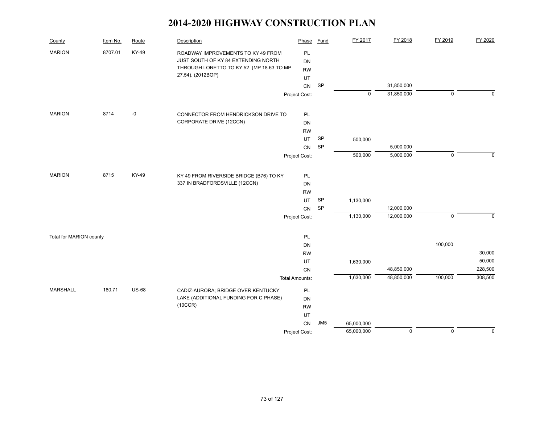| County                  | Item No. | Route        | Description                              | Phase                 | Fund            | FY 2017    | FY 2018     | FY 2019     | FY 2020     |
|-------------------------|----------|--------------|------------------------------------------|-----------------------|-----------------|------------|-------------|-------------|-------------|
| <b>MARION</b>           | 8707.01  | KY-49        | ROADWAY IMPROVEMENTS TO KY 49 FROM       | PL                    |                 |            |             |             |             |
|                         |          |              | JUST SOUTH OF KY 84 EXTENDING NORTH      | DN                    |                 |            |             |             |             |
|                         |          |              | THROUGH LORETTO TO KY 52 (MP 18.63 TO MP | <b>RW</b>             |                 |            |             |             |             |
|                         |          |              | 27.54). (2012BOP)                        | UT                    |                 |            |             |             |             |
|                         |          |              |                                          | CN                    | SP              |            | 31,850,000  |             |             |
|                         |          |              |                                          | Project Cost:         |                 | $\pmb{0}$  | 31,850,000  | $\pmb{0}$   | $\mathbf 0$ |
| <b>MARION</b>           | 8714     | $-0$         | CONNECTOR FROM HENDRICKSON DRIVE TO      | PL                    |                 |            |             |             |             |
|                         |          |              | CORPORATE DRIVE (12CCN)                  | DN                    |                 |            |             |             |             |
|                         |          |              |                                          | <b>RW</b>             |                 |            |             |             |             |
|                         |          |              |                                          | UT                    | <b>SP</b>       | 500,000    |             |             |             |
|                         |          |              |                                          | CN                    | <b>SP</b>       |            | 5,000,000   |             |             |
|                         |          |              |                                          | Project Cost:         |                 | 500,000    | 5,000,000   | $\mathbf 0$ | $\mathbf 0$ |
|                         |          |              |                                          |                       |                 |            |             |             |             |
| <b>MARION</b>           | 8715     | KY-49        | KY 49 FROM RIVERSIDE BRIDGE (B76) TO KY  | PL                    |                 |            |             |             |             |
|                         |          |              | 337 IN BRADFORDSVILLE (12CCN)            | DN                    |                 |            |             |             |             |
|                         |          |              |                                          | <b>RW</b>             |                 |            |             |             |             |
|                         |          |              |                                          | UT                    | SP              | 1,130,000  |             |             |             |
|                         |          |              |                                          | CN                    | <b>SP</b>       |            | 12,000,000  |             |             |
|                         |          |              |                                          | Project Cost:         |                 | 1,130,000  | 12,000,000  | $\pmb{0}$   | $\Omega$    |
| Total for MARION county |          |              |                                          | PL                    |                 |            |             |             |             |
|                         |          |              |                                          | DN                    |                 |            |             | 100,000     |             |
|                         |          |              |                                          | <b>RW</b>             |                 |            |             |             | 30,000      |
|                         |          |              |                                          | UT                    |                 | 1,630,000  |             |             | 50,000      |
|                         |          |              |                                          | CN                    |                 |            | 48,850,000  |             | 228,500     |
|                         |          |              |                                          | <b>Total Amounts:</b> |                 | 1,630,000  | 48,850,000  | 100,000     | 308,500     |
| MARSHALL                | 180.71   | <b>US-68</b> | CADIZ-AURORA; BRIDGE OVER KENTUCKY       | PL                    |                 |            |             |             |             |
|                         |          |              | LAKE (ADDITIONAL FUNDING FOR C PHASE)    | DN                    |                 |            |             |             |             |
|                         |          |              | (10CCR)                                  | <b>RW</b>             |                 |            |             |             |             |
|                         |          |              |                                          | UT                    |                 |            |             |             |             |
|                         |          |              |                                          | CN                    | JM <sub>5</sub> | 65,000,000 |             |             |             |
|                         |          |              |                                          | Project Cost:         |                 | 65,000,000 | $\mathbf 0$ | $\mathbf 0$ | $\mathbf 0$ |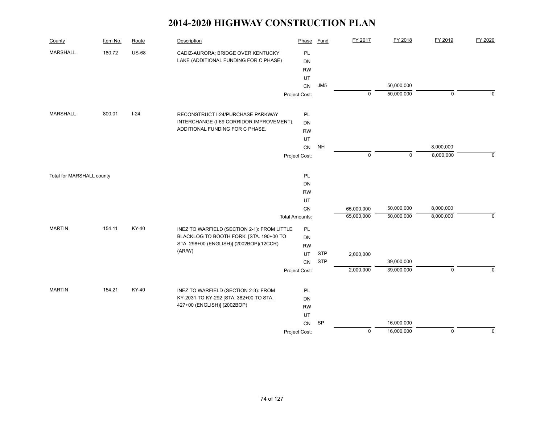| County                    | Item No. | Route        | Description                                                           | Phase                 | Fund            | FY 2017     | FY 2018     | FY 2019     | FY 2020     |
|---------------------------|----------|--------------|-----------------------------------------------------------------------|-----------------------|-----------------|-------------|-------------|-------------|-------------|
| <b>MARSHALL</b>           | 180.72   | <b>US-68</b> | CADIZ-AURORA; BRIDGE OVER KENTUCKY                                    | PL                    |                 |             |             |             |             |
|                           |          |              | LAKE (ADDITIONAL FUNDING FOR C PHASE)                                 | DN                    |                 |             |             |             |             |
|                           |          |              |                                                                       | <b>RW</b>             |                 |             |             |             |             |
|                           |          |              |                                                                       | UT<br><b>CN</b>       | JM <sub>5</sub> |             | 50,000,000  |             |             |
|                           |          |              |                                                                       | Project Cost:         |                 | $\mathbf 0$ | 50,000,000  | $\mathbf 0$ | $\Omega$    |
|                           |          |              |                                                                       |                       |                 |             |             |             |             |
| <b>MARSHALL</b>           | 800.01   | $I-24$       | RECONSTRUCT I-24/PURCHASE PARKWAY                                     | PL                    |                 |             |             |             |             |
|                           |          |              | INTERCHANGE (I-69 CORRIDOR IMPROVEMENT).                              | DN                    |                 |             |             |             |             |
|                           |          |              | ADDITIONAL FUNDING FOR C PHASE.                                       | <b>RW</b>             |                 |             |             |             |             |
|                           |          |              |                                                                       | UT                    |                 |             |             |             |             |
|                           |          |              |                                                                       | CN                    | <b>NH</b>       |             |             | 8,000,000   |             |
|                           |          |              |                                                                       | Project Cost:         |                 | $\mathbf 0$ | $\mathbf 0$ | 8,000,000   | $\Omega$    |
|                           |          |              |                                                                       |                       |                 |             |             |             |             |
| Total for MARSHALL county |          |              |                                                                       | PL<br>DN              |                 |             |             |             |             |
|                           |          |              |                                                                       | <b>RW</b>             |                 |             |             |             |             |
|                           |          |              |                                                                       | UT                    |                 |             |             |             |             |
|                           |          |              |                                                                       | CN                    |                 | 65,000,000  | 50,000,000  | 8,000,000   |             |
|                           |          |              |                                                                       | <b>Total Amounts:</b> |                 | 65,000,000  | 50,000,000  | 8,000,000   | $\mathbf 0$ |
| <b>MARTIN</b>             | 154.11   | KY-40        | INEZ TO WARFIELD (SECTION 2-1): FROM LITTLE                           | PL                    |                 |             |             |             |             |
|                           |          |              | BLACKLOG TO BOOTH FORK. [STA. 190+00 TO                               | DN                    |                 |             |             |             |             |
|                           |          |              | STA. 298+00 (ENGLISH)] (2002BOP)(12CCR)                               | <b>RW</b>             |                 |             |             |             |             |
|                           |          |              | (AR/W)                                                                | UT                    | <b>STP</b>      | 2,000,000   |             |             |             |
|                           |          |              |                                                                       | CN                    | <b>STP</b>      |             | 39,000,000  |             |             |
|                           |          |              |                                                                       | Project Cost:         |                 | 2,000,000   | 39,000,000  | $\mathbf 0$ | $\Omega$    |
|                           |          |              |                                                                       |                       |                 |             |             |             |             |
| <b>MARTIN</b>             | 154.21   | KY-40        | INEZ TO WARFIELD (SECTION 2-3): FROM                                  | PL                    |                 |             |             |             |             |
|                           |          |              | KY-2031 TO KY-292 [STA. 382+00 TO STA.<br>427+00 (ENGLISH)] (2002BOP) | DN                    |                 |             |             |             |             |
|                           |          |              |                                                                       | <b>RW</b>             |                 |             |             |             |             |
|                           |          |              |                                                                       | UT<br>CN              | SP              |             | 16,000,000  |             |             |
|                           |          |              |                                                                       | Project Cost:         |                 | $\mathsf 0$ | 16,000,000  | $\mathbf 0$ | $\mathbf 0$ |
|                           |          |              |                                                                       |                       |                 |             |             |             |             |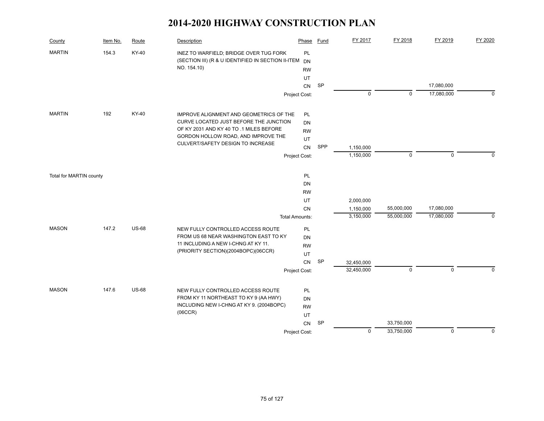| County                  | Item No. | Route        | Description                                                                                  | Phase                 | Fund      | FY 2017                | FY 2018     | FY 2019     | FY 2020     |
|-------------------------|----------|--------------|----------------------------------------------------------------------------------------------|-----------------------|-----------|------------------------|-------------|-------------|-------------|
| <b>MARTIN</b>           | 154.3    | KY-40        | INEZ TO WARFIELD; BRIDGE OVER TUG FORK<br>(SECTION III) (R & U IDENTIFIED IN SECTION II-ITEM | PL<br><b>DN</b>       |           |                        |             |             |             |
|                         |          |              | NO. 154.10)                                                                                  | <b>RW</b>             |           |                        |             |             |             |
|                         |          |              |                                                                                              | UT                    |           |                        |             |             |             |
|                         |          |              |                                                                                              | CN                    | SP        |                        |             | 17,080,000  |             |
|                         |          |              |                                                                                              | Project Cost:         |           | $\pmb{0}$              | $\mathbf 0$ | 17,080,000  | $\Omega$    |
|                         |          |              |                                                                                              |                       |           |                        |             |             |             |
| <b>MARTIN</b>           | 192      | KY-40        | IMPROVE ALIGNMENT AND GEOMETRICS OF THE                                                      | PL                    |           |                        |             |             |             |
|                         |          |              | CURVE LOCATED JUST BEFORE THE JUNCTION<br>OF KY 2031 AND KY 40 TO .1 MILES BEFORE            | DN                    |           |                        |             |             |             |
|                         |          |              | GORDON HOLLOW ROAD, AND IMPROVE THE                                                          | <b>RW</b>             |           |                        |             |             |             |
|                         |          |              | CULVERT/SAFETY DESIGN TO INCREASE                                                            | UT                    |           |                        |             |             |             |
|                         |          |              |                                                                                              | CN                    | SPP       | 1,150,000<br>1,150,000 | $\mathbf 0$ | $\mathbf 0$ | $\Omega$    |
|                         |          |              |                                                                                              | Project Cost:         |           |                        |             |             |             |
| Total for MARTIN county |          |              |                                                                                              | PL                    |           |                        |             |             |             |
|                         |          |              |                                                                                              | <b>DN</b>             |           |                        |             |             |             |
|                         |          |              |                                                                                              | <b>RW</b>             |           |                        |             |             |             |
|                         |          |              |                                                                                              | UT                    |           | 2,000,000              |             |             |             |
|                         |          |              |                                                                                              | <b>CN</b>             |           | 1,150,000              | 55,000,000  | 17,080,000  |             |
|                         |          |              |                                                                                              | <b>Total Amounts:</b> |           | 3,150,000              | 55,000,000  | 17,080,000  | $\Omega$    |
| <b>MASON</b>            | 147.2    | <b>US-68</b> | NEW FULLY CONTROLLED ACCESS ROUTE                                                            | PL                    |           |                        |             |             |             |
|                         |          |              | FROM US 68 NEAR WASHINGTON EAST TO KY                                                        | DN                    |           |                        |             |             |             |
|                         |          |              | 11 INCLUDING A NEW I-CHNG AT KY 11.<br>(PRIORITY SECTION)(2004BOPC)(06CCR)                   | <b>RW</b>             |           |                        |             |             |             |
|                         |          |              |                                                                                              | UT                    |           |                        |             |             |             |
|                         |          |              |                                                                                              | CN                    | <b>SP</b> | 32,450,000             |             |             |             |
|                         |          |              |                                                                                              | Project Cost:         |           | 32,450,000             | $\mathbf 0$ | $\Omega$    | $\Omega$    |
| <b>MASON</b>            | 147.6    | <b>US-68</b> | NEW FULLY CONTROLLED ACCESS ROUTE                                                            | PL                    |           |                        |             |             |             |
|                         |          |              | FROM KY 11 NORTHEAST TO KY 9 (AA HWY)                                                        | DN                    |           |                        |             |             |             |
|                         |          |              | INCLUDING NEW I-CHNG AT KY 9. (2004BOPC)                                                     | <b>RW</b>             |           |                        |             |             |             |
|                         |          |              | (06CCR)                                                                                      | UT                    |           |                        |             |             |             |
|                         |          |              |                                                                                              | CN                    | <b>SP</b> |                        | 33,750,000  |             |             |
|                         |          |              |                                                                                              | Project Cost:         |           | $\mathbf 0$            | 33,750,000  | $\mathbf 0$ | $\mathbf 0$ |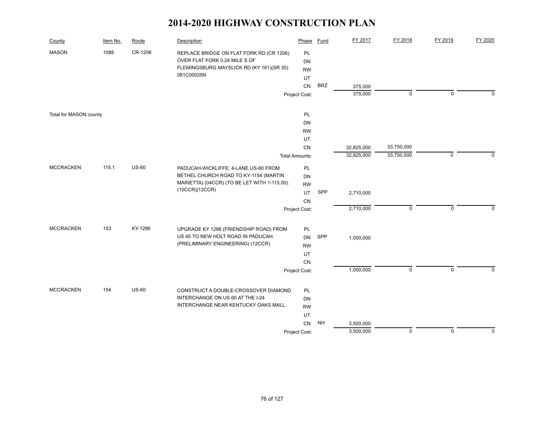| County                 | Item No. | Route        | Description                                                                                                           | Phase                 | <b>Fund</b> | FY 2017    | FY 2018     | FY 2019     | FY 2020     |
|------------------------|----------|--------------|-----------------------------------------------------------------------------------------------------------------------|-----------------------|-------------|------------|-------------|-------------|-------------|
| <b>MASON</b>           | 1088     | CR-1206      | REPLACE BRIDGE ON FLAT FORK RD (CR 1206)<br>OVER FLAT FORK 0.24 MILE S OF<br>FLEMINGSBURG MAYSLICK RD (KY 161)(SR 30) | PL<br><b>DN</b>       |             |            |             |             |             |
|                        |          |              | 081C00025N                                                                                                            | <b>RW</b>             |             |            |             |             |             |
|                        |          |              |                                                                                                                       | UT<br><b>CN</b>       | <b>BRZ</b>  | 375,000    |             |             |             |
|                        |          |              |                                                                                                                       | Project Cost:         |             | 375,000    | $\mathbf 0$ | $\mathbf 0$ | $\Omega$    |
|                        |          |              |                                                                                                                       |                       |             |            |             |             |             |
| Total for MASON county |          |              |                                                                                                                       | PL                    |             |            |             |             |             |
|                        |          |              |                                                                                                                       | DN                    |             |            |             |             |             |
|                        |          |              |                                                                                                                       | <b>RW</b>             |             |            |             |             |             |
|                        |          |              |                                                                                                                       | UT                    |             |            |             |             |             |
|                        |          |              |                                                                                                                       | CN                    |             | 32,825,000 | 33,750,000  |             |             |
|                        |          |              |                                                                                                                       | <b>Total Amounts:</b> |             | 32,825,000 | 33,750,000  | $\mathbf 0$ | $\Omega$    |
| <b>MCCRACKEN</b>       | 115.1    | <b>US-60</b> | PADUCAH-WICKLIFFE; 4-LANE US-60 FROM                                                                                  | PL                    |             |            |             |             |             |
|                        |          |              | BETHEL CHURCH ROAD TO KY-1154 (MARTIN                                                                                 | DN                    |             |            |             |             |             |
|                        |          |              | MARIETTA) (04CCR) (TO BE LET WITH 1-115.00).                                                                          | <b>RW</b>             |             |            |             |             |             |
|                        |          |              | (10CCR)(12CCR)                                                                                                        | UT                    | SPP         | 2,710,000  |             |             |             |
|                        |          |              |                                                                                                                       | CN                    |             |            |             |             |             |
|                        |          |              |                                                                                                                       | Project Cost:         |             | 2,710,000  | $\mathbf 0$ | $\mathbf 0$ | $\Omega$    |
| <b>MCCRACKEN</b>       | 153      | KY-1286      | UPGRADE KY 1286 (FRIENDSHIP ROAD) FROM                                                                                | PL                    |             |            |             |             |             |
|                        |          |              | US 45 TO NEW HOLT ROAD IN PADUCAH.                                                                                    | <b>DN</b>             | SPP         | 1,000,000  |             |             |             |
|                        |          |              | (PRELIMINARY ENGINEERING) (12CCR)                                                                                     | <b>RW</b>             |             |            |             |             |             |
|                        |          |              |                                                                                                                       | UT                    |             |            |             |             |             |
|                        |          |              |                                                                                                                       | CN                    |             |            |             |             |             |
|                        |          |              |                                                                                                                       | Project Cost:         |             | 1,000,000  | $\mathbf 0$ | $\mathbf 0$ | $\mathbf 0$ |
|                        |          |              |                                                                                                                       |                       |             |            |             |             |             |
| <b>MCCRACKEN</b>       | 154      | <b>US-60</b> | CONSTRUCT A DOUBLE-CROSSOVER DIAMOND                                                                                  | PL                    |             |            |             |             |             |
|                        |          |              | INTERCHANGE ON US 60 AT THE I-24                                                                                      | DN                    |             |            |             |             |             |
|                        |          |              | INTERCHANGE NEAR KENTUCKY OAKS MALL.                                                                                  | <b>RW</b>             |             |            |             |             |             |
|                        |          |              |                                                                                                                       | UT                    |             |            |             |             |             |
|                        |          |              |                                                                                                                       | CN                    | <b>NH</b>   | 3,500,000  |             |             |             |
|                        |          |              |                                                                                                                       | Project Cost:         |             | 3,500,000  | $\mathbf 0$ | $\mathbf 0$ | $\mathbf 0$ |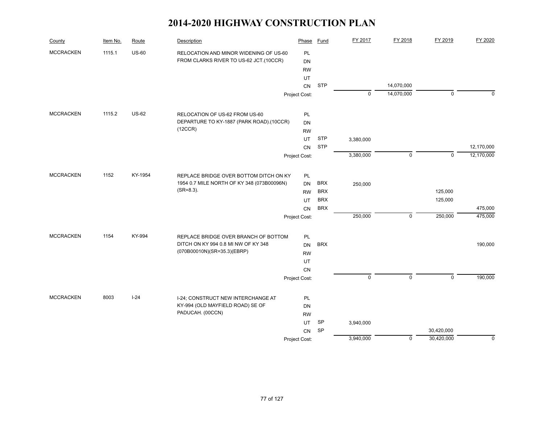| County           | Item No. | Route        | Description                                                                 | Phase           | Fund       | FY 2017     | FY 2018     | FY 2019     | FY 2020     |
|------------------|----------|--------------|-----------------------------------------------------------------------------|-----------------|------------|-------------|-------------|-------------|-------------|
| <b>MCCRACKEN</b> | 1115.1   | <b>US-60</b> | RELOCATION AND MINOR WIDENING OF US-60                                      | PL              |            |             |             |             |             |
|                  |          |              | FROM CLARKS RIVER TO US-62 JCT.(10CCR)                                      | <b>DN</b>       |            |             |             |             |             |
|                  |          |              |                                                                             | <b>RW</b>       |            |             |             |             |             |
|                  |          |              |                                                                             | UT              |            |             |             |             |             |
|                  |          |              |                                                                             | CN              | <b>STP</b> |             | 14,070,000  |             |             |
|                  |          |              |                                                                             | Project Cost:   |            | $\mathbf 0$ | 14,070,000  | $\mathsf 0$ | 0           |
| <b>MCCRACKEN</b> | 1115.2   | <b>US-62</b> | RELOCATION OF US-62 FROM US-60                                              | PL              |            |             |             |             |             |
|                  |          |              | DEPARTURE TO KY-1887 (PARK ROAD).(10CCR)                                    | <b>DN</b>       |            |             |             |             |             |
|                  |          |              | (12CCR)                                                                     | <b>RW</b>       |            |             |             |             |             |
|                  |          |              |                                                                             | UT              | <b>STP</b> | 3,380,000   |             |             |             |
|                  |          |              |                                                                             | CN              | <b>STP</b> |             |             |             | 12,170,000  |
|                  |          |              |                                                                             | Project Cost:   |            | 3,380,000   | 0           | $\mathbf 0$ | 12,170,000  |
| <b>MCCRACKEN</b> | 1152     | KY-1954      | REPLACE BRIDGE OVER BOTTOM DITCH ON KY                                      | PL              |            |             |             |             |             |
|                  |          |              | 1954 0.7 MILE NORTH OF KY 348 (073B00096N)                                  | DN              | <b>BRX</b> | 250,000     |             |             |             |
|                  |          |              | $(SR=8.3)$ .                                                                | <b>RW</b>       | <b>BRX</b> |             |             | 125,000     |             |
|                  |          |              |                                                                             | UT              | <b>BRX</b> |             |             | 125,000     |             |
|                  |          |              |                                                                             | CN              | <b>BRX</b> |             |             |             | 475,000     |
|                  |          |              |                                                                             | Project Cost:   |            | 250,000     | 0           | 250,000     | 475,000     |
| <b>MCCRACKEN</b> | 1154     | KY-994       |                                                                             |                 |            |             |             |             |             |
|                  |          |              | REPLACE BRIDGE OVER BRANCH OF BOTTOM<br>DITCH ON KY 994 0.8 MI NW OF KY 348 | PL<br><b>DN</b> | <b>BRX</b> |             |             |             | 190,000     |
|                  |          |              | (070B00010N)(SR=35.3)(EBRP)                                                 | <b>RW</b>       |            |             |             |             |             |
|                  |          |              |                                                                             | UT              |            |             |             |             |             |
|                  |          |              |                                                                             | CN              |            |             |             |             |             |
|                  |          |              |                                                                             | Project Cost:   |            | $\mathbf 0$ | 0           | $\mathbf 0$ | 190,000     |
|                  |          |              |                                                                             |                 |            |             |             |             |             |
| <b>MCCRACKEN</b> | 8003     | $I-24$       | I-24; CONSTRUCT NEW INTERCHANGE AT                                          | PL              |            |             |             |             |             |
|                  |          |              | KY-994 (OLD MAYFIELD ROAD) SE OF                                            | DN              |            |             |             |             |             |
|                  |          |              | PADUCAH. (00CCN)                                                            | <b>RW</b>       |            |             |             |             |             |
|                  |          |              |                                                                             | UT              | SP         | 3,940,000   |             |             |             |
|                  |          |              |                                                                             | CN              | SP         |             |             | 30,420,000  |             |
|                  |          |              |                                                                             | Project Cost:   |            | 3,940,000   | $\mathbf 0$ | 30,420,000  | $\mathbf 0$ |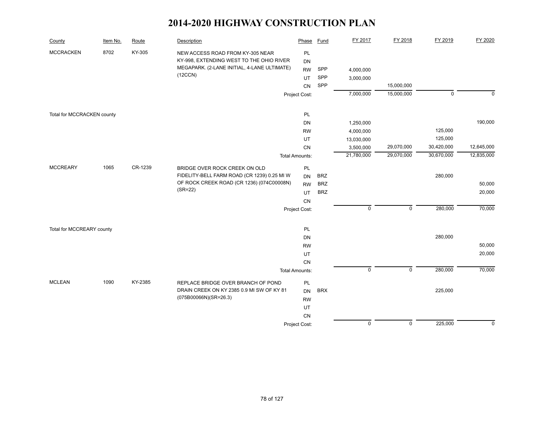| County                     | Item No. | Route   | Description                                                                  | Phase                 | <b>Fund</b> | FY 2017     | FY 2018        | FY 2019     | FY 2020     |
|----------------------------|----------|---------|------------------------------------------------------------------------------|-----------------------|-------------|-------------|----------------|-------------|-------------|
| <b>MCCRACKEN</b>           | 8702     | KY-305  | NEW ACCESS ROAD FROM KY-305 NEAR<br>KY-998, EXTENDING WEST TO THE OHIO RIVER | PL<br>DN              |             |             |                |             |             |
|                            |          |         | MEGAPARK. (2-LANE INITIAL, 4-LANE ULTIMATE)                                  | <b>RW</b>             | SPP         | 4,000,000   |                |             |             |
|                            |          |         | (12CCN)                                                                      | <b>UT</b>             | SPP         | 3,000,000   |                |             |             |
|                            |          |         |                                                                              | <b>CN</b>             | SPP         |             | 15,000,000     |             |             |
|                            |          |         |                                                                              | Project Cost:         |             | 7,000,000   | 15,000,000     | $\mathbf 0$ | $\mathbf 0$ |
| Total for MCCRACKEN county |          |         |                                                                              | PL                    |             |             |                |             |             |
|                            |          |         |                                                                              | DN                    |             | 1,250,000   |                |             | 190,000     |
|                            |          |         |                                                                              | <b>RW</b>             |             | 4,000,000   |                | 125,000     |             |
|                            |          |         |                                                                              | UT                    |             | 13,030,000  |                | 125,000     |             |
|                            |          |         |                                                                              | <b>CN</b>             |             | 3,500,000   | 29,070,000     | 30,420,000  | 12,645,000  |
|                            |          |         |                                                                              | <b>Total Amounts:</b> |             | 21,780,000  | 29,070,000     | 30,670,000  | 12,835,000  |
| <b>MCCREARY</b>            | 1065     | CR-1239 | BRIDGE OVER ROCK CREEK ON OLD                                                | PL                    |             |             |                |             |             |
|                            |          |         | FIDELITY-BELL FARM ROAD (CR 1239) 0.25 MI W                                  | DN                    | <b>BRZ</b>  |             |                | 280,000     |             |
|                            |          |         | OF ROCK CREEK ROAD (CR 1236) (074C00008N)                                    | <b>RW</b>             | <b>BRZ</b>  |             |                |             | 50,000      |
|                            |          |         | $(SR = 22)$                                                                  | UT                    | <b>BRZ</b>  |             |                |             | 20,000      |
|                            |          |         |                                                                              | CN                    |             |             |                |             |             |
|                            |          |         |                                                                              | Project Cost:         |             | $\mathsf 0$ | $\mathbf 0$    | 280,000     | 70,000      |
| Total for MCCREARY county  |          |         |                                                                              | PL                    |             |             |                |             |             |
|                            |          |         |                                                                              | DN                    |             |             |                | 280,000     |             |
|                            |          |         |                                                                              | <b>RW</b>             |             |             |                |             | 50,000      |
|                            |          |         |                                                                              | UT                    |             |             |                |             | 20,000      |
|                            |          |         |                                                                              | CN                    |             |             |                |             |             |
|                            |          |         |                                                                              | <b>Total Amounts:</b> |             | $\mathsf 0$ | $\overline{0}$ | 280,000     | 70,000      |
| <b>MCLEAN</b>              | 1090     | KY-2385 | REPLACE BRIDGE OVER BRANCH OF POND                                           | PL                    |             |             |                |             |             |
|                            |          |         | DRAIN CREEK ON KY 2385 0.9 MI SW OF KY 81                                    | <b>DN</b>             | <b>BRX</b>  |             |                | 225,000     |             |
|                            |          |         | (075B00066N)(SR=26.3)                                                        | <b>RW</b>             |             |             |                |             |             |
|                            |          |         |                                                                              | UT                    |             |             |                |             |             |
|                            |          |         |                                                                              | CN                    |             |             |                |             |             |
|                            |          |         |                                                                              | Project Cost:         |             | $\mathsf 0$ | $\pmb{0}$      | 225,000     | $\mathbf 0$ |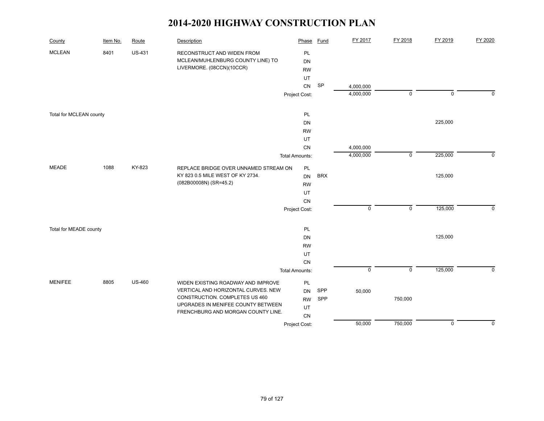| County                  | Item No. | Route         | Description                                                                                  | Phase                 | <b>Fund</b> | FY 2017                | FY 2018     | FY 2019   | FY 2020        |
|-------------------------|----------|---------------|----------------------------------------------------------------------------------------------|-----------------------|-------------|------------------------|-------------|-----------|----------------|
| <b>MCLEAN</b>           | 8401     | <b>US-431</b> | RECONSTRUCT AND WIDEN FROM<br>MCLEAN/MUHLENBURG COUNTY LINE) TO<br>LIVERMORE. (08CCN)(10CCR) | <b>PL</b><br>DN       |             |                        |             |           |                |
|                         |          |               |                                                                                              | <b>RW</b>             |             |                        |             |           |                |
|                         |          |               |                                                                                              | UT                    |             |                        |             |           |                |
|                         |          |               |                                                                                              | <b>CN</b>             | SP          | 4,000,000<br>4,000,000 | $\mathbf 0$ | $\pmb{0}$ | $\overline{0}$ |
|                         |          |               |                                                                                              | Project Cost:         |             |                        |             |           |                |
| Total for MCLEAN county |          |               |                                                                                              | PL                    |             |                        |             |           |                |
|                         |          |               |                                                                                              | DN                    |             |                        |             | 225,000   |                |
|                         |          |               |                                                                                              | <b>RW</b>             |             |                        |             |           |                |
|                         |          |               |                                                                                              | UT                    |             |                        |             |           |                |
|                         |          |               |                                                                                              | CN                    |             | 4,000,000              |             |           |                |
|                         |          |               |                                                                                              | <b>Total Amounts:</b> |             | 4,000,000              | $\mathsf 0$ | 225,000   | $\mathbf 0$    |
| <b>MEADE</b>            | 1088     | KY-823        | REPLACE BRIDGE OVER UNNAMED STREAM ON                                                        | PL                    |             |                        |             |           |                |
|                         |          |               | KY 823 0.5 MILE WEST OF KY 2734.                                                             | <b>DN</b>             | <b>BRX</b>  |                        |             | 125,000   |                |
|                         |          |               | (082B00008N) (SR=45.2)                                                                       | <b>RW</b>             |             |                        |             |           |                |
|                         |          |               |                                                                                              | UT                    |             |                        |             |           |                |
|                         |          |               |                                                                                              | CN                    |             |                        |             |           |                |
|                         |          |               |                                                                                              | Project Cost:         |             | $\mathsf 0$            | $\mathbf 0$ | 125,000   | 0              |
| Total for MEADE county  |          |               |                                                                                              | PL                    |             |                        |             |           |                |
|                         |          |               |                                                                                              | <b>DN</b>             |             |                        |             | 125,000   |                |
|                         |          |               |                                                                                              | <b>RW</b>             |             |                        |             |           |                |
|                         |          |               |                                                                                              | UT                    |             |                        |             |           |                |
|                         |          |               |                                                                                              | CN                    |             |                        |             |           |                |
|                         |          |               |                                                                                              | <b>Total Amounts:</b> |             | $\mathsf 0$            | $\mathsf 0$ | 125,000   | $\mathbf 0$    |
| <b>MENIFEE</b>          | 8805     | <b>US-460</b> | WIDEN EXISTING ROADWAY AND IMPROVE                                                           | PL                    |             |                        |             |           |                |
|                         |          |               | VERTICAL AND HORIZONTAL CURVES. NEW                                                          | <b>DN</b>             | SPP         | 50,000                 |             |           |                |
|                         |          |               | CONSTRUCTION. COMPLETES US 460<br>UPGRADES IN MENIFEE COUNTY BETWEEN                         | <b>RW</b>             | SPP         |                        | 750,000     |           |                |
|                         |          |               | FRENCHBURG AND MORGAN COUNTY LINE.                                                           | UT                    |             |                        |             |           |                |
|                         |          |               |                                                                                              | CN                    |             |                        |             |           |                |
|                         |          |               |                                                                                              | Project Cost:         |             | 50,000                 | 750,000     | $\pmb{0}$ | $\mathbf 0$    |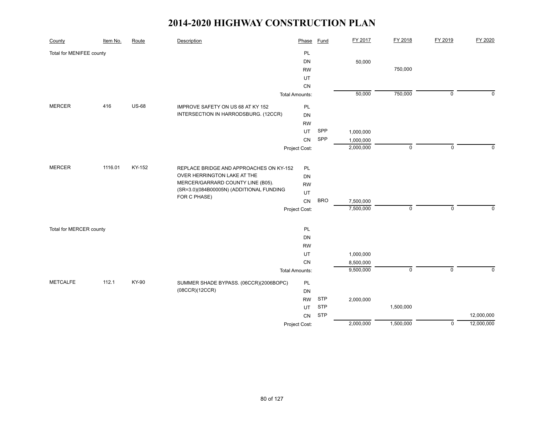| County                   | Item No. | Route        | Description                                                                   | Phase                 | <b>Fund</b> | FY 2017   | FY 2018     | FY 2019        | FY 2020      |
|--------------------------|----------|--------------|-------------------------------------------------------------------------------|-----------------------|-------------|-----------|-------------|----------------|--------------|
| Total for MENIFEE county |          |              |                                                                               | PL                    |             |           |             |                |              |
|                          |          |              |                                                                               | DN                    |             | 50,000    |             |                |              |
|                          |          |              |                                                                               | <b>RW</b>             |             |           | 750,000     |                |              |
|                          |          |              |                                                                               | UT                    |             |           |             |                |              |
|                          |          |              |                                                                               | CN                    |             |           |             |                |              |
|                          |          |              |                                                                               | <b>Total Amounts:</b> |             | 50,000    | 750,000     | $\overline{0}$ | $\mathbf 0$  |
| <b>MERCER</b>            | 416      | <b>US-68</b> | IMPROVE SAFETY ON US 68 AT KY 152                                             | PL                    |             |           |             |                |              |
|                          |          |              | INTERSECTION IN HARRODSBURG. (12CCR)                                          | DN                    |             |           |             |                |              |
|                          |          |              |                                                                               | <b>RW</b>             |             |           |             |                |              |
|                          |          |              |                                                                               | UT                    | SPP         | 1,000,000 |             |                |              |
|                          |          |              |                                                                               | CN                    | SPP         | 1,000,000 |             |                |              |
|                          |          |              |                                                                               | Project Cost:         |             | 2,000,000 | $\mathbf 0$ | $\mathbf 0$    | $\mathbf 0$  |
|                          |          |              |                                                                               |                       |             |           |             |                |              |
| <b>MERCER</b>            | 1116.01  | KY-152       | REPLACE BRIDGE AND APPROACHES ON KY-152                                       | PL                    |             |           |             |                |              |
|                          |          |              | OVER HERRINGTON LAKE AT THE                                                   | DN                    |             |           |             |                |              |
|                          |          |              | MERCER/GARRARD COUNTY LINE (B05).<br>(SR=3.0)(084B00005N) (ADDITIONAL FUNDING | <b>RW</b>             |             |           |             |                |              |
|                          |          |              | FOR C PHASE)                                                                  | UT                    |             |           |             |                |              |
|                          |          |              |                                                                               | CN                    | <b>BRO</b>  | 7,500,000 |             |                |              |
|                          |          |              |                                                                               | Project Cost:         |             | 7,500,000 | $\mathsf 0$ | $\mathsf 0$    | $\mathbf{0}$ |
| Total for MERCER county  |          |              |                                                                               | PL                    |             |           |             |                |              |
|                          |          |              |                                                                               | DN                    |             |           |             |                |              |
|                          |          |              |                                                                               | <b>RW</b>             |             |           |             |                |              |
|                          |          |              |                                                                               | UT                    |             | 1,000,000 |             |                |              |
|                          |          |              |                                                                               | CN                    |             | 8,500,000 |             |                |              |
|                          |          |              |                                                                               | <b>Total Amounts:</b> |             | 9,500,000 | $\mathbf 0$ | $\mathsf 0$    | $\mathbf 0$  |
|                          |          |              |                                                                               |                       |             |           |             |                |              |
| <b>METCALFE</b>          | 112.1    | KY-90        | SUMMER SHADE BYPASS. (06CCR)(2006BOPC)                                        | PL                    |             |           |             |                |              |
|                          |          |              | (08CCR)(12CCR)                                                                | DN                    |             |           |             |                |              |
|                          |          |              |                                                                               | <b>RW</b>             | <b>STP</b>  | 2,000,000 |             |                |              |
|                          |          |              |                                                                               | UT                    | <b>STP</b>  |           | 1,500,000   |                |              |
|                          |          |              |                                                                               | CN                    | <b>STP</b>  |           |             |                | 12,000,000   |
|                          |          |              |                                                                               | Project Cost:         |             | 2,000,000 | 1,500,000   | $\mathbf 0$    | 12,000,000   |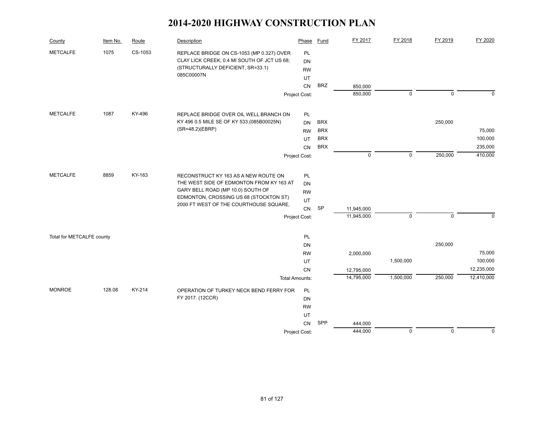| County                    | Item No. | Route   | Description                                                                              | Phase                 | <b>Fund</b> | FY 2017     | FY 2018     | FY 2019      | FY 2020     |
|---------------------------|----------|---------|------------------------------------------------------------------------------------------|-----------------------|-------------|-------------|-------------|--------------|-------------|
| <b>METCALFE</b>           | 1075     | CS-1053 | REPLACE BRIDGE ON CS-1053 (MP 0.327) OVER<br>CLAY LICK CREEK; 0.4 MI SOUTH OF JCT US 68; | PL<br><b>DN</b>       |             |             |             |              |             |
|                           |          |         | (STRUCTURALLY DEFICIENT, SR=33.1)                                                        | <b>RW</b>             |             |             |             |              |             |
|                           |          |         | 085C00007N                                                                               | UT                    |             |             |             |              |             |
|                           |          |         |                                                                                          | CN                    | <b>BRZ</b>  | 850,000     |             |              |             |
|                           |          |         |                                                                                          | Project Cost:         |             | 850,000     | $\mathbf 0$ | $\mathbf 0$  | $\mathbf 0$ |
| <b>METCALFE</b>           | 1087     | KY-496  | REPLACE BRIDGE OVER OIL WELL BRANCH ON                                                   | PL                    |             |             |             |              |             |
|                           |          |         | KY 496 0.5 MILE SE OF KY 533.(085B00025N)                                                | <b>DN</b>             | <b>BRX</b>  |             |             | 250,000      |             |
|                           |          |         | (SR=48.2)(EBRP)                                                                          | <b>RW</b>             | <b>BRX</b>  |             |             |              | 75,000      |
|                           |          |         |                                                                                          | UT.                   | <b>BRX</b>  |             |             |              | 100,000     |
|                           |          |         |                                                                                          | <b>CN</b>             | <b>BRX</b>  |             |             |              | 235,000     |
|                           |          |         |                                                                                          | Project Cost:         |             | $\mathbf 0$ | $\mathbf 0$ | 250,000      | 410,000     |
|                           |          |         |                                                                                          |                       |             |             |             |              |             |
| <b>METCALFE</b>           | 8859     | KY-163  | RECONSTRUCT KY 163 AS A NEW ROUTE ON                                                     | PL                    |             |             |             |              |             |
|                           |          |         | THE WEST SIDE OF EDMONTON FROM KY 163 AT<br>GARY BELL ROAD (MP 10.0) SOUTH OF            | <b>DN</b>             |             |             |             |              |             |
|                           |          |         | EDMONTON, CROSSING US 68 (STOCKTON ST)                                                   | <b>RW</b>             |             |             |             |              |             |
|                           |          |         | 2000 FT WEST OF THE COURTHOUSE SQUARE,                                                   | UT<br>CN              | SP          | 11,945,000  |             |              |             |
|                           |          |         |                                                                                          | Project Cost:         |             | 11,945,000  | $\mathbf 0$ | $\mathbf{0}$ | $\Omega$    |
|                           |          |         |                                                                                          |                       |             |             |             |              |             |
| Total for METCALFE county |          |         |                                                                                          | PL                    |             |             |             |              |             |
|                           |          |         |                                                                                          | DN                    |             |             |             | 250,000      |             |
|                           |          |         |                                                                                          | <b>RW</b>             |             | 2,000,000   |             |              | 75,000      |
|                           |          |         |                                                                                          | UT                    |             |             | 1,500,000   |              | 100,000     |
|                           |          |         |                                                                                          | CN                    |             | 12,795,000  |             |              | 12,235,000  |
|                           |          |         |                                                                                          | <b>Total Amounts:</b> |             | 14,795,000  | 1,500,000   | 250,000      | 12,410,000  |
| <b>MONROE</b>             | 128.08   | KY-214  | OPERATION OF TURKEY NECK BEND FERRY FOR                                                  | PL                    |             |             |             |              |             |
|                           |          |         | FY 2017. (12CCR)                                                                         | DN                    |             |             |             |              |             |
|                           |          |         |                                                                                          | <b>RW</b>             |             |             |             |              |             |
|                           |          |         |                                                                                          | UT                    |             |             |             |              |             |
|                           |          |         |                                                                                          | CN                    | SPP         | 444,000     |             |              |             |
|                           |          |         |                                                                                          | Project Cost:         |             | 444,000     | $\mathbf 0$ | $\mathbf 0$  | $\mathbf 0$ |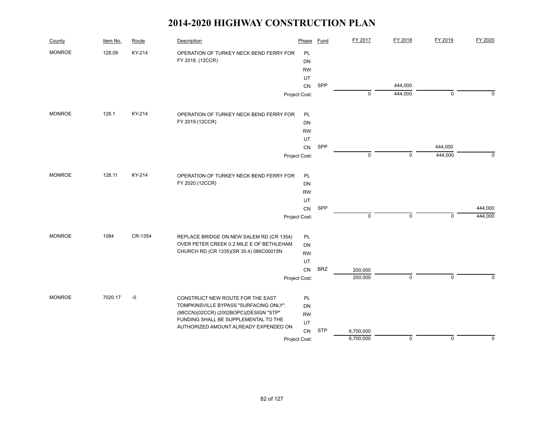| County        | Item No. | Route   | Description                                                                   | Phase         | <b>Fund</b> | FY 2017     | FY 2018   | FY 2019     | FY 2020     |
|---------------|----------|---------|-------------------------------------------------------------------------------|---------------|-------------|-------------|-----------|-------------|-------------|
| <b>MONROE</b> | 128.09   | KY-214  | OPERATION OF TURKEY NECK BEND FERRY FOR                                       | PL            |             |             |           |             |             |
|               |          |         | FY 2018. (12CCR)                                                              | <b>DN</b>     |             |             |           |             |             |
|               |          |         |                                                                               | <b>RW</b>     |             |             |           |             |             |
|               |          |         |                                                                               | UT            |             |             |           |             |             |
|               |          |         |                                                                               | CN            | SPP         |             | 444,000   |             |             |
|               |          |         |                                                                               | Project Cost: |             | 0           | 444,000   | $\mathbf 0$ | 0           |
| <b>MONROE</b> | 128.1    | KY-214  | OPERATION OF TURKEY NECK BEND FERRY FOR                                       | PL            |             |             |           |             |             |
|               |          |         | FY 2019.(12CCR)                                                               | DN            |             |             |           |             |             |
|               |          |         |                                                                               | <b>RW</b>     |             |             |           |             |             |
|               |          |         |                                                                               | UT            |             |             |           |             |             |
|               |          |         |                                                                               | CN            | SPP         |             |           | 444,000     |             |
|               |          |         |                                                                               | Project Cost: |             | 0           | 0         | 444,000     | $\mathbf 0$ |
| <b>MONROE</b> | 128.11   | KY-214  | OPERATION OF TURKEY NECK BEND FERRY FOR                                       | PL            |             |             |           |             |             |
|               |          |         | FY 2020.(12CCR)                                                               | DN            |             |             |           |             |             |
|               |          |         |                                                                               | <b>RW</b>     |             |             |           |             |             |
|               |          |         |                                                                               | UT            |             |             |           |             |             |
|               |          |         |                                                                               | ${\sf CN}$    | SPP         |             |           |             | 444,000     |
|               |          |         |                                                                               | Project Cost: |             | $\mathbf 0$ | $\pmb{0}$ | $\mathbf 0$ | 444,000     |
| <b>MONROE</b> | 1084     | CR-1354 | REPLACE BRIDGE ON NEW SALEM RD (CR 1354)                                      | PL            |             |             |           |             |             |
|               |          |         | OVER PETER CREEK 0.2 MILE E OF BETHLEHAM                                      | <b>DN</b>     |             |             |           |             |             |
|               |          |         | CHURCH RD (CR 1335)(SR 35.4) 086C00015N                                       | <b>RW</b>     |             |             |           |             |             |
|               |          |         |                                                                               | UT            |             |             |           |             |             |
|               |          |         |                                                                               | CN            | <b>BRZ</b>  | 200,000     |           |             |             |
|               |          |         |                                                                               | Project Cost: |             | 200,000     | $\pmb{0}$ | $\mathbf 0$ | $\Omega$    |
| <b>MONROE</b> | 7020.17  | $-0$    | CONSTRUCT NEW ROUTE FOR THE EAST                                              | PL            |             |             |           |             |             |
|               |          |         | TOMPKINSVILLE BYPASS "SURFACING ONLY".                                        | DN            |             |             |           |             |             |
|               |          |         | (98CCN)(02CCR) (2002BOPC)(DESIGN "STP"                                        | <b>RW</b>     |             |             |           |             |             |
|               |          |         | FUNDING SHALL BE SUPPLEMENTAL TO THE<br>AUTHORIZED AMOUNT ALREADY EXPENDED ON | UT            |             |             |           |             |             |
|               |          |         |                                                                               | CN            | <b>STP</b>  | 6,700,000   |           |             |             |
|               |          |         |                                                                               | Project Cost: |             | 6,700,000   | $\pmb{0}$ | $\mathbf 0$ | 0           |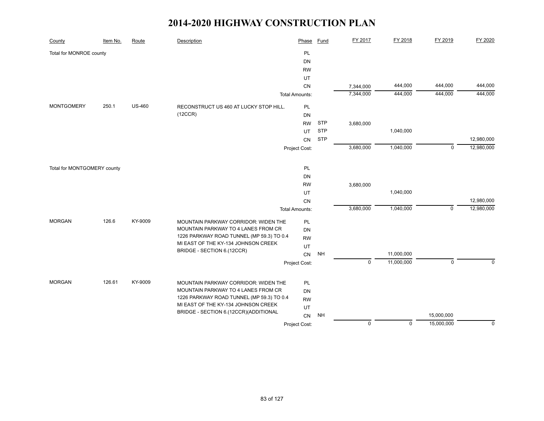| County                      | Item No. | Route         | Description                               | Phase                 | <b>Fund</b> | FY 2017     | FY 2018     | FY 2019     | FY 2020     |
|-----------------------------|----------|---------------|-------------------------------------------|-----------------------|-------------|-------------|-------------|-------------|-------------|
| Total for MONROE county     |          |               |                                           | PL                    |             |             |             |             |             |
|                             |          |               |                                           | DN                    |             |             |             |             |             |
|                             |          |               |                                           | <b>RW</b>             |             |             |             |             |             |
|                             |          |               |                                           | UT                    |             |             |             |             |             |
|                             |          |               |                                           | CN                    |             | 7,344,000   | 444,000     | 444,000     | 444,000     |
|                             |          |               |                                           | <b>Total Amounts:</b> |             | 7,344,000   | 444,000     | 444,000     | 444,000     |
| <b>MONTGOMERY</b>           | 250.1    | <b>US-460</b> | RECONSTRUCT US 460 AT LUCKY STOP HILL.    | PL                    |             |             |             |             |             |
|                             |          |               | (12CCR)                                   | DN                    |             |             |             |             |             |
|                             |          |               |                                           | <b>RW</b>             | <b>STP</b>  | 3,680,000   |             |             |             |
|                             |          |               |                                           | UT                    | <b>STP</b>  |             | 1,040,000   |             |             |
|                             |          |               |                                           | CN                    | <b>STP</b>  |             |             |             | 12,980,000  |
|                             |          |               |                                           | Project Cost:         |             | 3,680,000   | 1,040,000   | $\mathbf 0$ | 12,980,000  |
|                             |          |               |                                           |                       |             |             |             |             |             |
| Total for MONTGOMERY county |          |               |                                           | PL                    |             |             |             |             |             |
|                             |          |               |                                           | DN                    |             |             |             |             |             |
|                             |          |               |                                           | <b>RW</b>             |             | 3,680,000   |             |             |             |
|                             |          |               |                                           | UT                    |             |             | 1,040,000   |             |             |
|                             |          |               |                                           | CN                    |             |             |             |             | 12,980,000  |
|                             |          |               |                                           | <b>Total Amounts:</b> |             | 3,680,000   | 1,040,000   | $\mathbf 0$ | 12,980,000  |
| <b>MORGAN</b>               | 126.6    | KY-9009       | MOUNTAIN PARKWAY CORRIDOR: WIDEN THE      | PL                    |             |             |             |             |             |
|                             |          |               | MOUNTAIN PARKWAY TO 4 LANES FROM CR       | DN                    |             |             |             |             |             |
|                             |          |               | 1226 PARKWAY ROAD TUNNEL (MP 59.3) TO 0.4 | <b>RW</b>             |             |             |             |             |             |
|                             |          |               | MI EAST OF THE KY-134 JOHNSON CREEK       | UT                    |             |             |             |             |             |
|                             |          |               | BRIDGE - SECTION 6.(12CCR)                | CN                    | <b>NH</b>   |             | 11,000,000  |             |             |
|                             |          |               |                                           | Project Cost:         |             | $\mathbf 0$ | 11,000,000  | $\pmb{0}$   | $\mathbf 0$ |
|                             |          |               |                                           |                       |             |             |             |             |             |
| <b>MORGAN</b>               | 126.61   | KY-9009       | MOUNTAIN PARKWAY CORRIDOR: WIDEN THE      | <b>PL</b>             |             |             |             |             |             |
|                             |          |               | MOUNTAIN PARKWAY TO 4 LANES FROM CR       | DN                    |             |             |             |             |             |
|                             |          |               | 1226 PARKWAY ROAD TUNNEL (MP 59.3) TO 0.4 | <b>RW</b>             |             |             |             |             |             |
|                             |          |               | MI EAST OF THE KY-134 JOHNSON CREEK       | UT                    |             |             |             |             |             |
|                             |          |               | BRIDGE - SECTION 6.(12CCR)(ADDITIONAL     | CN                    | <b>NH</b>   |             |             | 15,000,000  |             |
|                             |          |               |                                           | Project Cost:         |             | $\mathbf 0$ | $\mathbf 0$ | 15,000,000  | $\mathbf 0$ |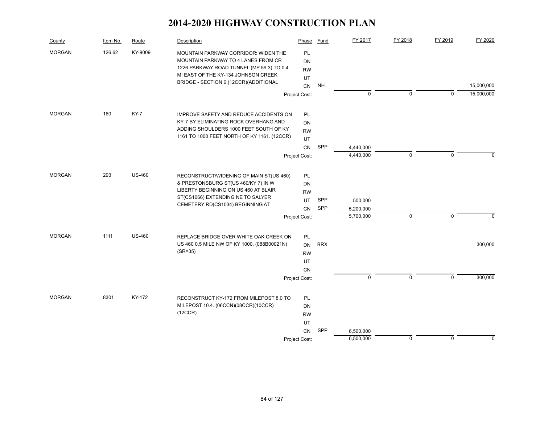| County        | Item No. | Route         | Description                                                                                                                                                              | Phase                              | Fund       | FY 2017              | FY 2018     | FY 2019     | FY 2020    |
|---------------|----------|---------------|--------------------------------------------------------------------------------------------------------------------------------------------------------------------------|------------------------------------|------------|----------------------|-------------|-------------|------------|
| <b>MORGAN</b> | 126.62   | KY-9009       | MOUNTAIN PARKWAY CORRIDOR: WIDEN THE<br>MOUNTAIN PARKWAY TO 4 LANES FROM CR<br>1226 PARKWAY ROAD TUNNEL (MP 59.3) TO 0.4<br>MI EAST OF THE KY-134 JOHNSON CREEK          | PL<br>DN<br><b>RW</b><br>UT        |            |                      |             |             |            |
|               |          |               | BRIDGE - SECTION 6.(12CCR)(ADDITIONAL                                                                                                                                    | CN                                 | <b>NH</b>  |                      |             |             | 15,000,000 |
|               |          |               |                                                                                                                                                                          | Project Cost:                      |            | 0                    | 0           | $\mathbf 0$ | 15,000,000 |
| <b>MORGAN</b> | 160      | KY-7          | IMPROVE SAFETY AND REDUCE ACCIDENTS ON<br>KY-7 BY ELIMINATING ROCK OVERHANG AND<br>ADDING SHOULDERS 1000 FEET SOUTH OF KY<br>1161 TO 1000 FEET NORTH OF KY 1161. (12CCR) | <b>PL</b><br>DN<br><b>RW</b><br>UT |            |                      |             |             |            |
|               |          |               |                                                                                                                                                                          | <b>CN</b>                          | SPP        | 4,440,000            |             |             |            |
|               |          |               |                                                                                                                                                                          | Project Cost:                      |            | 4,440,000            | 0           | $\mathbf 0$ | 0          |
| <b>MORGAN</b> | 293      | <b>US-460</b> | RECONSTRUCT/WIDENING OF MAIN ST(US 460)<br>& PRESTONSBURG ST(US 460/KY 7) IN W<br>LIBERTY BEGINNING ON US 460 AT BLAIR<br>ST(CS1066) EXTENDING NE TO SALYER              | <b>PL</b><br>DN<br><b>RW</b>       |            |                      |             |             |            |
|               |          |               | CEMETERY RD(CS1034) BEGINNING AT                                                                                                                                         | UT<br>CN                           | SPP<br>SPP | 500,000<br>5,200,000 |             |             |            |
|               |          |               |                                                                                                                                                                          | Project Cost:                      |            | 5,700,000            | $\pmb{0}$   | $\mathsf 0$ | 0          |
| <b>MORGAN</b> | 1111     | <b>US-460</b> | REPLACE BRIDGE OVER WHITE OAK CREEK ON<br>US 460 0.5 MILE NW OF KY 1000. (088B00021N)                                                                                    | PL                                 | <b>BRX</b> |                      |             |             | 300,000    |
|               |          |               | $(SR = 35)$                                                                                                                                                              | <b>DN</b><br><b>RW</b>             |            |                      |             |             |            |
|               |          |               |                                                                                                                                                                          | UT                                 |            |                      |             |             |            |
|               |          |               |                                                                                                                                                                          | <b>CN</b>                          |            |                      |             | $\mathbf 0$ |            |
|               |          |               |                                                                                                                                                                          | Project Cost:                      |            | $\mathbf 0$          | $\mathbf 0$ |             | 300,000    |
| <b>MORGAN</b> | 8301     | KY-172        | RECONSTRUCT KY-172 FROM MILEPOST 8.0 TO<br>MILEPOST 10.4. (06CCN)(08CCR)(10CCR)<br>(12CCR)                                                                               | PL<br>DN<br><b>RW</b><br>UT        |            |                      |             |             |            |
|               |          |               |                                                                                                                                                                          | <b>CN</b>                          | SPP        | 6,500,000            |             |             |            |
|               |          |               |                                                                                                                                                                          | Project Cost:                      |            | 6,500,000            | $\pmb{0}$   | $\mathbf 0$ | 0          |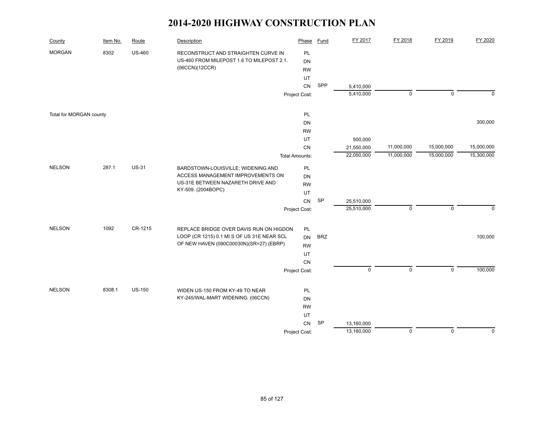| County                  | Item No. | Route         | Description                                | Phase                 | <b>Fund</b> | FY 2017     | FY 2018     | FY 2019     | FY 2020     |
|-------------------------|----------|---------------|--------------------------------------------|-----------------------|-------------|-------------|-------------|-------------|-------------|
| <b>MORGAN</b>           | 8302     | <b>US-460</b> | RECONSTRUCT AND STRAIGHTEN CURVE IN        | PL                    |             |             |             |             |             |
|                         |          |               | US-460 FROM MILEPOST 1.6 TO MILEPOST 2.1.  | <b>DN</b>             |             |             |             |             |             |
|                         |          |               | (06CCN)(12CCR)                             | <b>RW</b>             |             |             |             |             |             |
|                         |          |               |                                            | UT                    |             |             |             |             |             |
|                         |          |               |                                            | CN                    | SPP         | 5,410,000   |             |             |             |
|                         |          |               |                                            | Project Cost:         |             | 5,410,000   | $\mathbf 0$ | $\mathbf 0$ | $\mathbf 0$ |
| Total for MORGAN county |          |               |                                            | PL                    |             |             |             |             |             |
|                         |          |               |                                            | DN                    |             |             |             |             | 300,000     |
|                         |          |               |                                            | <b>RW</b>             |             |             |             |             |             |
|                         |          |               |                                            | UT                    |             | 500,000     |             |             |             |
|                         |          |               |                                            | CN                    |             | 21,550,000  | 11,000,000  | 15,000,000  | 15,000,000  |
|                         |          |               |                                            | <b>Total Amounts:</b> |             | 22,050,000  | 11,000,000  | 15,000,000  | 15,300,000  |
| <b>NELSON</b>           | 287.1    | <b>US-31</b>  | BARDSTOWN-LOUISVILLE; WIDENING AND         | PL                    |             |             |             |             |             |
|                         |          |               | ACCESS MANAGEMENT IMPROVEMENTS ON          | DN                    |             |             |             |             |             |
|                         |          |               | US-31E BETWEEN NAZARETH DRIVE AND          | <b>RW</b>             |             |             |             |             |             |
|                         |          |               | KY-509. (2004BOPC)                         | UT                    |             |             |             |             |             |
|                         |          |               |                                            | CN                    | SP          | 25,510,000  |             |             |             |
|                         |          |               |                                            | Project Cost:         |             | 25,510,000  | $\mathbf 0$ | $\mathbf 0$ | $\Omega$    |
| <b>NELSON</b>           | 1092     | CR-1215       | REPLACE BRIDGE OVER DAVIS RUN ON HIGDON    | PL                    |             |             |             |             |             |
|                         |          |               | LOOP (CR 1215) 0.1 MI S OF US 31E NEAR SCL | DN                    | <b>BRZ</b>  |             |             |             | 100,000     |
|                         |          |               | OF NEW HAVEN (090C00030N)(SR=27) (EBRP)    | <b>RW</b>             |             |             |             |             |             |
|                         |          |               |                                            | UT                    |             |             |             |             |             |
|                         |          |               |                                            | CN                    |             |             |             |             |             |
|                         |          |               |                                            | Project Cost:         |             | $\mathbf 0$ | $\mathbf 0$ | $\mathbf 0$ | 100,000     |
|                         |          |               |                                            |                       |             |             |             |             |             |
| <b>NELSON</b>           | 8308.1   | <b>US-150</b> | WIDEN US-150 FROM KY-49 TO NEAR            | PL                    |             |             |             |             |             |
|                         |          |               | KY-245/WAL-MART WIDENING. (06CCN)          | DN                    |             |             |             |             |             |
|                         |          |               |                                            | <b>RW</b>             |             |             |             |             |             |
|                         |          |               |                                            | UT                    |             |             |             |             |             |
|                         |          |               |                                            | CN                    | SP          | 13,160,000  |             |             |             |
|                         |          |               |                                            | Project Cost:         |             | 13,160,000  | $\mathbf 0$ | $\mathbf 0$ | $\mathbf 0$ |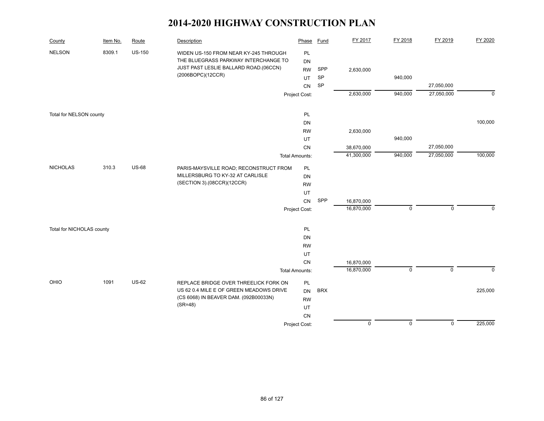| County                    | Item No. | Route         | Description                                                                      | Phase                 | Fund       | FY 2017     | FY 2018     | FY 2019     | FY 2020        |
|---------------------------|----------|---------------|----------------------------------------------------------------------------------|-----------------------|------------|-------------|-------------|-------------|----------------|
| <b>NELSON</b>             | 8309.1   | <b>US-150</b> | WIDEN US-150 FROM NEAR KY-245 THROUGH                                            | PL                    |            |             |             |             |                |
|                           |          |               | THE BLUEGRASS PARKWAY INTERCHANGE TO                                             | DN                    |            |             |             |             |                |
|                           |          |               | JUST PAST LESLIE BALLARD ROAD.(06CCN)                                            | <b>RW</b>             | SPP        | 2,630,000   |             |             |                |
|                           |          |               | (2006BOPC)(12CCR)                                                                | UT                    | SP         |             | 940,000     |             |                |
|                           |          |               |                                                                                  | <b>CN</b>             | SP         |             |             | 27,050,000  |                |
|                           |          |               |                                                                                  | Project Cost:         |            | 2,630,000   | 940,000     | 27,050,000  | $\overline{0}$ |
| Total for NELSON county   |          |               |                                                                                  | PL                    |            |             |             |             |                |
|                           |          |               |                                                                                  | DN                    |            |             |             |             | 100,000        |
|                           |          |               |                                                                                  | <b>RW</b>             |            | 2,630,000   |             |             |                |
|                           |          |               |                                                                                  | UT                    |            |             | 940,000     |             |                |
|                           |          |               |                                                                                  | CN                    |            | 38,670,000  |             | 27,050,000  |                |
|                           |          |               |                                                                                  | <b>Total Amounts:</b> |            | 41,300,000  | 940,000     | 27,050,000  | 100,000        |
|                           |          |               |                                                                                  |                       |            |             |             |             |                |
| <b>NICHOLAS</b>           | 310.3    | <b>US-68</b>  | PARIS-MAYSVILLE ROAD; RECONSTRUCT FROM                                           | PL                    |            |             |             |             |                |
|                           |          |               | MILLERSBURG TO KY-32 AT CARLISLE                                                 | DN                    |            |             |             |             |                |
|                           |          |               | (SECTION 3).(08CCR)(12CCR)                                                       | <b>RW</b>             |            |             |             |             |                |
|                           |          |               |                                                                                  | UT                    |            |             |             |             |                |
|                           |          |               |                                                                                  | CN                    | SPP        | 16,870,000  |             |             |                |
|                           |          |               |                                                                                  | Project Cost:         |            | 16,870,000  | $\mathbf 0$ | $\mathsf 0$ | $\mathbf 0$    |
| Total for NICHOLAS county |          |               |                                                                                  | PL                    |            |             |             |             |                |
|                           |          |               |                                                                                  | DN                    |            |             |             |             |                |
|                           |          |               |                                                                                  | <b>RW</b>             |            |             |             |             |                |
|                           |          |               |                                                                                  | UT                    |            |             |             |             |                |
|                           |          |               |                                                                                  | CN                    |            | 16,870,000  |             |             |                |
|                           |          |               |                                                                                  | <b>Total Amounts:</b> |            | 16,870,000  | $\mathsf 0$ | $\pmb{0}$   | $\mathbf 0$    |
| OHIO                      | 1091     | <b>US-62</b>  |                                                                                  |                       |            |             |             |             |                |
|                           |          |               | REPLACE BRIDGE OVER THREELICK FORK ON<br>US 62 0.4 MILE E OF GREEN MEADOWS DRIVE | PL<br>DN              | <b>BRX</b> |             |             |             | 225,000        |
|                           |          |               | (CS 6068) IN BEAVER DAM. (092B00033N)                                            | <b>RW</b>             |            |             |             |             |                |
|                           |          |               | $(SR=48)$                                                                        | UT                    |            |             |             |             |                |
|                           |          |               |                                                                                  | CN                    |            |             |             |             |                |
|                           |          |               |                                                                                  | Project Cost:         |            | $\mathbf 0$ | $\mathbf 0$ | $\mathbf 0$ | 225,000        |
|                           |          |               |                                                                                  |                       |            |             |             |             |                |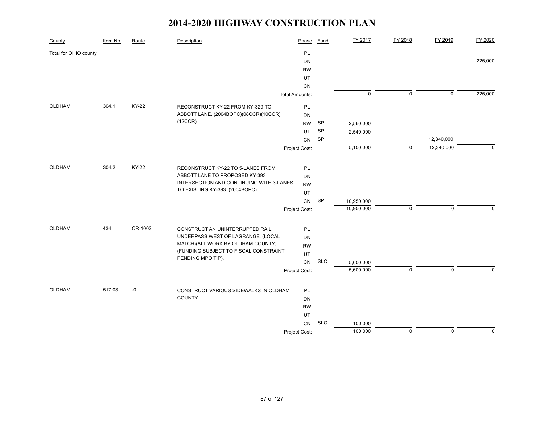| County                | Item No. | Route   | Description                                                | Phase                 | <b>Fund</b> | FY 2017     | FY 2018     | FY 2019     | FY 2020      |
|-----------------------|----------|---------|------------------------------------------------------------|-----------------------|-------------|-------------|-------------|-------------|--------------|
| Total for OHIO county |          |         |                                                            | PL                    |             |             |             |             |              |
|                       |          |         |                                                            | <b>DN</b>             |             |             |             |             | 225,000      |
|                       |          |         |                                                            | <b>RW</b>             |             |             |             |             |              |
|                       |          |         |                                                            | UT                    |             |             |             |             |              |
|                       |          |         |                                                            | CN                    |             |             |             |             |              |
|                       |          |         |                                                            | <b>Total Amounts:</b> |             | $\mathsf 0$ | $\mathbf 0$ | $\pmb{0}$   | 225,000      |
| OLDHAM                | 304.1    | KY-22   | RECONSTRUCT KY-22 FROM KY-329 TO                           | PL                    |             |             |             |             |              |
|                       |          |         | ABBOTT LANE. (2004BOPC)(08CCR)(10CCR)                      | <b>DN</b>             |             |             |             |             |              |
|                       |          |         | (12CCR)                                                    | <b>RW</b>             | SP          | 2,560,000   |             |             |              |
|                       |          |         |                                                            | UT                    | SP          | 2,540,000   |             |             |              |
|                       |          |         |                                                            | CN                    | SP          |             |             | 12,340,000  |              |
|                       |          |         |                                                            | Project Cost:         |             | 5,100,000   | $\mathsf 0$ | 12,340,000  | $\mathbf 0$  |
| OLDHAM                | 304.2    | KY-22   | RECONSTRUCT KY-22 TO 5-LANES FROM                          | PL                    |             |             |             |             |              |
|                       |          |         | ABBOTT LANE TO PROPOSED KY-393                             | <b>DN</b>             |             |             |             |             |              |
|                       |          |         | INTERSECTION AND CONTINUING WITH 3-LANES                   | <b>RW</b>             |             |             |             |             |              |
|                       |          |         | TO EXISTING KY-393. (2004BOPC)                             | UT                    |             |             |             |             |              |
|                       |          |         |                                                            | CN                    | SP          | 10,950,000  |             |             |              |
|                       |          |         |                                                            | Project Cost:         |             | 10,950,000  | $\mathbf 0$ | $\mathbf 0$ | $\mathbf{0}$ |
|                       |          |         |                                                            |                       |             |             |             |             |              |
| <b>OLDHAM</b>         | 434      | CR-1002 | CONSTRUCT AN UNINTERRUPTED RAIL                            | PL                    |             |             |             |             |              |
|                       |          |         | UNDERPASS WEST OF LAGRANGE. (LOCAL                         | <b>DN</b>             |             |             |             |             |              |
|                       |          |         | MATCH)(ALL WORK BY OLDHAM COUNTY)                          | <b>RW</b>             |             |             |             |             |              |
|                       |          |         | (FUNDING SUBJECT TO FISCAL CONSTRAINT<br>PENDING MPO TIP). | UT                    |             |             |             |             |              |
|                       |          |         |                                                            | CN                    | <b>SLO</b>  | 5,600,000   |             |             |              |
|                       |          |         |                                                            | Project Cost:         |             | 5,600,000   | $\mathbf 0$ | $\mathbf 0$ | $\Omega$     |
| <b>OLDHAM</b>         | 517.03   | $-0$    | CONSTRUCT VARIOUS SIDEWALKS IN OLDHAM                      | PL                    |             |             |             |             |              |
|                       |          |         | COUNTY.                                                    | <b>DN</b>             |             |             |             |             |              |
|                       |          |         |                                                            | <b>RW</b>             |             |             |             |             |              |
|                       |          |         |                                                            | UT                    |             |             |             |             |              |
|                       |          |         |                                                            | <b>CN</b>             | <b>SLO</b>  | 100,000     |             |             |              |
|                       |          |         |                                                            | Project Cost:         |             | 100,000     | $\pmb{0}$   | $\mathsf 0$ | $\mathbf 0$  |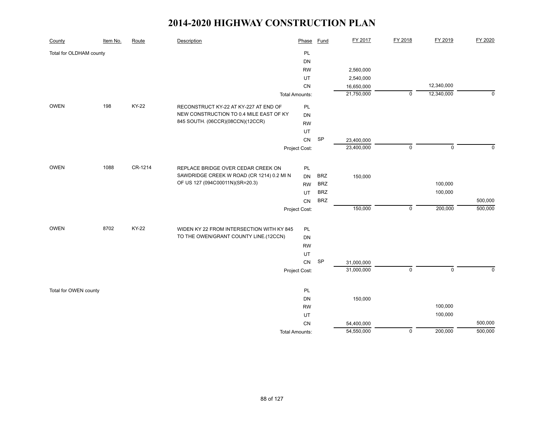| County                  | Item No. | Route        | Description                               | Phase                 | Fund       | FY 2017    | FY 2018        | FY 2019     | FY 2020     |
|-------------------------|----------|--------------|-------------------------------------------|-----------------------|------------|------------|----------------|-------------|-------------|
| Total for OLDHAM county |          |              |                                           | PL                    |            |            |                |             |             |
|                         |          |              |                                           | DN                    |            |            |                |             |             |
|                         |          |              |                                           | <b>RW</b>             |            | 2,560,000  |                |             |             |
|                         |          |              |                                           | UT                    |            | 2,540,000  |                |             |             |
|                         |          |              |                                           | CN                    |            | 16,650,000 |                | 12,340,000  |             |
|                         |          |              |                                           | <b>Total Amounts:</b> |            | 21,750,000 | $\overline{0}$ | 12,340,000  | $\mathbf 0$ |
| OWEN                    | 198      | KY-22        | RECONSTRUCT KY-22 AT KY-227 AT END OF     | PL                    |            |            |                |             |             |
|                         |          |              | NEW CONSTRUCTION TO 0.4 MILE EAST OF KY   | DN                    |            |            |                |             |             |
|                         |          |              | 845 SOUTH. (06CCR)(08CCN)(12CCR)          | <b>RW</b>             |            |            |                |             |             |
|                         |          |              |                                           | UT                    |            |            |                |             |             |
|                         |          |              |                                           | ${\sf CN}$            | SP         | 23,400,000 |                |             |             |
|                         |          |              |                                           | Project Cost:         |            | 23,400,000 | $\pmb{0}$      | $\mathbf 0$ | $\mathbf 0$ |
| <b>OWEN</b>             | 1088     | CR-1214      | REPLACE BRIDGE OVER CEDAR CREEK ON        | PL                    |            |            |                |             |             |
|                         |          |              | SAWDRIDGE CREEK W ROAD (CR 1214) 0.2 MI N | <b>DN</b>             | <b>BRZ</b> | 150,000    |                |             |             |
|                         |          |              | OF US 127 (094C00011N)(SR=20.3)           | <b>RW</b>             | <b>BRZ</b> |            |                | 100,000     |             |
|                         |          |              |                                           | UT                    | <b>BRZ</b> |            |                | 100,000     |             |
|                         |          |              |                                           | CN                    | <b>BRZ</b> |            |                |             | 500,000     |
|                         |          |              |                                           | Project Cost:         |            | 150,000    | $\mathbf 0$    | 200,000     | 500,000     |
|                         |          |              |                                           |                       |            |            |                |             |             |
| <b>OWEN</b>             | 8702     | <b>KY-22</b> | WIDEN KY 22 FROM INTERSECTION WITH KY 845 | PL                    |            |            |                |             |             |
|                         |          |              | TO THE OWEN/GRANT COUNTY LINE.(12CCN)     | DN                    |            |            |                |             |             |
|                         |          |              |                                           | <b>RW</b>             |            |            |                |             |             |
|                         |          |              |                                           | UT                    |            |            |                |             |             |
|                         |          |              |                                           | CN                    | SP         | 31,000,000 | $\pmb{0}$      | $\mathbf 0$ | $\mathbf 0$ |
|                         |          |              |                                           | Project Cost:         |            | 31,000,000 |                |             |             |
| Total for OWEN county   |          |              |                                           | PL                    |            |            |                |             |             |
|                         |          |              |                                           | <b>DN</b>             |            | 150,000    |                |             |             |
|                         |          |              |                                           | <b>RW</b>             |            |            |                | 100,000     |             |
|                         |          |              |                                           | UT                    |            |            |                | 100,000     |             |
|                         |          |              |                                           | CN                    |            | 54,400,000 |                |             | 500,000     |
|                         |          |              |                                           | <b>Total Amounts:</b> |            | 54,550,000 | $\overline{0}$ | 200,000     | 500,000     |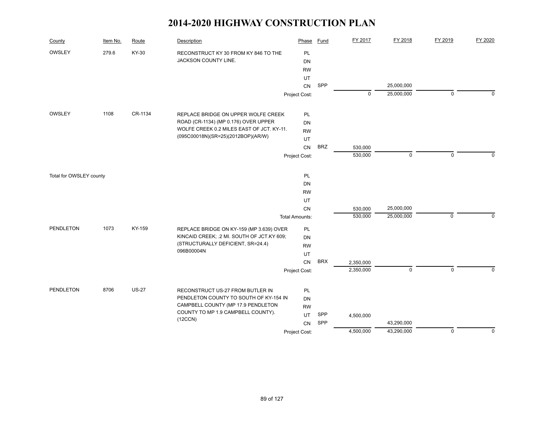| County                  | Item No. | Route        | Description                                   | Phase                 | <b>Fund</b> | FY 2017     | FY 2018     | FY 2019     | FY 2020     |
|-------------------------|----------|--------------|-----------------------------------------------|-----------------------|-------------|-------------|-------------|-------------|-------------|
| OWSLEY                  | 279.6    | KY-30        | RECONSTRUCT KY 30 FROM KY 846 TO THE          | PL                    |             |             |             |             |             |
|                         |          |              | JACKSON COUNTY LINE.                          | DN                    |             |             |             |             |             |
|                         |          |              |                                               | <b>RW</b>             |             |             |             |             |             |
|                         |          |              |                                               | UT                    |             |             |             |             |             |
|                         |          |              |                                               | CN                    | SPP         |             | 25,000,000  |             |             |
|                         |          |              |                                               | Project Cost:         |             | $\mathbf 0$ | 25,000,000  | 0           | $\Omega$    |
| OWSLEY                  | 1108     | CR-1134      | REPLACE BRIDGE ON UPPER WOLFE CREEK           | PL                    |             |             |             |             |             |
|                         |          |              | ROAD (CR-1134) (MP 0.176) OVER UPPER          | DN                    |             |             |             |             |             |
|                         |          |              | WOLFE CREEK 0.2 MILES EAST OF JCT. KY-11.     | <b>RW</b>             |             |             |             |             |             |
|                         |          |              | (095C00018N)(SR=25)(2012BOP)(AR/W)            | <b>UT</b>             |             |             |             |             |             |
|                         |          |              |                                               | CN                    | <b>BRZ</b>  | 530,000     |             |             |             |
|                         |          |              |                                               | Project Cost:         |             | 530,000     | $\mathbf 0$ | $\mathbf 0$ | $\Omega$    |
|                         |          |              |                                               |                       |             |             |             |             |             |
| Total for OWSLEY county |          |              |                                               | PL                    |             |             |             |             |             |
|                         |          |              |                                               | DN                    |             |             |             |             |             |
|                         |          |              |                                               | <b>RW</b><br>UT       |             |             |             |             |             |
|                         |          |              |                                               | CN                    |             | 530,000     | 25,000,000  |             |             |
|                         |          |              |                                               | <b>Total Amounts:</b> |             | 530,000     | 25,000,000  | $\Omega$    | $\Omega$    |
| <b>PENDLETON</b>        | 1073     | KY-159       | REPLACE BRIDGE ON KY-159 (MP 3.639) OVER      | PL                    |             |             |             |             |             |
|                         |          |              | KINCAID CREEK; .2 MI. SOUTH OF JCT.KY 609;    | DN                    |             |             |             |             |             |
|                         |          |              | (STRUCTURALLY DEFICIENT, SR=24.4)             | <b>RW</b>             |             |             |             |             |             |
|                         |          |              | 096B00004N                                    | UT                    |             |             |             |             |             |
|                         |          |              |                                               | CN                    | <b>BRX</b>  | 2,350,000   |             |             |             |
|                         |          |              |                                               | Project Cost:         |             | 2,350,000   | $\mathbf 0$ | $\mathbf 0$ | $\Omega$    |
|                         |          |              |                                               |                       |             |             |             |             |             |
| PENDLETON               | 8706     | <b>US-27</b> | RECONSTRUCT US-27 FROM BUTLER IN              | PL                    |             |             |             |             |             |
|                         |          |              | PENDLETON COUNTY TO SOUTH OF KY-154 IN        | DN                    |             |             |             |             |             |
|                         |          |              | CAMPBELL COUNTY (MP 17.9 PENDLETON            | <b>RW</b>             |             |             |             |             |             |
|                         |          |              | COUNTY TO MP 1.9 CAMPBELL COUNTY).<br>(12CCN) | UT                    | SPP         | 4,500,000   |             |             |             |
|                         |          |              |                                               | <b>CN</b>             | SPP         |             | 43,290,000  |             |             |
|                         |          |              |                                               | Project Cost:         |             | 4,500,000   | 43,290,000  | $\mathbf 0$ | $\mathbf 0$ |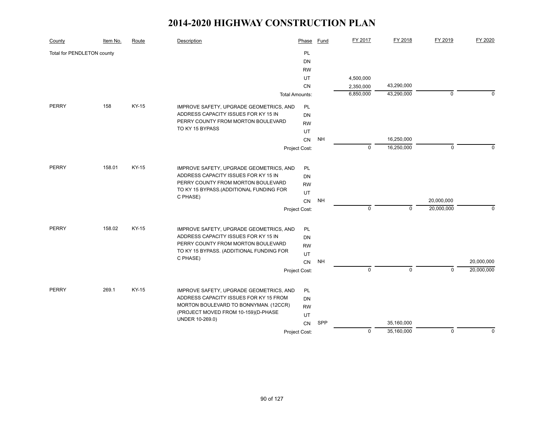| County                     | Item No. | Route | Description                                                                       | Phase           | Fund      | FY 2017     | FY 2018      | FY 2019     | FY 2020     |
|----------------------------|----------|-------|-----------------------------------------------------------------------------------|-----------------|-----------|-------------|--------------|-------------|-------------|
| Total for PENDLETON county |          |       |                                                                                   | PL              |           |             |              |             |             |
|                            |          |       |                                                                                   | DN              |           |             |              |             |             |
|                            |          |       |                                                                                   | <b>RW</b>       |           |             |              |             |             |
|                            |          |       |                                                                                   | UT              |           | 4,500,000   |              |             |             |
|                            |          |       |                                                                                   | <b>CN</b>       |           | 2,350,000   | 43,290,000   |             |             |
|                            |          |       | <b>Total Amounts:</b>                                                             |                 |           | 6,850,000   | 43,290,000   | $\mathbf 0$ | $\Omega$    |
| <b>PERRY</b>               | 158      | KY-15 | IMPROVE SAFETY, UPGRADE GEOMETRICS, AND                                           | PL              |           |             |              |             |             |
|                            |          |       | ADDRESS CAPACITY ISSUES FOR KY 15 IN                                              | DN              |           |             |              |             |             |
|                            |          |       | PERRY COUNTY FROM MORTON BOULEVARD                                                | <b>RW</b>       |           |             |              |             |             |
|                            |          |       | TO KY 15 BYPASS                                                                   | UT              |           |             |              |             |             |
|                            |          |       |                                                                                   | CN              | <b>NH</b> |             | 16,250,000   |             |             |
|                            |          |       |                                                                                   | Project Cost:   |           | $\mathbf 0$ | 16,250,000   | $\pmb{0}$   | $\Omega$    |
| PERRY                      | 158.01   | KY-15 | IMPROVE SAFETY, UPGRADE GEOMETRICS, AND                                           | <b>PL</b>       |           |             |              |             |             |
|                            |          |       | ADDRESS CAPACITY ISSUES FOR KY 15 IN                                              | <b>DN</b>       |           |             |              |             |             |
|                            |          |       | PERRY COUNTY FROM MORTON BOULEVARD                                                | <b>RW</b>       |           |             |              |             |             |
|                            |          |       | TO KY 15 BYPASS.(ADDITIONAL FUNDING FOR                                           | UT              |           |             |              |             |             |
|                            |          |       | C PHASE)                                                                          | CN              | <b>NH</b> |             |              | 20,000,000  |             |
|                            |          |       |                                                                                   | Project Cost:   |           | $\mathbf 0$ | $\mathbf{0}$ | 20,000,000  | $\Omega$    |
| PERRY                      | 158.02   | KY-15 | IMPROVE SAFETY, UPGRADE GEOMETRICS, AND                                           | PL              |           |             |              |             |             |
|                            |          |       | ADDRESS CAPACITY ISSUES FOR KY 15 IN                                              | <b>DN</b>       |           |             |              |             |             |
|                            |          |       | PERRY COUNTY FROM MORTON BOULEVARD                                                | <b>RW</b>       |           |             |              |             |             |
|                            |          |       | TO KY 15 BYPASS. (ADDITIONAL FUNDING FOR                                          | UT              |           |             |              |             |             |
|                            |          |       | C PHASE)                                                                          | CN              | <b>NH</b> |             |              |             | 20,000,000  |
|                            |          |       |                                                                                   | Project Cost:   |           | $\mathbf 0$ | $\mathbf 0$  | $\mathbf 0$ | 20,000,000  |
| <b>PERRY</b>               | 269.1    | KY-15 |                                                                                   |                 |           |             |              |             |             |
|                            |          |       | IMPROVE SAFETY, UPGRADE GEOMETRICS, AND<br>ADDRESS CAPACITY ISSUES FOR KY 15 FROM | PL<br><b>DN</b> |           |             |              |             |             |
|                            |          |       | MORTON BOULEVARD TO BONNYMAN. (12CCR)                                             | <b>RW</b>       |           |             |              |             |             |
|                            |          |       | (PROJECT MOVED FROM 10-159)(D-PHASE                                               | UT              |           |             |              |             |             |
|                            |          |       | UNDER 10-269.0)                                                                   | CN              | SPP       |             | 35,160,000   |             |             |
|                            |          |       |                                                                                   | Project Cost:   |           | $\mathbf 0$ | 35,160,000   | $\mathbf 0$ | $\mathbf 0$ |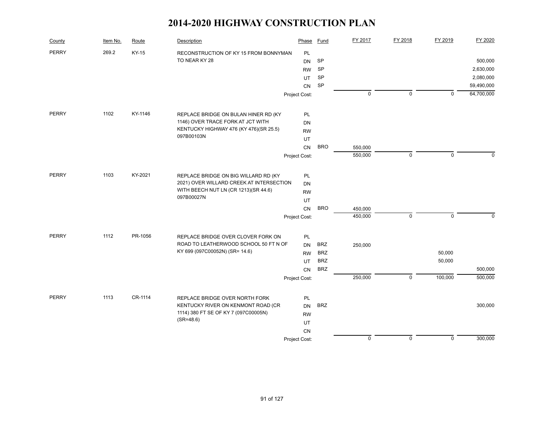| County       | Item No. | Route   | Description                              | Phase         | Fund       | FY 2017     | FY 2018     | FY 2019     | FY 2020    |
|--------------|----------|---------|------------------------------------------|---------------|------------|-------------|-------------|-------------|------------|
| <b>PERRY</b> | 269.2    | KY-15   | RECONSTRUCTION OF KY 15 FROM BONNYMAN    | <b>PL</b>     |            |             |             |             |            |
|              |          |         | TO NEAR KY 28                            | <b>DN</b>     | <b>SP</b>  |             |             |             | 500,000    |
|              |          |         |                                          | <b>RW</b>     | <b>SP</b>  |             |             |             | 2,630,000  |
|              |          |         |                                          | UT            | SP         |             |             |             | 2,080,000  |
|              |          |         |                                          | CN            | SP         |             |             |             | 59,490,000 |
|              |          |         |                                          | Project Cost: |            | $\mathbf 0$ | $\mathbf 0$ | $\Omega$    | 64,700,000 |
| <b>PERRY</b> | 1102     | KY-1146 | REPLACE BRIDGE ON BULAN HINER RD (KY     | PL            |            |             |             |             |            |
|              |          |         | 1146) OVER TRACE FORK AT JCT WITH        | DN            |            |             |             |             |            |
|              |          |         | KENTUCKY HIGHWAY 476 (KY 476)(SR 25.5)   | <b>RW</b>     |            |             |             |             |            |
|              |          |         | 097B00103N                               | UT            |            |             |             |             |            |
|              |          |         |                                          | CN            | <b>BRO</b> | 550,000     |             |             |            |
|              |          |         |                                          | Project Cost: |            | 550,000     | $\mathbf 0$ | $\mathbf 0$ | $\Omega$   |
|              |          |         |                                          |               |            |             |             |             |            |
| <b>PERRY</b> | 1103     | KY-2021 | REPLACE BRIDGE ON BIG WILLARD RD (KY     | PL            |            |             |             |             |            |
|              |          |         | 2021) OVER WILLARD CREEK AT INTERSECTION | <b>DN</b>     |            |             |             |             |            |
|              |          |         | WITH BEECH NUT LN (CR 1213)(SR 44.6)     | <b>RW</b>     |            |             |             |             |            |
|              |          |         | 097B00027N                               | UT            |            |             |             |             |            |
|              |          |         |                                          | <b>CN</b>     | <b>BRO</b> | 450,000     |             |             |            |
|              |          |         |                                          | Project Cost: |            | 450,000     | $\mathbf 0$ | $\mathbf 0$ | $\Omega$   |
| <b>PERRY</b> | 1112     | PR-1056 | REPLACE BRIDGE OVER CLOVER FORK ON       | PL            |            |             |             |             |            |
|              |          |         | ROAD TO LEATHERWOOD SCHOOL 50 FT N OF    | <b>DN</b>     | <b>BRZ</b> | 250,000     |             |             |            |
|              |          |         | KY 699 (097C00052N) (SR= 14.6)           | <b>RW</b>     | <b>BRZ</b> |             |             | 50,000      |            |
|              |          |         |                                          | UT.           | <b>BRZ</b> |             |             | 50,000      |            |
|              |          |         |                                          | <b>CN</b>     | <b>BRZ</b> |             |             |             | 500,000    |
|              |          |         |                                          | Project Cost: |            | 250,000     | $\mathbf 0$ | 100,000     | 500,000    |
| <b>PERRY</b> | 1113     | CR-1114 | REPLACE BRIDGE OVER NORTH FORK           | PL            |            |             |             |             |            |
|              |          |         | KENTUCKY RIVER ON KENMONT ROAD (CR       | <b>DN</b>     | <b>BRZ</b> |             |             |             | 300,000    |
|              |          |         | 1114) 380 FT SE OF KY 7 (097C00005N)     | <b>RW</b>     |            |             |             |             |            |
|              |          |         | $(SR = 48.6)$                            | UT            |            |             |             |             |            |
|              |          |         |                                          | CN            |            |             |             |             |            |
|              |          |         |                                          | Project Cost: |            | $\pmb{0}$   | $\mathbf 0$ | $\mathbf 0$ | 300,000    |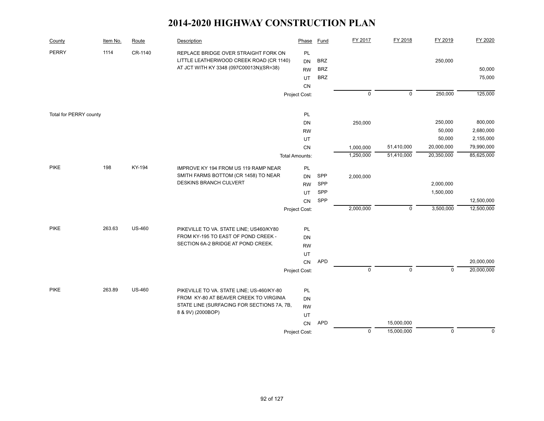| County                 | Item No. | Route         | Description                                                     | Phase                 | <b>Fund</b> | FY 2017     | FY 2018     | FY 2019     | FY 2020     |
|------------------------|----------|---------------|-----------------------------------------------------------------|-----------------------|-------------|-------------|-------------|-------------|-------------|
| <b>PERRY</b>           | 1114     | CR-1140       | REPLACE BRIDGE OVER STRAIGHT FORK ON                            | PL                    |             |             |             |             |             |
|                        |          |               | LITTLE LEATHERWOOD CREEK ROAD (CR 1140)                         | <b>DN</b>             | <b>BRZ</b>  |             |             | 250,000     |             |
|                        |          |               | AT JCT WITH KY 3348 (097C00013N)(SR=38)                         | <b>RW</b>             | <b>BRZ</b>  |             |             |             | 50,000      |
|                        |          |               |                                                                 | UT                    | <b>BRZ</b>  |             |             |             | 75,000      |
|                        |          |               |                                                                 | CN                    |             |             |             |             |             |
|                        |          |               |                                                                 | Project Cost:         |             | $\mathsf 0$ | $\mathsf 0$ | 250,000     | 125,000     |
| Total for PERRY county |          |               |                                                                 | PL                    |             |             |             |             |             |
|                        |          |               |                                                                 | DN                    |             | 250,000     |             | 250,000     | 800,000     |
|                        |          |               |                                                                 | <b>RW</b>             |             |             |             | 50,000      | 2,680,000   |
|                        |          |               |                                                                 | UT                    |             |             |             | 50,000      | 2,155,000   |
|                        |          |               |                                                                 | CN                    |             | 1,000,000   | 51,410,000  | 20,000,000  | 79,990,000  |
|                        |          |               |                                                                 | <b>Total Amounts:</b> |             | 1,250,000   | 51,410,000  | 20,350,000  | 85,625,000  |
|                        |          |               |                                                                 |                       |             |             |             |             |             |
| <b>PIKE</b>            | 198      | KY-194        | IMPROVE KY 194 FROM US 119 RAMP NEAR                            | PL                    |             |             |             |             |             |
|                        |          |               | SMITH FARMS BOTTOM (CR 1458) TO NEAR                            | <b>DN</b>             | SPP         | 2,000,000   |             |             |             |
|                        |          |               | <b>DESKINS BRANCH CULVERT</b>                                   | <b>RW</b>             | SPP         |             |             | 2,000,000   |             |
|                        |          |               |                                                                 | UT                    | SPP         |             |             | 1,500,000   |             |
|                        |          |               |                                                                 | <b>CN</b>             | SPP         |             |             |             | 12,500,000  |
|                        |          |               |                                                                 | Project Cost:         |             | 2,000,000   | $\mathsf 0$ | 3,500,000   | 12,500,000  |
| <b>PIKE</b>            | 263.63   | <b>US-460</b> | PIKEVILLE TO VA. STATE LINE; US460/KY80                         | PL                    |             |             |             |             |             |
|                        |          |               | FROM KY-195 TO EAST OF POND CREEK -                             | DN                    |             |             |             |             |             |
|                        |          |               | SECTION 6A-2 BRIDGE AT POND CREEK.                              | <b>RW</b>             |             |             |             |             |             |
|                        |          |               |                                                                 | UT                    |             |             |             |             |             |
|                        |          |               |                                                                 | CN                    | <b>APD</b>  |             |             |             | 20,000,000  |
|                        |          |               |                                                                 | Project Cost:         |             | $\mathbf 0$ | $\Omega$    | $\Omega$    | 20,000,000  |
|                        |          |               |                                                                 |                       |             |             |             |             |             |
| <b>PIKE</b>            | 263.89   | <b>US-460</b> | PIKEVILLE TO VA. STATE LINE; US-460/KY-80                       | PL                    |             |             |             |             |             |
|                        |          |               | FROM KY-80 AT BEAVER CREEK TO VIRGINIA                          | DN                    |             |             |             |             |             |
|                        |          |               | STATE LINE (SURFACING FOR SECTIONS 7A, 7B,<br>8 & 9V) (2000BOP) | <b>RW</b>             |             |             |             |             |             |
|                        |          |               |                                                                 | UT                    |             |             |             |             |             |
|                        |          |               |                                                                 | ${\sf CN}$            | <b>APD</b>  |             | 15,000,000  |             |             |
|                        |          |               |                                                                 | Project Cost:         |             | $\mathbf 0$ | 15,000,000  | $\mathbf 0$ | $\mathbf 0$ |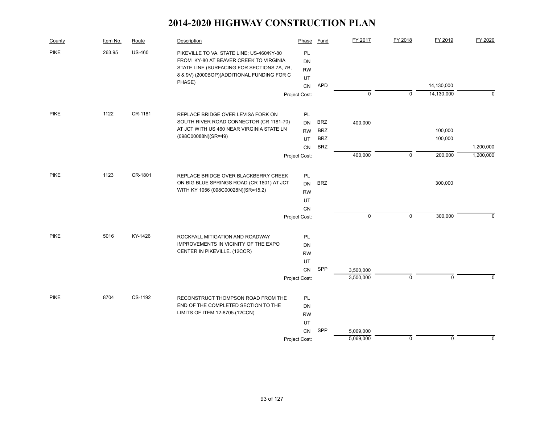| County      | Item No. | Route         | Description                                                                       | Phase                  | Fund       | FY 2017     | FY 2018     | FY 2019     | FY 2020     |
|-------------|----------|---------------|-----------------------------------------------------------------------------------|------------------------|------------|-------------|-------------|-------------|-------------|
| <b>PIKE</b> | 263.95   | <b>US-460</b> | PIKEVILLE TO VA. STATE LINE; US-460/KY-80                                         | PL                     |            |             |             |             |             |
|             |          |               | FROM KY-80 AT BEAVER CREEK TO VIRGINIA                                            | DN                     |            |             |             |             |             |
|             |          |               | STATE LINE (SURFACING FOR SECTIONS 7A, 7B,                                        | <b>RW</b>              |            |             |             |             |             |
|             |          |               | 8 & 9V) (2000BOP)(ADDITIONAL FUNDING FOR C<br>PHASE)                              | UT                     |            |             |             |             |             |
|             |          |               |                                                                                   | CN                     | <b>APD</b> |             |             | 14,130,000  |             |
|             |          |               |                                                                                   | Project Cost:          |            | $\mathbf 0$ | $\mathbf 0$ | 14,130,000  | $\mathbf 0$ |
| <b>PIKE</b> | 1122     | CR-1181       | REPLACE BRIDGE OVER LEVISA FORK ON                                                | <b>PL</b>              |            |             |             |             |             |
|             |          |               | SOUTH RIVER ROAD CONNECTOR (CR 1181-70)                                           | <b>DN</b>              | <b>BRZ</b> | 400,000     |             |             |             |
|             |          |               | AT JCT WITH US 460 NEAR VIRGINIA STATE LN                                         | <b>RW</b>              | <b>BRZ</b> |             |             | 100,000     |             |
|             |          |               | (098C00088N)(SR=49)                                                               | UT.                    | <b>BRZ</b> |             |             | 100,000     |             |
|             |          |               |                                                                                   | CN                     | <b>BRZ</b> |             |             |             | 1,200,000   |
|             |          |               |                                                                                   | Project Cost:          |            | 400,000     | $\mathbf 0$ | 200,000     | 1,200,000   |
| <b>PIKE</b> | 1123     | CR-1801       |                                                                                   |                        |            |             |             |             |             |
|             |          |               | REPLACE BRIDGE OVER BLACKBERRY CREEK<br>ON BIG BLUE SPRINGS ROAD (CR 1801) AT JCT | <b>PL</b><br><b>DN</b> | <b>BRZ</b> |             |             | 300,000     |             |
|             |          |               | WITH KY 1056 (098C00028N)(SR=15.2)                                                | <b>RW</b>              |            |             |             |             |             |
|             |          |               |                                                                                   | UT                     |            |             |             |             |             |
|             |          |               |                                                                                   | CN                     |            |             |             |             |             |
|             |          |               |                                                                                   | Project Cost:          |            | $\mathbf 0$ | $\mathbf 0$ | 300,000     | $\Omega$    |
|             |          |               |                                                                                   |                        |            |             |             |             |             |
| <b>PIKE</b> | 5016     | KY-1426       | ROCKFALL MITIGATION AND ROADWAY                                                   | PL                     |            |             |             |             |             |
|             |          |               | IMPROVEMENTS IN VICINITY OF THE EXPO<br>CENTER IN PIKEVILLE. (12CCR)              | <b>DN</b>              |            |             |             |             |             |
|             |          |               |                                                                                   | <b>RW</b>              |            |             |             |             |             |
|             |          |               |                                                                                   | UT                     |            |             |             |             |             |
|             |          |               |                                                                                   | CN                     | SPP        | 3,500,000   |             |             |             |
|             |          |               |                                                                                   | Project Cost:          |            | 3,500,000   | $\mathbf 0$ | $\mathbf 0$ | $\Omega$    |
| <b>PIKE</b> | 8704     | CS-1192       | RECONSTRUCT THOMPSON ROAD FROM THE                                                | PL                     |            |             |             |             |             |
|             |          |               | END OF THE COMPLETED SECTION TO THE                                               | DN                     |            |             |             |             |             |
|             |          |               | LIMITS OF ITEM 12-8705.(12CCN)                                                    | <b>RW</b>              |            |             |             |             |             |
|             |          |               |                                                                                   | UT                     |            |             |             |             |             |
|             |          |               |                                                                                   | CN                     | SPP        | 5,069,000   |             |             |             |
|             |          |               |                                                                                   | Project Cost:          |            | 5,069,000   | $\mathbf 0$ | $\mathbf 0$ | 0           |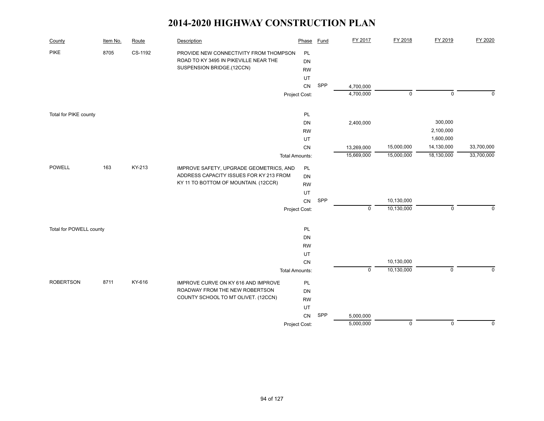| County                  | Item No. | Route   | Description                                                                                                  | Phase                 | Fund       | FY 2017                  | FY 2018     | FY 2019                | FY 2020     |
|-------------------------|----------|---------|--------------------------------------------------------------------------------------------------------------|-----------------------|------------|--------------------------|-------------|------------------------|-------------|
| <b>PIKE</b>             | 8705     | CS-1192 | PROVIDE NEW CONNECTIVITY FROM THOMPSON<br>ROAD TO KY 3495 IN PIKEVILLE NEAR THE<br>SUSPENSION BRIDGE.(12CCN) | PL<br>DN<br><b>RW</b> |            |                          |             |                        |             |
|                         |          |         |                                                                                                              | UT                    |            |                          |             |                        |             |
|                         |          |         |                                                                                                              | CN                    | SPP        | 4,700,000                |             |                        |             |
|                         |          |         |                                                                                                              | Project Cost:         |            | 4,700,000                | $\mathbf 0$ | $\mathbf 0$            | $\Omega$    |
|                         |          |         |                                                                                                              |                       |            |                          |             |                        |             |
| Total for PIKE county   |          |         |                                                                                                              | PL                    |            |                          |             |                        |             |
|                         |          |         |                                                                                                              | DN                    |            | 2,400,000                |             | 300,000                |             |
|                         |          |         |                                                                                                              | <b>RW</b>             |            |                          |             | 2,100,000<br>1,600,000 |             |
|                         |          |         |                                                                                                              | UT<br>CN              |            |                          | 15,000,000  | 14,130,000             | 33,700,000  |
|                         |          |         |                                                                                                              | <b>Total Amounts:</b> |            | 13,269,000<br>15,669,000 | 15,000,000  | 18,130,000             | 33,700,000  |
|                         |          |         |                                                                                                              |                       |            |                          |             |                        |             |
| POWELL                  | 163      | KY-213  | IMPROVE SAFETY, UPGRADE GEOMETRICS, AND                                                                      | PL                    |            |                          |             |                        |             |
|                         |          |         | ADDRESS CAPACITY ISSUES FOR KY 213 FROM                                                                      | DN                    |            |                          |             |                        |             |
|                         |          |         | KY 11 TO BOTTOM OF MOUNTAIN. (12CCR)                                                                         | <b>RW</b>             |            |                          |             |                        |             |
|                         |          |         |                                                                                                              | UT                    |            |                          |             |                        |             |
|                         |          |         |                                                                                                              | CN                    | SPP        |                          | 10,130,000  |                        |             |
|                         |          |         |                                                                                                              | Project Cost:         |            | $\mathbf 0$              | 10,130,000  | $\mathbf 0$            | $\mathbf 0$ |
| Total for POWELL county |          |         |                                                                                                              | PL                    |            |                          |             |                        |             |
|                         |          |         |                                                                                                              | DN                    |            |                          |             |                        |             |
|                         |          |         |                                                                                                              | <b>RW</b>             |            |                          |             |                        |             |
|                         |          |         |                                                                                                              | UT                    |            |                          |             |                        |             |
|                         |          |         |                                                                                                              | CN                    |            |                          | 10,130,000  |                        |             |
|                         |          |         |                                                                                                              | <b>Total Amounts:</b> |            | $\pmb{0}$                | 10,130,000  | $\mathbf 0$            | $\Omega$    |
| <b>ROBERTSON</b>        | 8711     | KY-616  | IMPROVE CURVE ON KY 616 AND IMPROVE                                                                          | PL                    |            |                          |             |                        |             |
|                         |          |         | ROADWAY FROM THE NEW ROBERTSON                                                                               | DN                    |            |                          |             |                        |             |
|                         |          |         | COUNTY SCHOOL TO MT OLIVET. (12CCN)                                                                          | <b>RW</b>             |            |                          |             |                        |             |
|                         |          |         |                                                                                                              | UT                    |            |                          |             |                        |             |
|                         |          |         |                                                                                                              | CN                    | <b>SPP</b> | 5,000,000                |             |                        |             |
|                         |          |         |                                                                                                              | Project Cost:         |            | 5,000,000                | $\mathbf 0$ | $\mathbf 0$            | $\mathbf 0$ |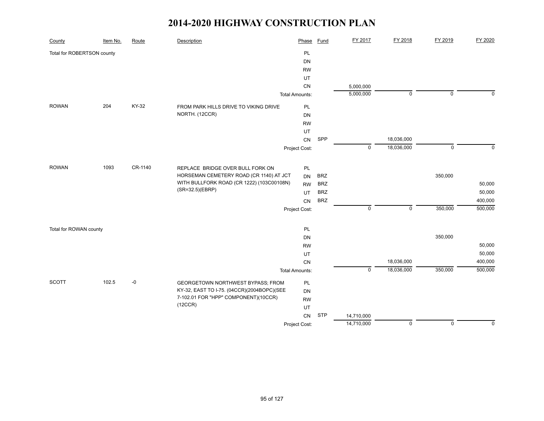| County                     | Item No. | Route   | Description                                | Phase                 | <b>Fund</b> | FY 2017     | FY 2018        | FY 2019        | FY 2020     |
|----------------------------|----------|---------|--------------------------------------------|-----------------------|-------------|-------------|----------------|----------------|-------------|
| Total for ROBERTSON county |          |         |                                            | PL                    |             |             |                |                |             |
|                            |          |         |                                            | DN                    |             |             |                |                |             |
|                            |          |         |                                            | <b>RW</b>             |             |             |                |                |             |
|                            |          |         |                                            | UT                    |             |             |                |                |             |
|                            |          |         |                                            | CN                    |             | 5,000,000   |                |                |             |
|                            |          |         |                                            | <b>Total Amounts:</b> |             | 5,000,000   | $\overline{0}$ | $\overline{0}$ | $\Omega$    |
| <b>ROWAN</b>               | 204      | KY-32   | FROM PARK HILLS DRIVE TO VIKING DRIVE      | <b>PL</b>             |             |             |                |                |             |
|                            |          |         | NORTH. (12CCR)                             | DN                    |             |             |                |                |             |
|                            |          |         |                                            | <b>RW</b>             |             |             |                |                |             |
|                            |          |         |                                            | UT                    |             |             |                |                |             |
|                            |          |         |                                            | ${\sf CN}$            | SPP         |             | 18,036,000     |                |             |
|                            |          |         |                                            | Project Cost:         |             | $\mathbf 0$ | 18,036,000     | $\mathsf 0$    | $\mathbf 0$ |
|                            |          |         |                                            |                       |             |             |                |                |             |
| <b>ROWAN</b>               | 1093     | CR-1140 | REPLACE BRIDGE OVER BULL FORK ON           | <b>PL</b>             |             |             |                |                |             |
|                            |          |         | HORSEMAN CEMETERY ROAD (CR 1140) AT JCT    | <b>DN</b>             | <b>BRZ</b>  |             |                | 350,000        |             |
|                            |          |         | WITH BULLFORK ROAD (CR 1222) (103C00108N)  | <b>RW</b>             | <b>BRZ</b>  |             |                |                | 50,000      |
|                            |          |         | (SR=32.5)(EBRP)                            | UT                    | <b>BRZ</b>  |             |                |                | 50,000      |
|                            |          |         |                                            | CN                    | <b>BRZ</b>  |             |                |                | 400,000     |
|                            |          |         |                                            | Project Cost:         |             | $\mathsf 0$ | $\mathsf 0$    | 350,000        | 500,000     |
|                            |          |         |                                            |                       |             |             |                |                |             |
| Total for ROWAN county     |          |         |                                            | PL                    |             |             |                |                |             |
|                            |          |         |                                            | DN                    |             |             |                | 350,000        |             |
|                            |          |         |                                            | <b>RW</b>             |             |             |                |                | 50,000      |
|                            |          |         |                                            | UT                    |             |             |                |                | 50,000      |
|                            |          |         |                                            | CN                    |             |             | 18,036,000     |                | 400,000     |
|                            |          |         |                                            | <b>Total Amounts:</b> |             | $\mathbf 0$ | 18,036,000     | 350,000        | 500,000     |
| <b>SCOTT</b>               | 102.5    | $-0$    | GEORGETOWN NORTHWEST BYPASS; FROM          | PL                    |             |             |                |                |             |
|                            |          |         | KY-32, EAST TO I-75. (04CCR)(2004BOPC)(SEE | DN                    |             |             |                |                |             |
|                            |          |         | 7-102.01 FOR "HPP" COMPONENT)(10CCR)       | <b>RW</b>             |             |             |                |                |             |
|                            |          |         | (12CCR)                                    | UT                    |             |             |                |                |             |
|                            |          |         |                                            | ${\sf CN}$            | <b>STP</b>  | 14,710,000  |                |                |             |
|                            |          |         |                                            | Project Cost:         |             | 14,710,000  | $\mathbf 0$    | $\Omega$       | $\mathbf 0$ |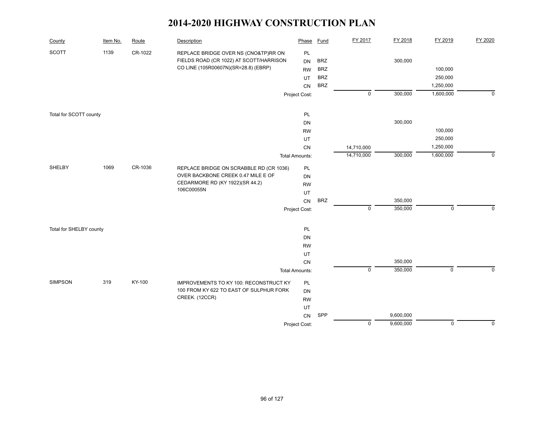| County                  | Item No. | Route   | Description                             | Phase                 | <b>Fund</b> | FY 2017     | FY 2018   | FY 2019     | FY 2020        |
|-------------------------|----------|---------|-----------------------------------------|-----------------------|-------------|-------------|-----------|-------------|----------------|
| <b>SCOTT</b>            | 1139     | CR-1022 | REPLACE BRIDGE OVER NS (CNO&TP)RR ON    | PL                    |             |             |           |             |                |
|                         |          |         | FIELDS ROAD (CR 1022) AT SCOTT/HARRISON | <b>DN</b>             | <b>BRZ</b>  |             | 300,000   |             |                |
|                         |          |         | CO LINE (105R00607N)(SR=28.8) (EBRP)    | <b>RW</b>             | <b>BRZ</b>  |             |           | 100,000     |                |
|                         |          |         |                                         | UT                    | <b>BRZ</b>  |             |           | 250,000     |                |
|                         |          |         |                                         | CN                    | <b>BRZ</b>  |             |           | 1,250,000   |                |
|                         |          |         |                                         | Project Cost:         |             | $\pmb{0}$   | 300,000   | 1,600,000   | $\overline{0}$ |
| Total for SCOTT county  |          |         |                                         | PL                    |             |             |           |             |                |
|                         |          |         |                                         | DN                    |             |             | 300,000   |             |                |
|                         |          |         |                                         | <b>RW</b>             |             |             |           | 100,000     |                |
|                         |          |         |                                         | UT                    |             |             |           | 250,000     |                |
|                         |          |         |                                         | CN                    |             | 14,710,000  |           | 1,250,000   |                |
|                         |          |         |                                         | <b>Total Amounts:</b> |             | 14,710,000  | 300,000   | 1,600,000   | $\mathbf 0$    |
| SHELBY                  | 1069     | CR-1036 | REPLACE BRIDGE ON SCRABBLE RD (CR 1036) | PL                    |             |             |           |             |                |
|                         |          |         | OVER BACKBONE CREEK 0.47 MILE E OF      | DN                    |             |             |           |             |                |
|                         |          |         | CEDARMORE RD (KY 1922)(SR 44.2)         | <b>RW</b>             |             |             |           |             |                |
|                         |          |         | 106C00055N                              | UT                    |             |             |           |             |                |
|                         |          |         |                                         | CN                    | <b>BRZ</b>  |             | 350,000   |             |                |
|                         |          |         |                                         | Project Cost:         |             | $\mathbf 0$ | 350,000   | $\mathbf 0$ | $\mathbf 0$    |
| Total for SHELBY county |          |         |                                         | PL                    |             |             |           |             |                |
|                         |          |         |                                         | DN                    |             |             |           |             |                |
|                         |          |         |                                         | <b>RW</b>             |             |             |           |             |                |
|                         |          |         |                                         | UT                    |             |             |           |             |                |
|                         |          |         |                                         | CN                    |             |             | 350,000   |             |                |
|                         |          |         |                                         | <b>Total Amounts:</b> |             | $\pmb{0}$   | 350,000   | $\mathsf 0$ | $\mathbf 0$    |
| <b>SIMPSON</b>          | 319      | KY-100  | IMPROVEMENTS TO KY 100: RECONSTRUCT KY  | PL                    |             |             |           |             |                |
|                         |          |         | 100 FROM KY 622 TO EAST OF SULPHUR FORK | DN                    |             |             |           |             |                |
|                         |          |         | CREEK. (12CCR)                          | <b>RW</b>             |             |             |           |             |                |
|                         |          |         |                                         | UT                    |             |             |           |             |                |
|                         |          |         |                                         | CN                    | SPP         |             | 9,600,000 |             |                |
|                         |          |         |                                         | Project Cost:         |             | $\mathbf 0$ | 9,600,000 | $\mathbf 0$ | $\mathbf 0$    |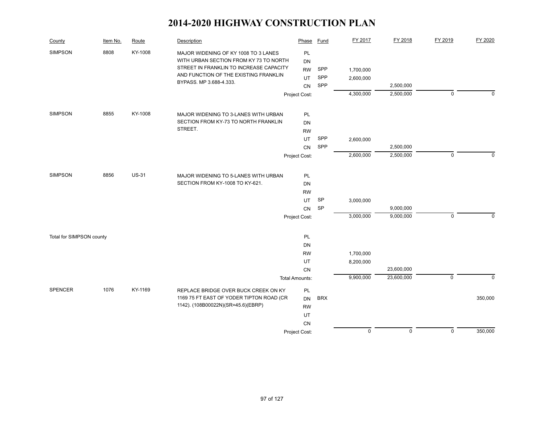| County                   | Item No. | Route        | Description                                                                                                                                                        | Phase                        | <b>Fund</b> | FY 2017   | FY 2018                | FY 2019        | FY 2020     |
|--------------------------|----------|--------------|--------------------------------------------------------------------------------------------------------------------------------------------------------------------|------------------------------|-------------|-----------|------------------------|----------------|-------------|
| <b>SIMPSON</b>           | 8808     | KY-1008      | MAJOR WIDENING OF KY 1008 TO 3 LANES<br>WITH URBAN SECTION FROM KY 73 TO NORTH<br>STREET IN FRANKLIN TO INCREASE CAPACITY<br>AND FUNCTION OF THE EXISTING FRANKLIN | PL<br><b>DN</b><br><b>RW</b> | SPP         | 1,700,000 |                        |                |             |
|                          |          |              | BYPASS. MP 3.688-4.333.                                                                                                                                            | UT                           | SPP         | 2,600,000 |                        |                |             |
|                          |          |              |                                                                                                                                                                    | CN<br>Project Cost:          | SPP         | 4,300,000 | 2,500,000<br>2,500,000 | $\mathsf 0$    | $\mathbf 0$ |
|                          |          |              |                                                                                                                                                                    |                              |             |           |                        |                |             |
| <b>SIMPSON</b>           | 8855     | KY-1008      | MAJOR WIDENING TO 3-LANES WITH URBAN                                                                                                                               | PL                           |             |           |                        |                |             |
|                          |          |              | SECTION FROM KY-73 TO NORTH FRANKLIN                                                                                                                               | <b>DN</b>                    |             |           |                        |                |             |
|                          |          |              | STREET.                                                                                                                                                            | <b>RW</b>                    |             |           |                        |                |             |
|                          |          |              |                                                                                                                                                                    | UT                           | SPP         | 2,600,000 |                        |                |             |
|                          |          |              |                                                                                                                                                                    | <b>CN</b>                    | SPP         |           | 2,500,000              |                |             |
|                          |          |              |                                                                                                                                                                    | Project Cost:                |             | 2,600,000 | 2,500,000              | $\mathbf 0$    | $\Omega$    |
| <b>SIMPSON</b>           | 8856     | <b>US-31</b> | MAJOR WIDENING TO 5-LANES WITH URBAN                                                                                                                               | PL                           |             |           |                        |                |             |
|                          |          |              | SECTION FROM KY-1008 TO KY-621.                                                                                                                                    | <b>DN</b>                    |             |           |                        |                |             |
|                          |          |              |                                                                                                                                                                    | <b>RW</b>                    |             |           |                        |                |             |
|                          |          |              |                                                                                                                                                                    | UT                           | SP          | 3,000,000 |                        |                |             |
|                          |          |              |                                                                                                                                                                    | CN                           | <b>SP</b>   |           | 9,000,000              |                |             |
|                          |          |              |                                                                                                                                                                    | Project Cost:                |             | 3,000,000 | 9,000,000              | $\mathbf 0$    | $\Omega$    |
| Total for SIMPSON county |          |              |                                                                                                                                                                    | PL                           |             |           |                        |                |             |
|                          |          |              |                                                                                                                                                                    | <b>DN</b>                    |             |           |                        |                |             |
|                          |          |              |                                                                                                                                                                    | <b>RW</b>                    |             | 1,700,000 |                        |                |             |
|                          |          |              |                                                                                                                                                                    | UT                           |             | 8,200,000 |                        |                |             |
|                          |          |              |                                                                                                                                                                    | <b>CN</b>                    |             |           | 23,600,000             |                |             |
|                          |          |              |                                                                                                                                                                    | <b>Total Amounts:</b>        |             | 9,900,000 | 23,600,000             | $\overline{0}$ | $\Omega$    |
| <b>SPENCER</b>           | 1076     | KY-1169      | REPLACE BRIDGE OVER BUCK CREEK ON KY                                                                                                                               | PL                           |             |           |                        |                |             |
|                          |          |              | 1169 75 FT EAST OF YODER TIPTON ROAD (CR                                                                                                                           | <b>DN</b>                    | <b>BRX</b>  |           |                        |                | 350,000     |
|                          |          |              | 1142). (108B00022N)(SR=45.6)(EBRP)                                                                                                                                 | <b>RW</b>                    |             |           |                        |                |             |
|                          |          |              |                                                                                                                                                                    | UT                           |             |           |                        |                |             |
|                          |          |              |                                                                                                                                                                    | CN                           |             |           |                        |                |             |
|                          |          |              |                                                                                                                                                                    | Project Cost:                |             | $\pmb{0}$ | $\mathsf 0$            | $\mathsf 0$    | 350,000     |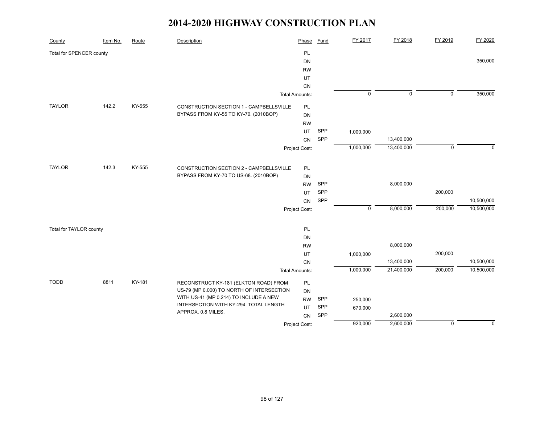| County                   | Item No. | Route  | Description                               | Phase                 | <b>Fund</b> | FY 2017        | FY 2018        | FY 2019        | FY 2020     |
|--------------------------|----------|--------|-------------------------------------------|-----------------------|-------------|----------------|----------------|----------------|-------------|
| Total for SPENCER county |          |        |                                           | PL                    |             |                |                |                |             |
|                          |          |        |                                           | <b>DN</b>             |             |                |                |                | 350,000     |
|                          |          |        |                                           | <b>RW</b>             |             |                |                |                |             |
|                          |          |        |                                           | UT                    |             |                |                |                |             |
|                          |          |        |                                           | CN                    |             |                |                |                |             |
|                          |          |        |                                           | <b>Total Amounts:</b> |             | $\overline{0}$ | $\overline{0}$ | $\overline{0}$ | 350,000     |
| <b>TAYLOR</b>            | 142.2    | KY-555 | CONSTRUCTION SECTION 1 - CAMPBELLSVILLE   | PL                    |             |                |                |                |             |
|                          |          |        | BYPASS FROM KY-55 TO KY-70. (2010BOP)     | DN                    |             |                |                |                |             |
|                          |          |        |                                           | <b>RW</b>             |             |                |                |                |             |
|                          |          |        |                                           | UT                    | SPP         | 1,000,000      |                |                |             |
|                          |          |        |                                           | CN                    | SPP         |                | 13,400,000     |                |             |
|                          |          |        |                                           | Project Cost:         |             | 1,000,000      | 13,400,000     | $\mathbf 0$    | $\mathbf 0$ |
|                          |          |        |                                           |                       |             |                |                |                |             |
| <b>TAYLOR</b>            | 142.3    | KY-555 | CONSTRUCTION SECTION 2 - CAMPBELLSVILLE   | PL                    |             |                |                |                |             |
|                          |          |        | BYPASS FROM KY-70 TO US-68. (2010BOP)     | <b>DN</b>             |             |                |                |                |             |
|                          |          |        |                                           | <b>RW</b>             | SPP         |                | 8,000,000      |                |             |
|                          |          |        |                                           | UT                    | SPP         |                |                | 200,000        |             |
|                          |          |        |                                           | CN                    | SPP         |                |                |                | 10,500,000  |
|                          |          |        |                                           | Project Cost:         |             | $\mathbf 0$    | 8,000,000      | 200,000        | 10,500,000  |
|                          |          |        |                                           |                       |             |                |                |                |             |
| Total for TAYLOR county  |          |        |                                           | PL                    |             |                |                |                |             |
|                          |          |        |                                           | <b>DN</b>             |             |                |                |                |             |
|                          |          |        |                                           | <b>RW</b>             |             |                | 8,000,000      |                |             |
|                          |          |        |                                           | UT                    |             | 1,000,000      |                | 200,000        |             |
|                          |          |        |                                           | CN                    |             |                | 13,400,000     |                | 10,500,000  |
|                          |          |        |                                           | <b>Total Amounts:</b> |             | 1,000,000      | 21,400,000     | 200,000        | 10,500,000  |
| <b>TODD</b>              | 8811     | KY-181 | RECONSTRUCT KY-181 (ELKTON ROAD) FROM     | PL                    |             |                |                |                |             |
|                          |          |        | US-79 (MP 0.000) TO NORTH OF INTERSECTION | <b>DN</b>             |             |                |                |                |             |
|                          |          |        | WITH US-41 (MP 0.214) TO INCLUDE A NEW    | <b>RW</b>             | SPP         | 250,000        |                |                |             |
|                          |          |        | INTERSECTION WITH KY-294. TOTAL LENGTH    | UT                    | SPP         | 670,000        |                |                |             |
|                          |          |        | APPROX. 0.8 MILES.                        | CN                    | SPP         |                | 2,600,000      |                |             |
|                          |          |        |                                           | Project Cost:         |             | 920,000        | 2,600,000      | $\mathbf 0$    | $\mathbf 0$ |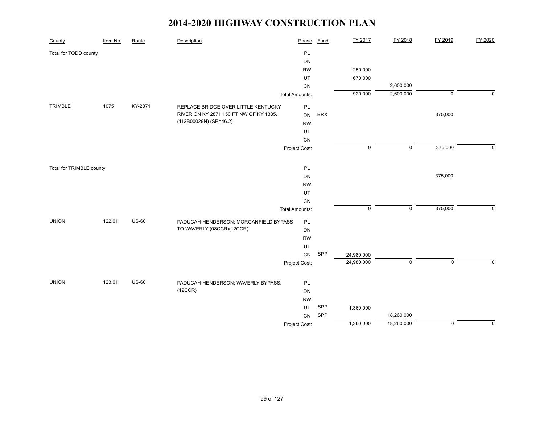| County                   | Item No. | Route   | Description                                   | Phase                 | <b>Fund</b> | FY 2017        | FY 2018             | FY 2019        | FY 2020     |
|--------------------------|----------|---------|-----------------------------------------------|-----------------------|-------------|----------------|---------------------|----------------|-------------|
| Total for TODD county    |          |         |                                               | PL                    |             |                |                     |                |             |
|                          |          |         |                                               | DN                    |             |                |                     |                |             |
|                          |          |         |                                               | <b>RW</b>             |             | 250,000        |                     |                |             |
|                          |          |         |                                               | UT                    |             | 670,000        |                     |                |             |
|                          |          |         |                                               | CN                    |             |                | 2,600,000           |                |             |
|                          |          |         |                                               | <b>Total Amounts:</b> |             | 920,000        | 2,600,000           | $\overline{0}$ | $\mathbf 0$ |
| TRIMBLE                  | 1075     | KY-2871 | REPLACE BRIDGE OVER LITTLE KENTUCKY           | PL                    |             |                |                     |                |             |
|                          |          |         | RIVER ON KY 2871 150 FT NW OF KY 1335.        | <b>DN</b>             | <b>BRX</b>  |                |                     | 375,000        |             |
|                          |          |         | (112B00029N) (SR=46.2)                        | <b>RW</b>             |             |                |                     |                |             |
|                          |          |         |                                               | UT                    |             |                |                     |                |             |
|                          |          |         |                                               | CN                    |             |                |                     |                |             |
|                          |          |         |                                               | Project Cost:         |             | $\mathsf 0$    | $\mathsf{O}\xspace$ | 375,000        | $\mathbf 0$ |
|                          |          |         |                                               |                       |             |                |                     |                |             |
| Total for TRIMBLE county |          |         |                                               | PL                    |             |                |                     |                |             |
|                          |          |         |                                               | DN                    |             |                |                     | 375,000        |             |
|                          |          |         |                                               | <b>RW</b>             |             |                |                     |                |             |
|                          |          |         |                                               | UT                    |             |                |                     |                |             |
|                          |          |         |                                               | CN                    |             |                |                     |                |             |
|                          |          |         |                                               | <b>Total Amounts:</b> |             | $\overline{0}$ | $\mathsf 0$         | 375,000        | $\mathbf 0$ |
| <b>UNION</b>             | 122.01   | $US-60$ | PADUCAH-HENDERSON; MORGANFIELD BYPASS         | PL                    |             |                |                     |                |             |
|                          |          |         | TO WAVERLY (08CCR)(12CCR)                     | DN                    |             |                |                     |                |             |
|                          |          |         |                                               | <b>RW</b>             |             |                |                     |                |             |
|                          |          |         |                                               | UT                    |             |                |                     |                |             |
|                          |          |         |                                               | CN                    | SPP         | 24,980,000     |                     |                |             |
|                          |          |         |                                               | Project Cost:         |             | 24,980,000     | $\mathbf 0$         | $\mathsf 0$    | $\mathbf 0$ |
| <b>UNION</b>             | 123.01   | $US-60$ |                                               |                       |             |                |                     |                |             |
|                          |          |         | PADUCAH-HENDERSON; WAVERLY BYPASS.<br>(12CCR) | PL                    |             |                |                     |                |             |
|                          |          |         |                                               | DN                    |             |                |                     |                |             |
|                          |          |         |                                               | <b>RW</b>             | SPP         |                |                     |                |             |
|                          |          |         |                                               | UT<br>CN              | SPP         | 1,360,000      | 18,260,000          |                |             |
|                          |          |         |                                               | Project Cost:         |             | 1,360,000      | 18,260,000          | $\mathbf 0$    | $\mathbf 0$ |
|                          |          |         |                                               |                       |             |                |                     |                |             |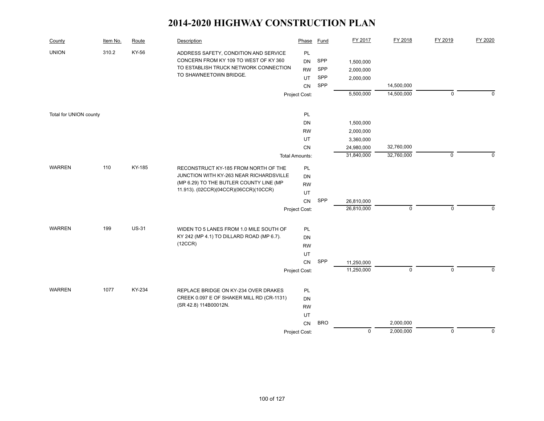| County                 | Item No. | Route        | Description                                                                                                                                                         | Phase                                                      | <b>Fund</b>              | FY 2017                                          | FY 2018                  | FY 2019     | FY 2020     |
|------------------------|----------|--------------|---------------------------------------------------------------------------------------------------------------------------------------------------------------------|------------------------------------------------------------|--------------------------|--------------------------------------------------|--------------------------|-------------|-------------|
| <b>UNION</b>           | 310.2    | KY-56        | ADDRESS SAFETY, CONDITION AND SERVICE<br>CONCERN FROM KY 109 TO WEST OF KY 360<br>TO ESTABLISH TRUCK NETWORK CONNECTION<br>TO SHAWNEETOWN BRIDGE.                   | PL<br><b>DN</b><br><b>RW</b><br><b>UT</b><br>CN            | SPP<br>SPP<br>SPP<br>SPP | 1,500,000<br>2,000,000<br>2,000,000<br>5,500,000 | 14,500,000<br>14,500,000 | $\mathbf 0$ | $\mathbf 0$ |
|                        |          |              |                                                                                                                                                                     | Project Cost:                                              |                          |                                                  |                          |             |             |
| Total for UNION county |          |              |                                                                                                                                                                     | PL<br>DN                                                   |                          | 1,500,000                                        |                          |             |             |
|                        |          |              |                                                                                                                                                                     | <b>RW</b><br>UT<br>CN                                      |                          | 2,000,000<br>3,360,000<br>24,980,000             | 32,760,000               |             |             |
|                        |          |              |                                                                                                                                                                     | <b>Total Amounts:</b>                                      |                          | 31,840,000                                       | 32,760,000               | $\mathbf 0$ | $\Omega$    |
| <b>WARREN</b>          | 110      | KY-185       | RECONSTRUCT KY-185 FROM NORTH OF THE<br>JUNCTION WITH KY-263 NEAR RICHARDSVILLE<br>(MP 6.29) TO THE BUTLER COUNTY LINE (MP<br>11.913). (02CCR)(04CCR)(06CCR)(10CCR) | PL<br>DN<br><b>RW</b><br>UT<br>CN<br>Project Cost:         | SPP                      | 26,810,000<br>26,810,000                         | $\mathbf 0$              | $\Omega$    | $\Omega$    |
| <b>WARREN</b>          | 199      | <b>US-31</b> | WIDEN TO 5 LANES FROM 1.0 MILE SOUTH OF<br>KY 242 (MP 4.1) TO DILLARD ROAD (MP 6.7).<br>(12CCR)                                                                     | PL<br>DN<br><b>RW</b><br>UT<br>${\sf CN}$<br>Project Cost: | SPP                      | 11,250,000<br>11,250,000                         | $\pmb{0}$                | $\mathsf 0$ | $\Omega$    |
| <b>WARREN</b>          | 1077     | KY-234       | REPLACE BRIDGE ON KY-234 OVER DRAKES<br>CREEK 0.097 E OF SHAKER MILL RD (CR-1131)<br>(SR 42.8) 114B00012N.                                                          | PL<br>DN<br><b>RW</b><br>UT<br>CN                          | <b>BRO</b>               |                                                  | 2,000,000                |             |             |
|                        |          |              |                                                                                                                                                                     | Project Cost:                                              |                          | $\mathsf 0$                                      | 2,000,000                | $\mathsf 0$ | $\pmb{0}$   |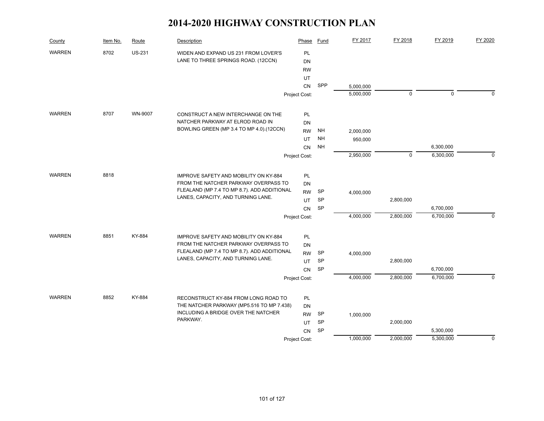| County        | Item No. | Route         | Description                                                                       | Phase           | Fund      | FY 2017   | FY 2018     | FY 2019     | FY 2020     |
|---------------|----------|---------------|-----------------------------------------------------------------------------------|-----------------|-----------|-----------|-------------|-------------|-------------|
| <b>WARREN</b> | 8702     | <b>US-231</b> | WIDEN AND EXPAND US 231 FROM LOVER'S                                              | <b>PL</b>       |           |           |             |             |             |
|               |          |               | LANE TO THREE SPRINGS ROAD. (12CCN)                                               | <b>DN</b>       |           |           |             |             |             |
|               |          |               |                                                                                   | <b>RW</b>       |           |           |             |             |             |
|               |          |               |                                                                                   | UT              |           |           |             |             |             |
|               |          |               |                                                                                   | <b>CN</b>       | SPP       | 5,000,000 |             |             |             |
|               |          |               |                                                                                   | Project Cost:   |           | 5,000,000 | $\mathbf 0$ | $\mathbf 0$ | $\Omega$    |
| <b>WARREN</b> | 8707     | WN-9007       | CONSTRUCT A NEW INTERCHANGE ON THE                                                | PL              |           |           |             |             |             |
|               |          |               | NATCHER PARKWAY AT ELROD ROAD IN                                                  | <b>DN</b>       |           |           |             |             |             |
|               |          |               | BOWLING GREEN (MP 3.4 TO MP 4.0).(12CCN)                                          | <b>RW</b>       | NH        | 2,000,000 |             |             |             |
|               |          |               |                                                                                   | <b>UT</b>       | <b>NH</b> | 950,000   |             |             |             |
|               |          |               |                                                                                   | <b>CN</b>       | <b>NH</b> |           |             | 6,300,000   |             |
|               |          |               |                                                                                   | Project Cost:   |           | 2,950,000 | $\mathbf 0$ | 6,300,000   | $\mathbf 0$ |
| <b>WARREN</b> | 8818     |               | IMPROVE SAFETY AND MOBILITY ON KY-884                                             | <b>PL</b>       |           |           |             |             |             |
|               |          |               | FROM THE NATCHER PARKWAY OVERPASS TO                                              | DN              |           |           |             |             |             |
|               |          |               | FLEALAND (MP 7.4 TO MP 8.7). ADD ADDITIONAL                                       | <b>RW</b>       | <b>SP</b> | 4,000,000 |             |             |             |
|               |          |               | LANES, CAPACITY, AND TURNING LANE.                                                | <b>UT</b>       | SP        |           | 2,800,000   |             |             |
|               |          |               |                                                                                   | CN              | SP        |           |             | 6,700,000   |             |
|               |          |               |                                                                                   | Project Cost:   |           | 4,000,000 | 2,800,000   | 6,700,000   | $\mathbf 0$ |
| <b>WARREN</b> | 8851     | KY-884        | IMPROVE SAFETY AND MOBILITY ON KY-884                                             | PL              |           |           |             |             |             |
|               |          |               | FROM THE NATCHER PARKWAY OVERPASS TO                                              | <b>DN</b>       |           |           |             |             |             |
|               |          |               | FLEALAND (MP 7.4 TO MP 8.7). ADD ADDITIONAL                                       | <b>RW</b>       | <b>SP</b> | 4,000,000 |             |             |             |
|               |          |               | LANES, CAPACITY, AND TURNING LANE.                                                | UT              | <b>SP</b> |           | 2,800,000   |             |             |
|               |          |               |                                                                                   | CN              | SP        |           |             | 6,700,000   |             |
|               |          |               |                                                                                   | Project Cost:   |           | 4,000,000 | 2,800,000   | 6,700,000   | $\mathbf 0$ |
| <b>WARREN</b> | 8852     | KY-884        |                                                                                   |                 |           |           |             |             |             |
|               |          |               | RECONSTRUCT KY-884 FROM LONG ROAD TO<br>THE NATCHER PARKWAY (MP5.516 TO MP 7.438) | <b>PL</b>       |           |           |             |             |             |
|               |          |               | INCLUDING A BRIDGE OVER THE NATCHER                                               | DN<br><b>RW</b> | <b>SP</b> |           |             |             |             |
|               |          |               | PARKWAY.                                                                          | UT.             | SP        | 1,000,000 | 2,000,000   |             |             |
|               |          |               |                                                                                   | CN              | SP        |           |             | 5,300,000   |             |
|               |          |               |                                                                                   | Project Cost:   |           | 1,000,000 | 2,000,000   | 5,300,000   | $\mathbf 0$ |
|               |          |               |                                                                                   |                 |           |           |             |             |             |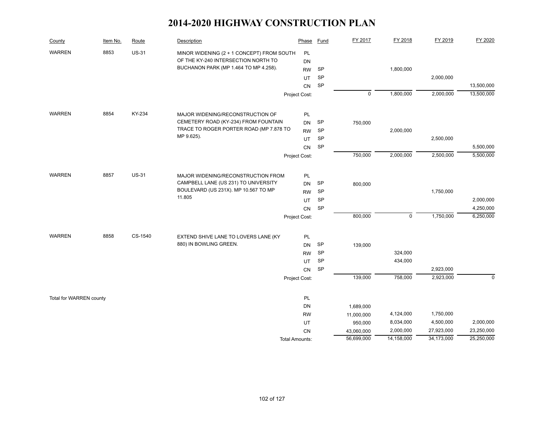| County                  | Item No. | Route        | Description                                                    | Phase                 | Fund      | FY 2017     | FY 2018     | FY 2019    | FY 2020    |
|-------------------------|----------|--------------|----------------------------------------------------------------|-----------------------|-----------|-------------|-------------|------------|------------|
| <b>WARREN</b>           | 8853     | <b>US-31</b> | MINOR WIDENING (2 + 1 CONCEPT) FROM SOUTH                      | PL                    |           |             |             |            |            |
|                         |          |              | OF THE KY-240 INTERSECTION NORTH TO                            | <b>DN</b>             |           |             |             |            |            |
|                         |          |              | BUCHANON PARK (MP 1.464 TO MP 4.258).                          | <b>RW</b>             | SP        |             | 1,800,000   |            |            |
|                         |          |              |                                                                | UT                    | SP        |             |             | 2,000,000  |            |
|                         |          |              |                                                                | CN                    | SP        |             |             |            | 13,500,000 |
|                         |          |              |                                                                | Project Cost:         |           | $\mathsf 0$ | 1,800,000   | 2,000,000  | 13,500,000 |
| <b>WARREN</b>           | 8854     | KY-234       | MAJOR WIDENING/RECONSTRUCTION OF                               | PL                    |           |             |             |            |            |
|                         |          |              | CEMETERY ROAD (KY-234) FROM FOUNTAIN                           | <b>DN</b>             | <b>SP</b> | 750,000     |             |            |            |
|                         |          |              | TRACE TO ROGER PORTER ROAD (MP 7.878 TO                        | <b>RW</b>             | SP        |             | 2,000,000   |            |            |
|                         |          |              | MP 9.625).                                                     | UT                    | SP        |             |             | 2,500,000  |            |
|                         |          |              |                                                                | CN                    | <b>SP</b> |             |             |            | 5,500,000  |
|                         |          |              |                                                                | Project Cost:         |           | 750,000     | 2,000,000   | 2,500,000  | 5,500,000  |
| <b>WARREN</b>           | 8857     | <b>US-31</b> | MAJOR WIDENING/RECONSTRUCTION FROM                             | PL                    |           |             |             |            |            |
|                         |          |              | CAMPBELL LANE (US 231) TO UNIVERSITY                           | <b>DN</b>             | SP        | 800,000     |             |            |            |
|                         |          |              | BOULEVARD (US 231X). MP 10.567 TO MP                           | <b>RW</b>             | <b>SP</b> |             |             | 1,750,000  |            |
|                         |          |              | 11.805                                                         | UT                    | SP        |             |             |            | 2,000,000  |
|                         |          |              |                                                                | CN                    | SP        |             |             |            | 4,250,000  |
|                         |          |              |                                                                | Project Cost:         |           | 800,000     | $\mathbf 0$ | 1,750,000  | 6,250,000  |
| <b>WARREN</b>           | 8858     | CS-1540      |                                                                |                       |           |             |             |            |            |
|                         |          |              | EXTEND SHIVE LANE TO LOVERS LANE (KY<br>880) IN BOWLING GREEN. | PL                    | SP        |             |             |            |            |
|                         |          |              |                                                                | <b>DN</b>             | SP        | 139,000     | 324,000     |            |            |
|                         |          |              |                                                                | <b>RW</b><br>UT       | SP        |             | 434,000     |            |            |
|                         |          |              |                                                                | CN                    | SP        |             |             | 2,923,000  |            |
|                         |          |              |                                                                | Project Cost:         |           | 139,000     | 758,000     | 2,923,000  | $\Omega$   |
|                         |          |              |                                                                |                       |           |             |             |            |            |
| Total for WARREN county |          |              |                                                                | PL                    |           |             |             |            |            |
|                         |          |              |                                                                | DN                    |           | 1,689,000   |             |            |            |
|                         |          |              |                                                                | <b>RW</b>             |           | 11,000,000  | 4,124,000   | 1,750,000  |            |
|                         |          |              |                                                                | UT                    |           | 950,000     | 8,034,000   | 4,500,000  | 2,000,000  |
|                         |          |              |                                                                | CN                    |           | 43,060,000  | 2,000,000   | 27,923,000 | 23,250,000 |
|                         |          |              |                                                                | <b>Total Amounts:</b> |           | 56,699,000  | 14,158,000  | 34,173,000 | 25,250,000 |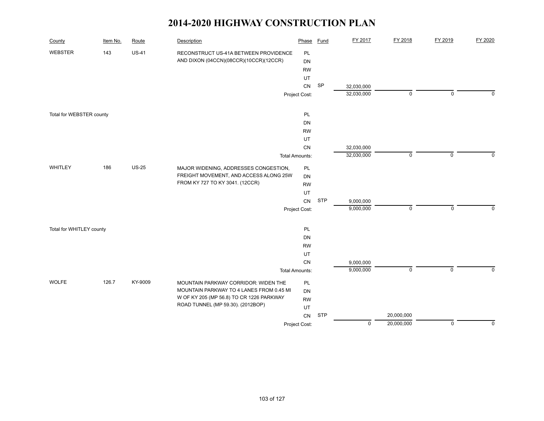| County                   | Item No. | Route        | Description                              | Phase                 | <b>Fund</b> | FY 2017     | FY 2018     | FY 2019     | FY 2020     |
|--------------------------|----------|--------------|------------------------------------------|-----------------------|-------------|-------------|-------------|-------------|-------------|
| <b>WEBSTER</b>           | 143      | <b>US-41</b> | RECONSTRUCT US-41A BETWEEN PROVIDENCE    | PL                    |             |             |             |             |             |
|                          |          |              | AND DIXON (04CCN)(08CCR)(10CCR)(12CCR)   | DN                    |             |             |             |             |             |
|                          |          |              |                                          | <b>RW</b>             |             |             |             |             |             |
|                          |          |              |                                          | UT                    |             |             |             |             |             |
|                          |          |              |                                          | CN                    | SP          | 32,030,000  |             |             |             |
|                          |          |              |                                          | Project Cost:         |             | 32,030,000  | $\mathsf 0$ | $\mathbf 0$ | $\Omega$    |
| Total for WEBSTER county |          |              |                                          | PL                    |             |             |             |             |             |
|                          |          |              |                                          | DN                    |             |             |             |             |             |
|                          |          |              |                                          | <b>RW</b>             |             |             |             |             |             |
|                          |          |              |                                          | UT                    |             |             |             |             |             |
|                          |          |              |                                          | CN                    |             | 32,030,000  |             |             |             |
|                          |          |              |                                          | <b>Total Amounts:</b> |             | 32,030,000  | $\mathbf 0$ | $\mathbf 0$ | $\mathbf 0$ |
| WHITLEY                  | 186      | <b>US-25</b> | MAJOR WIDENING, ADDRESSES CONGESTION,    | PL                    |             |             |             |             |             |
|                          |          |              | FREIGHT MOVEMENT, AND ACCESS ALONG 25W   | DN                    |             |             |             |             |             |
|                          |          |              | FROM KY 727 TO KY 3041. (12CCR)          | <b>RW</b>             |             |             |             |             |             |
|                          |          |              |                                          | UT                    |             |             |             |             |             |
|                          |          |              |                                          | CN                    | <b>STP</b>  | 9,000,000   |             |             |             |
|                          |          |              |                                          | Project Cost:         |             | 9,000,000   | $\mathsf 0$ | $\mathbf 0$ | $\mathbf 0$ |
| Total for WHITLEY county |          |              |                                          | PL                    |             |             |             |             |             |
|                          |          |              |                                          | DN                    |             |             |             |             |             |
|                          |          |              |                                          | <b>RW</b>             |             |             |             |             |             |
|                          |          |              |                                          | UT                    |             |             |             |             |             |
|                          |          |              |                                          | CN                    |             | 9,000,000   |             |             |             |
|                          |          |              |                                          | <b>Total Amounts:</b> |             | 9,000,000   | $\mathbf 0$ | $\mathbf 0$ | $\Omega$    |
| <b>WOLFE</b>             | 126.7    | KY-9009      | MOUNTAIN PARKWAY CORRIDOR: WIDEN THE     | PL                    |             |             |             |             |             |
|                          |          |              | MOUNTAIN PARKWAY TO 4 LANES FROM 0.45 MI | DN                    |             |             |             |             |             |
|                          |          |              | W OF KY 205 (MP 56.8) TO CR 1226 PARKWAY | <b>RW</b>             |             |             |             |             |             |
|                          |          |              | ROAD TUNNEL (MP 59.30). (2012BOP)        | UT                    |             |             |             |             |             |
|                          |          |              |                                          | CN                    | <b>STP</b>  |             | 20,000,000  |             |             |
|                          |          |              |                                          | Project Cost:         |             | $\mathbf 0$ | 20,000,000  | $\mathbf 0$ | $\mathbf 0$ |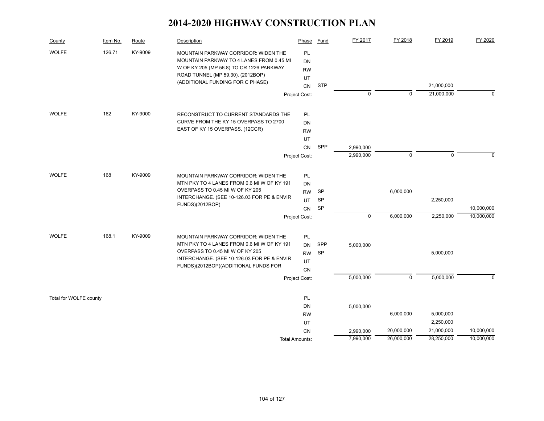| County                 | Item No. | Route   | Description                                                                      | Phase          | Fund       | FY 2017     | FY 2018     | FY 2019     | FY 2020    |
|------------------------|----------|---------|----------------------------------------------------------------------------------|----------------|------------|-------------|-------------|-------------|------------|
| <b>WOLFE</b>           | 126.71   | KY-9009 | MOUNTAIN PARKWAY CORRIDOR: WIDEN THE<br>MOUNTAIN PARKWAY TO 4 LANES FROM 0.45 MI | PL<br>DN       |            |             |             |             |            |
|                        |          |         | W OF KY 205 (MP 56.8) TO CR 1226 PARKWAY                                         | <b>RW</b>      |            |             |             |             |            |
|                        |          |         | ROAD TUNNEL (MP 59.30). (2012BOP)                                                | UT             |            |             |             |             |            |
|                        |          |         | (ADDITIONAL FUNDING FOR C PHASE)                                                 | CN             | <b>STP</b> |             |             | 21,000,000  |            |
|                        |          |         |                                                                                  | Project Cost:  |            | $\mathbf 0$ | $\mathbf 0$ | 21,000,000  | $\Omega$   |
| <b>WOLFE</b>           | 162      | KY-9000 | RECONSTRUCT TO CURRENT STANDARDS THE                                             | PL             |            |             |             |             |            |
|                        |          |         | CURVE FROM THE KY 15 OVERPASS TO 2700                                            | DN             |            |             |             |             |            |
|                        |          |         | EAST OF KY 15 OVERPASS. (12CCR)                                                  | <b>RW</b>      |            |             |             |             |            |
|                        |          |         |                                                                                  | UT             |            |             |             |             |            |
|                        |          |         |                                                                                  | CN             | SPP        | 2,990,000   |             |             |            |
|                        |          |         |                                                                                  | Project Cost:  |            | 2,990,000   | $\mathbf 0$ | $\mathbf 0$ | $\Omega$   |
|                        |          |         |                                                                                  |                |            |             |             |             |            |
| <b>WOLFE</b>           | 168      | KY-9009 | MOUNTAIN PARKWAY CORRIDOR: WIDEN THE                                             | PL             |            |             |             |             |            |
|                        |          |         | MTN PKY TO 4 LANES FROM 0.6 MI W OF KY 191                                       | DN             |            |             |             |             |            |
|                        |          |         | OVERPASS TO 0.45 MI W OF KY 205                                                  | <b>RW</b>      | <b>SP</b>  |             | 6,000,000   |             |            |
|                        |          |         | INTERCHANGE. (SEE 10-126.03 FOR PE & ENVIR                                       | UT             | SP         |             |             | 2,250,000   |            |
|                        |          |         | FUNDS)(2012BOP)                                                                  | CN             | SP         |             |             |             | 10,000,000 |
|                        |          |         |                                                                                  | Project Cost:  |            | $\mathsf 0$ | 6,000,000   | 2,250,000   | 10,000,000 |
| <b>WOLFE</b>           | 168.1    | KY-9009 | MOUNTAIN PARKWAY CORRIDOR: WIDEN THE                                             | PL             |            |             |             |             |            |
|                        |          |         | MTN PKY TO 4 LANES FROM 0.6 MI W OF KY 191                                       | <b>DN</b>      | SPP        | 5,000,000   |             |             |            |
|                        |          |         | OVERPASS TO 0.45 MI W OF KY 205                                                  | <b>RW</b>      | <b>SP</b>  |             |             | 5,000,000   |            |
|                        |          |         | INTERCHANGE. (SEE 10-126.03 FOR PE & ENVIR                                       | UT             |            |             |             |             |            |
|                        |          |         | FUNDS)(2012BOP)(ADDITIONAL FUNDS FOR                                             | CN             |            |             |             |             |            |
|                        |          |         |                                                                                  | Project Cost:  |            | 5,000,000   | $\mathbf 0$ | 5,000,000   | $\Omega$   |
| Total for WOLFE county |          |         |                                                                                  | PL             |            |             |             |             |            |
|                        |          |         |                                                                                  | DN             |            | 5,000,000   |             |             |            |
|                        |          |         |                                                                                  | <b>RW</b>      |            |             | 6,000,000   | 5,000,000   |            |
|                        |          |         |                                                                                  | UT             |            |             |             | 2,250,000   |            |
|                        |          |         |                                                                                  | CN             |            | 2,990,000   | 20,000,000  | 21,000,000  | 10,000,000 |
|                        |          |         |                                                                                  | Total Amounts: |            | 7,990,000   | 26,000,000  | 28,250,000  | 10,000,000 |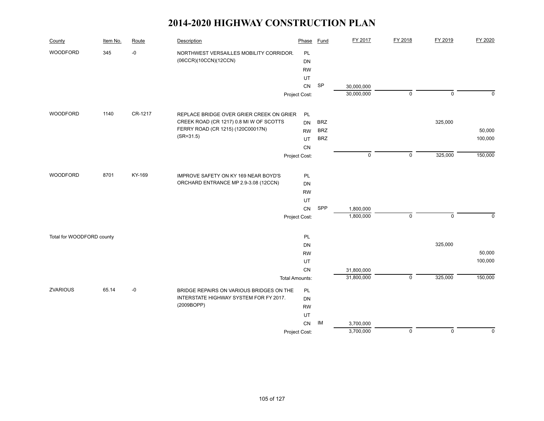| County                    | Item No. | Route   | Description                              | Phase                 | <b>Fund</b> | FY 2017                  | FY 2018        | FY 2019     | FY 2020     |
|---------------------------|----------|---------|------------------------------------------|-----------------------|-------------|--------------------------|----------------|-------------|-------------|
| WOODFORD                  | 345      | $-0$    | NORTHWEST VERSAILLES MOBILITY CORRIDOR.  | PL                    |             |                          |                |             |             |
|                           |          |         | (06CCR)(10CCN)(12CCN)                    | DN                    |             |                          |                |             |             |
|                           |          |         |                                          | <b>RW</b>             |             |                          |                |             |             |
|                           |          |         |                                          | UT                    |             |                          |                |             |             |
|                           |          |         |                                          | CN                    | SP          | 30,000,000               |                |             |             |
|                           |          |         |                                          | Project Cost:         |             | 30,000,000               | $\mathbf 0$    | $\mathbf 0$ | $\mathbf 0$ |
| WOODFORD                  | 1140     | CR-1217 | REPLACE BRIDGE OVER GRIER CREEK ON GRIER | PL                    |             |                          |                |             |             |
|                           |          |         | CREEK ROAD (CR 1217) 0.8 MI W OF SCOTTS  | <b>DN</b>             | <b>BRZ</b>  |                          |                | 325,000     |             |
|                           |          |         | FERRY ROAD (CR 1215) (120C00017N)        | <b>RW</b>             | <b>BRZ</b>  |                          |                |             | 50,000      |
|                           |          |         | $(SR = 31.5)$                            | UT                    | <b>BRZ</b>  |                          |                |             | 100,000     |
|                           |          |         |                                          | CN                    |             |                          |                |             |             |
|                           |          |         |                                          | Project Cost:         |             | $\mathsf 0$              | $\mathsf 0$    | 325,000     | 150,000     |
|                           |          |         |                                          |                       |             |                          |                |             |             |
| <b>WOODFORD</b>           | 8701     | KY-169  | IMPROVE SAFETY ON KY 169 NEAR BOYD'S     | PL                    |             |                          |                |             |             |
|                           |          |         | ORCHARD ENTRANCE MP 2.9-3.08 (12CCN)     | <b>DN</b>             |             |                          |                |             |             |
|                           |          |         |                                          | <b>RW</b>             |             |                          |                |             |             |
|                           |          |         |                                          | UT                    |             |                          |                |             |             |
|                           |          |         |                                          | CN                    | SPP         | 1,800,000                |                |             |             |
|                           |          |         |                                          | Project Cost:         |             | 1,800,000                | $\mathbf 0$    | $\mathbf 0$ | $\Omega$    |
|                           |          |         |                                          |                       |             |                          |                |             |             |
| Total for WOODFORD county |          |         |                                          | PL                    |             |                          |                | 325,000     |             |
|                           |          |         |                                          | <b>DN</b>             |             |                          |                |             | 50,000      |
|                           |          |         |                                          | <b>RW</b>             |             |                          |                |             | 100,000     |
|                           |          |         |                                          | UT                    |             |                          |                |             |             |
|                           |          |         |                                          | <b>CN</b>             |             | 31,800,000<br>31,800,000 | $\overline{0}$ | 325,000     | 150,000     |
|                           |          |         |                                          | <b>Total Amounts:</b> |             |                          |                |             |             |
| <b>ZVARIOUS</b>           | 65.14    | $-0$    | BRIDGE REPAIRS ON VARIOUS BRIDGES ON THE | PL                    |             |                          |                |             |             |
|                           |          |         | INTERSTATE HIGHWAY SYSTEM FOR FY 2017.   | DN                    |             |                          |                |             |             |
|                           |          |         | (2009BOPP)                               | <b>RW</b>             |             |                          |                |             |             |
|                           |          |         |                                          | UT                    |             |                          |                |             |             |
|                           |          |         |                                          | CN                    | IM          | 3,700,000                |                |             |             |
|                           |          |         |                                          | Project Cost:         |             | 3,700,000                | $\mathsf 0$    | $\mathsf 0$ | $\mathbf 0$ |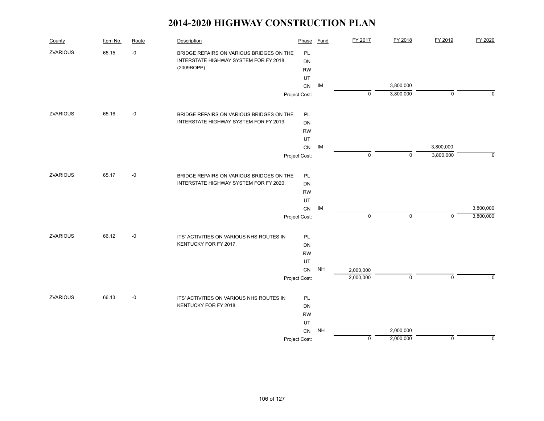| County          | Item No. | Route | Description                              | Phase         | <b>Fund</b> | FY 2017     | FY 2018                | FY 2019      | FY 2020     |
|-----------------|----------|-------|------------------------------------------|---------------|-------------|-------------|------------------------|--------------|-------------|
| <b>ZVARIOUS</b> | 65.15    | $-0$  | BRIDGE REPAIRS ON VARIOUS BRIDGES ON THE | PL            |             |             |                        |              |             |
|                 |          |       | INTERSTATE HIGHWAY SYSTEM FOR FY 2018.   | <b>DN</b>     |             |             |                        |              |             |
|                 |          |       | (2009BOPP)                               | <b>RW</b>     |             |             |                        |              |             |
|                 |          |       |                                          | UT            |             |             |                        |              |             |
|                 |          |       |                                          | CN            | IM          | $\mathbf 0$ | 3,800,000<br>3,800,000 | $\mathbf 0$  | $\Omega$    |
|                 |          |       |                                          | Project Cost: |             |             |                        |              |             |
| <b>ZVARIOUS</b> | 65.16    | $-0$  | BRIDGE REPAIRS ON VARIOUS BRIDGES ON THE | PL            |             |             |                        |              |             |
|                 |          |       | INTERSTATE HIGHWAY SYSTEM FOR FY 2019.   | <b>DN</b>     |             |             |                        |              |             |
|                 |          |       |                                          | <b>RW</b>     |             |             |                        |              |             |
|                 |          |       |                                          | UT            |             |             |                        |              |             |
|                 |          |       |                                          | CN            | IM          |             |                        | 3,800,000    |             |
|                 |          |       |                                          | Project Cost: |             | $\mathbf 0$ | $\mathbf{0}$           | 3,800,000    | $\Omega$    |
| <b>ZVARIOUS</b> | 65.17    | $-0$  | BRIDGE REPAIRS ON VARIOUS BRIDGES ON THE | PL            |             |             |                        |              |             |
|                 |          |       | INTERSTATE HIGHWAY SYSTEM FOR FY 2020.   | <b>DN</b>     |             |             |                        |              |             |
|                 |          |       |                                          | <b>RW</b>     |             |             |                        |              |             |
|                 |          |       |                                          | UT            |             |             |                        |              |             |
|                 |          |       |                                          | ${\sf CN}$    | IM          |             |                        |              | 3,800,000   |
|                 |          |       |                                          | Project Cost: |             | $\pmb{0}$   | $\mathbf 0$            | $\mathbf 0$  | 3,800,000   |
| <b>ZVARIOUS</b> | 66.12    | $-0$  | ITS' ACTIVITIES ON VARIOUS NHS ROUTES IN | PL            |             |             |                        |              |             |
|                 |          |       | KENTUCKY FOR FY 2017.                    | <b>DN</b>     |             |             |                        |              |             |
|                 |          |       |                                          | <b>RW</b>     |             |             |                        |              |             |
|                 |          |       |                                          | UT            |             |             |                        |              |             |
|                 |          |       |                                          | CN            | <b>NH</b>   | 2,000,000   |                        |              |             |
|                 |          |       |                                          | Project Cost: |             | 2,000,000   | $\mathbf 0$            | $\mathbf{0}$ | $\Omega$    |
| <b>ZVARIOUS</b> | 66.13    | $-0$  | ITS' ACTIVITIES ON VARIOUS NHS ROUTES IN | PL            |             |             |                        |              |             |
|                 |          |       | KENTUCKY FOR FY 2018.                    | <b>DN</b>     |             |             |                        |              |             |
|                 |          |       |                                          | <b>RW</b>     |             |             |                        |              |             |
|                 |          |       |                                          | UT            |             |             |                        |              |             |
|                 |          |       |                                          | CN            | <b>NH</b>   |             | 2,000,000              |              |             |
|                 |          |       |                                          | Project Cost: |             | $\mathbf 0$ | 2,000,000              | $\mathbf 0$  | $\mathbf 0$ |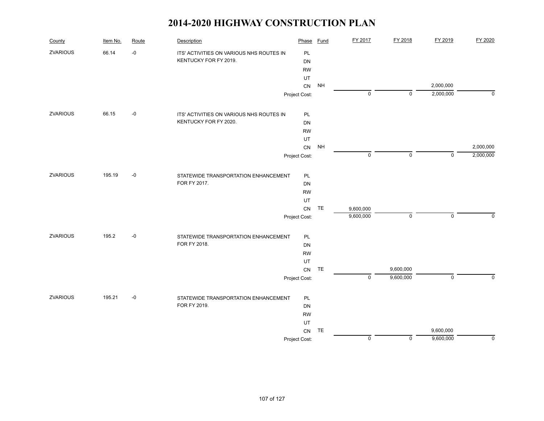| County          | Item No. | Route | Description                              | Phase         | <b>Fund</b>   | FY 2017        | FY 2018     | FY 2019        | FY 2020        |
|-----------------|----------|-------|------------------------------------------|---------------|---------------|----------------|-------------|----------------|----------------|
| <b>ZVARIOUS</b> | 66.14    | $-0$  | ITS' ACTIVITIES ON VARIOUS NHS ROUTES IN | PL            |               |                |             |                |                |
|                 |          |       | KENTUCKY FOR FY 2019.                    | DN            |               |                |             |                |                |
|                 |          |       |                                          | <b>RW</b>     |               |                |             |                |                |
|                 |          |       |                                          | UT            |               |                |             |                |                |
|                 |          |       |                                          | CN            | <b>NH</b>     |                |             | 2,000,000      |                |
|                 |          |       |                                          | Project Cost: |               | $\mathbf 0$    | $\mathbf 0$ | 2,000,000      | $\mathbf 0$    |
| <b>ZVARIOUS</b> | 66.15    | $-0$  | ITS' ACTIVITIES ON VARIOUS NHS ROUTES IN | PL            |               |                |             |                |                |
|                 |          |       | KENTUCKY FOR FY 2020.                    | DN            |               |                |             |                |                |
|                 |          |       |                                          | <b>RW</b>     |               |                |             |                |                |
|                 |          |       |                                          | UT            |               |                |             |                |                |
|                 |          |       |                                          | CN            | <b>NH</b>     |                |             |                | 2,000,000      |
|                 |          |       |                                          | Project Cost: |               | $\mathbf 0$    | $\mathbf 0$ | $\mathbf{0}$   | 2,000,000      |
| ZVARIOUS        | 195.19   | $-0$  | STATEWIDE TRANSPORTATION ENHANCEMENT     | PL            |               |                |             |                |                |
|                 |          |       | FOR FY 2017.                             | DN            |               |                |             |                |                |
|                 |          |       |                                          | <b>RW</b>     |               |                |             |                |                |
|                 |          |       |                                          | UT            |               |                |             |                |                |
|                 |          |       |                                          | CN            | TE            | 9,600,000      |             |                |                |
|                 |          |       |                                          | Project Cost: |               | 9,600,000      | $\mathsf 0$ | $\mathsf 0$    | $\mathbf 0$    |
| <b>ZVARIOUS</b> | 195.2    | $-0$  | STATEWIDE TRANSPORTATION ENHANCEMENT     | PL            |               |                |             |                |                |
|                 |          |       | FOR FY 2018.                             | DN            |               |                |             |                |                |
|                 |          |       |                                          | <b>RW</b>     |               |                |             |                |                |
|                 |          |       |                                          | UT            |               |                |             |                |                |
|                 |          |       |                                          | CN            | $\mathsf{TE}$ |                | 9,600,000   |                |                |
|                 |          |       |                                          | Project Cost: |               | $\overline{0}$ | 9,600,000   | $\overline{0}$ | $\overline{0}$ |
| <b>ZVARIOUS</b> | 195.21   | $-0$  | STATEWIDE TRANSPORTATION ENHANCEMENT     | PL            |               |                |             |                |                |
|                 |          |       | FOR FY 2019.                             | DN            |               |                |             |                |                |
|                 |          |       |                                          | <b>RW</b>     |               |                |             |                |                |
|                 |          |       |                                          | UT            |               |                |             |                |                |
|                 |          |       |                                          | CN            | TE            |                |             | 9,600,000      |                |
|                 |          |       |                                          | Project Cost: |               | $\mathsf 0$    | $\mathbf 0$ | 9,600,000      | $\mathbf 0$    |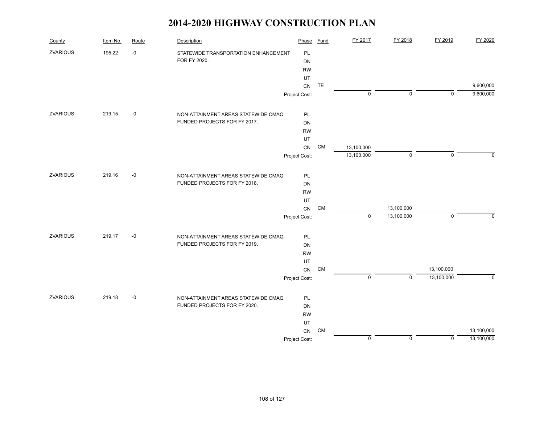| County          | Item No. | Route | Description                          | Phase         | Fund      | FY 2017     | FY 2018     | FY 2019     | FY 2020    |
|-----------------|----------|-------|--------------------------------------|---------------|-----------|-------------|-------------|-------------|------------|
| ZVARIOUS        | 195.22   | $-0$  | STATEWIDE TRANSPORTATION ENHANCEMENT | PL            |           |             |             |             |            |
|                 |          |       | FOR FY 2020.                         | <b>DN</b>     |           |             |             |             |            |
|                 |          |       |                                      | <b>RW</b>     |           |             |             |             |            |
|                 |          |       |                                      | UT            |           |             |             |             |            |
|                 |          |       |                                      | CN            | TE        |             |             |             | 9,600,000  |
|                 |          |       |                                      | Project Cost: |           | $\mathbf 0$ | $\mathbf 0$ | $\mathbf 0$ | 9,600,000  |
| <b>ZVARIOUS</b> | 219.15   | $-0$  | NON-ATTAINMENT AREAS STATEWIDE CMAQ  | PL            |           |             |             |             |            |
|                 |          |       | FUNDED PROJECTS FOR FY 2017.         | <b>DN</b>     |           |             |             |             |            |
|                 |          |       |                                      | <b>RW</b>     |           |             |             |             |            |
|                 |          |       |                                      | UT            |           |             |             |             |            |
|                 |          |       |                                      | ${\sf CN}$    | CM        | 13,100,000  |             |             |            |
|                 |          |       |                                      | Project Cost: |           | 13,100,000  | $\mathbf 0$ | $\mathsf 0$ | $\Omega$   |
| ZVARIOUS        | 219.16   | $-0$  | NON-ATTAINMENT AREAS STATEWIDE CMAQ  | PL            |           |             |             |             |            |
|                 |          |       | FUNDED PROJECTS FOR FY 2018.         | <b>DN</b>     |           |             |             |             |            |
|                 |          |       |                                      | <b>RW</b>     |           |             |             |             |            |
|                 |          |       |                                      | UT            |           |             |             |             |            |
|                 |          |       |                                      | ${\sf CN}$    | CM        |             | 13,100,000  |             |            |
|                 |          |       |                                      | Project Cost: |           | $\mathbf 0$ | 13,100,000  | $\mathbf 0$ | $\Omega$   |
| <b>ZVARIOUS</b> | 219.17   | $-0$  | NON-ATTAINMENT AREAS STATEWIDE CMAQ  | PL            |           |             |             |             |            |
|                 |          |       | FUNDED PROJECTS FOR FY 2019.         | <b>DN</b>     |           |             |             |             |            |
|                 |          |       |                                      | <b>RW</b>     |           |             |             |             |            |
|                 |          |       |                                      | UT            |           |             |             |             |            |
|                 |          |       |                                      | ${\sf CN}$    | CM        |             |             | 13,100,000  |            |
|                 |          |       |                                      | Project Cost: |           | $\pmb{0}$   | $\Omega$    | 13,100,000  | $\Omega$   |
| <b>ZVARIOUS</b> | 219.18   | $-0$  | NON-ATTAINMENT AREAS STATEWIDE CMAQ  | PL            |           |             |             |             |            |
|                 |          |       | FUNDED PROJECTS FOR FY 2020.         | <b>DN</b>     |           |             |             |             |            |
|                 |          |       |                                      | <b>RW</b>     |           |             |             |             |            |
|                 |          |       |                                      | UT            |           |             |             |             |            |
|                 |          |       |                                      | CN            | <b>CM</b> |             |             |             | 13,100,000 |
|                 |          |       |                                      | Project Cost: |           | $\mathbf 0$ | $\mathbf 0$ | 0           | 13,100,000 |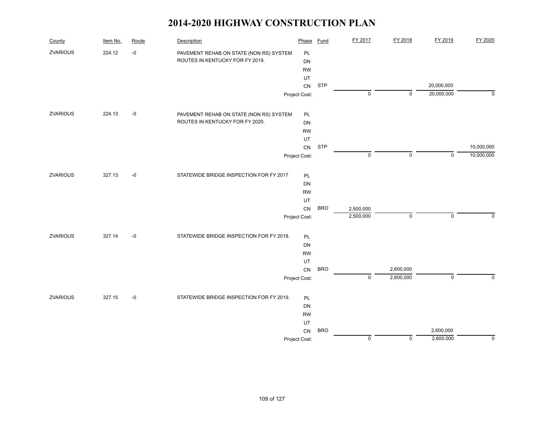| County          | Item No. | Route | Description                              | Phase         | <b>Fund</b> | FY 2017        | FY 2018     | FY 2019                  | FY 2020        |
|-----------------|----------|-------|------------------------------------------|---------------|-------------|----------------|-------------|--------------------------|----------------|
| ZVARIOUS        | 224.12   | $-0$  | PAVEMENT REHAB ON STATE (NON RS) SYSTEM  | PL            |             |                |             |                          |                |
|                 |          |       | ROUTES IN KENTUCKY FOR FY 2019.          | <b>DN</b>     |             |                |             |                          |                |
|                 |          |       |                                          | <b>RW</b>     |             |                |             |                          |                |
|                 |          |       |                                          | UT            |             |                |             |                          |                |
|                 |          |       |                                          | ${\sf CN}$    | <b>STP</b>  | $\mathsf 0$    | $\mathbf 0$ | 20,000,000<br>20,000,000 | $\mathbf 0$    |
|                 |          |       |                                          | Project Cost: |             |                |             |                          |                |
| <b>ZVARIOUS</b> | 224.13   | $-0$  | PAVEMENT REHAB ON STATE (NON RS) SYSTEM  | PL            |             |                |             |                          |                |
|                 |          |       | ROUTES IN KENTUCKY FOR FY 2020.          | DN            |             |                |             |                          |                |
|                 |          |       |                                          | <b>RW</b>     |             |                |             |                          |                |
|                 |          |       |                                          | UT            |             |                |             |                          |                |
|                 |          |       |                                          | ${\sf CN}$    | <b>STP</b>  | $\mathsf 0$    |             | $\mathbf 0$              | 10,000,000     |
|                 |          |       |                                          | Project Cost: |             |                | 0           |                          | 10,000,000     |
| <b>ZVARIOUS</b> | 327.13   | $-0$  | STATEWIDE BRIDGE INSPECTION FOR FY 2017  | <b>PL</b>     |             |                |             |                          |                |
|                 |          |       |                                          | DN            |             |                |             |                          |                |
|                 |          |       |                                          | <b>RW</b>     |             |                |             |                          |                |
|                 |          |       |                                          | UT            |             |                |             |                          |                |
|                 |          |       |                                          | CN            | <b>BRO</b>  | 2,500,000      |             |                          |                |
|                 |          |       |                                          | Project Cost: |             | 2,500,000      | 0           | $\mathsf 0$              | 0              |
| <b>ZVARIOUS</b> | 327.14   | $-0$  | STATEWIDE BRIDGE INSPECTION FOR FY 2018. | PL            |             |                |             |                          |                |
|                 |          |       |                                          | DN            |             |                |             |                          |                |
|                 |          |       |                                          | <b>RW</b>     |             |                |             |                          |                |
|                 |          |       |                                          | UT            |             |                |             |                          |                |
|                 |          |       |                                          | ${\sf CN}$    | <b>BRO</b>  |                | 2,600,000   |                          |                |
|                 |          |       |                                          | Project Cost: |             | $\overline{0}$ | 2,600,000   | $\overline{0}$           | $\overline{0}$ |
| <b>ZVARIOUS</b> | 327.15   | $-0$  | STATEWIDE BRIDGE INSPECTION FOR FY 2019. | <b>PL</b>     |             |                |             |                          |                |
|                 |          |       |                                          | DN            |             |                |             |                          |                |
|                 |          |       |                                          | <b>RW</b>     |             |                |             |                          |                |
|                 |          |       |                                          | UT            |             |                |             |                          |                |
|                 |          |       |                                          | CN            | <b>BRO</b>  |                |             | 2,600,000                |                |
|                 |          |       |                                          | Project Cost: |             | $\mathsf 0$    | 0           | 2,600,000                | 0              |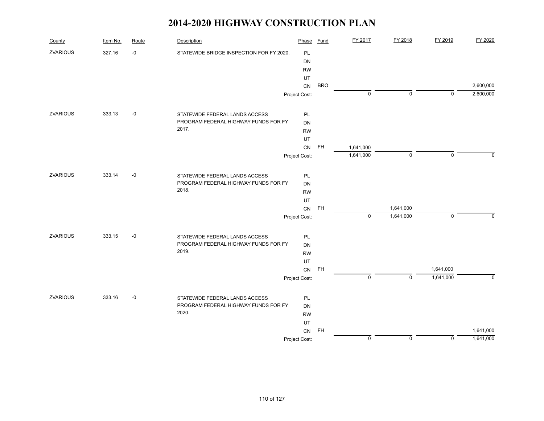| County          | Item No. | Route | Description                              | Phase         | Fund       | FY 2017     | FY 2018     | FY 2019      | FY 2020     |
|-----------------|----------|-------|------------------------------------------|---------------|------------|-------------|-------------|--------------|-------------|
| <b>ZVARIOUS</b> | 327.16   | $-0$  | STATEWIDE BRIDGE INSPECTION FOR FY 2020. | PL            |            |             |             |              |             |
|                 |          |       |                                          | <b>DN</b>     |            |             |             |              |             |
|                 |          |       |                                          | <b>RW</b>     |            |             |             |              |             |
|                 |          |       |                                          | UT            |            |             |             |              |             |
|                 |          |       |                                          | CN            | <b>BRO</b> |             |             |              | 2,600,000   |
|                 |          |       |                                          | Project Cost: |            | $\pmb{0}$   | $\mathbf 0$ | $\mathbf{0}$ | 2,600,000   |
| <b>ZVARIOUS</b> | 333.13   | $-0$  | STATEWIDE FEDERAL LANDS ACCESS           | PL            |            |             |             |              |             |
|                 |          |       | PROGRAM FEDERAL HIGHWAY FUNDS FOR FY     | <b>DN</b>     |            |             |             |              |             |
|                 |          |       | 2017.                                    | <b>RW</b>     |            |             |             |              |             |
|                 |          |       |                                          | UT            |            |             |             |              |             |
|                 |          |       |                                          | CN            | <b>FH</b>  | 1,641,000   |             |              |             |
|                 |          |       |                                          | Project Cost: |            | 1,641,000   | $\mathbf 0$ | $\mathbf 0$  | $\Omega$    |
| <b>ZVARIOUS</b> | 333.14   | $-0$  | STATEWIDE FEDERAL LANDS ACCESS           | PL            |            |             |             |              |             |
|                 |          |       | PROGRAM FEDERAL HIGHWAY FUNDS FOR FY     | <b>DN</b>     |            |             |             |              |             |
|                 |          |       | 2018.                                    | <b>RW</b>     |            |             |             |              |             |
|                 |          |       |                                          | UT            |            |             |             |              |             |
|                 |          |       |                                          | ${\sf CN}$    | <b>FH</b>  |             | 1,641,000   |              |             |
|                 |          |       |                                          | Project Cost: |            | $\mathbf 0$ | 1,641,000   | $\mathbf 0$  | $\Omega$    |
| ZVARIOUS        | 333.15   | $-0$  | STATEWIDE FEDERAL LANDS ACCESS           | PL            |            |             |             |              |             |
|                 |          |       | PROGRAM FEDERAL HIGHWAY FUNDS FOR FY     | <b>DN</b>     |            |             |             |              |             |
|                 |          |       | 2019.                                    | <b>RW</b>     |            |             |             |              |             |
|                 |          |       |                                          | UT            |            |             |             |              |             |
|                 |          |       |                                          | ${\sf CN}$    | <b>FH</b>  |             |             | 1,641,000    |             |
|                 |          |       |                                          | Project Cost: |            | $\mathsf 0$ | $\mathbf 0$ | 1,641,000    | $\mathbf 0$ |
| <b>ZVARIOUS</b> | 333.16   | $-0$  | STATEWIDE FEDERAL LANDS ACCESS           | PL            |            |             |             |              |             |
|                 |          |       | PROGRAM FEDERAL HIGHWAY FUNDS FOR FY     | <b>DN</b>     |            |             |             |              |             |
|                 |          |       | 2020.                                    | <b>RW</b>     |            |             |             |              |             |
|                 |          |       |                                          | UT            |            |             |             |              |             |
|                 |          |       |                                          | CN            | <b>FH</b>  |             |             |              | 1,641,000   |
|                 |          |       |                                          | Project Cost: |            | $\mathbf 0$ | $\mathbf 0$ | $\mathbf 0$  | 1,641,000   |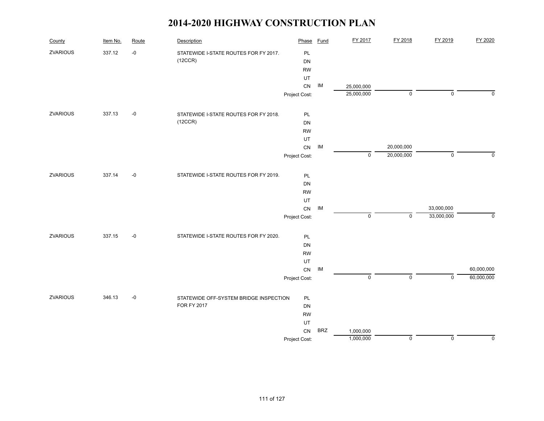| County          | Item No. | Route | Description                            | Phase         | <b>Fund</b> | FY 2017     | FY 2018     | FY 2019     | FY 2020     |
|-----------------|----------|-------|----------------------------------------|---------------|-------------|-------------|-------------|-------------|-------------|
| <b>ZVARIOUS</b> | 337.12   | $-0$  | STATEWIDE I-STATE ROUTES FOR FY 2017.  | PL            |             |             |             |             |             |
|                 |          |       | (12CCR)                                | DN            |             |             |             |             |             |
|                 |          |       |                                        | <b>RW</b>     |             |             |             |             |             |
|                 |          |       |                                        | UT            |             |             |             |             |             |
|                 |          |       |                                        | CN            | IM          | 25,000,000  |             |             |             |
|                 |          |       |                                        | Project Cost: |             | 25,000,000  | $\mathsf 0$ | $\mathbf 0$ | $\Omega$    |
| ZVARIOUS        | 337.13   | $-0$  | STATEWIDE I-STATE ROUTES FOR FY 2018.  | PL            |             |             |             |             |             |
|                 |          |       | (12CCR)                                | DN            |             |             |             |             |             |
|                 |          |       |                                        | <b>RW</b>     |             |             |             |             |             |
|                 |          |       |                                        | UT            |             |             |             |             |             |
|                 |          |       |                                        | ${\sf CN}$    | IM          |             | 20,000,000  |             |             |
|                 |          |       |                                        | Project Cost: |             | 0           | 20,000,000  | $\mathbf 0$ | $\mathbf 0$ |
| ZVARIOUS        | 337.14   | $-0$  | STATEWIDE I-STATE ROUTES FOR FY 2019.  | <b>PL</b>     |             |             |             |             |             |
|                 |          |       |                                        | DN            |             |             |             |             |             |
|                 |          |       |                                        | <b>RW</b>     |             |             |             |             |             |
|                 |          |       |                                        | UT            |             |             |             |             |             |
|                 |          |       |                                        | ${\sf CN}$    | IM          |             |             | 33,000,000  |             |
|                 |          |       |                                        | Project Cost: |             | $\mathbf 0$ | $\mathsf 0$ | 33,000,000  | $\mathbf 0$ |
| ZVARIOUS        | 337.15   | $-0$  | STATEWIDE I-STATE ROUTES FOR FY 2020.  | PL            |             |             |             |             |             |
|                 |          |       |                                        | DN            |             |             |             |             |             |
|                 |          |       |                                        | <b>RW</b>     |             |             |             |             |             |
|                 |          |       |                                        | UT            |             |             |             |             |             |
|                 |          |       |                                        | ${\sf CN}$    | IM          |             |             |             | 60,000,000  |
|                 |          |       |                                        | Project Cost: |             | $\pmb{0}$   | $\mathbf 0$ | $\mathbf 0$ | 60,000,000  |
| <b>ZVARIOUS</b> | 346.13   | $-0$  | STATEWIDE OFF-SYSTEM BRIDGE INSPECTION | PL            |             |             |             |             |             |
|                 |          |       | <b>FOR FY 2017</b>                     | DN            |             |             |             |             |             |
|                 |          |       |                                        | <b>RW</b>     |             |             |             |             |             |
|                 |          |       |                                        | UT            |             |             |             |             |             |
|                 |          |       |                                        | CN            | <b>BRZ</b>  | 1,000,000   |             |             |             |
|                 |          |       |                                        | Project Cost: |             | 1,000,000   | $\mathbf 0$ | $\mathbf 0$ | $\mathbf 0$ |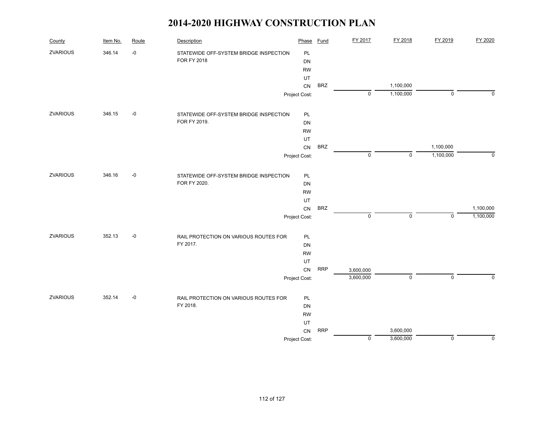| County          | Item No. | Route | Description                            | Phase         | <b>Fund</b> | FY 2017     | FY 2018     | FY 2019     | FY 2020     |
|-----------------|----------|-------|----------------------------------------|---------------|-------------|-------------|-------------|-------------|-------------|
| <b>ZVARIOUS</b> | 346.14   | $-0$  | STATEWIDE OFF-SYSTEM BRIDGE INSPECTION | PL            |             |             |             |             |             |
|                 |          |       | <b>FOR FY 2018</b>                     | DN            |             |             |             |             |             |
|                 |          |       |                                        | <b>RW</b>     |             |             |             |             |             |
|                 |          |       |                                        | UT            |             |             |             |             |             |
|                 |          |       |                                        | CN            | <b>BRZ</b>  |             | 1,100,000   |             | $\Omega$    |
|                 |          |       |                                        | Project Cost: |             | $\mathbf 0$ | 1,100,000   | $\mathbf 0$ |             |
| <b>ZVARIOUS</b> | 346.15   | $-0$  | STATEWIDE OFF-SYSTEM BRIDGE INSPECTION | PL            |             |             |             |             |             |
|                 |          |       | FOR FY 2019.                           | DN            |             |             |             |             |             |
|                 |          |       |                                        | <b>RW</b>     |             |             |             |             |             |
|                 |          |       |                                        | UT            |             |             |             |             |             |
|                 |          |       |                                        | ${\sf CN}$    | <b>BRZ</b>  |             |             | 1,100,000   |             |
|                 |          |       |                                        | Project Cost: |             | $\pmb{0}$   | $\mathbf 0$ | 1,100,000   | $\mathbf 0$ |
| <b>ZVARIOUS</b> | 346.16   | $-0$  | STATEWIDE OFF-SYSTEM BRIDGE INSPECTION | PL            |             |             |             |             |             |
|                 |          |       | FOR FY 2020.                           | DN            |             |             |             |             |             |
|                 |          |       |                                        | <b>RW</b>     |             |             |             |             |             |
|                 |          |       |                                        | UT            |             |             |             |             |             |
|                 |          |       |                                        | CN            | <b>BRZ</b>  |             |             |             | 1,100,000   |
|                 |          |       |                                        | Project Cost: |             | $\pmb{0}$   | $\mathbf 0$ | $\mathbf 0$ | 1,100,000   |
| ZVARIOUS        | 352.13   | $-0$  | RAIL PROTECTION ON VARIOUS ROUTES FOR  | $\mathsf{PL}$ |             |             |             |             |             |
|                 |          |       | FY 2017.                               | DN            |             |             |             |             |             |
|                 |          |       |                                        | <b>RW</b>     |             |             |             |             |             |
|                 |          |       |                                        | UT            |             |             |             |             |             |
|                 |          |       |                                        | CN            | <b>RRP</b>  | 3,600,000   |             |             |             |
|                 |          |       |                                        | Project Cost: |             | 3,600,000   | $\mathbf 0$ | $\mathbf 0$ | $\Omega$    |
| ZVARIOUS        | 352.14   | $-0$  | RAIL PROTECTION ON VARIOUS ROUTES FOR  | PL            |             |             |             |             |             |
|                 |          |       | FY 2018.                               | DN            |             |             |             |             |             |
|                 |          |       |                                        | <b>RW</b>     |             |             |             |             |             |
|                 |          |       |                                        | UT            |             |             |             |             |             |
|                 |          |       |                                        | CN            | <b>RRP</b>  |             | 3,600,000   |             |             |
|                 |          |       |                                        | Project Cost: |             | $\pmb{0}$   | 3,600,000   | $\mathbf 0$ | $\mathbf 0$ |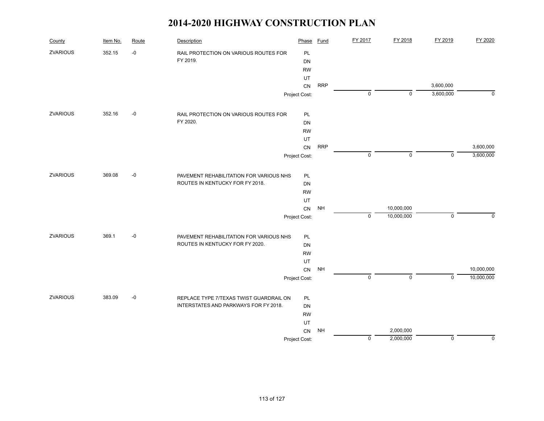| County          | Item No. | Route | Description                             | Phase         | Fund       | FY 2017     | FY 2018     | FY 2019     | FY 2020     |
|-----------------|----------|-------|-----------------------------------------|---------------|------------|-------------|-------------|-------------|-------------|
| <b>ZVARIOUS</b> | 352.15   | $-0$  | RAIL PROTECTION ON VARIOUS ROUTES FOR   | PL            |            |             |             |             |             |
|                 |          |       | FY 2019.                                | DN            |            |             |             |             |             |
|                 |          |       |                                         | <b>RW</b>     |            |             |             |             |             |
|                 |          |       |                                         | UT            |            |             |             |             |             |
|                 |          |       |                                         | CN            | <b>RRP</b> |             |             | 3,600,000   |             |
|                 |          |       |                                         | Project Cost: |            | 0           | $\mathbf 0$ | 3,600,000   | $\mathbf 0$ |
| <b>ZVARIOUS</b> | 352.16   | $-0$  | RAIL PROTECTION ON VARIOUS ROUTES FOR   | PL            |            |             |             |             |             |
|                 |          |       | FY 2020.                                | DN            |            |             |             |             |             |
|                 |          |       |                                         | <b>RW</b>     |            |             |             |             |             |
|                 |          |       |                                         | UT            |            |             |             |             |             |
|                 |          |       |                                         | ${\sf CN}$    | <b>RRP</b> |             |             |             | 3,600,000   |
|                 |          |       |                                         | Project Cost: |            | $\mathbf 0$ | $\mathbf 0$ | $\Omega$    | 3,600,000   |
| ZVARIOUS        | 369.08   | $-0$  | PAVEMENT REHABILITATION FOR VARIOUS NHS | PL            |            |             |             |             |             |
|                 |          |       | ROUTES IN KENTUCKY FOR FY 2018.         | DN            |            |             |             |             |             |
|                 |          |       |                                         | <b>RW</b>     |            |             |             |             |             |
|                 |          |       |                                         | UT            |            |             |             |             |             |
|                 |          |       |                                         | ${\sf CN}$    | <b>NH</b>  |             | 10,000,000  |             |             |
|                 |          |       |                                         | Project Cost: |            | $\mathsf 0$ | 10,000,000  | $\mathsf 0$ | $\mathbf 0$ |
| ZVARIOUS        | 369.1    | $-0$  | PAVEMENT REHABILITATION FOR VARIOUS NHS | PL            |            |             |             |             |             |
|                 |          |       | ROUTES IN KENTUCKY FOR FY 2020.         | DN            |            |             |             |             |             |
|                 |          |       |                                         | <b>RW</b>     |            |             |             |             |             |
|                 |          |       |                                         | UT            |            |             |             |             |             |
|                 |          |       |                                         | CN            | <b>NH</b>  |             |             |             | 10,000,000  |
|                 |          |       |                                         | Project Cost: |            | $\mathbf 0$ | $\mathbf 0$ | $\Omega$    | 10,000,000  |
| <b>ZVARIOUS</b> | 383.09   | $-0$  | REPLACE TYPE 7/TEXAS TWIST GUARDRAIL ON | PL            |            |             |             |             |             |
|                 |          |       | INTERSTATES AND PARKWAYS FOR FY 2018.   | DN            |            |             |             |             |             |
|                 |          |       |                                         | <b>RW</b>     |            |             |             |             |             |
|                 |          |       |                                         | UT            |            |             |             |             |             |
|                 |          |       |                                         | CN            | <b>NH</b>  |             | 2,000,000   |             |             |
|                 |          |       |                                         | Project Cost: |            | $\mathbf 0$ | 2,000,000   | $\mathsf 0$ | 0           |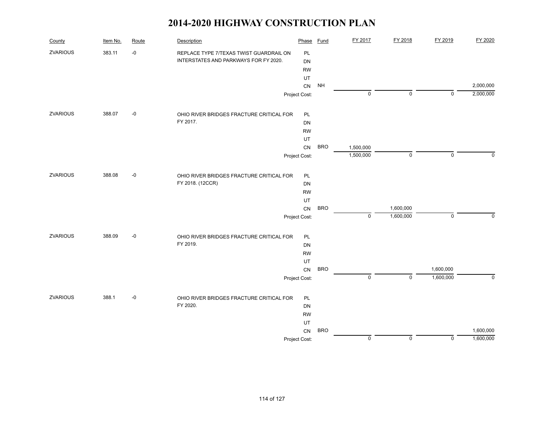| County          | Item No. | Route | Description                              | Phase         | Fund       | FY 2017        | FY 2018     | FY 2019     | FY 2020                |
|-----------------|----------|-------|------------------------------------------|---------------|------------|----------------|-------------|-------------|------------------------|
| ZVARIOUS        | 383.11   | $-0$  | REPLACE TYPE 7/TEXAS TWIST GUARDRAIL ON  | PL            |            |                |             |             |                        |
|                 |          |       | INTERSTATES AND PARKWAYS FOR FY 2020.    | <b>DN</b>     |            |                |             |             |                        |
|                 |          |       |                                          | <b>RW</b>     |            |                |             |             |                        |
|                 |          |       |                                          | UT            |            |                |             |             |                        |
|                 |          |       |                                          | CN            | <b>NH</b>  | $\pmb{0}$      | $\mathbf 0$ | $\mathbf 0$ | 2,000,000<br>2,000,000 |
|                 |          |       |                                          | Project Cost: |            |                |             |             |                        |
| ZVARIOUS        | 388.07   | $-0$  | OHIO RIVER BRIDGES FRACTURE CRITICAL FOR | PL            |            |                |             |             |                        |
|                 |          |       | FY 2017.                                 | <b>DN</b>     |            |                |             |             |                        |
|                 |          |       |                                          | <b>RW</b>     |            |                |             |             |                        |
|                 |          |       |                                          | UT            |            |                |             |             |                        |
|                 |          |       |                                          | CN            | <b>BRO</b> | 1,500,000      |             |             |                        |
|                 |          |       |                                          | Project Cost: |            | 1,500,000      | $\mathbf 0$ | $\mathbf 0$ | $\Omega$               |
| <b>ZVARIOUS</b> | 388.08   | $-0$  | OHIO RIVER BRIDGES FRACTURE CRITICAL FOR | PL            |            |                |             |             |                        |
|                 |          |       | FY 2018. (12CCR)                         | <b>DN</b>     |            |                |             |             |                        |
|                 |          |       |                                          | <b>RW</b>     |            |                |             |             |                        |
|                 |          |       |                                          | UT            |            |                |             |             |                        |
|                 |          |       |                                          | CN            | <b>BRO</b> |                | 1,600,000   |             |                        |
|                 |          |       |                                          | Project Cost: |            | $\pmb{0}$      | 1,600,000   | $\mathbf 0$ | $\mathbf 0$            |
| ZVARIOUS        | 388.09   | $-0$  | OHIO RIVER BRIDGES FRACTURE CRITICAL FOR | PL            |            |                |             |             |                        |
|                 |          |       | FY 2019.                                 | DN            |            |                |             |             |                        |
|                 |          |       |                                          | <b>RW</b>     |            |                |             |             |                        |
|                 |          |       |                                          | UT            |            |                |             |             |                        |
|                 |          |       |                                          | CN            | <b>BRO</b> |                |             | 1,600,000   |                        |
|                 |          |       |                                          | Project Cost: |            | $\overline{0}$ | $\mathbf 0$ | 1,600,000   | $\mathbf 0$            |
| <b>ZVARIOUS</b> | 388.1    | $-0$  | OHIO RIVER BRIDGES FRACTURE CRITICAL FOR | PL            |            |                |             |             |                        |
|                 |          |       | FY 2020.                                 | <b>DN</b>     |            |                |             |             |                        |
|                 |          |       |                                          | <b>RW</b>     |            |                |             |             |                        |
|                 |          |       |                                          | UT            |            |                |             |             |                        |
|                 |          |       |                                          | CN            | <b>BRO</b> |                |             |             | 1,600,000              |
|                 |          |       |                                          | Project Cost: |            | $\mathbf 0$    | $\mathbf 0$ | $\mathbf 0$ | 1,600,000              |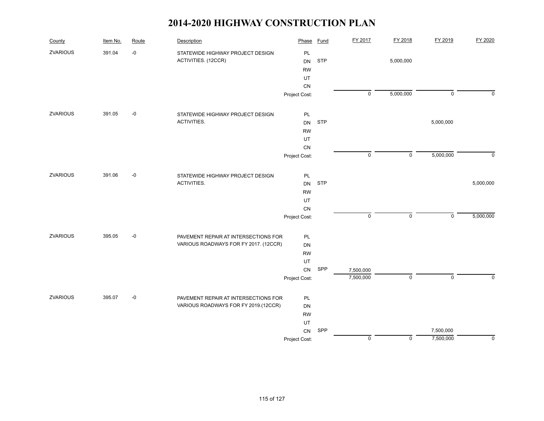| County          | Item No. | Route | Description                           | Phase         | <b>Fund</b> | FY 2017        | FY 2018        | FY 2019        | FY 2020        |
|-----------------|----------|-------|---------------------------------------|---------------|-------------|----------------|----------------|----------------|----------------|
| ZVARIOUS        | 391.04   | $-0$  | STATEWIDE HIGHWAY PROJECT DESIGN      | PL            |             |                |                |                |                |
|                 |          |       | ACTIVITIES. (12CCR)                   | <b>DN</b>     | <b>STP</b>  |                | 5,000,000      |                |                |
|                 |          |       |                                       | <b>RW</b>     |             |                |                |                |                |
|                 |          |       |                                       | UT            |             |                |                |                |                |
|                 |          |       |                                       | CN            |             |                |                |                |                |
|                 |          |       |                                       | Project Cost: |             | $\overline{0}$ | 5,000,000      | $\mathbf 0$    | $\mathbf 0$    |
| <b>ZVARIOUS</b> | 391.05   | $-0$  | STATEWIDE HIGHWAY PROJECT DESIGN      | PL            |             |                |                |                |                |
|                 |          |       | ACTIVITIES.                           | DN            | <b>STP</b>  |                |                | 5,000,000      |                |
|                 |          |       |                                       | <b>RW</b>     |             |                |                |                |                |
|                 |          |       |                                       | UT            |             |                |                |                |                |
|                 |          |       |                                       | ${\sf CN}$    |             |                |                |                |                |
|                 |          |       |                                       | Project Cost: |             | $\mathsf 0$    | $\pmb{0}$      | 5,000,000      | $\mathbf 0$    |
| <b>ZVARIOUS</b> | 391.06   | $-0$  | STATEWIDE HIGHWAY PROJECT DESIGN      | PL            |             |                |                |                |                |
|                 |          |       | ACTIVITIES.                           | <b>DN</b>     | <b>STP</b>  |                |                |                | 5,000,000      |
|                 |          |       |                                       | <b>RW</b>     |             |                |                |                |                |
|                 |          |       |                                       | UT            |             |                |                |                |                |
|                 |          |       |                                       | ${\sf CN}$    |             |                |                |                |                |
|                 |          |       |                                       | Project Cost: |             | $\mathsf 0$    | $\mathsf 0$    | $\mathbf 0$    | 5,000,000      |
| ZVARIOUS        | 395.05   | $-0$  | PAVEMENT REPAIR AT INTERSECTIONS FOR  | PL            |             |                |                |                |                |
|                 |          |       | VARIOUS ROADWAYS FOR FY 2017. (12CCR) | DN            |             |                |                |                |                |
|                 |          |       |                                       | <b>RW</b>     |             |                |                |                |                |
|                 |          |       |                                       | UT            |             |                |                |                |                |
|                 |          |       |                                       | CN            | SPP         | 7,500,000      |                |                |                |
|                 |          |       |                                       | Project Cost: |             | 7,500,000      | $\overline{0}$ | $\overline{0}$ | $\overline{0}$ |
| <b>ZVARIOUS</b> | 395.07   | $-0$  | PAVEMENT REPAIR AT INTERSECTIONS FOR  | PL            |             |                |                |                |                |
|                 |          |       | VARIOUS ROADWAYS FOR FY 2019.(12CCR)  | DN            |             |                |                |                |                |
|                 |          |       |                                       | <b>RW</b>     |             |                |                |                |                |
|                 |          |       |                                       | UT            |             |                |                |                |                |
|                 |          |       |                                       | CN            | SPP         |                |                | 7,500,000      |                |
|                 |          |       |                                       | Project Cost: |             | $\mathsf 0$    | $\mathsf 0$    | 7,500,000      | $\mathbf 0$    |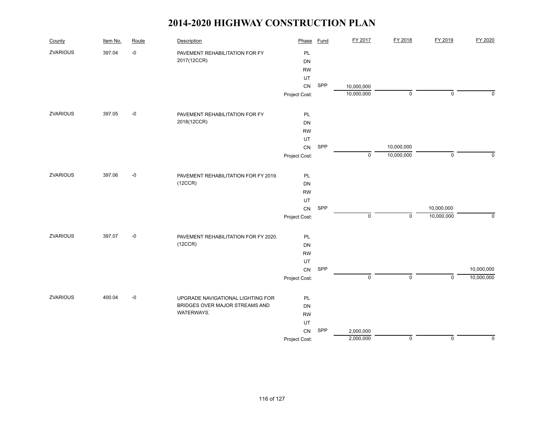| County          | Item No. | Route | Description                          | Phase         | <b>Fund</b> | FY 2017             | FY 2018     | FY 2019     | FY 2020     |
|-----------------|----------|-------|--------------------------------------|---------------|-------------|---------------------|-------------|-------------|-------------|
| <b>ZVARIOUS</b> | 397.04   | $-0$  | PAVEMENT REHABILITATION FOR FY       | PL            |             |                     |             |             |             |
|                 |          |       | 2017(12CCR)                          | DN            |             |                     |             |             |             |
|                 |          |       |                                      | <b>RW</b>     |             |                     |             |             |             |
|                 |          |       |                                      | UT            |             |                     |             |             |             |
|                 |          |       |                                      | ${\sf CN}$    | SPP         | 10,000,000          |             |             |             |
|                 |          |       |                                      | Project Cost: |             | 10,000,000          | 0           | $\mathbf 0$ | 0           |
| ZVARIOUS        | 397.05   | $-0$  | PAVEMENT REHABILITATION FOR FY       | PL            |             |                     |             |             |             |
|                 |          |       | 2018(12CCR)                          | <b>DN</b>     |             |                     |             |             |             |
|                 |          |       |                                      | <b>RW</b>     |             |                     |             |             |             |
|                 |          |       |                                      | UT            |             |                     |             |             |             |
|                 |          |       |                                      | ${\sf CN}$    | SPP         |                     | 10,000,000  |             |             |
|                 |          |       |                                      | Project Cost: |             | $\mathbf 0$         | 10,000,000  | $\mathbf 0$ | $\mathbf 0$ |
| ZVARIOUS        | 397.06   | $-0$  | PAVEMENT REHABILITATION FOR FY 2019. | PL            |             |                     |             |             |             |
|                 |          |       | (12CCR)                              | DN            |             |                     |             |             |             |
|                 |          |       |                                      | <b>RW</b>     |             |                     |             |             |             |
|                 |          |       |                                      | UT            |             |                     |             |             |             |
|                 |          |       |                                      | ${\sf CN}$    | SPP         |                     |             | 10,000,000  |             |
|                 |          |       |                                      | Project Cost: |             | $\mathsf{O}\xspace$ | 0           | 10,000,000  | 0           |
| ZVARIOUS        | 397.07   | $-0$  | PAVEMENT REHABILITATION FOR FY 2020. | $\mathsf{PL}$ |             |                     |             |             |             |
|                 |          |       | (12CCR)                              | DN            |             |                     |             |             |             |
|                 |          |       |                                      | <b>RW</b>     |             |                     |             |             |             |
|                 |          |       |                                      | UT            |             |                     |             |             |             |
|                 |          |       |                                      | ${\sf CN}$    | SPP         |                     |             |             | 10,000,000  |
|                 |          |       |                                      | Project Cost: |             | $\mathsf 0$         | $\mathsf 0$ | $\mathbf 0$ | 10,000,000  |
| ZVARIOUS        | 400.04   | $-0$  | UPGRADE NAVIGATIONAL LIGHTING FOR    | $\mathsf{PL}$ |             |                     |             |             |             |
|                 |          |       | BRIDGES OVER MAJOR STREAMS AND       | DN            |             |                     |             |             |             |
|                 |          |       | WATERWAYS.                           | <b>RW</b>     |             |                     |             |             |             |
|                 |          |       |                                      | UT            |             |                     |             |             |             |
|                 |          |       |                                      | CN            | SPP         | 2,000,000           |             |             |             |
|                 |          |       |                                      | Project Cost: |             | 2,000,000           | 0           | $\mathbf 0$ | $\mathbf 0$ |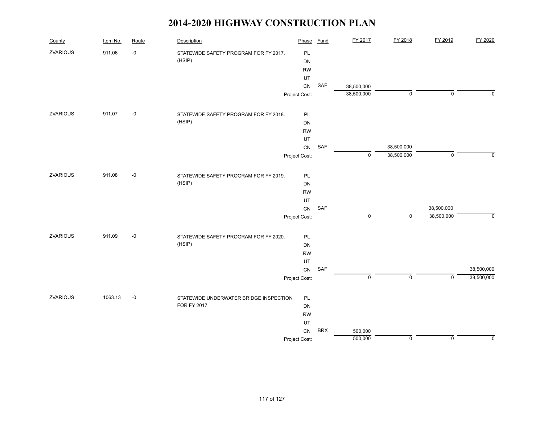| County          | Item No. | Route | Description                            | Phase         | <b>Fund</b> | FY 2017                  | FY 2018     | FY 2019     | FY 2020     |
|-----------------|----------|-------|----------------------------------------|---------------|-------------|--------------------------|-------------|-------------|-------------|
| ZVARIOUS        | 911.06   | $-0$  | STATEWIDE SAFETY PROGRAM FOR FY 2017.  | PL            |             |                          |             |             |             |
|                 |          |       | (HSIP)                                 | DN            |             |                          |             |             |             |
|                 |          |       |                                        | <b>RW</b>     |             |                          |             |             |             |
|                 |          |       |                                        | UT            | SAF         |                          |             |             |             |
|                 |          |       |                                        | CN            |             | 38,500,000<br>38,500,000 | $\mathbf 0$ | $\mathbf 0$ | $\Omega$    |
|                 |          |       |                                        | Project Cost: |             |                          |             |             |             |
| ZVARIOUS        | 911.07   | $-0$  | STATEWIDE SAFETY PROGRAM FOR FY 2018.  | PL            |             |                          |             |             |             |
|                 |          |       | (HSIP)                                 | DN            |             |                          |             |             |             |
|                 |          |       |                                        | <b>RW</b>     |             |                          |             |             |             |
|                 |          |       |                                        | UT            |             |                          |             |             |             |
|                 |          |       |                                        | CN            | SAF         |                          | 38,500,000  |             |             |
|                 |          |       |                                        | Project Cost: |             | $\mathbf 0$              | 38,500,000  | $\pmb{0}$   | $\mathbf 0$ |
| <b>ZVARIOUS</b> | 911.08   | $-0$  | STATEWIDE SAFETY PROGRAM FOR FY 2019.  | PL            |             |                          |             |             |             |
|                 |          |       | (HSIP)                                 | DN            |             |                          |             |             |             |
|                 |          |       |                                        | <b>RW</b>     |             |                          |             |             |             |
|                 |          |       |                                        | UT            |             |                          |             |             |             |
|                 |          |       |                                        | CN            | SAF         |                          |             | 38,500,000  |             |
|                 |          |       |                                        | Project Cost: |             | $\mathbf 0$              | $\mathbf 0$ | 38,500,000  | $\pmb{0}$   |
| <b>ZVARIOUS</b> | 911.09   | $-0$  | STATEWIDE SAFETY PROGRAM FOR FY 2020.  | PL            |             |                          |             |             |             |
|                 |          |       | (HSIP)                                 | DN            |             |                          |             |             |             |
|                 |          |       |                                        | <b>RW</b>     |             |                          |             |             |             |
|                 |          |       |                                        | UT            |             |                          |             |             |             |
|                 |          |       |                                        | CN            | SAF         |                          |             |             | 38,500,000  |
|                 |          |       |                                        | Project Cost: |             | $\mathsf 0$              | $\mathbf 0$ | $\mathbf 0$ | 38,500,000  |
| <b>ZVARIOUS</b> | 1063.13  | $-0$  | STATEWIDE UNDERWATER BRIDGE INSPECTION | PL            |             |                          |             |             |             |
|                 |          |       | <b>FOR FY 2017</b>                     | DN            |             |                          |             |             |             |
|                 |          |       |                                        | <b>RW</b>     |             |                          |             |             |             |
|                 |          |       |                                        | UT            |             |                          |             |             |             |
|                 |          |       |                                        | CN            | <b>BRX</b>  | 500,000                  |             |             |             |
|                 |          |       |                                        | Project Cost: |             | 500,000                  | $\mathsf 0$ | $\pmb{0}$   | $\mathbf 0$ |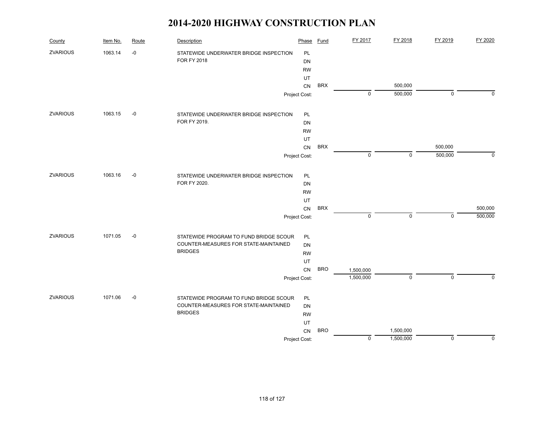| County          | Item No. | Route | Description                            | Phase         | Fund       | FY 2017     | FY 2018     | FY 2019     | FY 2020     |
|-----------------|----------|-------|----------------------------------------|---------------|------------|-------------|-------------|-------------|-------------|
| ZVARIOUS        | 1063.14  | $-0$  | STATEWIDE UNDERWATER BRIDGE INSPECTION | PL            |            |             |             |             |             |
|                 |          |       | <b>FOR FY 2018</b>                     | DN            |            |             |             |             |             |
|                 |          |       |                                        | <b>RW</b>     |            |             |             |             |             |
|                 |          |       |                                        | UT<br>CN      | <b>BRX</b> |             | 500,000     |             |             |
|                 |          |       |                                        | Project Cost: |            | $\mathbf 0$ | 500,000     | $\mathbf 0$ | $\Omega$    |
|                 |          |       |                                        |               |            |             |             |             |             |
| <b>ZVARIOUS</b> | 1063.15  | $-0$  | STATEWIDE UNDERWATER BRIDGE INSPECTION | <b>PL</b>     |            |             |             |             |             |
|                 |          |       | FOR FY 2019.                           | DN            |            |             |             |             |             |
|                 |          |       |                                        | <b>RW</b>     |            |             |             |             |             |
|                 |          |       |                                        | UT            |            |             |             |             |             |
|                 |          |       |                                        | CN            | <b>BRX</b> |             |             | 500,000     |             |
|                 |          |       |                                        | Project Cost: |            | $\pmb{0}$   | $\mathbf 0$ | 500,000     | $\mathbf 0$ |
| <b>ZVARIOUS</b> | 1063.16  | $-0$  | STATEWIDE UNDERWATER BRIDGE INSPECTION | PL            |            |             |             |             |             |
|                 |          |       | FOR FY 2020.                           | DN            |            |             |             |             |             |
|                 |          |       |                                        | <b>RW</b>     |            |             |             |             |             |
|                 |          |       |                                        | UT            |            |             |             |             |             |
|                 |          |       |                                        | CN            | <b>BRX</b> |             |             |             | 500,000     |
|                 |          |       |                                        | Project Cost: |            | $\pmb{0}$   | $\mathbf 0$ | $\mathbf 0$ | 500,000     |
| ZVARIOUS        | 1071.05  | $-0$  | STATEWIDE PROGRAM TO FUND BRIDGE SCOUR | PL            |            |             |             |             |             |
|                 |          |       | COUNTER-MEASURES FOR STATE-MAINTAINED  | DN            |            |             |             |             |             |
|                 |          |       | <b>BRIDGES</b>                         | <b>RW</b>     |            |             |             |             |             |
|                 |          |       |                                        | UT            |            |             |             |             |             |
|                 |          |       |                                        | <b>CN</b>     | <b>BRO</b> | 1,500,000   |             |             |             |
|                 |          |       |                                        | Project Cost: |            | 1,500,000   | $\mathbf 0$ | $\mathbf 0$ | $\Omega$    |
| <b>ZVARIOUS</b> | 1071.06  | $-0$  | STATEWIDE PROGRAM TO FUND BRIDGE SCOUR | PL            |            |             |             |             |             |
|                 |          |       | COUNTER-MEASURES FOR STATE-MAINTAINED  | DN            |            |             |             |             |             |
|                 |          |       | <b>BRIDGES</b>                         | <b>RW</b>     |            |             |             |             |             |
|                 |          |       |                                        | UT            |            |             |             |             |             |
|                 |          |       |                                        | CN            | <b>BRO</b> |             | 1,500,000   |             |             |
|                 |          |       |                                        | Project Cost: |            | $\pmb{0}$   | 1,500,000   | $\mathbf 0$ | $\mathbf 0$ |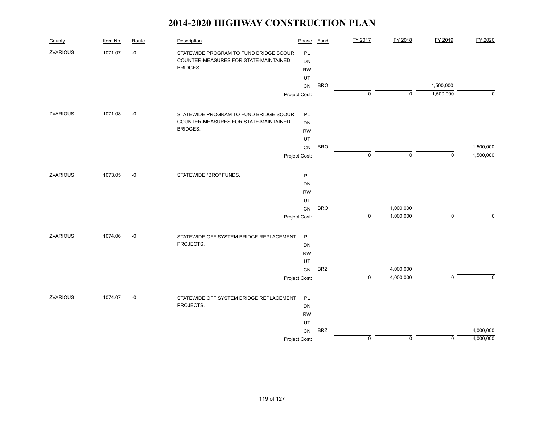| County          | Item No. | Route | Description                             | Phase         | <b>Fund</b> | FY 2017        | FY 2018     | FY 2019                | FY 2020   |
|-----------------|----------|-------|-----------------------------------------|---------------|-------------|----------------|-------------|------------------------|-----------|
| <b>ZVARIOUS</b> | 1071.07  | $-0$  | STATEWIDE PROGRAM TO FUND BRIDGE SCOUR  | PL            |             |                |             |                        |           |
|                 |          |       | COUNTER-MEASURES FOR STATE-MAINTAINED   | <b>DN</b>     |             |                |             |                        |           |
|                 |          |       | <b>BRIDGES.</b>                         | <b>RW</b>     |             |                |             |                        |           |
|                 |          |       |                                         | UT            |             |                |             |                        |           |
|                 |          |       |                                         | CN            | <b>BRO</b>  | $\mathbf 0$    | $\mathbf 0$ | 1,500,000<br>1,500,000 | $\Omega$  |
|                 |          |       |                                         | Project Cost: |             |                |             |                        |           |
| <b>ZVARIOUS</b> | 1071.08  | $-0$  | STATEWIDE PROGRAM TO FUND BRIDGE SCOUR  | PL            |             |                |             |                        |           |
|                 |          |       | COUNTER-MEASURES FOR STATE-MAINTAINED   | <b>DN</b>     |             |                |             |                        |           |
|                 |          |       | <b>BRIDGES.</b>                         | <b>RW</b>     |             |                |             |                        |           |
|                 |          |       |                                         | UT            |             |                |             |                        |           |
|                 |          |       |                                         | CN            | <b>BRO</b>  |                |             |                        | 1,500,000 |
|                 |          |       |                                         | Project Cost: |             | $\mathbf 0$    | $\mathbf 0$ | $\mathbf 0$            | 1,500,000 |
| <b>ZVARIOUS</b> | 1073.05  | $-0$  | STATEWIDE "BRO" FUNDS.                  | PL            |             |                |             |                        |           |
|                 |          |       |                                         | <b>DN</b>     |             |                |             |                        |           |
|                 |          |       |                                         | <b>RW</b>     |             |                |             |                        |           |
|                 |          |       |                                         | UT            |             |                |             |                        |           |
|                 |          |       |                                         | CN            | <b>BRO</b>  |                | 1,000,000   |                        |           |
|                 |          |       |                                         | Project Cost: |             | $\mathbf 0$    | 1,000,000   | $\mathsf 0$            | $\Omega$  |
| <b>ZVARIOUS</b> | 1074.06  | $-0$  | STATEWIDE OFF SYSTEM BRIDGE REPLACEMENT | PL            |             |                |             |                        |           |
|                 |          |       | PROJECTS.                               | DN            |             |                |             |                        |           |
|                 |          |       |                                         | <b>RW</b>     |             |                |             |                        |           |
|                 |          |       |                                         | UT            |             |                |             |                        |           |
|                 |          |       |                                         | CN            | <b>BRZ</b>  |                | 4,000,000   |                        |           |
|                 |          |       |                                         | Project Cost: |             | $\overline{0}$ | 4,000,000   | $\mathsf 0$            | $\Omega$  |
| <b>ZVARIOUS</b> | 1074.07  | $-0$  | STATEWIDE OFF SYSTEM BRIDGE REPLACEMENT | PL            |             |                |             |                        |           |
|                 |          |       | PROJECTS.                               | DN            |             |                |             |                        |           |
|                 |          |       |                                         | <b>RW</b>     |             |                |             |                        |           |
|                 |          |       |                                         | UT            |             |                |             |                        |           |
|                 |          |       |                                         | CN            | <b>BRZ</b>  |                |             |                        | 4,000,000 |
|                 |          |       |                                         | Project Cost: |             | $\mathbf 0$    | $\mathbf 0$ | $\mathbf 0$            | 4,000,000 |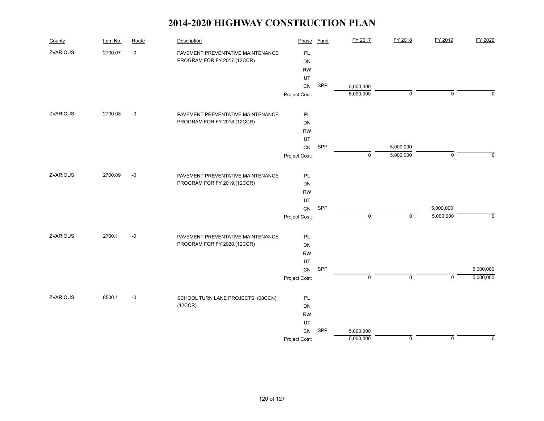| County          | Item No. | Route | Description                        | Phase         | <b>Fund</b> | FY 2017     | FY 2018     | FY 2019        | FY 2020     |
|-----------------|----------|-------|------------------------------------|---------------|-------------|-------------|-------------|----------------|-------------|
| ZVARIOUS        | 2700.07  | $-0$  | PAVEMENT PREVENTATIVE MAINTENANCE  | PL            |             |             |             |                |             |
|                 |          |       | PROGRAM FOR FY 2017.(12CCR)        | <b>DN</b>     |             |             |             |                |             |
|                 |          |       |                                    | <b>RW</b>     |             |             |             |                |             |
|                 |          |       |                                    | UT            |             |             |             |                |             |
|                 |          |       |                                    | CN            | SPP         | 5,000,000   |             |                |             |
|                 |          |       |                                    | Project Cost: |             | 5,000,000   | $\mathsf 0$ | $\mathbf 0$    | $\Omega$    |
| ZVARIOUS        | 2700.08  | $-0$  | PAVEMENT PREVENTATIVE MAINTENANCE  | PL            |             |             |             |                |             |
|                 |          |       | PROGRAM FOR FY 2018.(12CCR)        | DN            |             |             |             |                |             |
|                 |          |       |                                    | <b>RW</b>     |             |             |             |                |             |
|                 |          |       |                                    | UT            |             |             |             |                |             |
|                 |          |       |                                    | ${\sf CN}$    | SPP         |             | 5,000,000   |                |             |
|                 |          |       |                                    | Project Cost: |             | $\mathbf 0$ | 5,000,000   | $\mathbf 0$    | $\Omega$    |
| ZVARIOUS        | 2700.09  | $-0$  | PAVEMENT PREVENTATIVE MAINTENANCE  | PL            |             |             |             |                |             |
|                 |          |       | PROGRAM FOR FY 2019.(12CCR)        | DN            |             |             |             |                |             |
|                 |          |       |                                    | <b>RW</b>     |             |             |             |                |             |
|                 |          |       |                                    | UT            |             |             |             |                |             |
|                 |          |       |                                    | CN            | SPP         |             |             | 5,000,000      |             |
|                 |          |       |                                    | Project Cost: |             | $\pmb{0}$   | $\mathbf 0$ | 5,000,000      | $\mathbf 0$ |
| ZVARIOUS        | 2700.1   | $-0$  | PAVEMENT PREVENTATIVE MAINTENANCE  | PL            |             |             |             |                |             |
|                 |          |       | PROGRAM FOR FY 2020.(12CCR)        | DN            |             |             |             |                |             |
|                 |          |       |                                    | <b>RW</b>     |             |             |             |                |             |
|                 |          |       |                                    | UT            |             |             |             |                |             |
|                 |          |       |                                    | ${\sf CN}$    | SPP         |             |             |                | 5,000,000   |
|                 |          |       |                                    | Project Cost: |             | $\pmb{0}$   | $\mathsf 0$ | $\overline{0}$ | 5,000,000   |
| <b>ZVARIOUS</b> | 8500.1   | $-0$  | SCHOOL TURN LANE PROJECTS. (08CCN) | PL            |             |             |             |                |             |
|                 |          |       | (12CCR)                            | DN            |             |             |             |                |             |
|                 |          |       |                                    | <b>RW</b>     |             |             |             |                |             |
|                 |          |       |                                    | UT            |             |             |             |                |             |
|                 |          |       |                                    | CN            | SPP         | 5,000,000   |             |                |             |
|                 |          |       |                                    | Project Cost: |             | 5,000,000   | $\mathsf 0$ | $\mathbf 0$    | $\mathbf 0$ |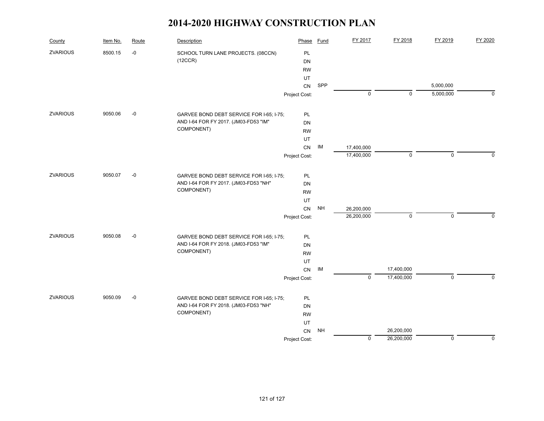| County          | Item No. | Route | Description                              | Phase         | Fund      | FY 2017        | FY 2018     | FY 2019     | FY 2020     |
|-----------------|----------|-------|------------------------------------------|---------------|-----------|----------------|-------------|-------------|-------------|
| <b>ZVARIOUS</b> | 8500.15  | $-0$  | SCHOOL TURN LANE PROJECTS. (08CCN)       | PL            |           |                |             |             |             |
|                 |          |       | (12CCR)                                  | <b>DN</b>     |           |                |             |             |             |
|                 |          |       |                                          | <b>RW</b>     |           |                |             |             |             |
|                 |          |       |                                          | UT            |           |                |             |             |             |
|                 |          |       |                                          | CN            | SPP       |                |             | 5,000,000   |             |
|                 |          |       |                                          | Project Cost: |           | $\mathbf 0$    | $\mathbf 0$ | 5,000,000   | $\Omega$    |
| <b>ZVARIOUS</b> | 9050.06  | $-0$  | GARVEE BOND DEBT SERVICE FOR I-65; I-75; | <b>PL</b>     |           |                |             |             |             |
|                 |          |       | AND I-64 FOR FY 2017. (JM03-FD53 "IM"    | <b>DN</b>     |           |                |             |             |             |
|                 |          |       | COMPONENT)                               | <b>RW</b>     |           |                |             |             |             |
|                 |          |       |                                          | UT            |           |                |             |             |             |
|                 |          |       |                                          | CN            | IM        | 17,400,000     |             |             |             |
|                 |          |       |                                          | Project Cost: |           | 17,400,000     | $\mathbf 0$ | $\mathsf 0$ | $\Omega$    |
| <b>ZVARIOUS</b> | 9050.07  | $-0$  | GARVEE BOND DEBT SERVICE FOR I-65; I-75; | PL            |           |                |             |             |             |
|                 |          |       | AND I-64 FOR FY 2017. (JM03-FD53 "NH"    | DN            |           |                |             |             |             |
|                 |          |       | COMPONENT)                               | <b>RW</b>     |           |                |             |             |             |
|                 |          |       |                                          | UT            |           |                |             |             |             |
|                 |          |       |                                          | CN            | <b>NH</b> | 26,200,000     |             |             |             |
|                 |          |       |                                          | Project Cost: |           | 26,200,000     | $\mathbf 0$ | $\mathbf 0$ | $\Omega$    |
| <b>ZVARIOUS</b> | 9050.08  | $-0$  | GARVEE BOND DEBT SERVICE FOR I-65; I-75; | PL            |           |                |             |             |             |
|                 |          |       | AND I-64 FOR FY 2018. (JM03-FD53 "IM"    | <b>DN</b>     |           |                |             |             |             |
|                 |          |       | COMPONENT)                               | <b>RW</b>     |           |                |             |             |             |
|                 |          |       |                                          | UT            |           |                |             |             |             |
|                 |          |       |                                          | CN            | IM        |                | 17,400,000  |             |             |
|                 |          |       |                                          | Project Cost: |           | $\overline{0}$ | 17,400,000  | $\mathbf 0$ | $\Omega$    |
| <b>ZVARIOUS</b> | 9050.09  | $-0$  | GARVEE BOND DEBT SERVICE FOR I-65; I-75; | PL            |           |                |             |             |             |
|                 |          |       | AND I-64 FOR FY 2018. (JM03-FD53 "NH"    | <b>DN</b>     |           |                |             |             |             |
|                 |          |       | COMPONENT)                               | <b>RW</b>     |           |                |             |             |             |
|                 |          |       |                                          | UT            |           |                |             |             |             |
|                 |          |       |                                          | CN            | <b>NH</b> |                | 26,200,000  |             |             |
|                 |          |       |                                          | Project Cost: |           | $\mathbf 0$    | 26,200,000  | $\mathsf 0$ | $\mathbf 0$ |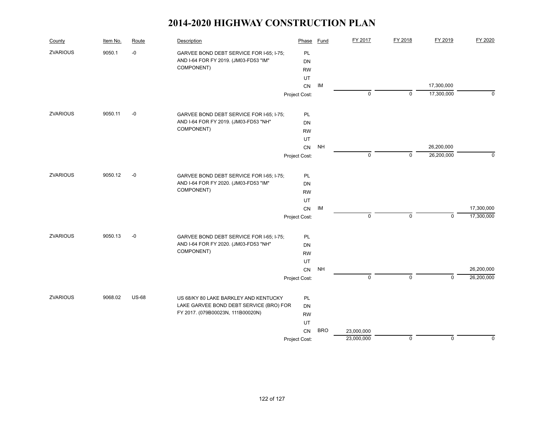| County          | Item No. | Route        | Description                              | Phase         | Fund       | FY 2017     | FY 2018     | FY 2019     | FY 2020     |
|-----------------|----------|--------------|------------------------------------------|---------------|------------|-------------|-------------|-------------|-------------|
| <b>ZVARIOUS</b> | 9050.1   | $-0$         | GARVEE BOND DEBT SERVICE FOR I-65; I-75; | <b>PL</b>     |            |             |             |             |             |
|                 |          |              | AND I-64 FOR FY 2019. (JM03-FD53 "IM"    | <b>DN</b>     |            |             |             |             |             |
|                 |          |              | COMPONENT)                               | <b>RW</b>     |            |             |             |             |             |
|                 |          |              |                                          | UT            |            |             |             |             |             |
|                 |          |              |                                          | CN            | IM         |             |             | 17,300,000  |             |
|                 |          |              |                                          | Project Cost: |            | $\mathbf 0$ | $\mathbf 0$ | 17,300,000  | $\Omega$    |
| <b>ZVARIOUS</b> | 9050.11  | $-0$         | GARVEE BOND DEBT SERVICE FOR I-65; I-75; | PL            |            |             |             |             |             |
|                 |          |              | AND I-64 FOR FY 2019. (JM03-FD53 "NH"    | <b>DN</b>     |            |             |             |             |             |
|                 |          |              | COMPONENT)                               | <b>RW</b>     |            |             |             |             |             |
|                 |          |              |                                          | UT            |            |             |             |             |             |
|                 |          |              |                                          | ${\sf CN}$    | <b>NH</b>  |             |             | 26,200,000  |             |
|                 |          |              |                                          | Project Cost: |            | $\mathbf 0$ | $\mathbf 0$ | 26,200,000  | $\mathbf 0$ |
| <b>ZVARIOUS</b> | 9050.12  | $-0$         | GARVEE BOND DEBT SERVICE FOR I-65; I-75; | PL            |            |             |             |             |             |
|                 |          |              | AND I-64 FOR FY 2020. (JM03-FD53 "IM"    | DN            |            |             |             |             |             |
|                 |          |              | COMPONENT)                               | <b>RW</b>     |            |             |             |             |             |
|                 |          |              |                                          | UT            |            |             |             |             |             |
|                 |          |              |                                          | CN            | IM         |             |             |             | 17,300,000  |
|                 |          |              |                                          | Project Cost: |            | $\mathbf 0$ | $\mathbf 0$ | $\mathbf 0$ | 17,300,000  |
| <b>ZVARIOUS</b> | 9050.13  | $-0$         | GARVEE BOND DEBT SERVICE FOR I-65; I-75; | PL            |            |             |             |             |             |
|                 |          |              | AND I-64 FOR FY 2020. (JM03-FD53 "NH"    | <b>DN</b>     |            |             |             |             |             |
|                 |          |              | COMPONENT)                               | <b>RW</b>     |            |             |             |             |             |
|                 |          |              |                                          | UT            |            |             |             |             |             |
|                 |          |              |                                          | CN            | <b>NH</b>  |             |             |             | 26,200,000  |
|                 |          |              |                                          | Project Cost: |            | $\mathbf 0$ | $\mathbf 0$ | $\Omega$    | 26,200,000  |
| <b>ZVARIOUS</b> | 9068.02  | <b>US-68</b> | US 68/KY 80 LAKE BARKLEY AND KENTUCKY    | PL            |            |             |             |             |             |
|                 |          |              | LAKE GARVEE BOND DEBT SERVICE (BRO) FOR  | DN            |            |             |             |             |             |
|                 |          |              | FY 2017. (079B00023N, 111B00020N)        | <b>RW</b>     |            |             |             |             |             |
|                 |          |              |                                          | UT            |            |             |             |             |             |
|                 |          |              |                                          | <b>CN</b>     | <b>BRO</b> | 23,000,000  |             |             |             |
|                 |          |              |                                          | Project Cost: |            | 23,000,000  | $\mathbf 0$ | $\mathbf 0$ | $\mathbf 0$ |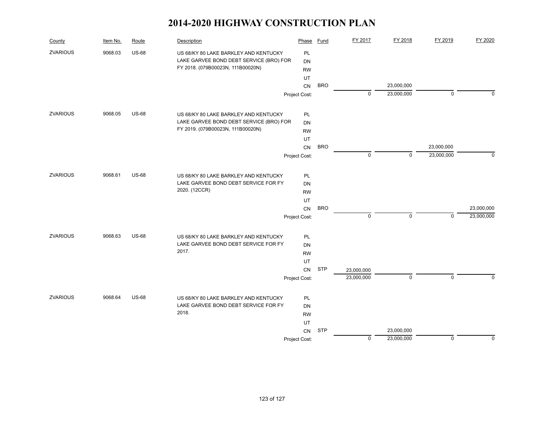| County          | Item No. | Route        | Description                             | Phase         | <b>Fund</b> | FY 2017     | FY 2018     | FY 2019     | FY 2020    |
|-----------------|----------|--------------|-----------------------------------------|---------------|-------------|-------------|-------------|-------------|------------|
| <b>ZVARIOUS</b> | 9068.03  | <b>US-68</b> | US 68/KY 80 LAKE BARKLEY AND KENTUCKY   | PL            |             |             |             |             |            |
|                 |          |              | LAKE GARVEE BOND DEBT SERVICE (BRO) FOR | DN            |             |             |             |             |            |
|                 |          |              | FY 2018. (079B00023N, 111B00020N)       | <b>RW</b>     |             |             |             |             |            |
|                 |          |              |                                         | UT            |             |             |             |             |            |
|                 |          |              |                                         | <b>CN</b>     | <b>BRO</b>  |             | 23,000,000  |             |            |
|                 |          |              |                                         | Project Cost: |             | $\mathbf 0$ | 23,000,000  | $\mathbf 0$ | $\Omega$   |
| <b>ZVARIOUS</b> | 9068.05  | <b>US-68</b> | US 68/KY 80 LAKE BARKLEY AND KENTUCKY   | PL            |             |             |             |             |            |
|                 |          |              | LAKE GARVEE BOND DEBT SERVICE (BRO) FOR | <b>DN</b>     |             |             |             |             |            |
|                 |          |              | FY 2019. (079B00023N, 111B00020N)       | <b>RW</b>     |             |             |             |             |            |
|                 |          |              |                                         | UT            |             |             |             |             |            |
|                 |          |              |                                         | CN            | <b>BRO</b>  |             |             | 23,000,000  |            |
|                 |          |              |                                         | Project Cost: |             | $\mathbf 0$ | $\mathbf 0$ | 23,000,000  | $\Omega$   |
|                 |          |              |                                         |               |             |             |             |             |            |
| <b>ZVARIOUS</b> | 9068.61  | <b>US-68</b> | US 68/KY 80 LAKE BARKLEY AND KENTUCKY   | PL            |             |             |             |             |            |
|                 |          |              | LAKE GARVEE BOND DEBT SERVICE FOR FY    | <b>DN</b>     |             |             |             |             |            |
|                 |          |              | 2020. (12CCR)                           | <b>RW</b>     |             |             |             |             |            |
|                 |          |              |                                         | UT            |             |             |             |             |            |
|                 |          |              |                                         | CN            | <b>BRO</b>  |             |             |             | 23,000,000 |
|                 |          |              |                                         | Project Cost: |             | $\mathbf 0$ | $\mathbf 0$ | $\mathbf 0$ | 23,000,000 |
| <b>ZVARIOUS</b> | 9068.63  | <b>US-68</b> | US 68/KY 80 LAKE BARKLEY AND KENTUCKY   | PL            |             |             |             |             |            |
|                 |          |              | LAKE GARVEE BOND DEBT SERVICE FOR FY    | <b>DN</b>     |             |             |             |             |            |
|                 |          |              | 2017.                                   | <b>RW</b>     |             |             |             |             |            |
|                 |          |              |                                         | UT            |             |             |             |             |            |
|                 |          |              |                                         | CN            | <b>STP</b>  | 23,000,000  |             |             |            |
|                 |          |              |                                         | Project Cost: |             | 23,000,000  | 0           | $\mathbf 0$ | $\Omega$   |
| <b>ZVARIOUS</b> | 9068.64  | <b>US-68</b> | US 68/KY 80 LAKE BARKLEY AND KENTUCKY   | PL            |             |             |             |             |            |
|                 |          |              | LAKE GARVEE BOND DEBT SERVICE FOR FY    | DN            |             |             |             |             |            |
|                 |          |              | 2018.                                   | <b>RW</b>     |             |             |             |             |            |
|                 |          |              |                                         | UT            |             |             |             |             |            |
|                 |          |              |                                         | <b>CN</b>     | <b>STP</b>  |             | 23,000,000  |             |            |
|                 |          |              |                                         | Project Cost: |             | 0           | 23,000,000  | 0           | $\Omega$   |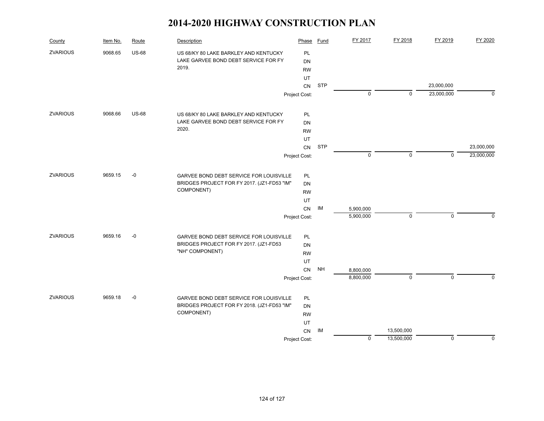| County          | Item No. | Route        | Description                                 | Phase         | Fund       | FY 2017   | FY 2018     | FY 2019                  | FY 2020    |
|-----------------|----------|--------------|---------------------------------------------|---------------|------------|-----------|-------------|--------------------------|------------|
| <b>ZVARIOUS</b> | 9068.65  | <b>US-68</b> | US 68/KY 80 LAKE BARKLEY AND KENTUCKY       | PL            |            |           |             |                          |            |
|                 |          |              | LAKE GARVEE BOND DEBT SERVICE FOR FY        | <b>DN</b>     |            |           |             |                          |            |
|                 |          |              | 2019.                                       | <b>RW</b>     |            |           |             |                          |            |
|                 |          |              |                                             | UT            |            |           |             |                          |            |
|                 |          |              |                                             | CN            | <b>STP</b> | 0         | $\mathbf 0$ | 23,000,000<br>23,000,000 | $\Omega$   |
|                 |          |              |                                             | Project Cost: |            |           |             |                          |            |
| <b>ZVARIOUS</b> | 9068.66  | <b>US-68</b> | US 68/KY 80 LAKE BARKLEY AND KENTUCKY       | PL            |            |           |             |                          |            |
|                 |          |              | LAKE GARVEE BOND DEBT SERVICE FOR FY        | <b>DN</b>     |            |           |             |                          |            |
|                 |          |              | 2020.                                       | <b>RW</b>     |            |           |             |                          |            |
|                 |          |              |                                             | UT            |            |           |             |                          |            |
|                 |          |              |                                             | CN            | <b>STP</b> |           |             |                          | 23,000,000 |
|                 |          |              |                                             | Project Cost: |            | 0         | $\mathbf 0$ | $\Omega$                 | 23,000,000 |
| <b>ZVARIOUS</b> | 9659.15  | $-0$         | GARVEE BOND DEBT SERVICE FOR LOUISVILLE     | PL            |            |           |             |                          |            |
|                 |          |              | BRIDGES PROJECT FOR FY 2017. (JZ1-FD53 "IM" | DN            |            |           |             |                          |            |
|                 |          |              | COMPONENT)                                  | <b>RW</b>     |            |           |             |                          |            |
|                 |          |              |                                             | UT            |            |           |             |                          |            |
|                 |          |              |                                             | CN            | IM         | 5,900,000 |             |                          |            |
|                 |          |              |                                             | Project Cost: |            | 5,900,000 | $\mathbf 0$ | $\mathbf 0$              | $\Omega$   |
| <b>ZVARIOUS</b> | 9659.16  | $-0$         | GARVEE BOND DEBT SERVICE FOR LOUISVILLE     | PL            |            |           |             |                          |            |
|                 |          |              | BRIDGES PROJECT FOR FY 2017. (JZ1-FD53      | DN            |            |           |             |                          |            |
|                 |          |              | "NH" COMPONENT)                             | <b>RW</b>     |            |           |             |                          |            |
|                 |          |              |                                             | UT            |            |           |             |                          |            |
|                 |          |              |                                             | CN            | <b>NH</b>  | 8,800,000 |             |                          |            |
|                 |          |              |                                             | Project Cost: |            | 8,800,000 | $\mathbf 0$ | $\overline{0}$           | $\Omega$   |
| <b>ZVARIOUS</b> | 9659.18  | $-0$         | GARVEE BOND DEBT SERVICE FOR LOUISVILLE     | PL            |            |           |             |                          |            |
|                 |          |              | BRIDGES PROJECT FOR FY 2018. (JZ1-FD53 "IM" | DN            |            |           |             |                          |            |
|                 |          |              | COMPONENT)                                  | <b>RW</b>     |            |           |             |                          |            |
|                 |          |              |                                             | UT            |            |           |             |                          |            |
|                 |          |              |                                             | CN            | IM         |           | 13,500,000  |                          |            |
|                 |          |              |                                             | Project Cost: |            | 0         | 13,500,000  | $\mathsf 0$              | 0          |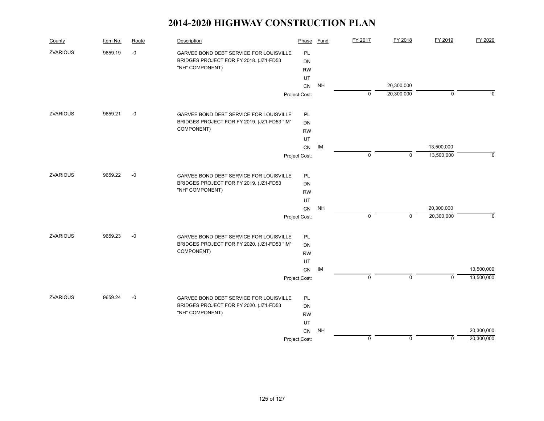| County          | Item No. | Route | Description                                    | Phase         | Fund      | FY 2017        | FY 2018     | FY 2019     | FY 2020    |
|-----------------|----------|-------|------------------------------------------------|---------------|-----------|----------------|-------------|-------------|------------|
| <b>ZVARIOUS</b> | 9659.19  | -0    | GARVEE BOND DEBT SERVICE FOR LOUISVILLE        | <b>PL</b>     |           |                |             |             |            |
|                 |          |       | BRIDGES PROJECT FOR FY 2018. (JZ1-FD53         | DN            |           |                |             |             |            |
|                 |          |       | "NH" COMPONENT)                                | <b>RW</b>     |           |                |             |             |            |
|                 |          |       |                                                | UT            |           |                |             |             |            |
|                 |          |       |                                                | CN            | <b>NH</b> |                | 20,300,000  |             |            |
|                 |          |       |                                                | Project Cost: |           | $\mathbf 0$    | 20,300,000  | $\mathbf 0$ | n          |
| <b>ZVARIOUS</b> | 9659.21  | $-0$  | GARVEE BOND DEBT SERVICE FOR LOUISVILLE        | <b>PL</b>     |           |                |             |             |            |
|                 |          |       | BRIDGES PROJECT FOR FY 2019. (JZ1-FD53 "IM"    | DN            |           |                |             |             |            |
|                 |          |       | COMPONENT)                                     | <b>RW</b>     |           |                |             |             |            |
|                 |          |       |                                                | UT            |           |                |             |             |            |
|                 |          |       |                                                | CN            | IM        |                |             | 13,500,000  |            |
|                 |          |       |                                                | Project Cost: |           | $\mathbf 0$    | $\Omega$    | 13,500,000  | $\Omega$   |
| <b>ZVARIOUS</b> | 9659.22  | $-0$  | <b>GARVEE BOND DEBT SERVICE FOR LOUISVILLE</b> | <b>PL</b>     |           |                |             |             |            |
|                 |          |       | BRIDGES PROJECT FOR FY 2019. (JZ1-FD53         | <b>DN</b>     |           |                |             |             |            |
|                 |          |       | "NH" COMPONENT)                                | <b>RW</b>     |           |                |             |             |            |
|                 |          |       |                                                | UT            |           |                |             |             |            |
|                 |          |       |                                                | CN            | <b>NH</b> |                |             | 20,300,000  |            |
|                 |          |       |                                                | Project Cost: |           | $\mathsf 0$    | $\mathbf 0$ | 20,300,000  | $\Omega$   |
| <b>ZVARIOUS</b> | 9659.23  | $-0$  | GARVEE BOND DEBT SERVICE FOR LOUISVILLE        | <b>PL</b>     |           |                |             |             |            |
|                 |          |       | BRIDGES PROJECT FOR FY 2020. (JZ1-FD53 "IM"    | <b>DN</b>     |           |                |             |             |            |
|                 |          |       | COMPONENT)                                     | <b>RW</b>     |           |                |             |             |            |
|                 |          |       |                                                | UT            |           |                |             |             |            |
|                 |          |       |                                                | CN            | IM        |                |             |             | 13,500,000 |
|                 |          |       |                                                | Project Cost: |           | $\overline{0}$ | $\mathbf 0$ | $\Omega$    | 13,500,000 |
| <b>ZVARIOUS</b> | 9659.24  | $-0$  | GARVEE BOND DEBT SERVICE FOR LOUISVILLE        | <b>PL</b>     |           |                |             |             |            |
|                 |          |       | BRIDGES PROJECT FOR FY 2020. (JZ1-FD53         | <b>DN</b>     |           |                |             |             |            |
|                 |          |       | "NH" COMPONENT)                                | <b>RW</b>     |           |                |             |             |            |
|                 |          |       |                                                | UT            |           |                |             |             |            |
|                 |          |       |                                                | CN            | <b>NH</b> |                |             |             | 20,300,000 |
|                 |          |       |                                                | Project Cost: |           | $\mathbf 0$    | $\mathbf 0$ | $\mathbf 0$ | 20,300,000 |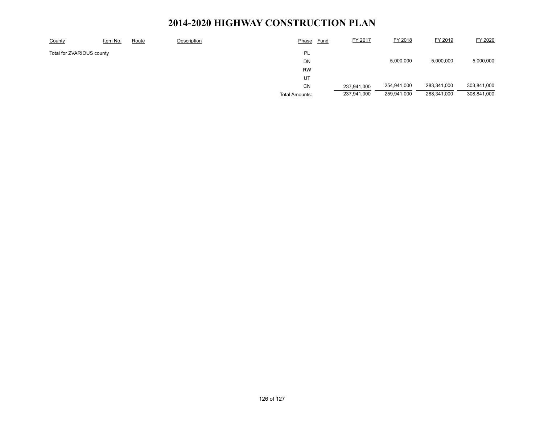| County                    | Item No. | Route | Description | Phase                 | <b>Fund</b> | FY 2017     | FY 2018     | FY 2019     | FY 2020     |
|---------------------------|----------|-------|-------------|-----------------------|-------------|-------------|-------------|-------------|-------------|
| Total for ZVARIOUS county |          |       |             | PL                    |             |             |             |             |             |
|                           |          |       |             | DN                    |             |             | 5,000,000   | 5,000,000   | 5,000,000   |
|                           |          |       |             | <b>RW</b>             |             |             |             |             |             |
|                           |          |       |             | UT                    |             |             |             |             |             |
|                           |          |       |             | <b>CN</b>             |             | 237,941,000 | 254,941,000 | 283,341,000 | 303,841,000 |
|                           |          |       |             | <b>Total Amounts:</b> |             | 237,941,000 | 259,941,000 | 288,341,000 | 308,841,000 |